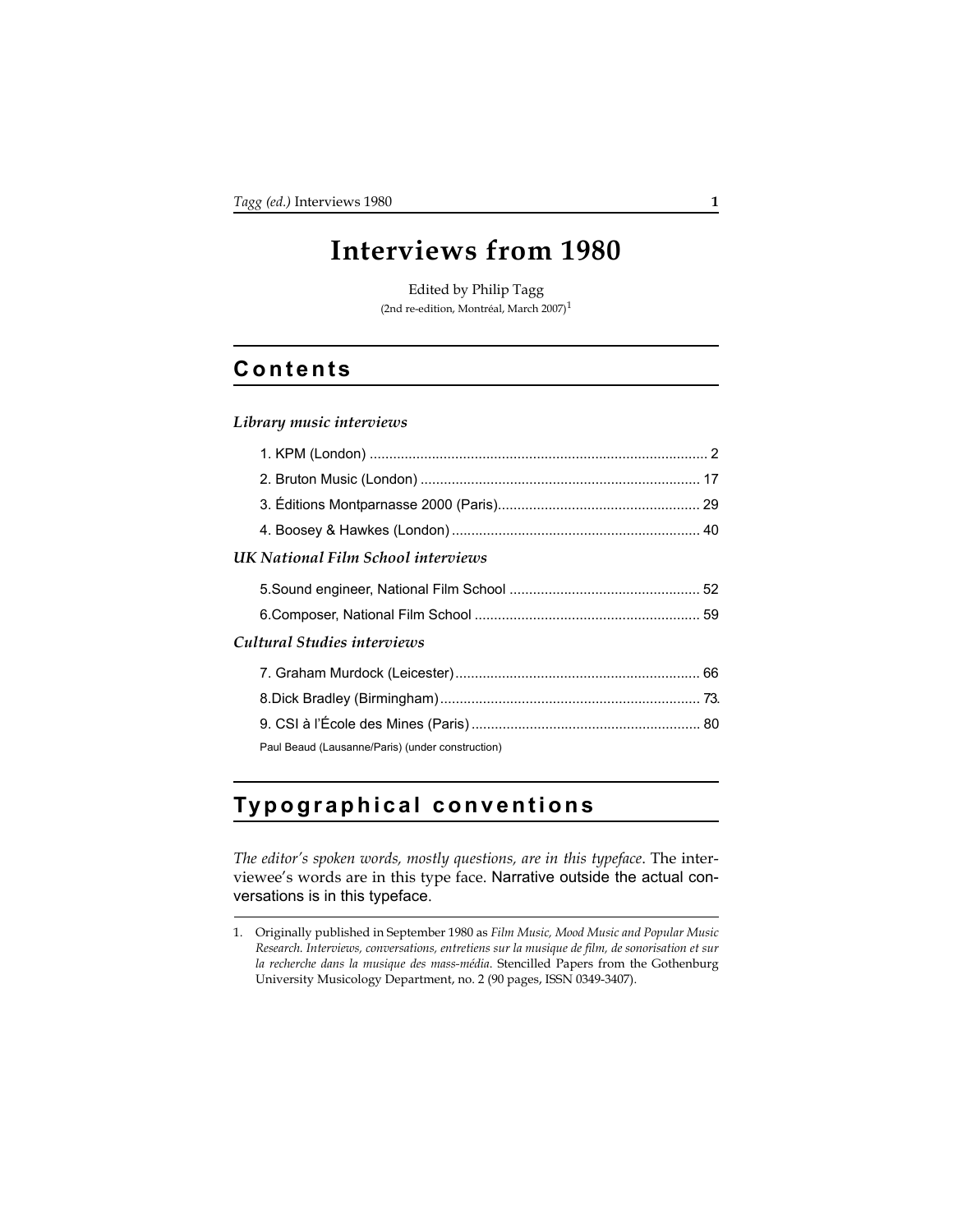# **Interviews from 1980**

Edited by Philip Tagg (2nd re-edition, Montréal, March 2007)1

## **Contents**

#### *Library music interviews*

|                             | UK National Film School interviews               |  |  |
|-----------------------------|--------------------------------------------------|--|--|
|                             |                                                  |  |  |
|                             |                                                  |  |  |
| Cultural Studies interviews |                                                  |  |  |
|                             |                                                  |  |  |
|                             |                                                  |  |  |
|                             |                                                  |  |  |
|                             | Paul Beaud (Lausanne/Paris) (under construction) |  |  |

### **Typographical conventions**

*The editor's spoken words, mostly questions, are in this typeface*. The interviewee's words are in this type face. Narrative outside the actual conversations is in this typeface.

<sup>1.</sup> Originally published in September 1980 as *Film Music, Mood Music and Popular Music Research. Interviews, conversations, entretiens sur la musique de film, de sonorisation et sur la recherche dans la musique des mass-média*. Stencilled Papers from the Gothenburg University Musicology Department, no. 2 (90 pages, ISSN 0349-3407).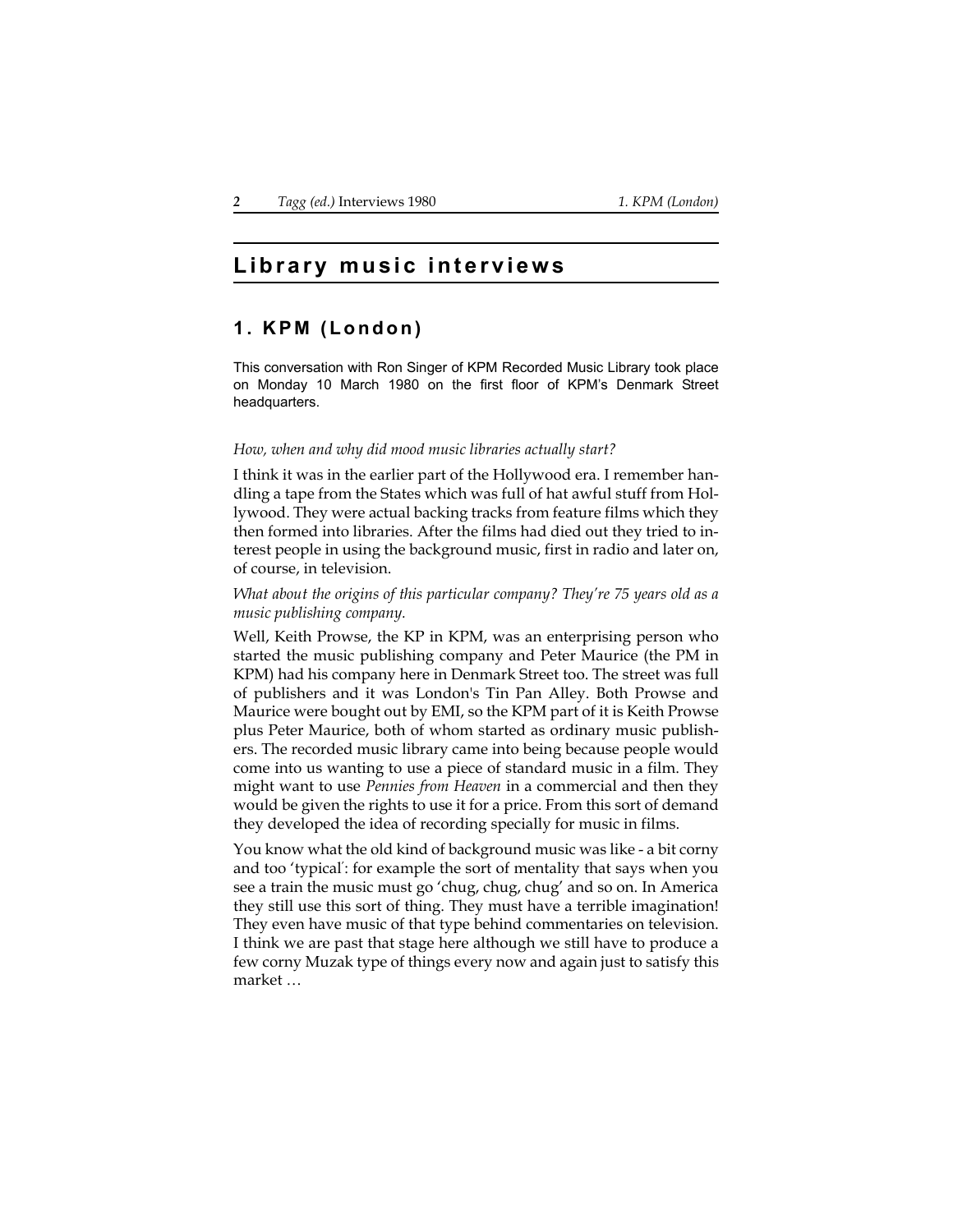### **Library music interviews**

### <span id="page-1-0"></span>**1. KPM (London)**

This conversation with Ron Singer of KPM Recorded Music Library took place on Monday 10 March 1980 on the first floor of KPM's Denmark Street headquarters.

#### *How, when and why did mood music libraries actually start?*

I think it was in the earlier part of the Hollywood era. I remember handling a tape from the States which was full of hat awful stuff from Hollywood. They were actual backing tracks from feature films which they then formed into libraries. After the films had died out they tried to interest people in using the background music, first in radio and later on, of course, in television.

*What about the origins of this particular company? They're 75 years old as a music publishing company.*

Well, Keith Prowse, the KP in KPM, was an enterprising person who started the music publishing company and Peter Maurice (the PM in KPM) had his company here in Denmark Street too. The street was full of publishers and it was London's Tin Pan Alley. Both Prowse and Maurice were bought out by EMI, so the KPM part of it is Keith Prowse plus Peter Maurice, both of whom started as ordinary music publishers. The recorded music library came into being because people would come into us wanting to use a piece of standard music in a film. They might want to use *Pennies from Heaven* in a commercial and then they would be given the rights to use it for a price. From this sort of demand they developed the idea of recording specially for music in films.

You know what the old kind of background music was like - a bit corny and too 'typical' : for example the sort of mentality that says when you see a train the music must go 'chug, chug, chug' and so on. In America they still use this sort of thing. They must have a terrible imagination! They even have music of that type behind commentaries on television. I think we are past that stage here although we still have to produce a few corny Muzak type of things every now and again just to satisfy this market …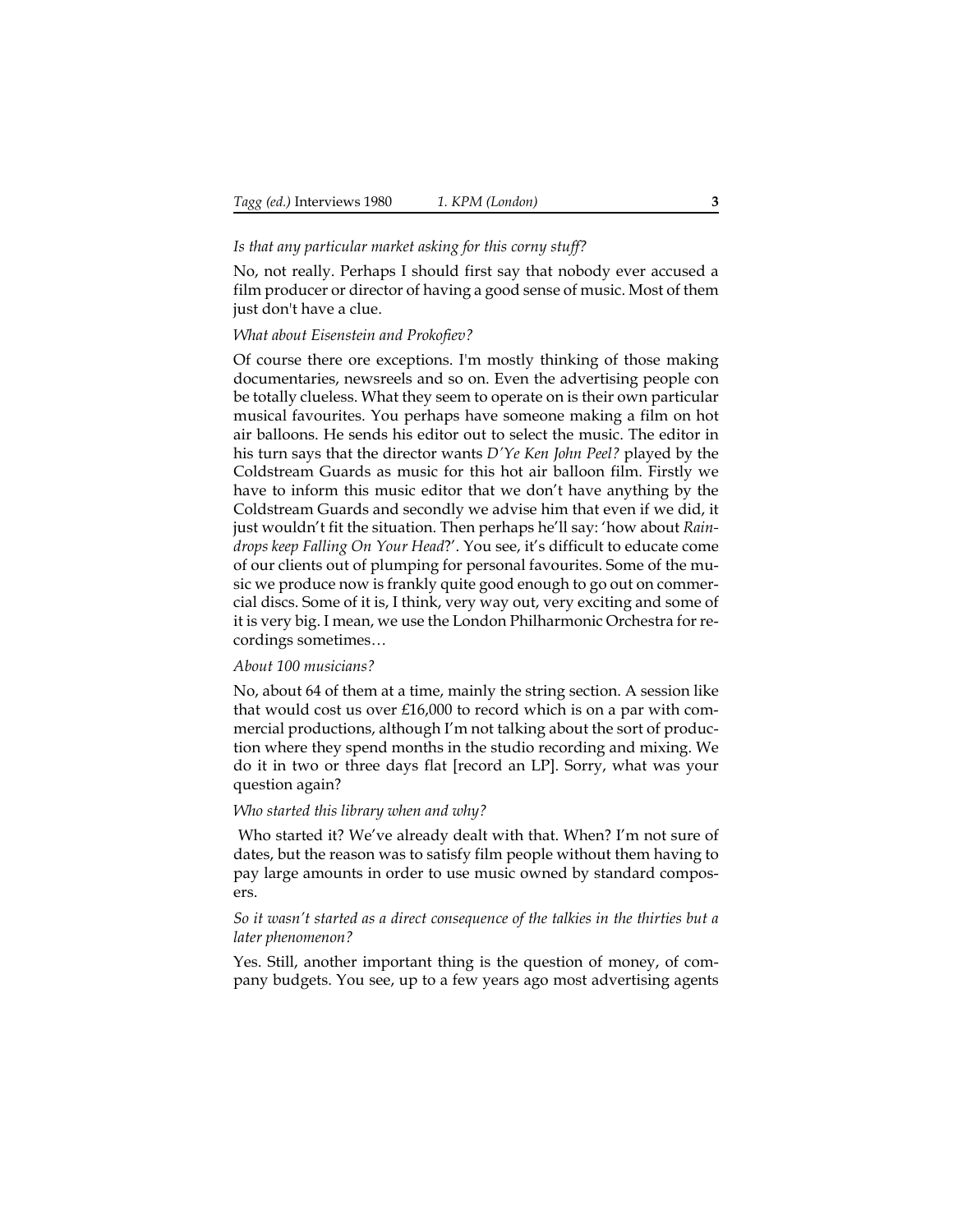#### *Is that any particular market asking for this corny stuff?*

No, not really. Perhaps I should first say that nobody ever accused a film producer or director of having a good sense of music. Most of them just don't have a clue.

#### *What about Eisenstein and Prokofiev?*

Of course there ore exceptions. I'm mostly thinking of those making documentaries, newsreels and so on. Even the advertising people con be totally clueless. What they seem to operate on is their own particular musical favourites. You perhaps have someone making a film on hot air balloons. He sends his editor out to select the music. The editor in his turn says that the director wants *D'Ye Ken John Peel?* played by the Coldstream Guards as music for this hot air balloon film. Firstly we have to inform this music editor that we don't have anything by the Coldstream Guards and secondly we advise him that even if we did, it just wouldn't fit the situation. Then perhaps he'll say: 'how about *Raindrops keep Falling On Your Head*?'. You see, it's difficult to educate come of our clients out of plumping for personal favourites. Some of the music we produce now is frankly quite good enough to go out on commercial discs. Some of it is, I think, very way out, very exciting and some of it is very big. I mean, we use the London Philharmonic Orchestra for recordings sometimes…

#### *About 100 musicians?*

No, about 64 of them at a time, mainly the string section. A session like that would cost us over £16,000 to record which is on a par with commercial productions, although I'm not talking about the sort of production where they spend months in the studio recording and mixing. We do it in two or three days flat [record an LP]. Sorry, what was your question again?

#### *Who started this library when and why?*

 Who started it? We've already dealt with that. When? I'm not sure of dates, but the reason was to satisfy film people without them having to pay large amounts in order to use music owned by standard composers.

#### *So it wasn't started as a direct consequence of the talkies in the thirties but a later phenomenon?*

Yes. Still, another important thing is the question of money, of company budgets. You see, up to a few years ago most advertising agents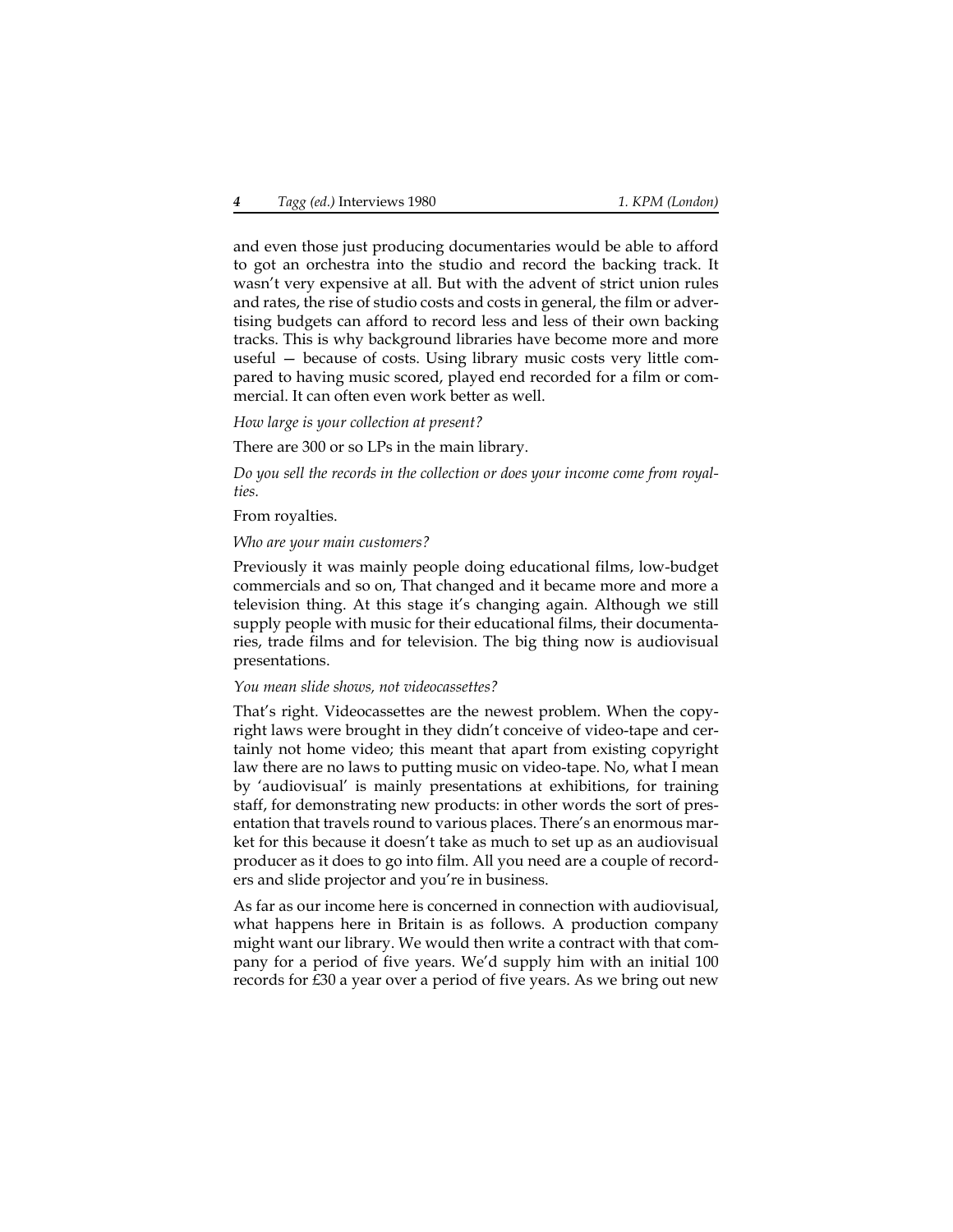and even those just producing documentaries would be able to afford to got an orchestra into the studio and record the backing track. It wasn't very expensive at all. But with the advent of strict union rules and rates, the rise of studio costs and costs in general, the film or advertising budgets can afford to record less and less of their own backing tracks. This is why background libraries have become more and more useful — because of costs. Using library music costs very little compared to having music scored, played end recorded for a film or commercial. It can often even work better as well.

*How large is your collection at present?*

There are 300 or so LPs in the main library.

*Do you sell the records in the collection or does your income come from royalties.*

From royalties.

#### *Who are your main customers?*

Previously it was mainly people doing educational films, low-budget commercials and so on, That changed and it became more and more a television thing. At this stage it's changing again. Although we still supply people with music for their educational films, their documentaries, trade films and for television. The big thing now is audiovisual presentations.

#### *You mean slide shows, not videocassettes?*

That's right. Videocassettes are the newest problem. When the copyright laws were brought in they didn't conceive of video-tape and certainly not home video; this meant that apart from existing copyright law there are no laws to putting music on video-tape. No, what I mean by 'audiovisual' is mainly presentations at exhibitions, for training staff, for demonstrating new products: in other words the sort of presentation that travels round to various places. There's an enormous market for this because it doesn't take as much to set up as an audiovisual producer as it does to go into film. All you need are a couple of recorders and slide projector and you're in business.

As far as our income here is concerned in connection with audiovisual, what happens here in Britain is as follows. A production company might want our library. We would then write a contract with that company for a period of five years. We'd supply him with an initial 100 records for £30 a year over a period of five years. As we bring out new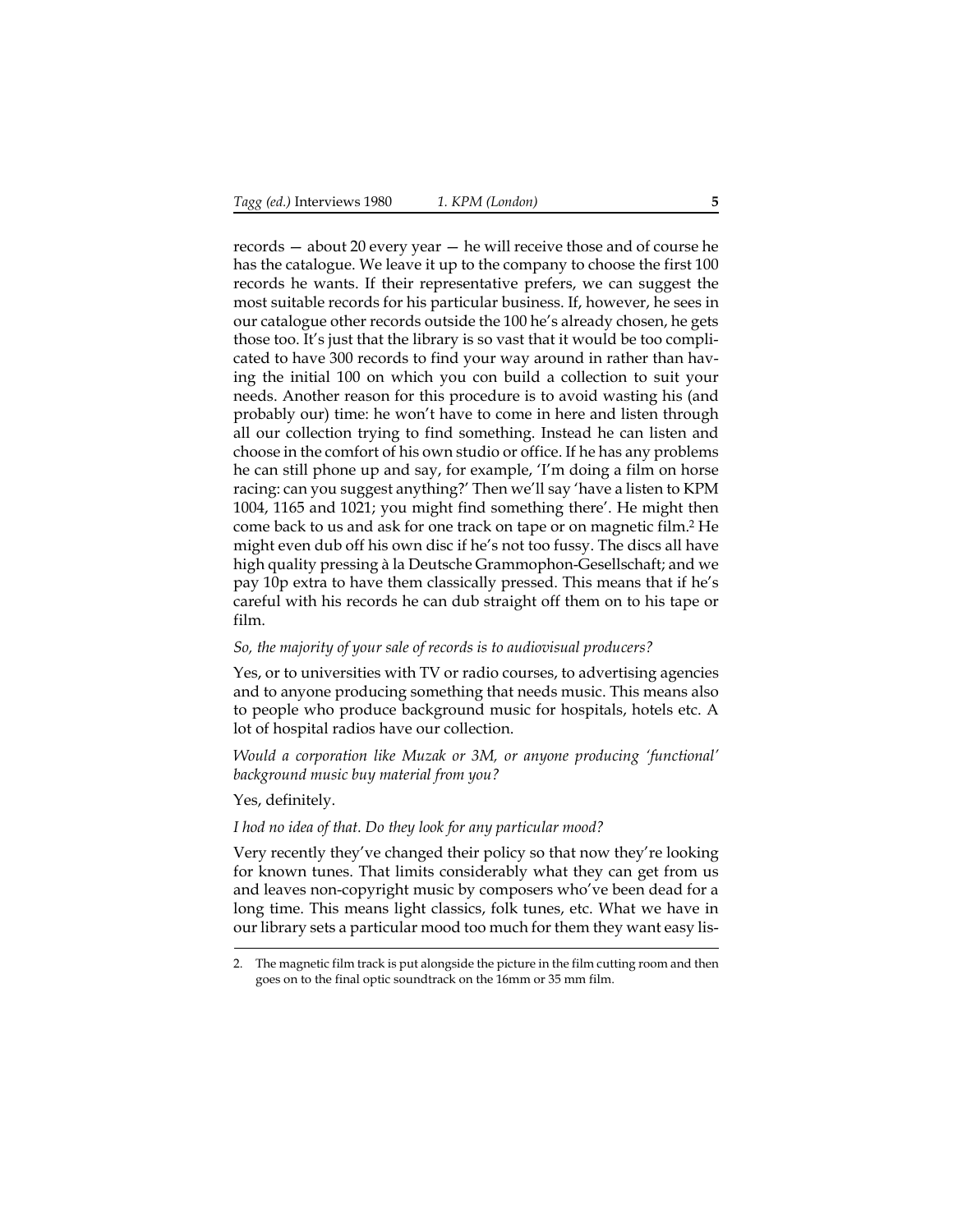records — about 20 every year — he will receive those and of course he has the catalogue. We leave it up to the company to choose the first 100 records he wants. If their representative prefers, we can suggest the most suitable records for his particular business. If, however, he sees in our catalogue other records outside the 100 he's already chosen, he gets those too. It's just that the library is so vast that it would be too complicated to have 300 records to find your way around in rather than having the initial 100 on which you con build a collection to suit your needs. Another reason for this procedure is to avoid wasting his (and probably our) time: he won't have to come in here and listen through all our collection trying to find something. Instead he can listen and choose in the comfort of his own studio or office. If he has any problems he can still phone up and say, for example, 'I'm doing a film on horse racing: can you suggest anything?' Then we'll say 'have a listen to KPM 1004, 1165 and 1021; you might find something there'. He might then come back to us and ask for one track on tape or on magnetic film.2 He might even dub off his own disc if he's not too fussy. The discs all have high quality pressing à la Deutsche Grammophon-Gesellschaft; and we pay 10p extra to have them classically pressed. This means that if he's careful with his records he can dub straight off them on to his tape or film.

#### *So, the majority of your sale of records is to audiovisual producers?*

Yes, or to universities with TV or radio courses, to advertising agencies and to anyone producing something that needs music. This means also to people who produce background music for hospitals, hotels etc. A lot of hospital radios have our collection.

*Would a corporation like Muzak or 3M, or anyone producing 'functional' background music buy material from you?*

Yes, definitely.

#### *I hod no idea of that. Do they look for any particular mood?*

Very recently they've changed their policy so that now they're looking for known tunes. That limits considerably what they can get from us and leaves non-copyright music by composers who've been dead for a long time. This means light classics, folk tunes, etc. What we have in our library sets a particular mood too much for them they want easy lis-

<sup>2.</sup> The magnetic film track is put alongside the picture in the film cutting room and then goes on to the final optic soundtrack on the 16mm or 35 mm film.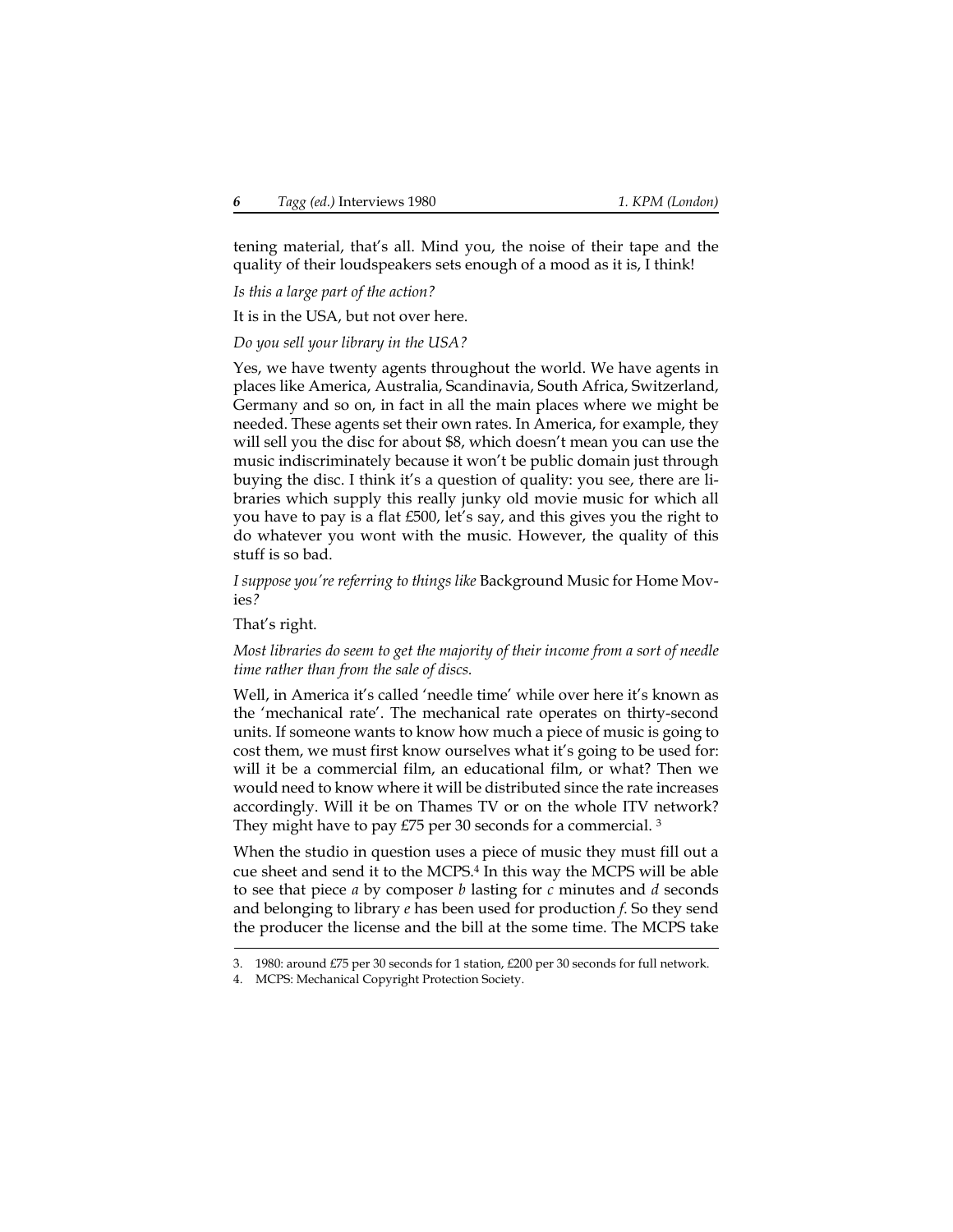tening material, that's all. Mind you, the noise of their tape and the quality of their loudspeakers sets enough of a mood as it is, I think!

*Is this a large part of the action?*

It is in the USA, but not over here.

*Do you sell your library in the USA?*

Yes, we have twenty agents throughout the world. We have agents in places like America, Australia, Scandinavia, South Africa, Switzerland, Germany and so on, in fact in all the main places where we might be needed. These agents set their own rates. In America, for example, they will sell you the disc for about \$8, which doesn't mean you can use the music indiscriminately because it won't be public domain just through buying the disc. I think it's a question of quality: you see, there are libraries which supply this really junky old movie music for which all you have to pay is a flat £500, let's say, and this gives you the right to do whatever you wont with the music. However, the quality of this stuff is so bad.

*I suppose you're referring to things like* Background Music for Home Movies*?*

That's right.

*Most libraries do seem to get the majority of their income from a sort of needle time rather than from the sale of discs.*

Well, in America it's called 'needle time' while over here it's known as the 'mechanical rate'. The mechanical rate operates on thirty-second units. If someone wants to know how much a piece of music is going to cost them, we must first know ourselves what it's going to be used for: will it be a commercial film, an educational film, or what? Then we would need to know where it will be distributed since the rate increases accordingly. Will it be on Thames TV or on the whole ITV network? They might have to pay  $E/5$  per 30 seconds for a commercial. <sup>3</sup>

When the studio in question uses a piece of music they must fill out a cue sheet and send it to the MCPS.4 In this way the MCPS will be able to see that piece *a* by composer *b* lasting for *c* minutes and *d* seconds and belonging to library *e* has been used for production *f*. So they send the producer the license and the bill at the some time. The MCPS take

<sup>3. 1980:</sup> around £75 per 30 seconds for 1 station, £200 per 30 seconds for full network.

MCPS: Mechanical Copyright Protection Society.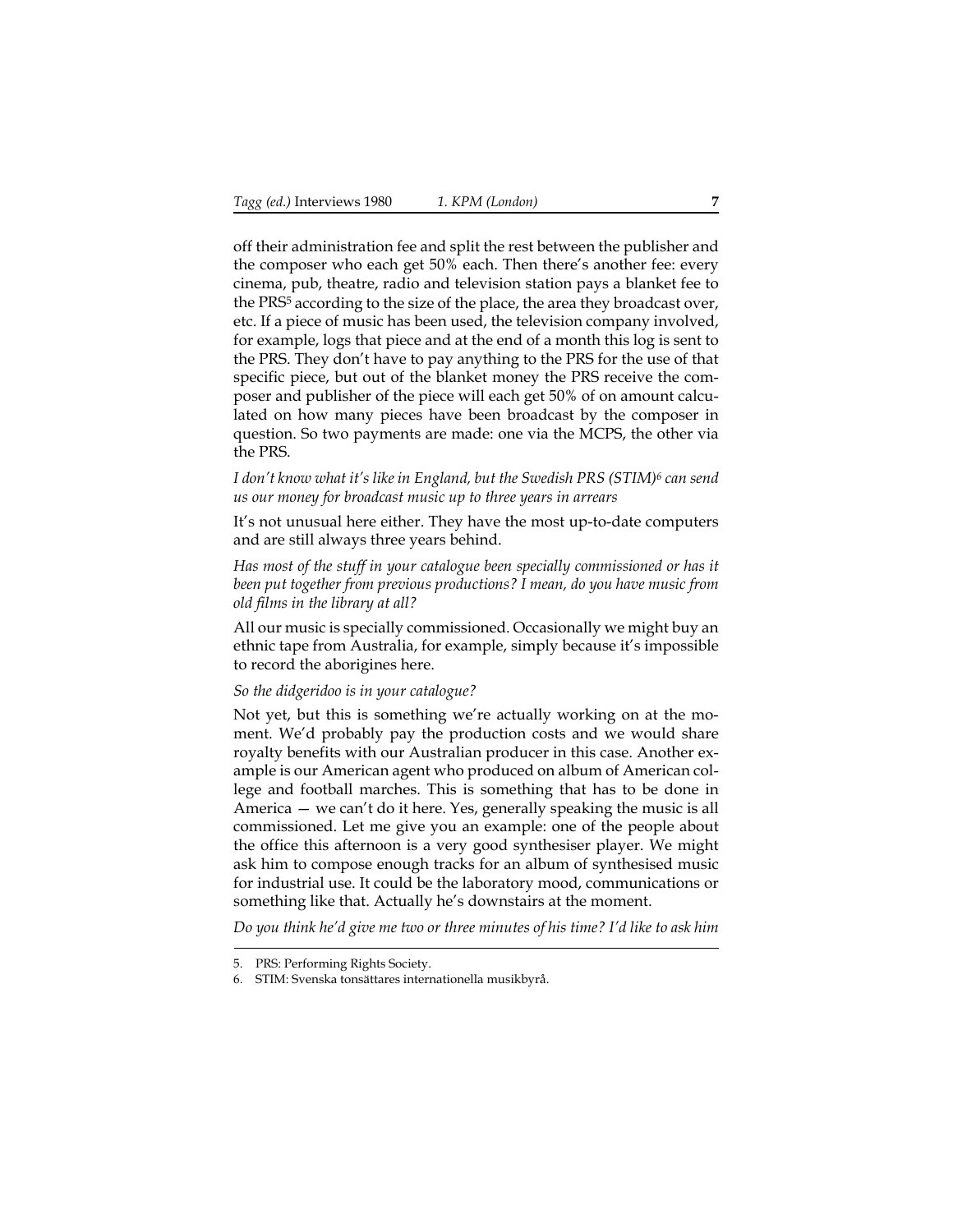off their administration fee and split the rest between the publisher and the composer who each get 50% each. Then there's another fee: every cinema, pub, theatre, radio and television station pays a blanket fee to the PRS5 according to the size of the place, the area they broadcast over, etc. If a piece of music has been used, the television company involved, for example, logs that piece and at the end of a month this log is sent to the PRS. They don't have to pay anything to the PRS for the use of that specific piece, but out of the blanket money the PRS receive the composer and publisher of the piece will each get 50% of on amount calculated on how many pieces have been broadcast by the composer in question. So two payments are made: one via the MCPS, the other via the PRS.

*I don't know what it's like in England, but the Swedish PRS (STIM)6 can send us our money for broadcast music up to three years in arrears*

It's not unusual here either. They have the most up-to-date computers and are still always three years behind.

*Has most of the stuff in your catalogue been specially commissioned or has it been put together from previous productions? I mean, do you have music from old films in the library at all?*

All our music is specially commissioned. Occasionally we might buy an ethnic tape from Australia, for example, simply because it's impossible to record the aborigines here.

*So the didgeridoo is in your catalogue?*

Not yet, but this is something we're actually working on at the moment. We'd probably pay the production costs and we would share royalty benefits with our Australian producer in this case. Another example is our American agent who produced on album of American college and football marches. This is something that has to be done in America — we can't do it here. Yes, generally speaking the music is all commissioned. Let me give you an example: one of the people about the office this afternoon is a very good synthesiser player. We might ask him to compose enough tracks for an album of synthesised music for industrial use. It could be the laboratory mood, communications or something like that. Actually he's downstairs at the moment.

*Do you think he'd give me two or three minutes of his time? I'd like to ask him*

<sup>5.</sup> PRS: Performing Rights Society.

<sup>6.</sup> STIM: Svenska tonsättares internationella musikbyrå.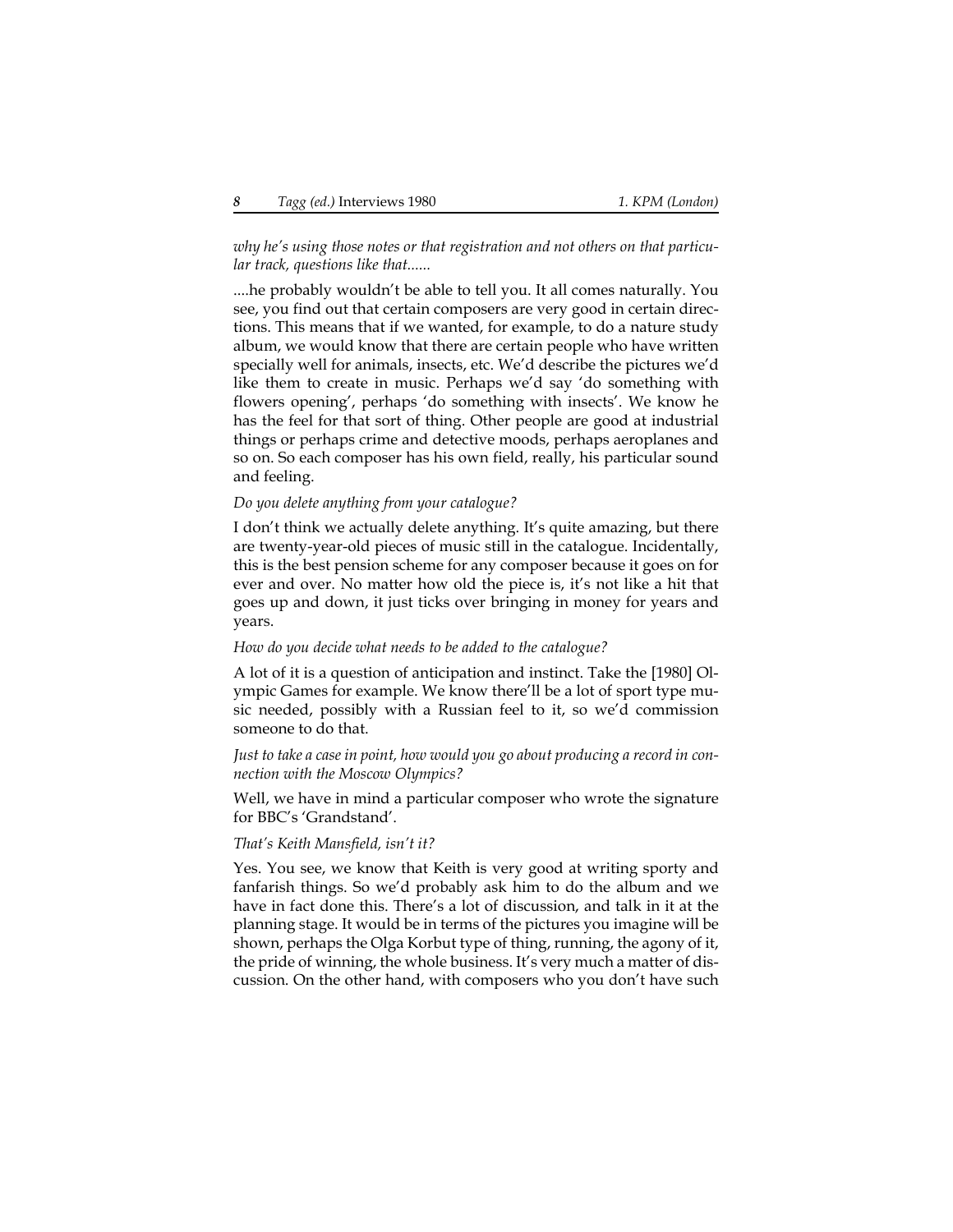*why he's using those notes or that registration and not others on that particular track, questions like that......*

....he probably wouldn't be able to tell you. It all comes naturally. You see, you find out that certain composers are very good in certain directions. This means that if we wanted, for example, to do a nature study album, we would know that there are certain people who have written specially well for animals, insects, etc. We'd describe the pictures we'd like them to create in music. Perhaps we'd say 'do something with flowers opening', perhaps 'do something with insects'. We know he has the feel for that sort of thing. Other people are good at industrial things or perhaps crime and detective moods, perhaps aeroplanes and so on. So each composer has his own field, really, his particular sound and feeling.

#### *Do you delete anything from your catalogue?*

I don't think we actually delete anything. It's quite amazing, but there are twenty-year-old pieces of music still in the catalogue. Incidentally, this is the best pension scheme for any composer because it goes on for ever and over. No matter how old the piece is, it's not like a hit that goes up and down, it just ticks over bringing in money for years and years.

#### *How do you decide what needs to be added to the catalogue?*

A lot of it is a question of anticipation and instinct. Take the [1980] Olympic Games for example. We know there'll be a lot of sport type music needed, possibly with a Russian feel to it, so we'd commission someone to do that.

*Just to take a case in point, how would you go about producing a record in connection with the Moscow Olympics?*

Well, we have in mind a particular composer who wrote the signature for BBC's 'Grandstand'.

#### *That's Keith Mansfield, isn't it?*

Yes. You see, we know that Keith is very good at writing sporty and fanfarish things. So we'd probably ask him to do the album and we have in fact done this. There's a lot of discussion, and talk in it at the planning stage. It would be in terms of the pictures you imagine will be shown, perhaps the Olga Korbut type of thing, running, the agony of it, the pride of winning, the whole business. It's very much a matter of discussion. On the other hand, with composers who you don't have such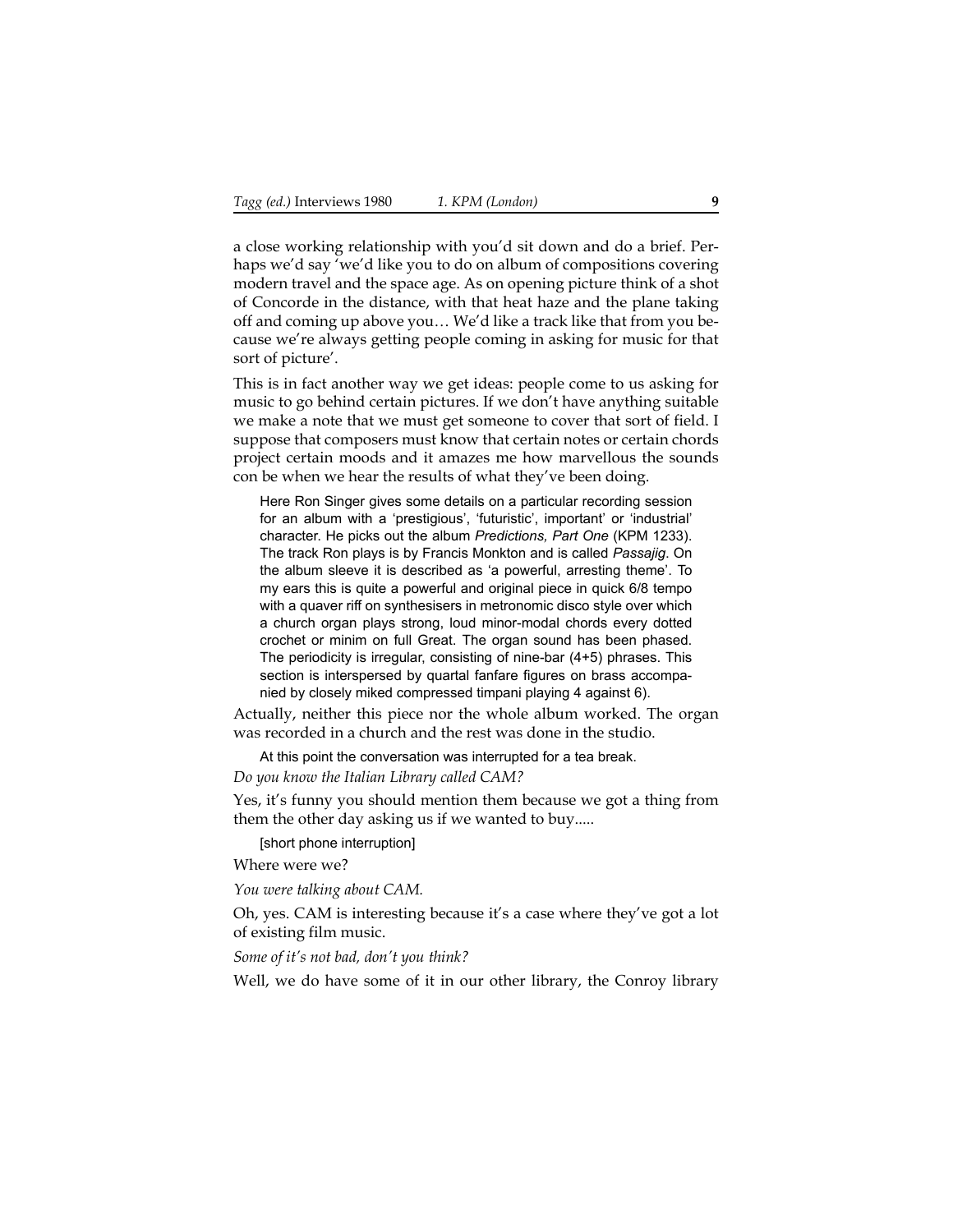a close working relationship with you'd sit down and do a brief. Perhaps we'd say 'we'd like you to do on album of compositions covering modern travel and the space age. As on opening picture think of a shot of Concorde in the distance, with that heat haze and the plane taking off and coming up above you… We'd like a track like that from you because we're always getting people coming in asking for music for that sort of picture'.

This is in fact another way we get ideas: people come to us asking for music to go behind certain pictures. If we don't have anything suitable we make a note that we must get someone to cover that sort of field. I suppose that composers must know that certain notes or certain chords project certain moods and it amazes me how marvellous the sounds con be when we hear the results of what they've been doing.

Here Ron Singer gives some details on a particular recording session for an album with a 'prestigious', 'futuristic', important' or 'industrial' character. He picks out the album *Predictions, Part One* (KPM 1233). The track Ron plays is by Francis Monkton and is called *Passajig*. On the album sleeve it is described as 'a powerful, arresting theme'. To my ears this is quite a powerful and original piece in quick 6/8 tempo with a quaver riff on synthesisers in metronomic disco style over which a church organ plays strong, loud minor-modal chords every dotted crochet or minim on full Great. The organ sound has been phased. The periodicity is irregular, consisting of nine-bar (4+5) phrases. This section is interspersed by quartal fanfare figures on brass accompanied by closely miked compressed timpani playing 4 against 6).

Actually, neither this piece nor the whole album worked. The organ was recorded in a church and the rest was done in the studio.

At this point the conversation was interrupted for a tea break. *Do you know the Italian Library called CAM?*

Yes, it's funny you should mention them because we got a thing from them the other day asking us if we wanted to buy.....

[short phone interruption]

Where were we?

*You were talking about CAM.*

Oh, yes. CAM is interesting because it's a case where they've got a lot of existing film music.

*Some of it's not bad, don't you think?*

Well, we do have some of it in our other library, the Conroy library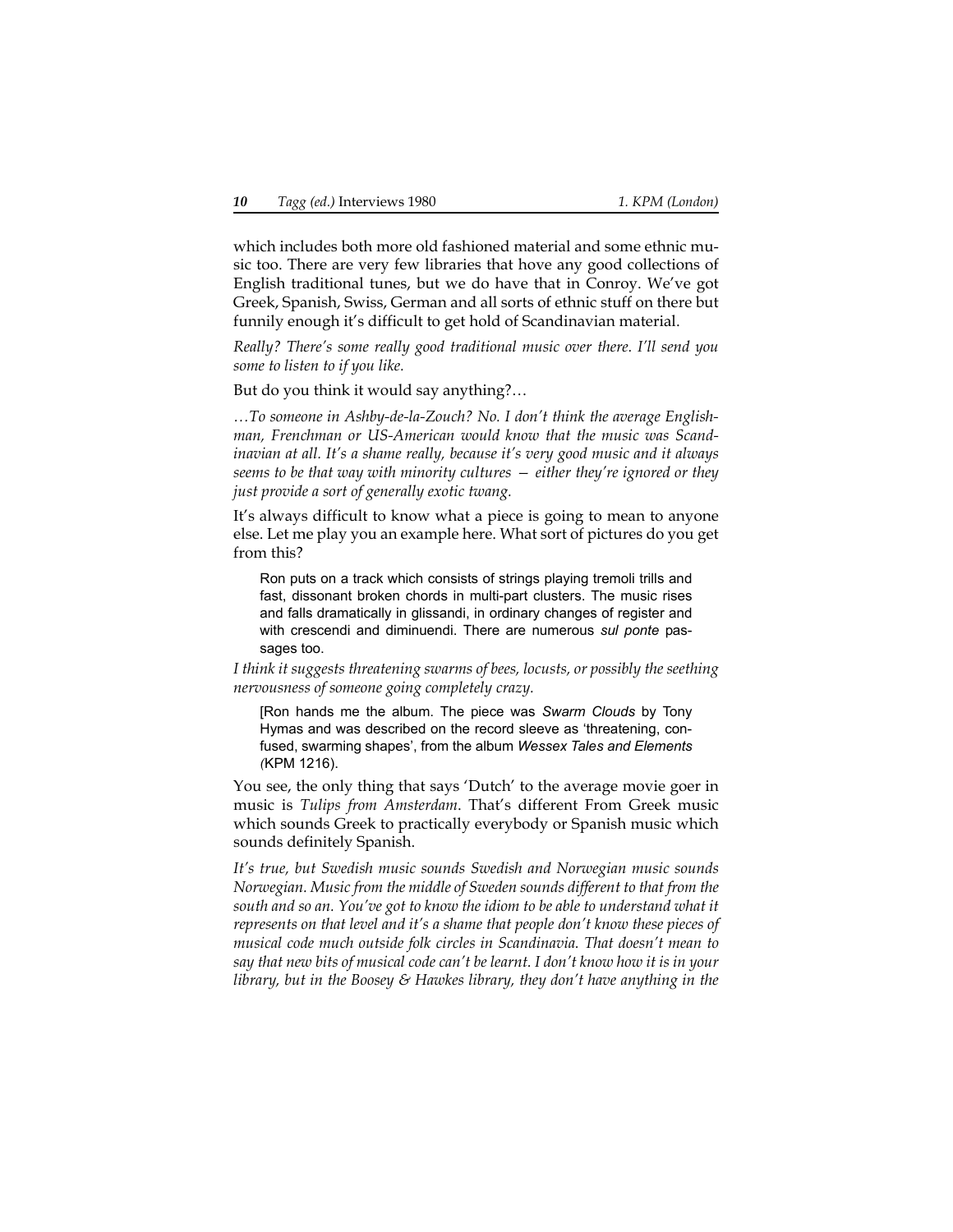which includes both more old fashioned material and some ethnic music too. There are very few libraries that hove any good collections of English traditional tunes, but we do have that in Conroy. We've got Greek, Spanish, Swiss, German and all sorts of ethnic stuff on there but funnily enough it's difficult to get hold of Scandinavian material.

*Really? There's some really good traditional music over there. I'll send you some to listen to if you like.*

But do you think it would say anything?…

*…To someone in Ashby-de-la-Zouch? No. I don't think the average Englishman, Frenchman or US-American would know that the music was Scandinavian at all. It's a shame really, because it's very good music and it always seems to be that way with minority cultures — either they're ignored or they just provide a sort of generally exotic twang.*

It's always difficult to know what a piece is going to mean to anyone else. Let me play you an example here. What sort of pictures do you get from this?

Ron puts on a track which consists of strings playing tremoli trills and fast, dissonant broken chords in multi-part clusters. The music rises and falls dramatically in glissandi, in ordinary changes of register and with crescendi and diminuendi. There are numerous *sul ponte* passages too.

*I think it suggests threatening swarms of bees, locusts, or possibly the seething nervousness of someone going completely crazy.* 

<span id="page-9-0"></span>[Ron hands me the album. The piece was *Swarm Clouds* by Tony Hymas and was described on the record sleeve as 'threatening, confused, swarming shapes', from the album *Wessex Tales and Elements (*KPM 1216).

You see, the only thing that says 'Dutch' to the average movie goer in music is *Tulips from Amsterdam*. That's different From Greek music which sounds Greek to practically everybody or Spanish music which sounds definitely Spanish.

*It's true, but Swedish music sounds Swedish and Norwegian music sounds Norwegian. Music from the middle of Sweden sounds different to that from the south and so an. You've got to know the idiom to be able to understand what it represents on that level and it's a shame that people don't know these pieces of musical code much outside folk circles in Scandinavia. That doesn't mean to say that new bits of musical code can't be learnt. I don't know how it is in your library, but in the Boosey & Hawkes library, they don't have anything in the*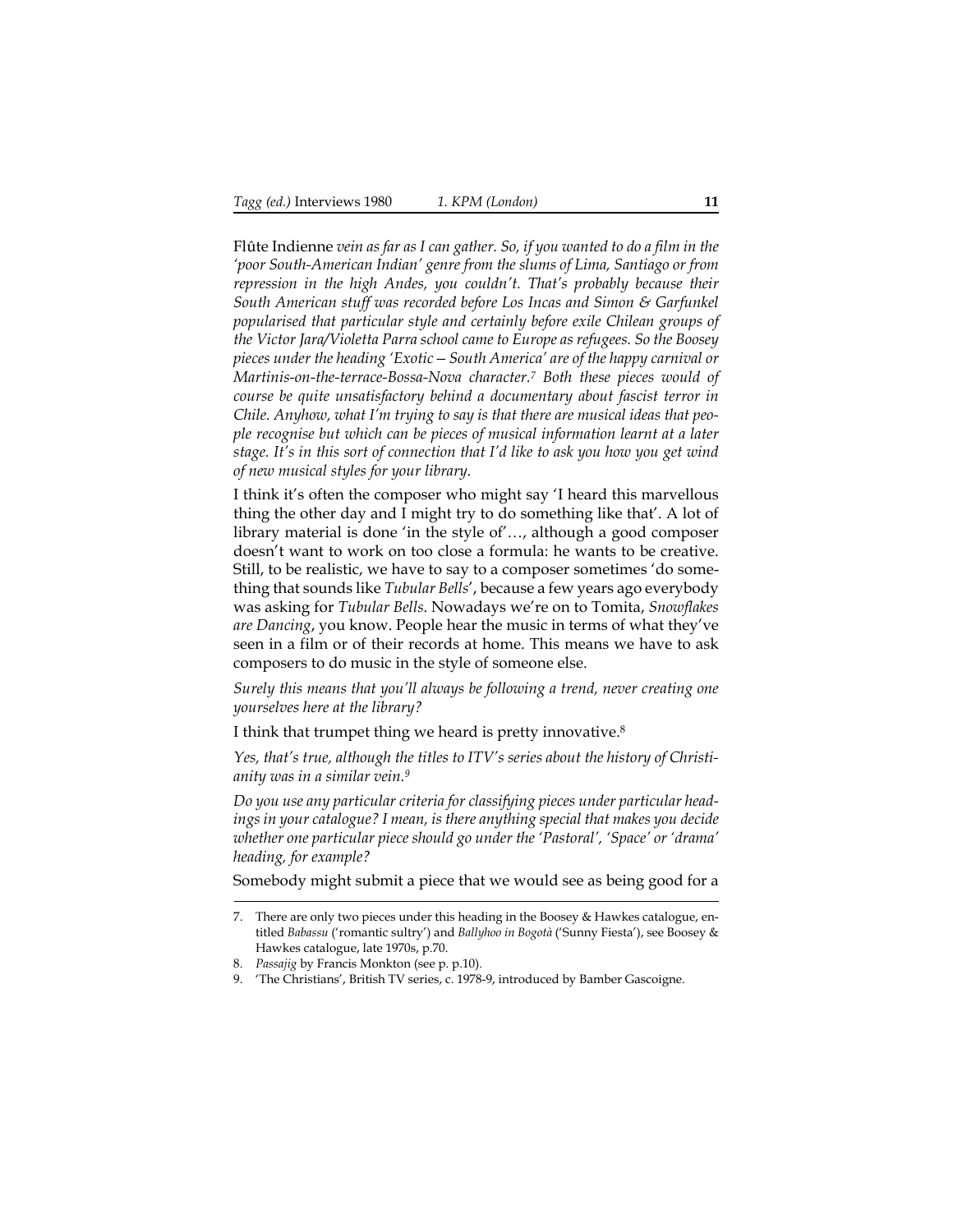Flûte Indienne *vein as far as I can gather. So, if you wanted to do a film in the 'poor South-American Indian' genre from the slums of Lima, Santiago or from repression in the high Andes, you couldn't. That's probably because their South American stuff was recorded before Los Incas and Simon & Garfunkel popularised that particular style and certainly before exile Chilean groups of the Victor Jara/Violetta Parra school came to Europe as refugees. So the Boosey pieces under the heading 'Exotic—South America' are of the happy carnival or Martinis-on-the-terrace-Bossa-Nova character.7 Both these pieces would of course be quite unsatisfactory behind a documentary about fascist terror in Chile. Anyhow, what I'm trying to say is that there are musical ideas that people recognise but which can be pieces of musical information learnt at a later stage. It's in this sort of connection that I'd like to ask you how you get wind of new musical styles for your library.*

I think it's often the composer who might say 'I heard this marvellous thing the other day and I might try to do something like that'. A lot of library material is done 'in the style of'…, although a good composer doesn't want to work on too close a formula: he wants to be creative. Still, to be realistic, we have to say to a composer sometimes 'do something that sounds like *Tubular Bells*', because a few years ago everybody was asking for *Tubular Bells*. Nowadays we're on to Tomita, *Snowflakes are Dancing*, you know. People hear the music in terms of what they've seen in a film or of their records at home. This means we have to ask composers to do music in the style of someone else.

*Surely this means that you'll always be following a trend, never creating one yourselves here at the library?*

I think that trumpet thing we heard is pretty innovative.8

*Yes, that's true, although the titles to ITV's series about the history of Christianity was in a similar vein.9*

*Do you use any particular criteria for classifying pieces under particular headings in your catalogue? I mean, is there anything special that makes you decide whether one particular piece should go under the 'Pastoral', 'Space' or 'drama' heading, for example?*

Somebody might submit a piece that we would see as being good for a

<sup>7.</sup> There are only two pieces under this heading in the Boosey & Hawkes catalogue, entitled *Babassu* ('romantic sultry') and *Ballyhoo in Bogotà* ('Sunny Fiesta'), see Boosey & Hawkes catalogue, late 1970s, p.70.

<sup>8.</sup> *Passajig* by Francis Monkton (see p. [p.10](#page-9-0)).

<sup>9. &#</sup>x27;The Christians', British TV series, c. 1978-9, introduced by Bamber Gascoigne.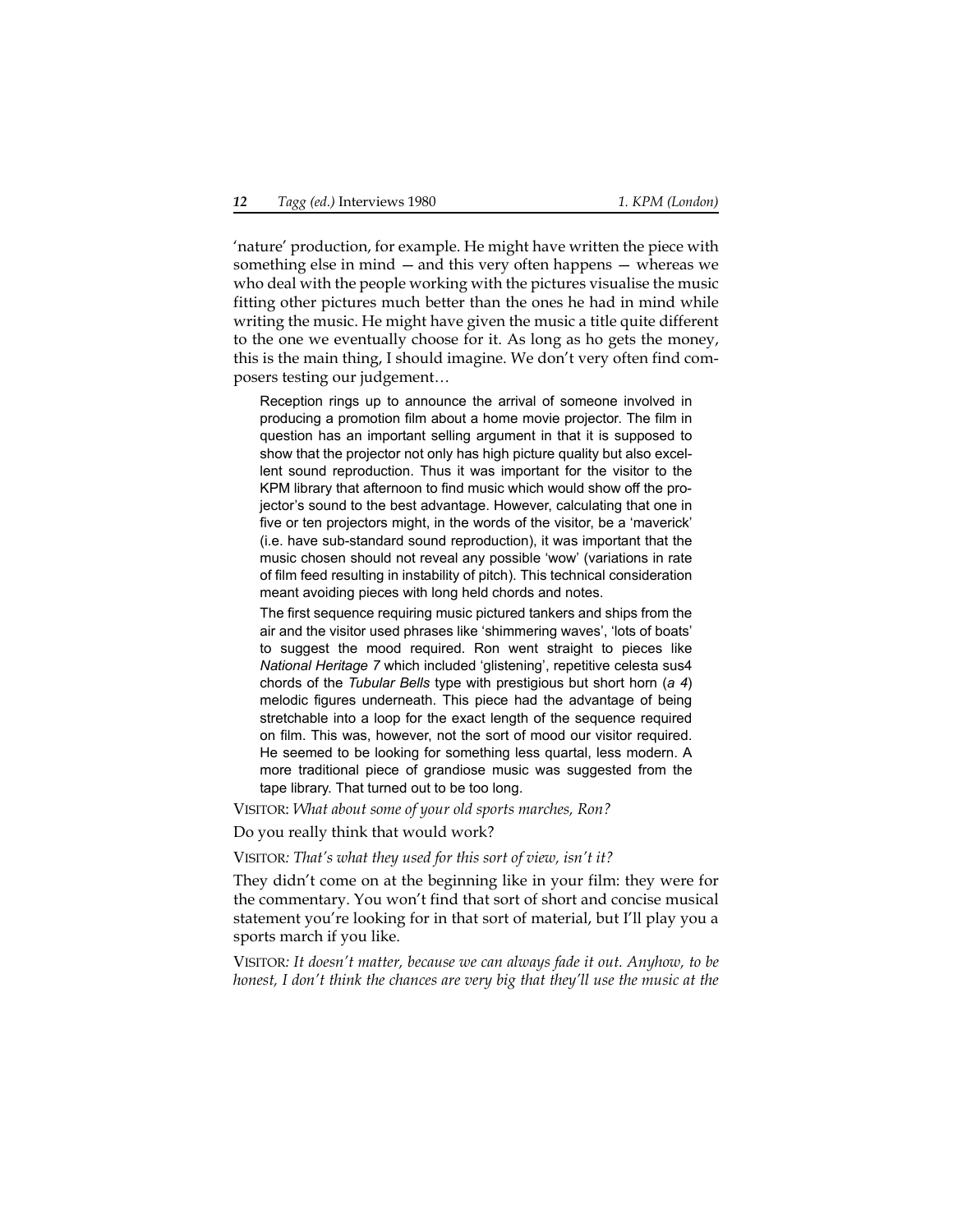'nature' production, for example. He might have written the piece with something else in mind —and this very often happens — whereas we who deal with the people working with the pictures visualise the music fitting other pictures much better than the ones he had in mind while writing the music. He might have given the music a title quite different to the one we eventually choose for it. As long as ho gets the money, this is the main thing, I should imagine. We don't very often find composers testing our judgement…

Reception rings up to announce the arrival of someone involved in producing a promotion film about a home movie projector. The film in question has an important selling argument in that it is supposed to show that the projector not only has high picture quality but also excellent sound reproduction. Thus it was important for the visitor to the KPM library that afternoon to find music which would show off the projector's sound to the best advantage. However, calculating that one in five or ten projectors might, in the words of the visitor, be a 'maverick' (i.e. have sub-standard sound reproduction), it was important that the music chosen should not reveal any possible 'wow' (variations in rate of film feed resulting in instability of pitch). This technical consideration meant avoiding pieces with long held chords and notes.

<span id="page-11-0"></span>The first sequence requiring music pictured tankers and ships from the air and the visitor used phrases like 'shimmering waves', 'lots of boats' to suggest the mood required. Ron went straight to pieces like *National Heritage 7* which included 'glistening', repetitive celesta sus4 chords of the *Tubular Bells* type with prestigious but short horn (*a 4*) melodic figures underneath. This piece had the advantage of being stretchable into a loop for the exact length of the sequence required on film. This was, however, not the sort of mood our visitor required. He seemed to be looking for something less quartal, less modern. A more traditional piece of grandiose music was suggested from the tape library. That turned out to be too long.

VISITOR: *What about some of your old sports marches, Ron?*

Do you really think that would work?

VISITOR*: That's what they used for this sort of view, isn't it?*

They didn't come on at the beginning like in your film: they were for the commentary. You won't find that sort of short and concise musical statement you're looking for in that sort of material, but I'll play you a sports march if you like.

VISITOR*: It doesn't matter, because we can always fade it out. Anyhow, to be honest, I don't think the chances are very big that they'll use the music at the*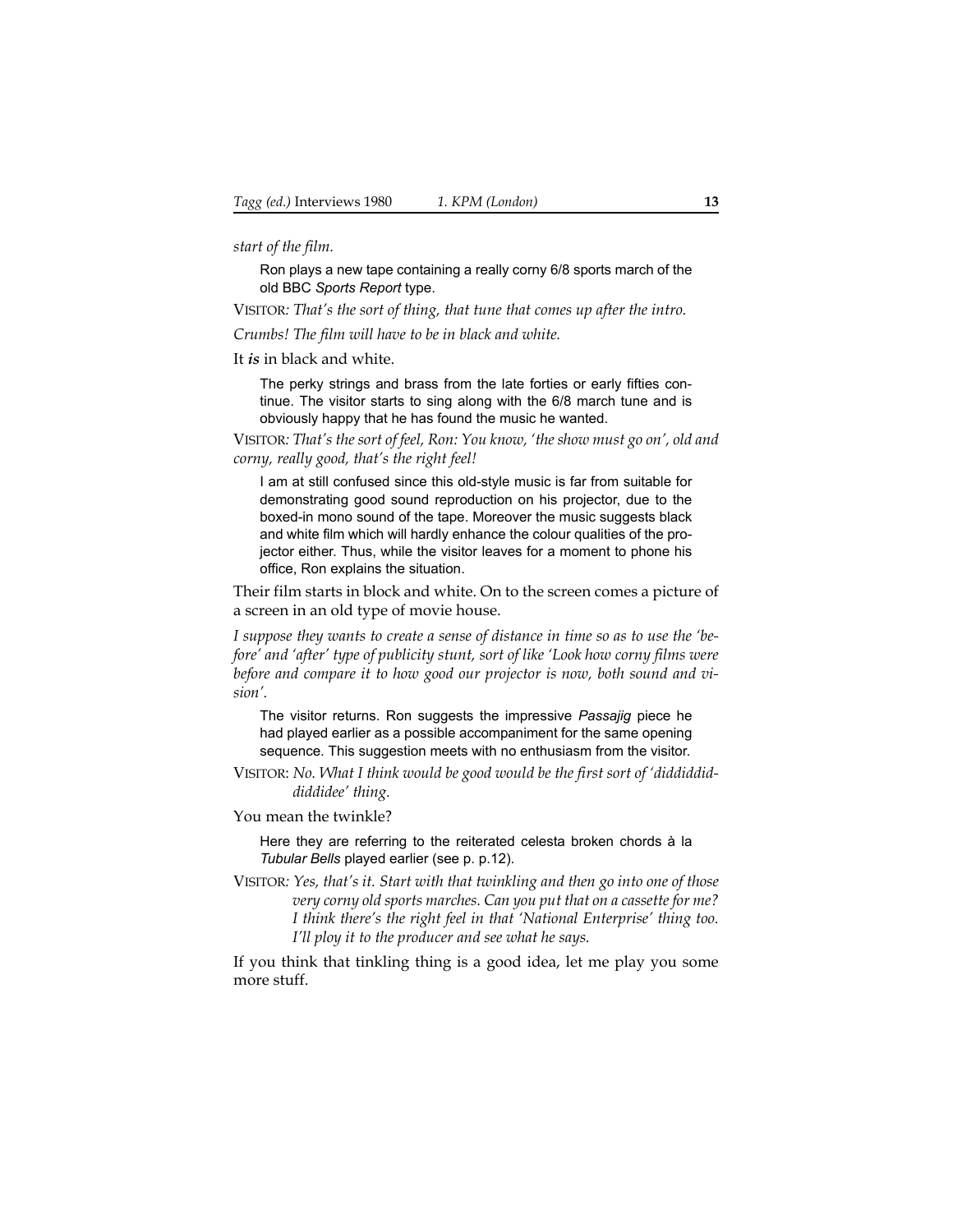*start of the film.*

Ron plays a new tape containing a really corny 6/8 sports march of the old BBC *Sports Report* type.

VISITOR*: That's the sort of thing, that tune that comes up after the intro.*

*Crumbs! The film will have to be in black and white.*

It *is* in black and white.

The perky strings and brass from the late forties or early fifties continue. The visitor starts to sing along with the 6/8 march tune and is obviously happy that he has found the music he wanted.

VISITOR*: That's the sort of feel, Ron: You know, 'the show must go on', old and corny, really good, that's the right feel!*

I am at still confused since this old-style music is far from suitable for demonstrating good sound reproduction on his projector, due to the boxed-in mono sound of the tape. Moreover the music suggests black and white film which will hardly enhance the colour qualities of the projector either. Thus, while the visitor leaves for a moment to phone his office, Ron explains the situation.

Their film starts in block and white. On to the screen comes a picture of a screen in an old type of movie house.

*I suppose they wants to create a sense of distance in time so as to use the 'before' and 'after' type of publicity stunt, sort of like 'Look how corny films were before and compare it to how good our projector is now, both sound and vision'.*

The visitor returns. Ron suggests the impressive *Passajig* piece he had played earlier as a possible accompaniment for the same opening sequence. This suggestion meets with no enthusiasm from the visitor.

VISITOR: *No. What I think would be good would be the first sort of 'diddiddiddiddidee' thing.*

You mean the twinkle?

Here they are referring to the reiterated celesta broken chords à la *Tubular Bells* played earlier (see p. [p.12](#page-11-0)).

VISITOR*: Yes, that's it. Start with that twinkling and then go into one of those very corny old sports marches. Can you put that on a cassette for me? I think there's the right feel in that 'National Enterprise' thing too. I'll ploy it to the producer and see what he says.*

If you think that tinkling thing is a good idea, let me play you some more stuff.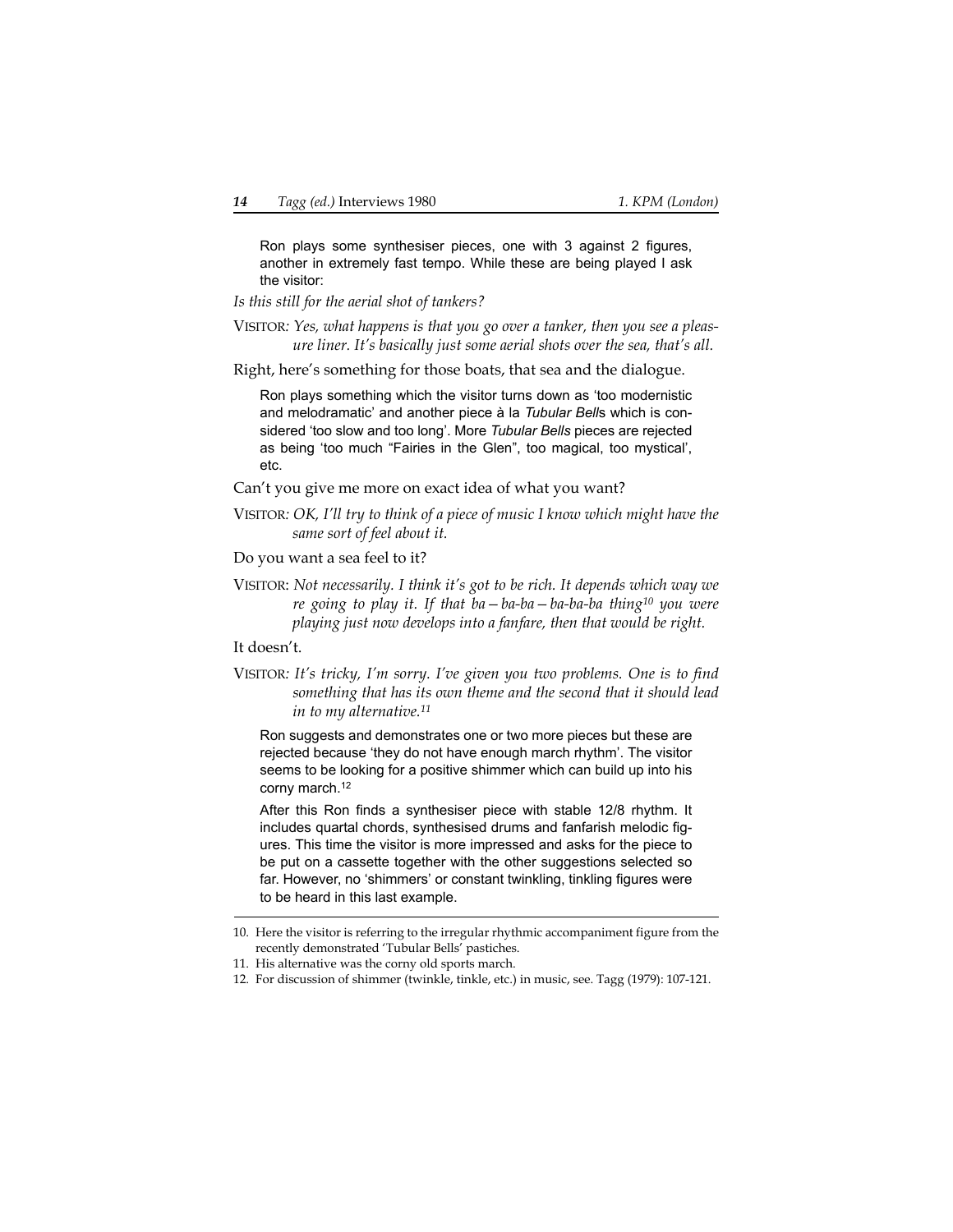Ron plays some synthesiser pieces, one with 3 against 2 figures, another in extremely fast tempo. While these are being played I ask the visitor:

*Is this still for the aerial shot of tankers?*

VISITOR*: Yes, what happens is that you go over a tanker, then you see a pleasure liner. It's basically just some aerial shots over the sea, that's all.*

Right, here's something for those boats, that sea and the dialogue.

Ron plays something which the visitor turns down as 'too modernistic and melodramatic' and another piece à la *Tubular Bell*s which is considered 'too slow and too long'. More *Tubular Bells* pieces are rejected as being 'too much "Fairies in the Glen", too magical, too mystical', etc.

Can't you give me more on exact idea of what you want?

VISITOR*: OK, I'll try to think of a piece of music I know which might have the same sort of feel about it.*

Do you want a sea feel to it?

VISITOR: *Not necessarily. I think it's got to be rich. It depends which way we re going to play it. If that ba—ba-ba—ba-ba-ba thing10 you were playing just now develops into a fanfare, then that would be right.*

It doesn't.

VISITOR*: It's tricky, I'm sorry. I've given you two problems. One is to find something that has its own theme and the second that it should lead in to my alternative.11*

Ron suggests and demonstrates one or two more pieces but these are rejected because 'they do not have enough march rhythm'. The visitor seems to be looking for a positive shimmer which can build up into his corny march.12

After this Ron finds a synthesiser piece with stable 12/8 rhythm. It includes quartal chords, synthesised drums and fanfarish melodic figures. This time the visitor is more impressed and asks for the piece to be put on a cassette together with the other suggestions selected so far. However, no 'shimmers' or constant twinkling, tinkling figures were to be heard in this last example.

<sup>10.</sup> Here the visitor is referring to the irregular rhythmic accompaniment figure from the recently demonstrated 'Tubular Bells' pastiches.

<sup>11.</sup> His alternative was the corny old sports march.

<sup>12.</sup> For discussion of shimmer (twinkle, tinkle, etc.) in music, see. Tagg (1979): 107-121.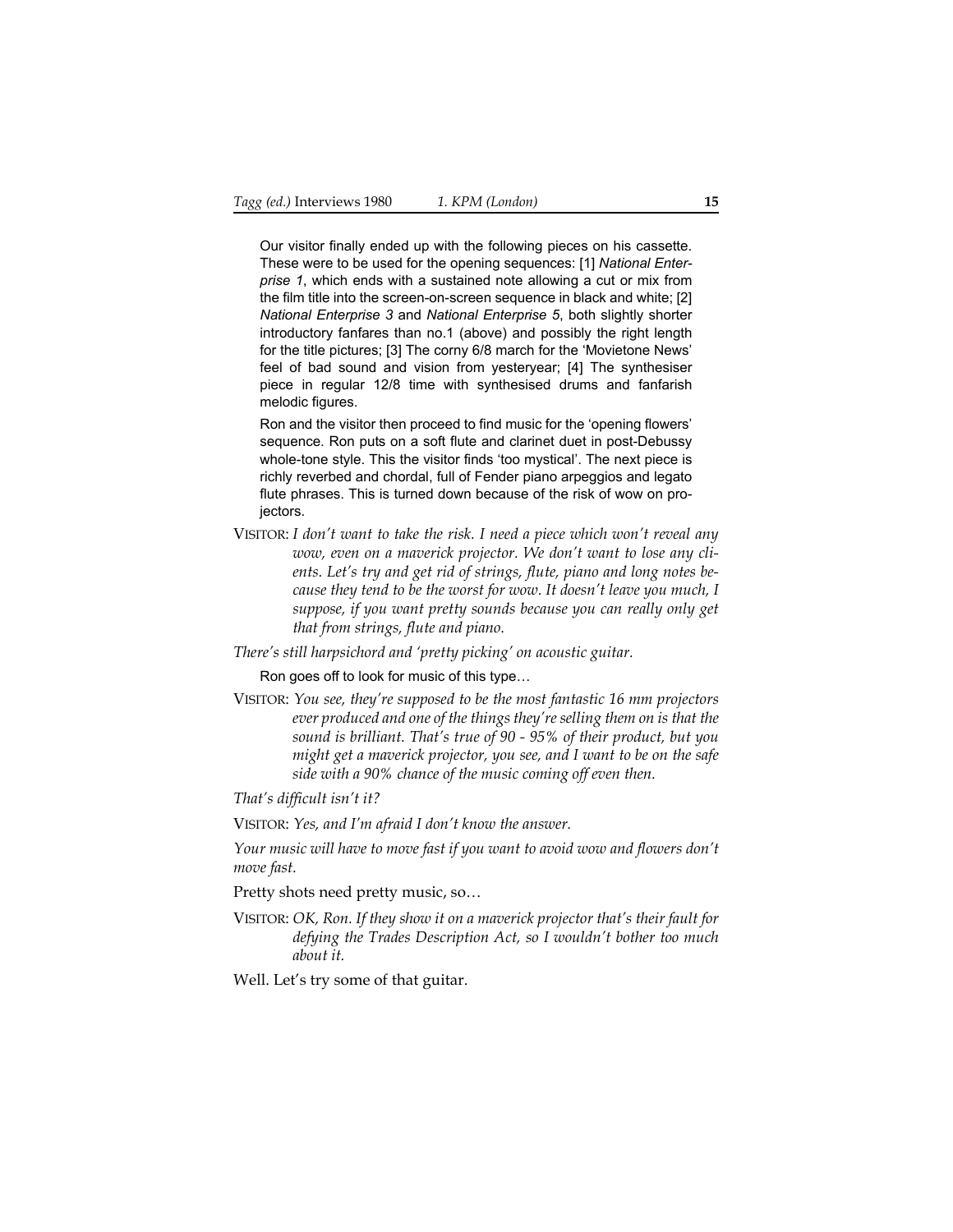Our visitor finally ended up with the following pieces on his cassette. These were to be used for the opening sequences: [1] *National Enterprise 1*, which ends with a sustained note allowing a cut or mix from the film title into the screen-on-screen sequence in black and white; [2] *National Enterprise 3* and *National Enterprise 5*, both slightly shorter introductory fanfares than no.1 (above) and possibly the right length for the title pictures; [3] The corny 6/8 march for the 'Movietone News' feel of bad sound and vision from yesteryear; [4] The synthesiser piece in regular 12/8 time with synthesised drums and fanfarish melodic figures.

Ron and the visitor then proceed to find music for the 'opening flowers' sequence. Ron puts on a soft flute and clarinet duet in post-Debussy whole-tone style. This the visitor finds 'too mystical'. The next piece is richly reverbed and chordal, full of Fender piano arpeggios and legato flute phrases. This is turned down because of the risk of wow on projectors.

VISITOR: *I don't want to take the risk. I need a piece which won't reveal any wow, even on a maverick projector. We don't want to lose any clients. Let's try and get rid of strings, flute, piano and long notes because they tend to be the worst for wow. It doesn't leave you much, I suppose, if you want pretty sounds because you can really only get that from strings, flute and piano.*

*There's still harpsichord and 'pretty picking' on acoustic guitar.*

Ron goes off to look for music of this type…

VISITOR: *You see, they're supposed to be the most fantastic 16 mm projectors ever produced and one of the things they're selling them on is that the sound is brilliant. That's true of 90 - 95% of their product, but you might get a maverick projector, you see, and I want to be on the safe side with a 90% chance of the music coming off even then.*

*That's difficult isn't it?*

VISITOR: *Yes, and I'm afraid I don't know the answer.*

*Your music will have to move fast if you want to avoid wow and flowers don't move fast.*

Pretty shots need pretty music, so…

VISITOR: *OK, Ron. If they show it on a maverick projector that's their fault for defying the Trades Description Act, so I wouldn't bother too much about it.*

Well. Let's try some of that guitar.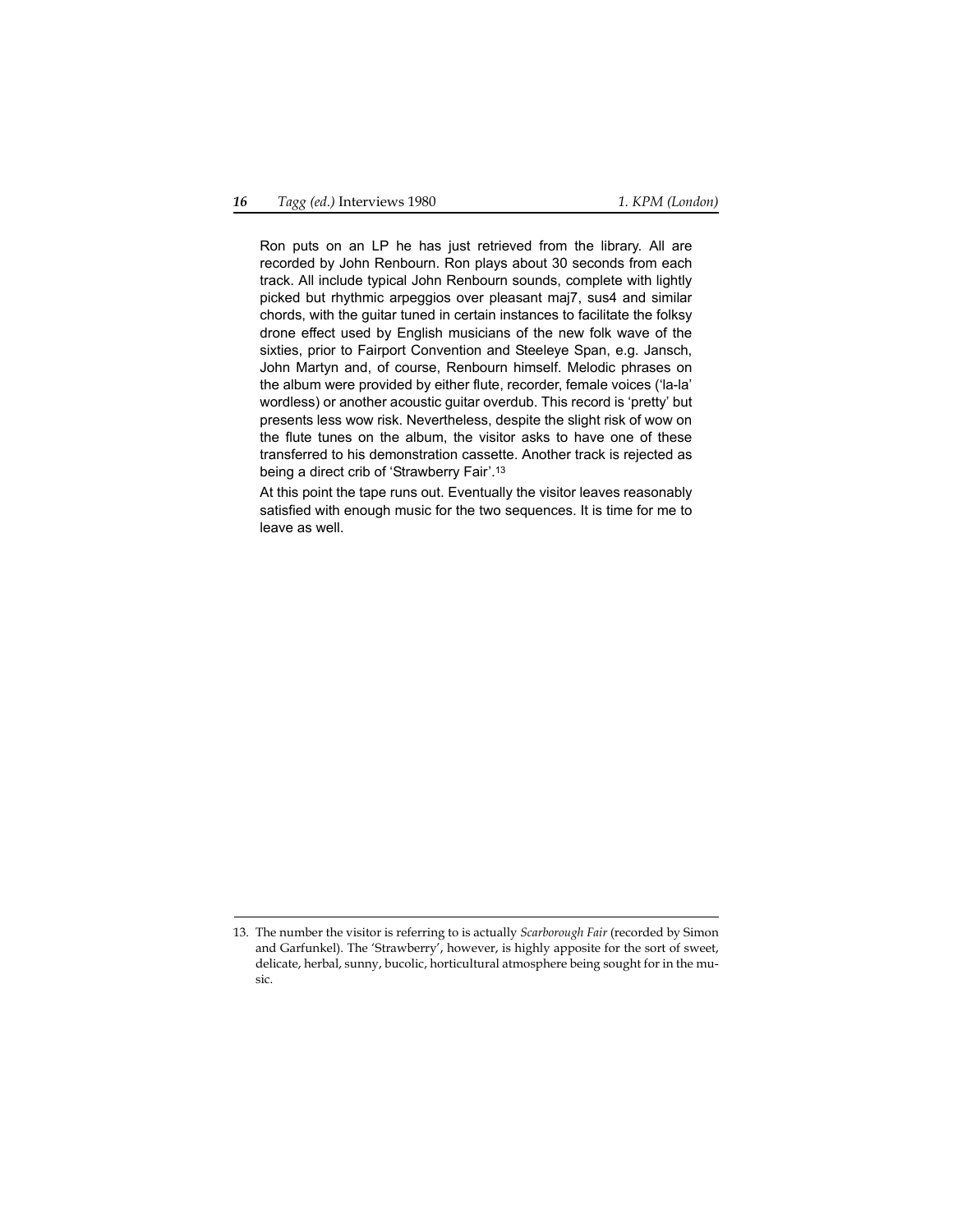Ron puts on an LP he has just retrieved from the library. All are recorded by John Renbourn. Ron plays about 30 seconds from each track. All include typical John Renbourn sounds, complete with lightly picked but rhythmic arpeggios over pleasant maj7, sus4 and similar chords, with the guitar tuned in certain instances to facilitate the folksy drone effect used by English musicians of the new folk wave of the sixties, prior to Fairport Convention and Steeleye Span, e.g. Jansch, John Martyn and, of course, Renbourn himself. Melodic phrases on the album were provided by either flute, recorder, female voices ('la-la' wordless) or another acoustic guitar overdub. This record is 'pretty' but presents less wow risk. Nevertheless, despite the slight risk of wow on the flute tunes on the album, the visitor asks to have one of these transferred to his demonstration cassette. Another track is rejected as being a direct crib of 'Strawberry Fair'.13

At this point the tape runs out. Eventually the visitor leaves reasonably satisfied with enough music for the two sequences. It is time for me to leave as well.

<sup>13.</sup> The number the visitor is referring to is actually *Scarborough Fair* (recorded by Simon and Garfunkel). The 'Strawberry', however, is highly apposite for the sort of sweet, delicate, herbal, sunny, bucolic, horticultural atmosphere being sought for in the music.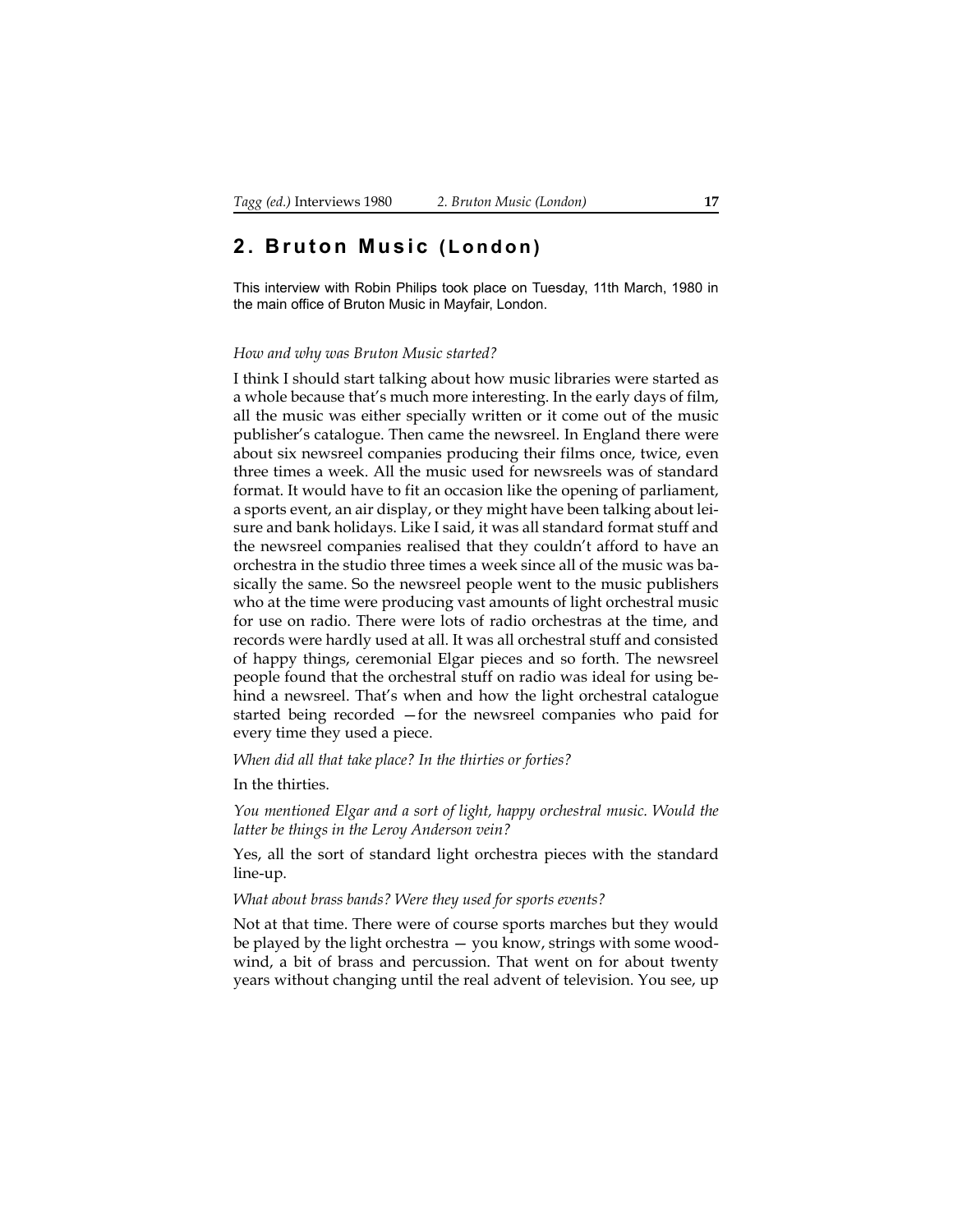### <span id="page-16-0"></span>**2. Bruton Music (London)**

This interview with Robin Philips took place on Tuesday, 11th March, 1980 in the main office of Bruton Music in Mayfair, London.

#### *How and why was Bruton Music started?*

I think I should start talking about how music libraries were started as a whole because that's much more interesting. In the early days of film, all the music was either specially written or it come out of the music publisher's catalogue. Then came the newsreel. In England there were about six newsreel companies producing their films once, twice, even three times a week. All the music used for newsreels was of standard format. It would have to fit an occasion like the opening of parliament, a sports event, an air display, or they might have been talking about leisure and bank holidays. Like I said, it was all standard format stuff and the newsreel companies realised that they couldn't afford to have an orchestra in the studio three times a week since all of the music was basically the same. So the newsreel people went to the music publishers who at the time were producing vast amounts of light orchestral music for use on radio. There were lots of radio orchestras at the time, and records were hardly used at all. It was all orchestral stuff and consisted of happy things, ceremonial Elgar pieces and so forth. The newsreel people found that the orchestral stuff on radio was ideal for using behind a newsreel. That's when and how the light orchestral catalogue started being recorded —for the newsreel companies who paid for every time they used a piece.

*When did all that take place? In the thirties or forties?*

In the thirties.

*You mentioned Elgar and a sort of light, happy orchestral music. Would the latter be things in the Leroy Anderson vein?*

Yes, all the sort of standard light orchestra pieces with the standard line-up.

*What about brass bands? Were they used for sports events?*

Not at that time. There were of course sports marches but they would be played by the light orchestra — you know, strings with some woodwind, a bit of brass and percussion. That went on for about twenty years without changing until the real advent of television. You see, up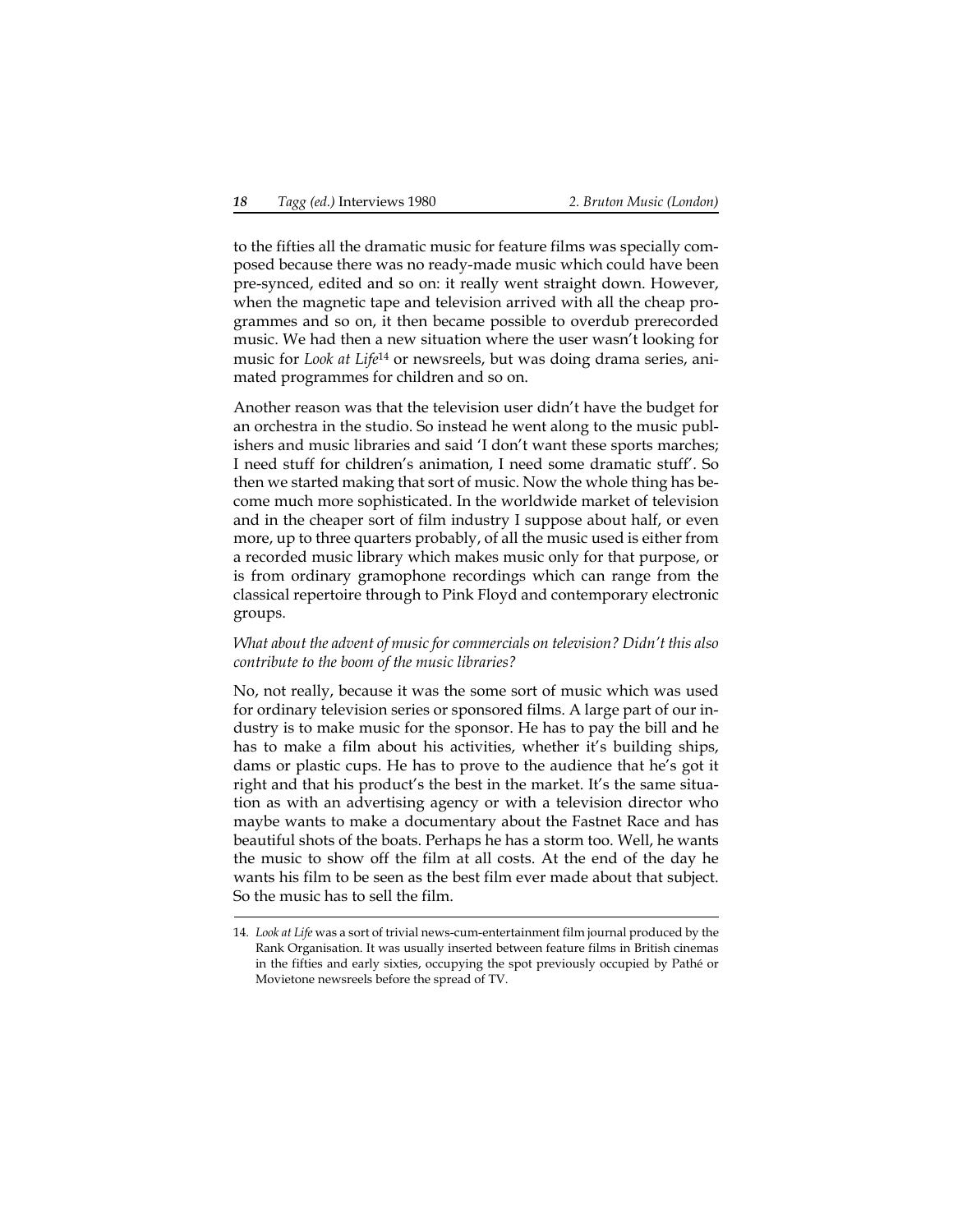to the fifties all the dramatic music for feature films was specially composed because there was no ready-made music which could have been pre-synced, edited and so on: it really went straight down. However, when the magnetic tape and television arrived with all the cheap programmes and so on, it then became possible to overdub prerecorded music. We had then a new situation where the user wasn't looking for music for *Look at Life*14 or newsreels, but was doing drama series, animated programmes for children and so on.

Another reason was that the television user didn't have the budget for an orchestra in the studio. So instead he went along to the music publishers and music libraries and said 'I don't want these sports marches; I need stuff for children's animation, I need some dramatic stuff'. So then we started making that sort of music. Now the whole thing has become much more sophisticated. In the worldwide market of television and in the cheaper sort of film industry I suppose about half, or even more, up to three quarters probably, of all the music used is either from a recorded music library which makes music only for that purpose, or is from ordinary gramophone recordings which can range from the classical repertoire through to Pink Floyd and contemporary electronic groups.

#### *What about the advent of music for commercials on television? Didn't this also contribute to the boom of the music libraries?*

No, not really, because it was the some sort of music which was used for ordinary television series or sponsored films. A large part of our industry is to make music for the sponsor. He has to pay the bill and he has to make a film about his activities, whether it's building ships, dams or plastic cups. He has to prove to the audience that he's got it right and that his product's the best in the market. It's the same situation as with an advertising agency or with a television director who maybe wants to make a documentary about the Fastnet Race and has beautiful shots of the boats. Perhaps he has a storm too. Well, he wants the music to show off the film at all costs. At the end of the day he wants his film to be seen as the best film ever made about that subject. So the music has to sell the film.

<sup>14.</sup> *Look at Life* was a sort of trivial news-cum-entertainment film journal produced by the Rank Organisation. It was usually inserted between feature films in British cinemas in the fifties and early sixties, occupying the spot previously occupied by Pathé or Movietone newsreels before the spread of TV.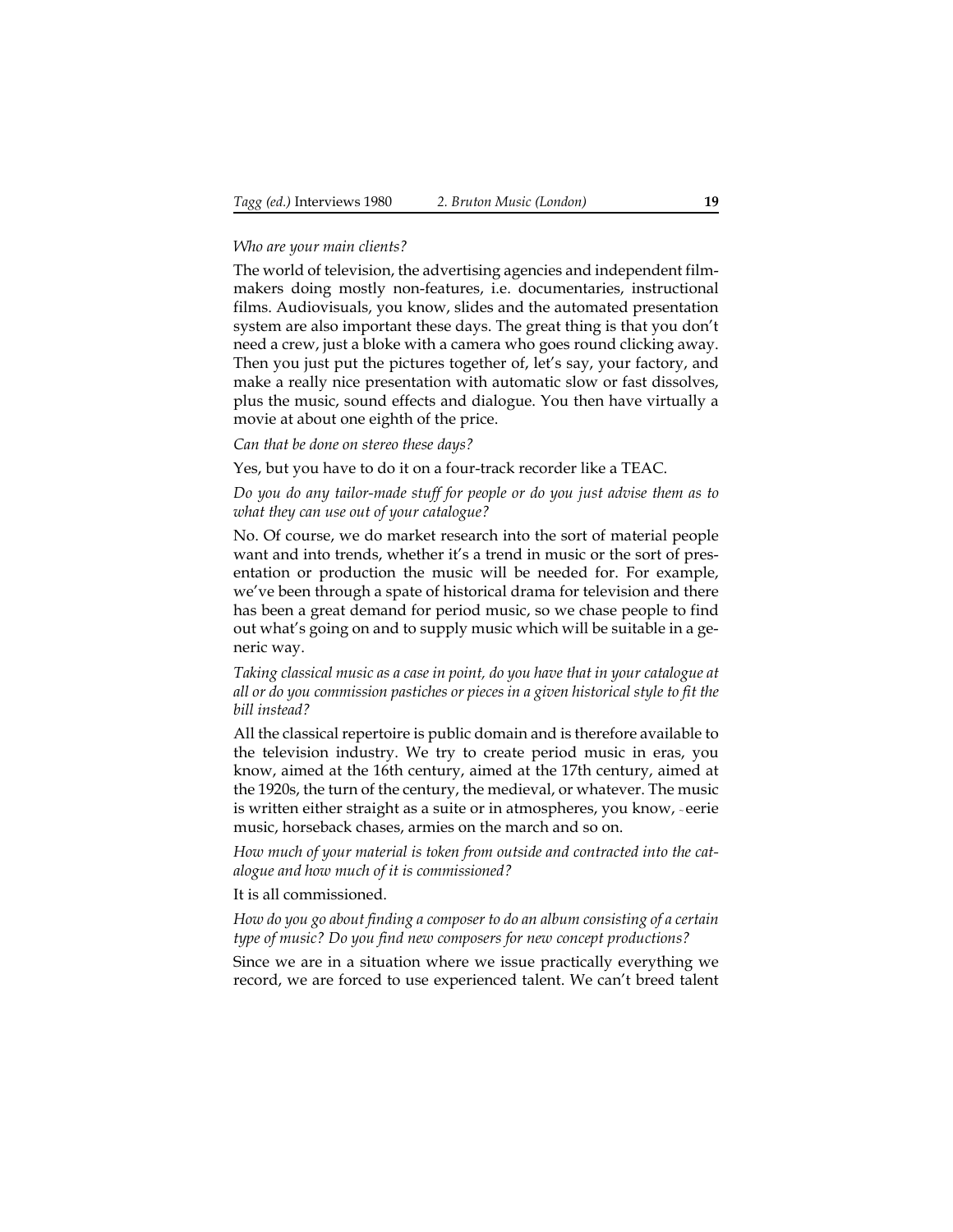#### *Who are your main clients?*

The world of television, the advertising agencies and independent filmmakers doing mostly non-features, i.e. documentaries, instructional films. Audiovisuals, you know, slides and the automated presentation system are also important these days. The great thing is that you don't need a crew, just a bloke with a camera who goes round clicking away. Then you just put the pictures together of, let's say, your factory, and make a really nice presentation with automatic slow or fast dissolves, plus the music, sound effects and dialogue. You then have virtually a movie at about one eighth of the price.

*Can that be done on stereo these days?*

Yes, but you have to do it on a four-track recorder like a TEAC.

*Do you do any tailor-made stuff for people or do you just advise them as to what they can use out of your catalogue?*

No. Of course, we do market research into the sort of material people want and into trends, whether it's a trend in music or the sort of presentation or production the music will be needed for. For example, we've been through a spate of historical drama for television and there has been a great demand for period music, so we chase people to find out what's going on and to supply music which will be suitable in a generic way.

*Taking classical music as a case in point, do you have that in your catalogue at all or do you commission pastiches or pieces in a given historical style to fit the bill instead?*

All the classical repertoire is public domain and is therefore available to the television industry. We try to create period music in eras, you know, aimed at the 16th century, aimed at the 17th century, aimed at the 1920s, the turn of the century, the medieval, or whatever. The music is written either straight as a suite or in atmospheres, you know, ~ eerie music, horseback chases, armies on the march and so on.

*How much of your material is token from outside and contracted into the catalogue and how much of it is commissioned?*

It is all commissioned.

*How do you go about finding a composer to do an album consisting of a certain type of music? Do you find new composers for new concept productions?*

Since we are in a situation where we issue practically everything we record, we are forced to use experienced talent. We can't breed talent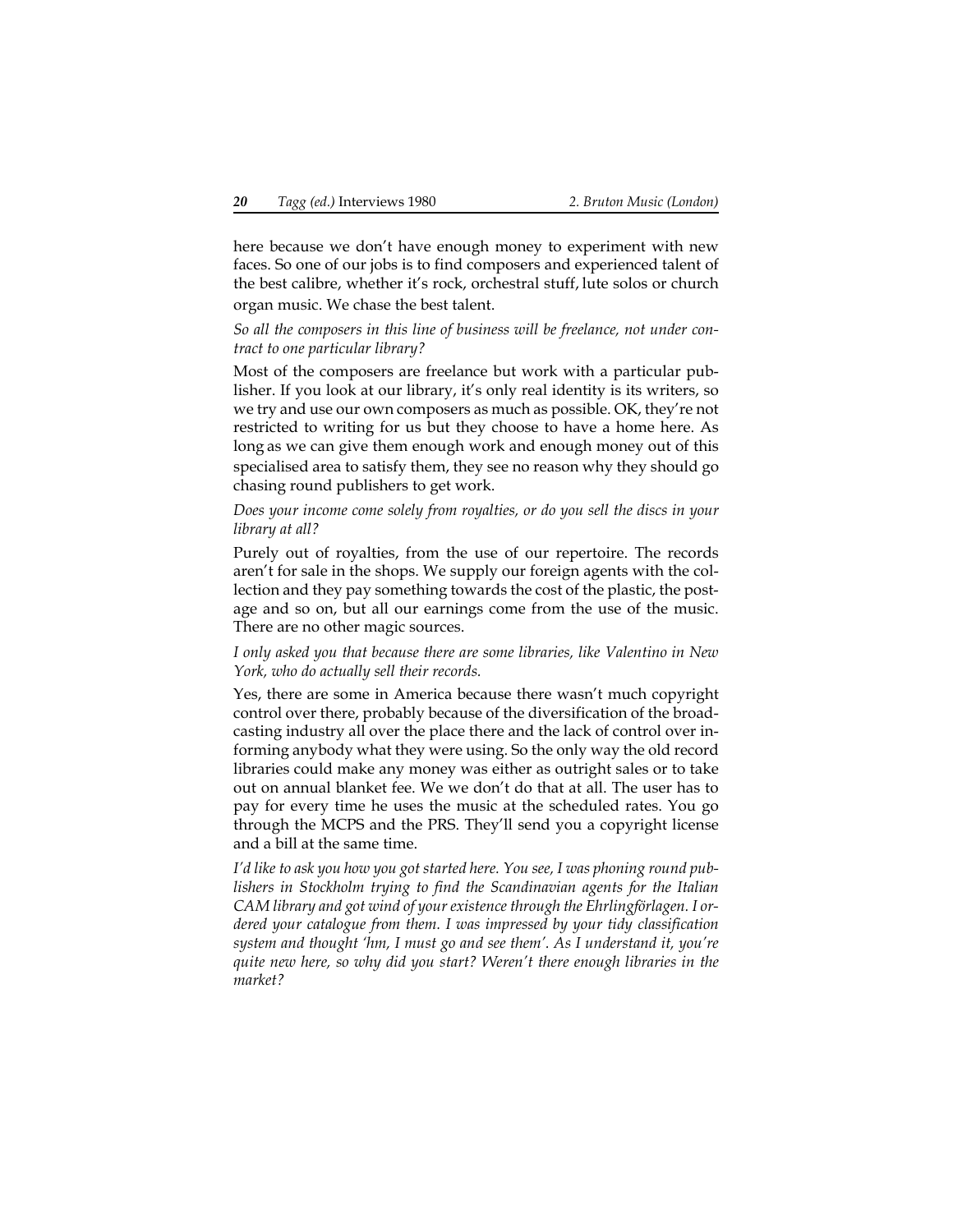here because we don't have enough money to experiment with new faces. So one of our jobs is to find composers and experienced talent of the best calibre, whether it's rock, orchestral stuff, lute solos or church organ music. We chase the best talent.

*So all the composers in this line of business will be freelance, not under contract to one particular library?*

Most of the composers are freelance but work with a particular publisher. If you look at our library, it's only real identity is its writers, so we try and use our own composers as much as possible. OK, they're not restricted to writing for us but they choose to have a home here. As long as we can give them enough work and enough money out of this specialised area to satisfy them, they see no reason why they should go chasing round publishers to get work.

#### *Does your income come solely from royalties, or do you sell the discs in your library at all?*

Purely out of royalties, from the use of our repertoire. The records aren't for sale in the shops. We supply our foreign agents with the collection and they pay something towards the cost of the plastic, the postage and so on, but all our earnings come from the use of the music. There are no other magic sources.

#### *I only asked you that because there are some libraries, like Valentino in New York, who do actually sell their records.*

Yes, there are some in America because there wasn't much copyright control over there, probably because of the diversification of the broadcasting industry all over the place there and the lack of control over informing anybody what they were using. So the only way the old record libraries could make any money was either as outright sales or to take out on annual blanket fee. We we don't do that at all. The user has to pay for every time he uses the music at the scheduled rates. You go through the MCPS and the PRS. They'll send you a copyright license and a bill at the same time.

*I'd like to ask you how you got started here. You see, I was phoning round publishers in Stockholm trying to find the Scandinavian agents for the Italian CAM library and got wind of your existence through the Ehrlingförlagen. I ordered your catalogue from them. I was impressed by your tidy classification system and thought 'hm, I must go and see them'. As I understand it, you're quite new here, so why did you start? Weren't there enough libraries in the market?*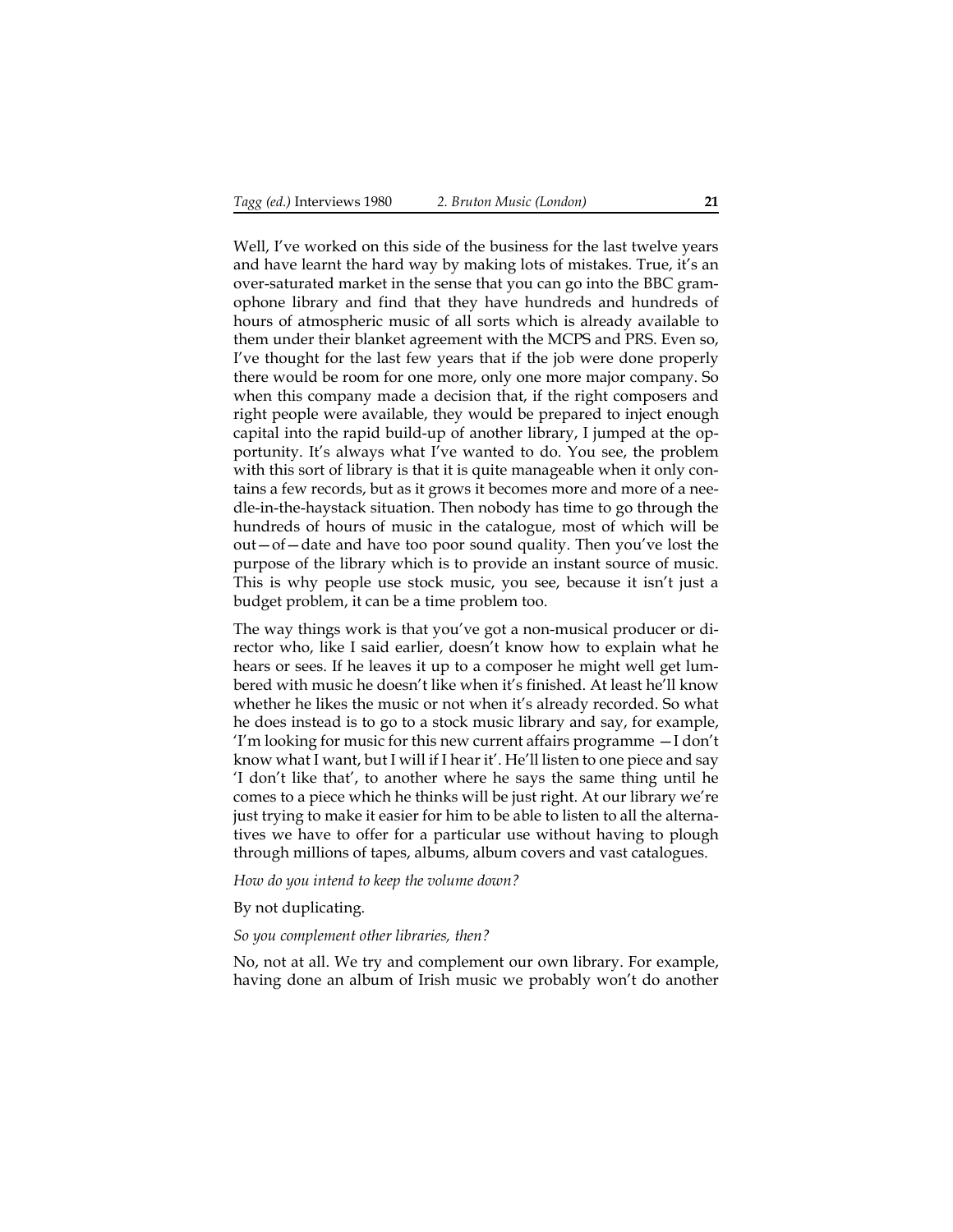Well, I've worked on this side of the business for the last twelve years and have learnt the hard way by making lots of mistakes. True, it's an over-saturated market in the sense that you can go into the BBC gramophone library and find that they have hundreds and hundreds of hours of atmospheric music of all sorts which is already available to them under their blanket agreement with the MCPS and PRS. Even so, I've thought for the last few years that if the job were done properly there would be room for one more, only one more major company. So when this company made a decision that, if the right composers and right people were available, they would be prepared to inject enough capital into the rapid build-up of another library, I jumped at the opportunity. It's always what I've wanted to do. You see, the problem with this sort of library is that it is quite manageable when it only contains a few records, but as it grows it becomes more and more of a needle-in-the-haystack situation. Then nobody has time to go through the hundreds of hours of music in the catalogue, most of which will be out—of—date and have too poor sound quality. Then you've lost the purpose of the library which is to provide an instant source of music. This is why people use stock music, you see, because it isn't just a budget problem, it can be a time problem too.

The way things work is that you've got a non-musical producer or director who, like I said earlier, doesn't know how to explain what he hears or sees. If he leaves it up to a composer he might well get lumbered with music he doesn't like when it's finished. At least he'll know whether he likes the music or not when it's already recorded. So what he does instead is to go to a stock music library and say, for example, 'I'm looking for music for this new current affairs programme —I don't know what I want, but I will if I hear it'. He'll listen to one piece and say 'I don't like that', to another where he says the same thing until he comes to a piece which he thinks will be just right. At our library we're just trying to make it easier for him to be able to listen to all the alternatives we have to offer for a particular use without having to plough through millions of tapes, albums, album covers and vast catalogues.

*How do you intend to keep the volume down?*

By not duplicating.

#### *So you complement other libraries, then?*

No, not at all. We try and complement our own library. For example, having done an album of Irish music we probably won't do another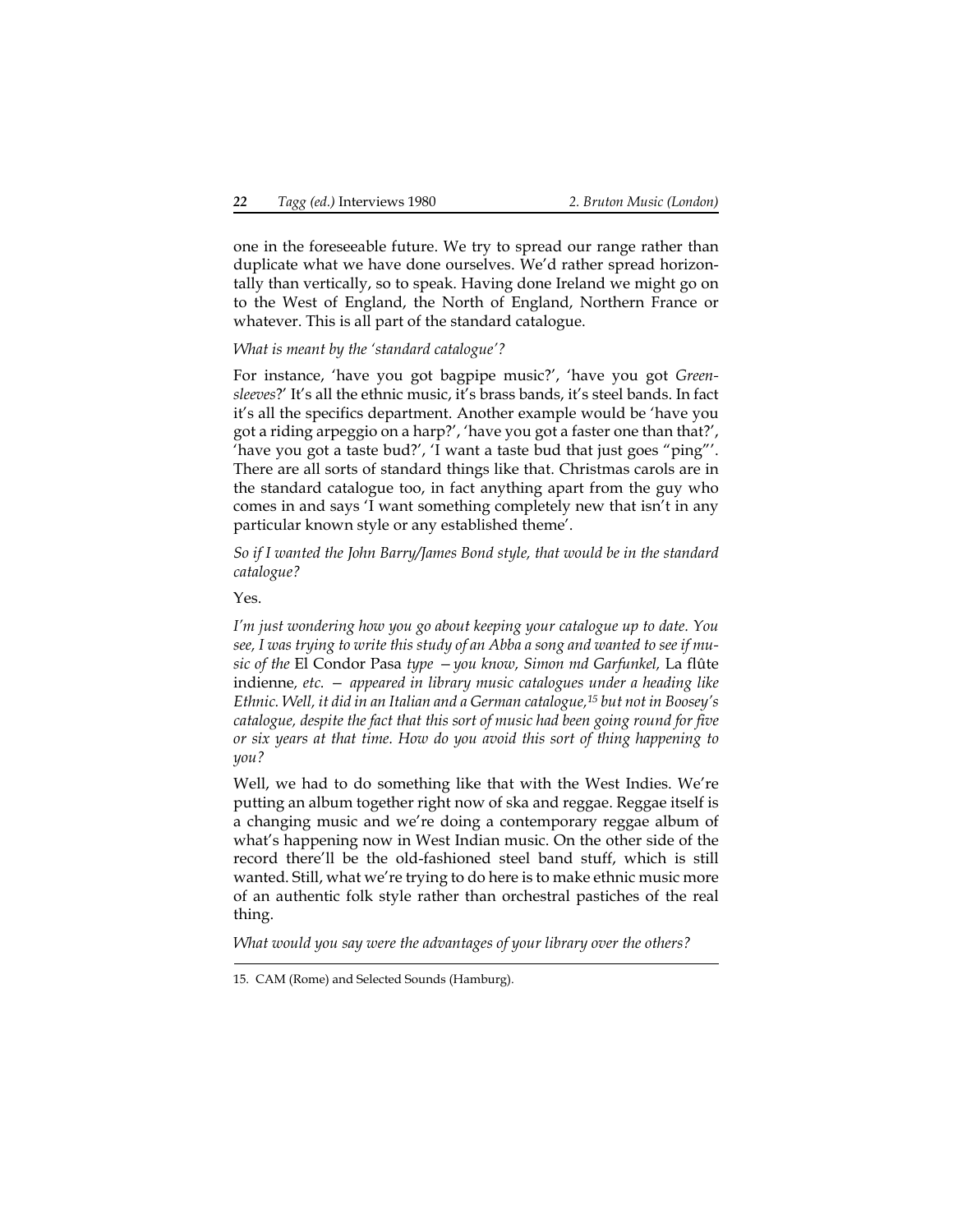one in the foreseeable future. We try to spread our range rather than duplicate what we have done ourselves. We'd rather spread horizontally than vertically, so to speak. Having done Ireland we might go on to the West of England, the North of England, Northern France or whatever. This is all part of the standard catalogue.

*What is meant by the 'standard catalogue'?*

For instance, 'have you got bagpipe music?', 'have you got *Greensleeves*?' It's all the ethnic music, it's brass bands, it's steel bands. In fact it's all the specifics department. Another example would be 'have you got a riding arpeggio on a harp?', 'have you got a faster one than that?', 'have you got a taste bud?', 'I want a taste bud that just goes "ping"'. There are all sorts of standard things like that. Christmas carols are in the standard catalogue too, in fact anything apart from the guy who comes in and says 'I want something completely new that isn't in any particular known style or any established theme'.

*So if I wanted the John Barry/James Bond style, that would be in the standard catalogue?*

Yes.

*I'm just wondering how you go about keeping your catalogue up to date. You see, I was trying to write this study of an Abba a song and wanted to see if music of the* El Condor Pasa *type —you know, Simon md Garfunkel,* La flûte indienne*, etc. — appeared in library music catalogues under a heading like Ethnic. Well, it did in an Italian and a German catalogue,15 but not in Boosey's catalogue, despite the fact that this sort of music had been going round for five or six years at that time. How do you avoid this sort of thing happening to you?*

Well, we had to do something like that with the West Indies. We're putting an album together right now of ska and reggae. Reggae itself is a changing music and we're doing a contemporary reggae album of what's happening now in West Indian music. On the other side of the record there'll be the old-fashioned steel band stuff, which is still wanted. Still, what we're trying to do here is to make ethnic music more of an authentic folk style rather than orchestral pastiches of the real thing.

*What would you say were the advantages of your library over the others?*

<sup>15.</sup> CAM (Rome) and Selected Sounds (Hamburg).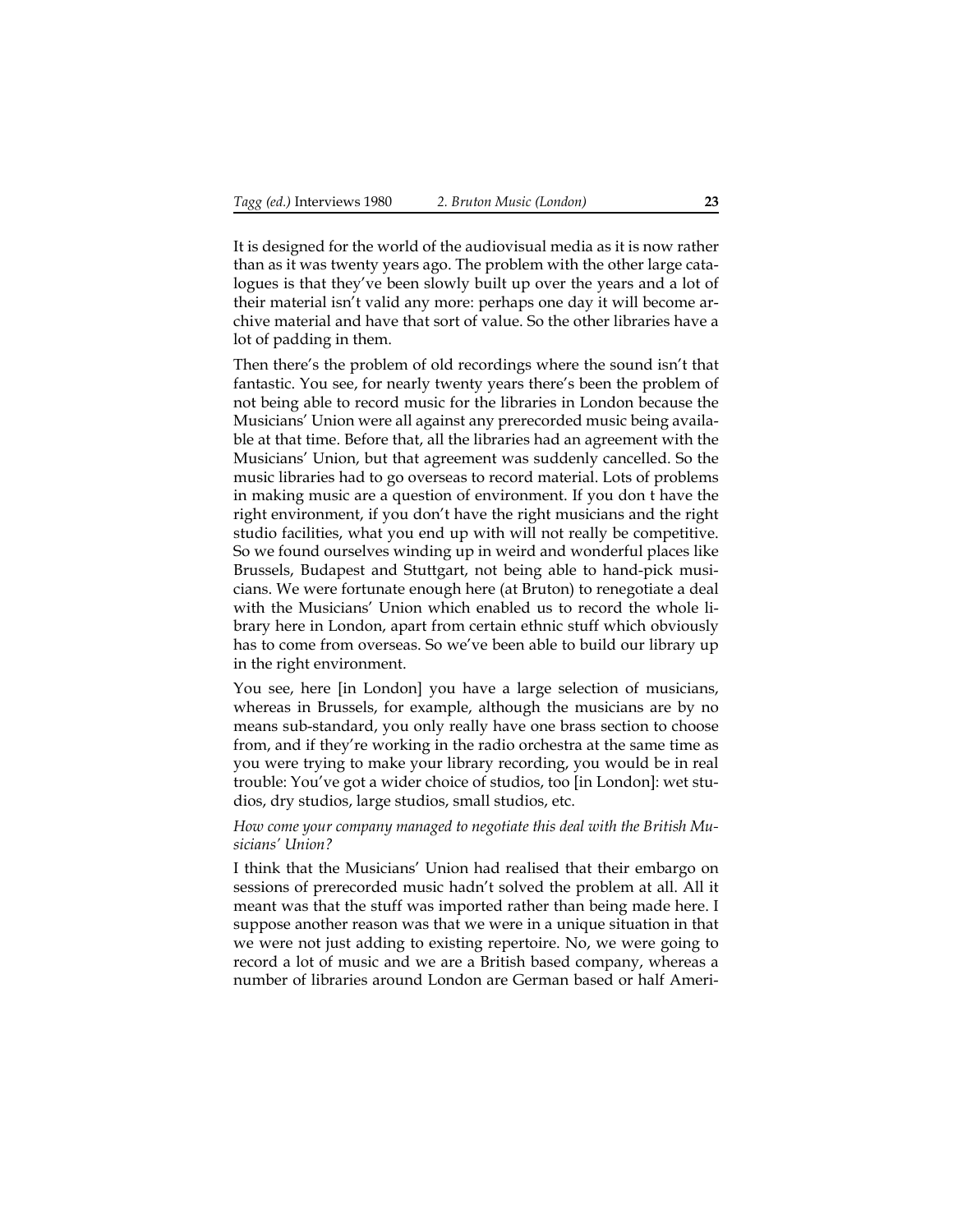It is designed for the world of the audiovisual media as it is now rather than as it was twenty years ago. The problem with the other large catalogues is that they've been slowly built up over the years and a lot of their material isn't valid any more: perhaps one day it will become archive material and have that sort of value. So the other libraries have a lot of padding in them.

Then there's the problem of old recordings where the sound isn't that fantastic. You see, for nearly twenty years there's been the problem of not being able to record music for the libraries in London because the Musicians' Union were all against any prerecorded music being available at that time. Before that, all the libraries had an agreement with the Musicians' Union, but that agreement was suddenly cancelled. So the music libraries had to go overseas to record material. Lots of problems in making music are a question of environment. If you don t have the right environment, if you don't have the right musicians and the right studio facilities, what you end up with will not really be competitive. So we found ourselves winding up in weird and wonderful places like Brussels, Budapest and Stuttgart, not being able to hand-pick musicians. We were fortunate enough here (at Bruton) to renegotiate a deal with the Musicians' Union which enabled us to record the whole library here in London, apart from certain ethnic stuff which obviously has to come from overseas. So we've been able to build our library up in the right environment.

You see, here [in London] you have a large selection of musicians, whereas in Brussels, for example, although the musicians are by no means sub-standard, you only really have one brass section to choose from, and if they're working in the radio orchestra at the same time as you were trying to make your library recording, you would be in real trouble: You've got a wider choice of studios, too [in London]: wet studios, dry studios, large studios, small studios, etc.

#### *How come your company managed to negotiate this deal with the British Musicians' Union?*

I think that the Musicians' Union had realised that their embargo on sessions of prerecorded music hadn't solved the problem at all. All it meant was that the stuff was imported rather than being made here. I suppose another reason was that we were in a unique situation in that we were not just adding to existing repertoire. No, we were going to record a lot of music and we are a British based company, whereas a number of libraries around London are German based or half Ameri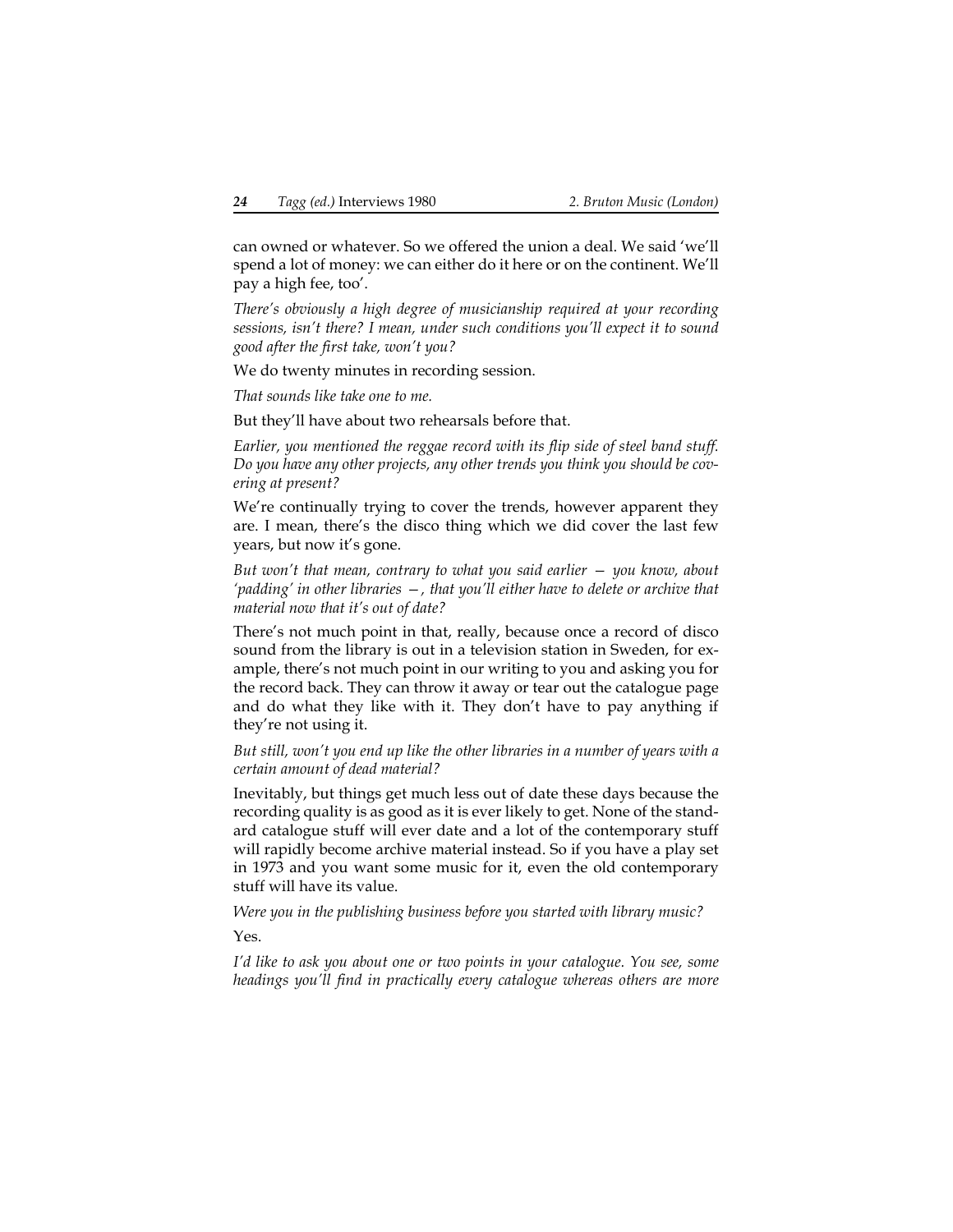can owned or whatever. So we offered the union a deal. We said 'we'll spend a lot of money: we can either do it here or on the continent. We'll pay a high fee, too'.

*There's obviously a high degree of musicianship required at your recording sessions, isn't there? I mean, under such conditions you'll expect it to sound good after the first take, won't you?*

We do twenty minutes in recording session.

*That sounds like take one to me.*

But they'll have about two rehearsals before that.

*Earlier, you mentioned the reggae record with its flip side of steel band stuff. Do you have any other projects, any other trends you think you should be covering at present?*

We're continually trying to cover the trends, however apparent they are. I mean, there's the disco thing which we did cover the last few years, but now it's gone.

*But won't that mean, contrary to what you said earlier — you know, about 'padding' in other libraries —, that you'll either have to delete or archive that material now that it's out of date?*

There's not much point in that, really, because once a record of disco sound from the library is out in a television station in Sweden, for example, there's not much point in our writing to you and asking you for the record back. They can throw it away or tear out the catalogue page and do what they like with it. They don't have to pay anything if they're not using it.

*But still, won't you end up like the other libraries in a number of years with a certain amount of dead material?*

Inevitably, but things get much less out of date these days because the recording quality is as good as it is ever likely to get. None of the standard catalogue stuff will ever date and a lot of the contemporary stuff will rapidly become archive material instead. So if you have a play set in 1973 and you want some music for it, even the old contemporary stuff will have its value.

*Were you in the publishing business before you started with library music?* Yes.

*I'd like to ask you about one or two points in your catalogue. You see, some headings you'll find in practically every catalogue whereas others are more*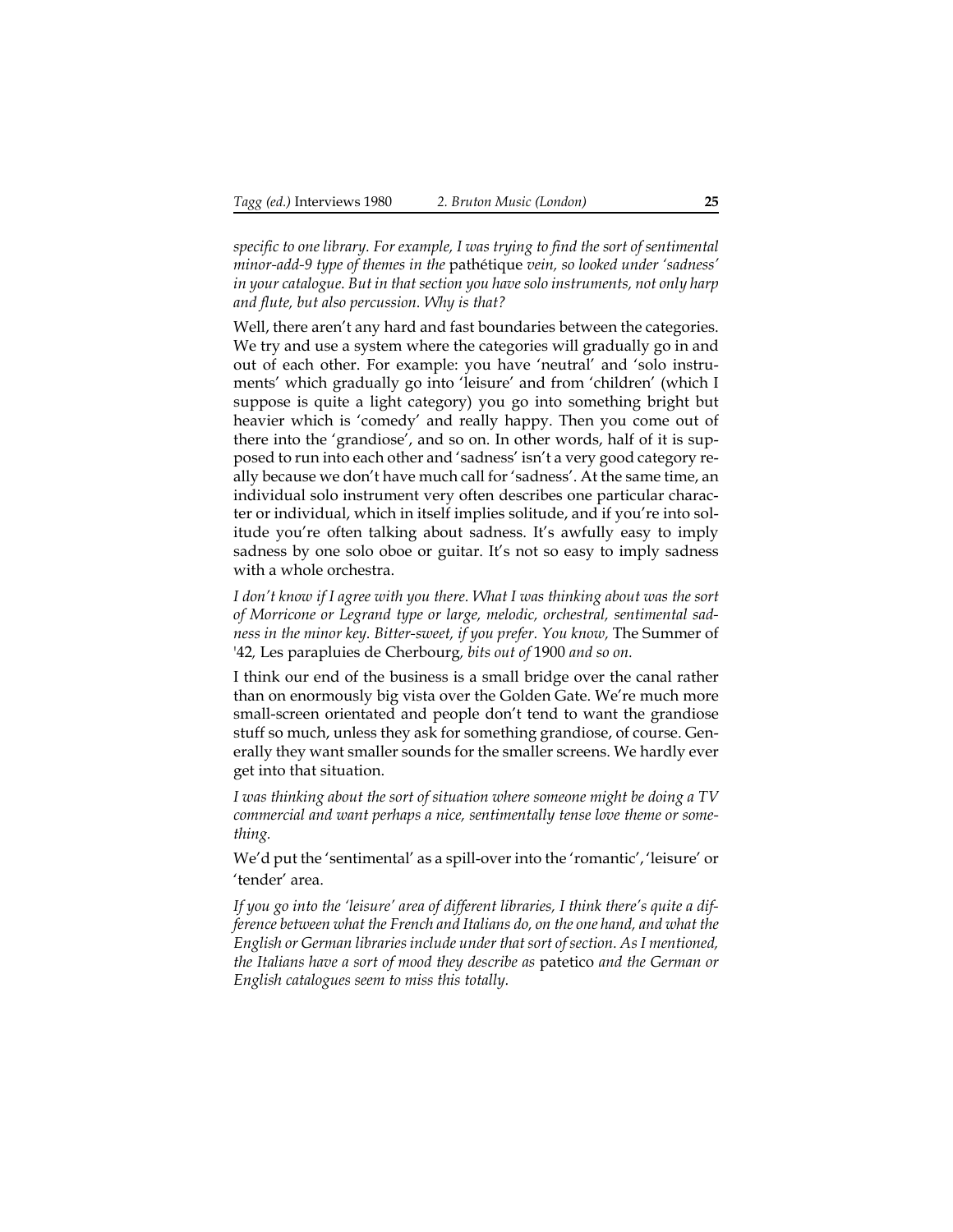*specific to one library. For example, I was trying to find the sort of sentimental minor-add-9 type of themes in the* pathétique *vein, so looked under 'sadness' in your catalogue. But in that section you have solo instruments, not only harp and flute, but also percussion. Why is that?*

Well, there aren't any hard and fast boundaries between the categories. We try and use a system where the categories will gradually go in and out of each other. For example: you have 'neutral' and 'solo instruments' which gradually go into 'leisure' and from 'children' (which I suppose is quite a light category) you go into something bright but heavier which is 'comedy' and really happy. Then you come out of there into the 'grandiose', and so on. In other words, half of it is supposed to run into each other and 'sadness' isn't a very good category really because we don't have much call for 'sadness'. At the same time, an individual solo instrument very often describes one particular character or individual, which in itself implies solitude, and if you're into solitude you're often talking about sadness. It's awfully easy to imply sadness by one solo oboe or guitar. It's not so easy to imply sadness with a whole orchestra.

*I don't know if I agree with you there. What I was thinking about was the sort of Morricone or Legrand type or large, melodic, orchestral, sentimental sadness in the minor key. Bitter-sweet, if you prefer. You know, The Summer of* '42*,* Les parapluies de Cherbourg*, bits out of* 1900 *and so on.*

I think our end of the business is a small bridge over the canal rather than on enormously big vista over the Golden Gate. We're much more small-screen orientated and people don't tend to want the grandiose stuff so much, unless they ask for something grandiose, of course. Generally they want smaller sounds for the smaller screens. We hardly ever get into that situation.

*I was thinking about the sort of situation where someone might be doing a TV commercial and want perhaps a nice, sentimentally tense love theme or something.*

We'd put the 'sentimental' as a spill-over into the 'romantic', 'leisure' or 'tender' area.

*If you go into the 'leisure' area of different libraries, I think there's quite a difference between what the French and Italians do, on the one hand, and what the English or German libraries include under that sort of section. As I mentioned, the Italians have a sort of mood they describe as* patetico *and the German or English catalogues seem to miss this totally.*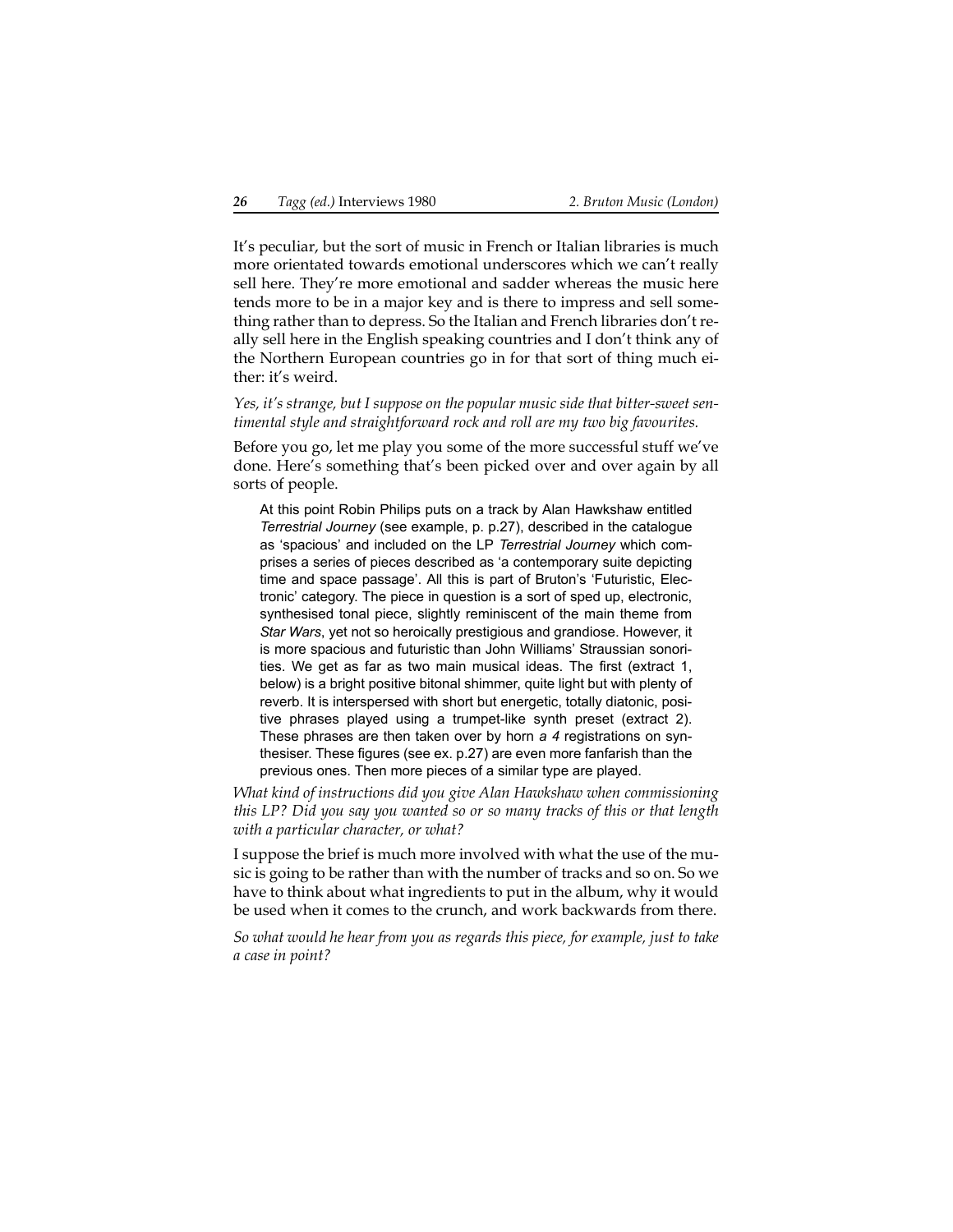It's peculiar, but the sort of music in French or Italian libraries is much more orientated towards emotional underscores which we can't really sell here. They're more emotional and sadder whereas the music here tends more to be in a major key and is there to impress and sell something rather than to depress. So the Italian and French libraries don't really sell here in the English speaking countries and I don't think any of the Northern European countries go in for that sort of thing much either: it's weird.

*Yes, it's strange, but I suppose on the popular music side that bitter-sweet sentimental style and straightforward rock and roll are my two big favourites.*

Before you go, let me play you some of the more successful stuff we've done. Here's something that's been picked over and over again by all sorts of people.

At this point Robin Philips puts on a track by Alan Hawkshaw entitled *Terrestrial Journey* (see example, p. [p.27](#page-26-0)), described in the catalogue as 'spacious' and included on the LP *Terrestrial Journey* which comprises a series of pieces described as 'a contemporary suite depicting time and space passage'. All this is part of Bruton's 'Futuristic, Electronic' category. The piece in question is a sort of sped up, electronic, synthesised tonal piece, slightly reminiscent of the main theme from *Star Wars*, yet not so heroically prestigious and grandiose. However, it is more spacious and futuristic than John Williams' Straussian sonorities. We get as far as two main musical ideas. The first (extract 1, below) is a bright positive bitonal shimmer, quite light but with plenty of reverb. It is interspersed with short but energetic, totally diatonic, positive phrases played using a trumpet-like synth preset (extract 2). These phrases are then taken over by horn *a 4* registrations on synthesiser. These figures (see ex. [p.27\)](#page-26-0) are even more fanfarish than the previous ones. Then more pieces of a similar type are played.

*What kind of instructions did you give Alan Hawkshaw when commissioning this LP? Did you say you wanted so or so many tracks of this or that length with a particular character, or what?*

I suppose the brief is much more involved with what the use of the music is going to be rather than with the number of tracks and so on. So we have to think about what ingredients to put in the album, why it would be used when it comes to the crunch, and work backwards from there.

*So what would he hear from you as regards this piece, for example, just to take a case in point?*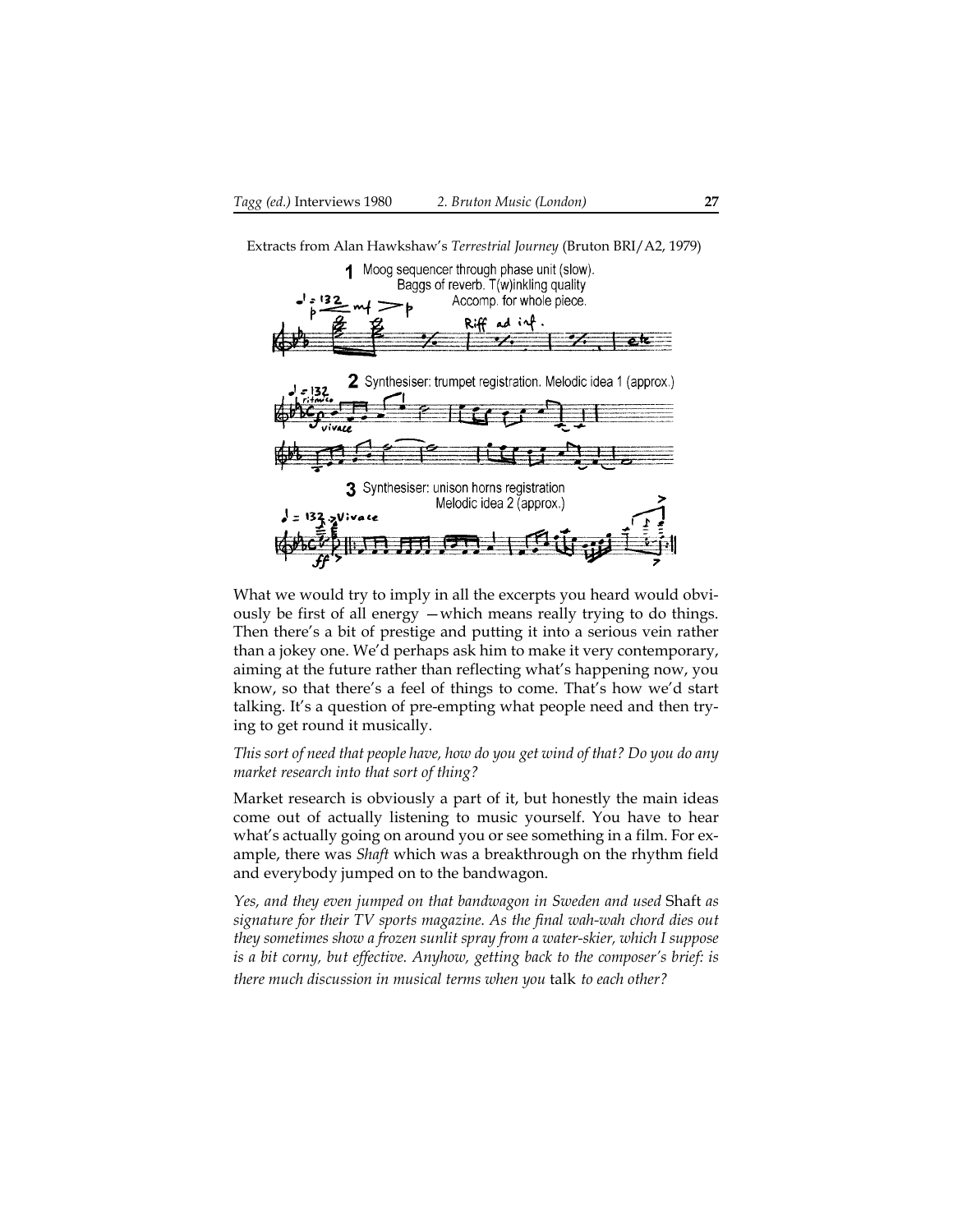<span id="page-26-0"></span>Extracts from Alan Hawkshaw's *Terrestrial Journey* (Bruton BRI/A2, 1979)



What we would try to imply in all the excerpts you heard would obviously be first of all energy —which means really trying to do things. Then there's a bit of prestige and putting it into a serious vein rather than a jokey one. We'd perhaps ask him to make it very contemporary, aiming at the future rather than reflecting what's happening now, you know, so that there's a feel of things to come. That's how we'd start talking. It's a question of pre-empting what people need and then trying to get round it musically.

*This sort of need that people have, how do you get wind of that? Do you do any market research into that sort of thing?*

Market research is obviously a part of it, but honestly the main ideas come out of actually listening to music yourself. You have to hear what's actually going on around you or see something in a film. For example, there was *Shaft* which was a breakthrough on the rhythm field and everybody jumped on to the bandwagon.

*Yes, and they even jumped on that bandwagon in Sweden and used* Shaft *as signature for their TV sports magazine. As the final wah-wah chord dies out they sometimes show a frozen sunlit spray from a water-skier, which I suppose is a bit corny, but effective. Anyhow, getting back to the composer's brief: is there much discussion in musical terms when you* talk *to each other?*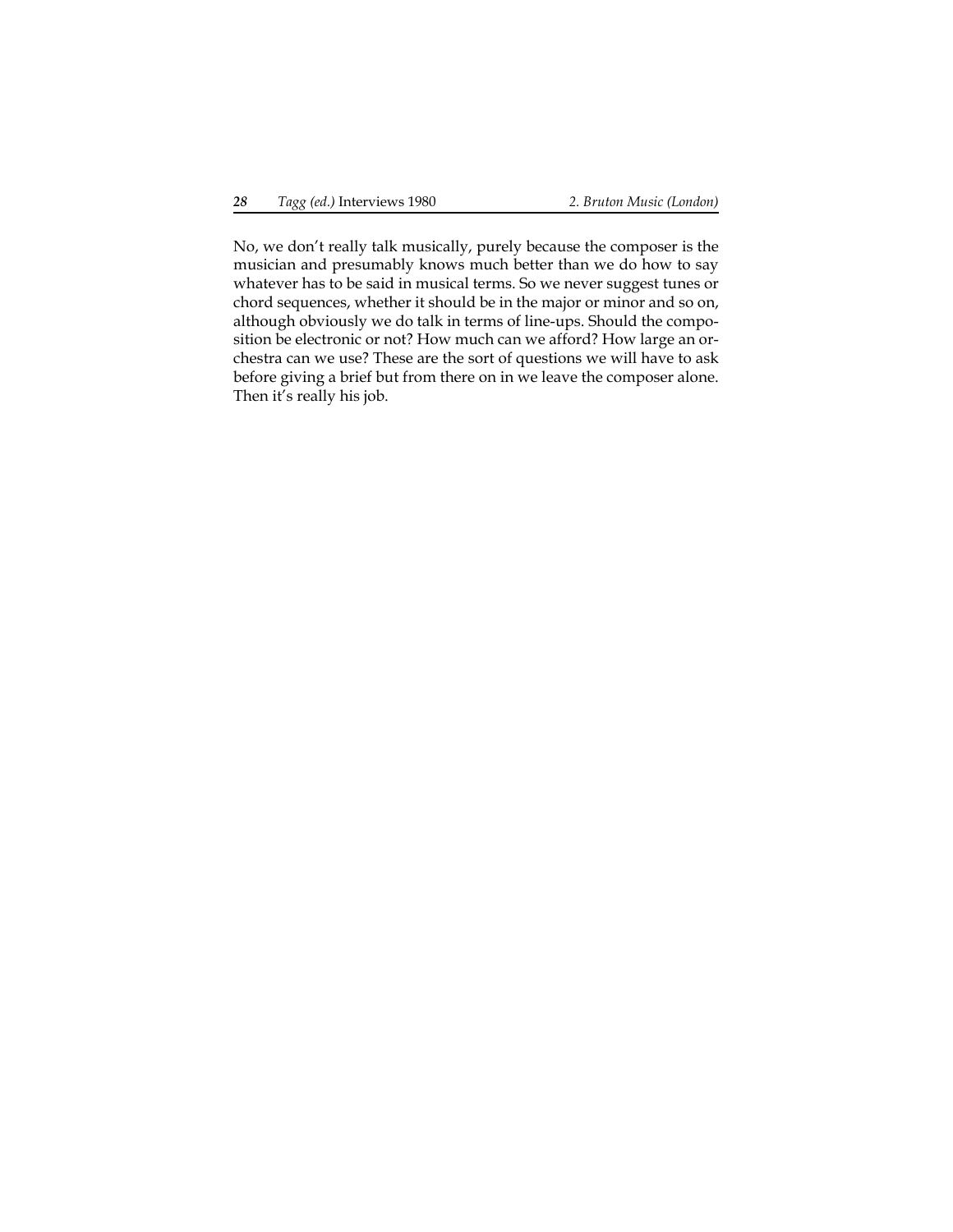No, we don't really talk musically, purely because the composer is the musician and presumably knows much better than we do how to say whatever has to be said in musical terms. So we never suggest tunes or chord sequences, whether it should be in the major or minor and so on, although obviously we do talk in terms of line-ups. Should the composition be electronic or not? How much can we afford? How large an orchestra can we use? These are the sort of questions we will have to ask before giving a brief but from there on in we leave the composer alone. Then it's really his job.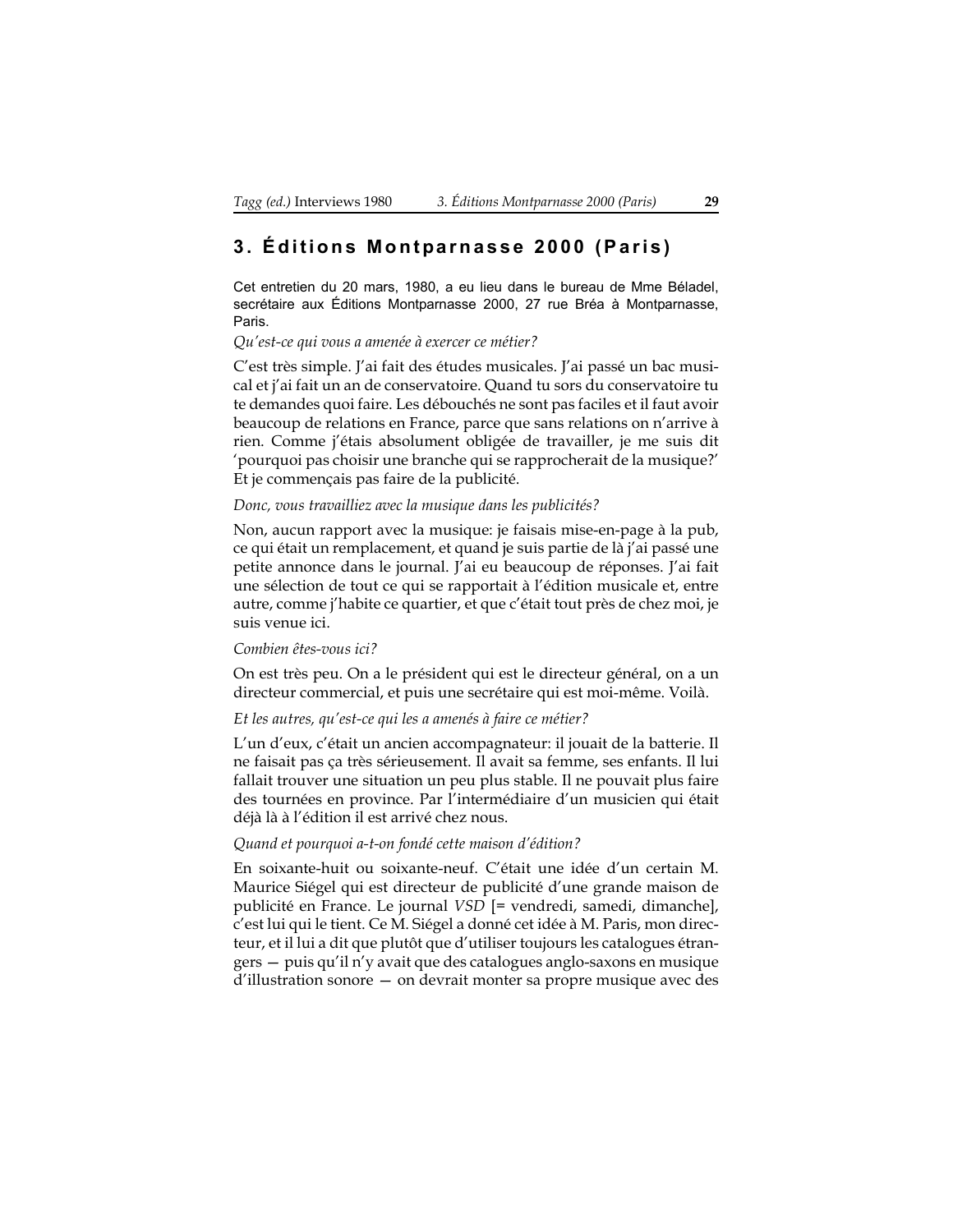### <span id="page-28-0"></span>**3. Éditions Montparnasse 2000 (Paris)**

Cet entretien du 20 mars, 1980, a eu lieu dans le bureau de Mme Béladel, secrétaire aux Éditions Montparnasse 2000, 27 rue Bréa à Montparnasse, Paris.

#### *Qu'est-ce qui vous a amenée à exercer ce métier?*

C'est très simple. J'ai fait des études musicales. J'ai passé un bac musical et j'ai fait un an de conservatoire. Quand tu sors du conservatoire tu te demandes quoi faire. Les débouchés ne sont pas faciles et il faut avoir beaucoup de relations en France, parce que sans relations on n'arrive à rien. Comme j'étais absolument obligée de travailler, je me suis dit 'pourquoi pas choisir une branche qui se rapprocherait de la musique?' Et je commençais pas faire de la publicité.

#### *Donc, vous travailliez avec la musique dans les publicités?*

Non, aucun rapport avec la musique: je faisais mise-en-page à la pub, ce qui était un remplacement, et quand je suis partie de là j'ai passé une petite annonce dans le journal. J'ai eu beaucoup de réponses. J'ai fait une sélection de tout ce qui se rapportait à l'édition musicale et, entre autre, comme j'habite ce quartier, et que c'était tout près de chez moi, je suis venue ici.

#### *Combien êtes-vous ici?*

On est très peu. On a le président qui est le directeur général, on a un directeur commercial, et puis une secrétaire qui est moi-même. Voilà.

#### *Et les autres, qu'est-ce qui les a amenés à faire ce métier?*

L'un d'eux, c'était un ancien accompagnateur: il jouait de la batterie. Il ne faisait pas ça très sérieusement. Il avait sa femme, ses enfants. Il lui fallait trouver une situation un peu plus stable. Il ne pouvait plus faire des tournées en province. Par l'intermédiaire d'un musicien qui était déjà là à l'édition il est arrivé chez nous.

#### *Quand et pourquoi a-t-on fondé cette maison d'édition?*

En soixante-huit ou soixante-neuf. C'était une idée d'un certain M. Maurice Siégel qui est directeur de publicité d'une grande maison de publicité en France. Le journal *VSD* [= vendredi, samedi, dimanche], c'est lui qui le tient. Ce M. Siégel a donné cet idée à M. Paris, mon directeur, et il lui a dit que plutôt que d'utiliser toujours les catalogues étrangers — puis qu'il n'y avait que des catalogues anglo-saxons en musique d'illustration sonore — on devrait monter sa propre musique avec des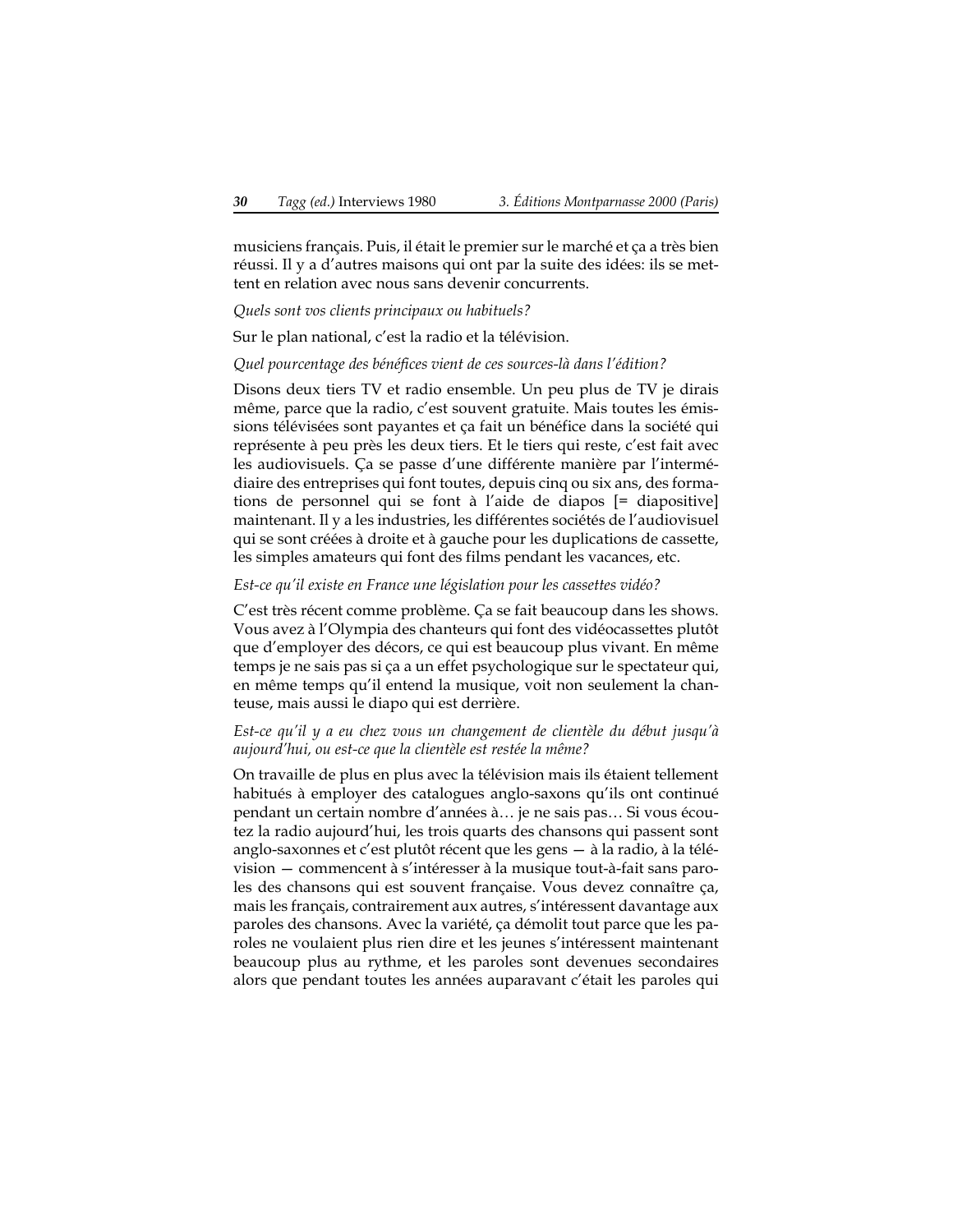musiciens français. Puis, il était le premier sur le marché et ça a très bien réussi. Il y a d'autres maisons qui ont par la suite des idées: ils se mettent en relation avec nous sans devenir concurrents.

*Quels sont vos clients principaux ou habituels?*

Sur le plan national, c'est la radio et la télévision.

*Quel pourcentage des bénéfices vient de ces sources-là dans l'édition?*

Disons deux tiers TV et radio ensemble. Un peu plus de TV je dirais même, parce que la radio, c'est souvent gratuite. Mais toutes les émissions télévisées sont payantes et ça fait un bénéfice dans la société qui représente à peu près les deux tiers. Et le tiers qui reste, c'est fait avec les audiovisuels. Ça se passe d'une différente manière par l'intermédiaire des entreprises qui font toutes, depuis cinq ou six ans, des formations de personnel qui se font à l'aide de diapos [= diapositive] maintenant. Il y a les industries, les différentes sociétés de l'audiovisuel qui se sont créées à droite et à gauche pour les duplications de cassette, les simples amateurs qui font des films pendant les vacances, etc.

#### *Est-ce qu'il existe en France une législation pour les cassettes vidéo?*

C'est très récent comme problème. Ça se fait beaucoup dans les shows. Vous avez à l'Olympia des chanteurs qui font des vidéocassettes plutôt que d'employer des décors, ce qui est beaucoup plus vivant. En même temps je ne sais pas si ça a un effet psychologique sur le spectateur qui, en même temps qu'il entend la musique, voit non seulement la chanteuse, mais aussi le diapo qui est derrière.

#### *Est-ce qu'il y a eu chez vous un changement de clientèle du début jusqu'à aujourd'hui, ou est-ce que la clientèle est restée la même?*

On travaille de plus en plus avec la télévision mais ils étaient tellement habitués à employer des catalogues anglo-saxons qu'ils ont continué pendant un certain nombre d'années à… je ne sais pas… Si vous écoutez la radio aujourd'hui, les trois quarts des chansons qui passent sont anglo-saxonnes et c'est plutôt récent que les gens — à la radio, à la télévision — commencent à s'intéresser à la musique tout-à-fait sans paroles des chansons qui est souvent française. Vous devez connaître ça, mais les français, contrairement aux autres, s'intéressent davantage aux paroles des chansons. Avec la variété, ça démolit tout parce que les paroles ne voulaient plus rien dire et les jeunes s'intéressent maintenant beaucoup plus au rythme, et les paroles sont devenues secondaires alors que pendant toutes les années auparavant c'était les paroles qui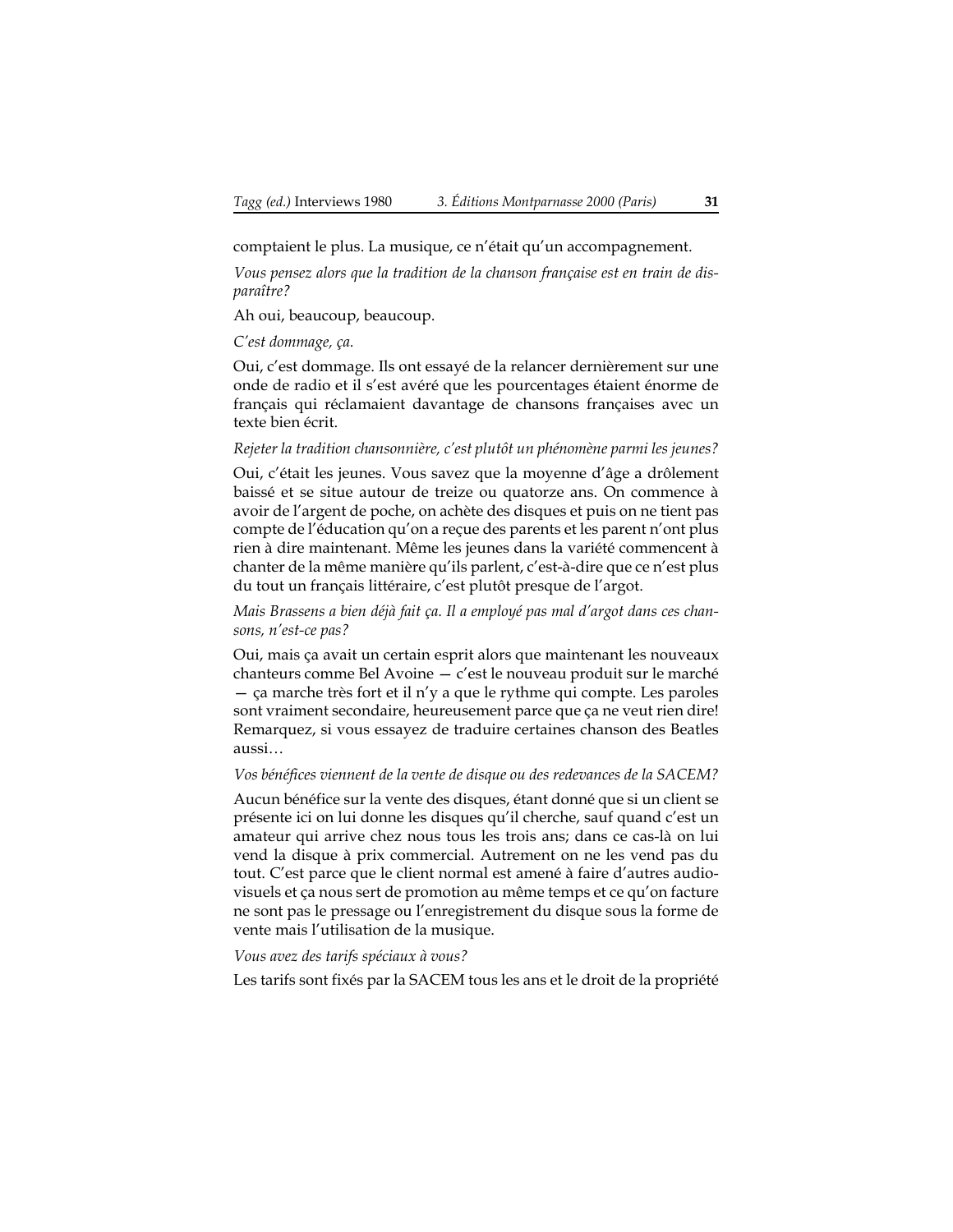comptaient le plus. La musique, ce n'était qu'un accompagnement.

*Vous pensez alors que la tradition de la chanson française est en train de disparaître?*

Ah oui, beaucoup, beaucoup.

#### *C'est dommage, ça.*

Oui, c'est dommage. Ils ont essayé de la relancer dernièrement sur une onde de radio et il s'est avéré que les pourcentages étaient énorme de français qui réclamaient davantage de chansons françaises avec un texte bien écrit.

#### *Rejeter la tradition chansonnière, c'est plutôt un phénomène parmi les jeunes?*

Oui, c'était les jeunes. Vous savez que la moyenne d'âge a drôlement baissé et se situe autour de treize ou quatorze ans. On commence à avoir de l'argent de poche, on achète des disques et puis on ne tient pas compte de l'éducation qu'on a reçue des parents et les parent n'ont plus rien à dire maintenant. Même les jeunes dans la variété commencent à chanter de la même manière qu'ils parlent, c'est-à-dire que ce n'est plus du tout un français littéraire, c'est plutôt presque de l'argot.

*Mais Brassens a bien déjà fait ça. Il a employé pas mal d'argot dans ces chansons, n'est-ce pas?*

Oui, mais ça avait un certain esprit alors que maintenant les nouveaux chanteurs comme Bel Avoine — c'est le nouveau produit sur le marché — ça marche très fort et il n'y a que le rythme qui compte. Les paroles sont vraiment secondaire, heureusement parce que ça ne veut rien dire! Remarquez, si vous essayez de traduire certaines chanson des Beatles aussi…

#### *Vos bénéfices viennent de la vente de disque ou des redevances de la SACEM?*

Aucun bénéfice sur la vente des disques, étant donné que si un client se présente ici on lui donne les disques qu'il cherche, sauf quand c'est un amateur qui arrive chez nous tous les trois ans; dans ce cas-là on lui vend la disque à prix commercial. Autrement on ne les vend pas du tout. C'est parce que le client normal est amené à faire d'autres audiovisuels et ça nous sert de promotion au même temps et ce qu'on facture ne sont pas le pressage ou l'enregistrement du disque sous la forme de vente mais l'utilisation de la musique.

#### *Vous avez des tarifs spéciaux à vous?*

Les tarifs sont fixés par la SACEM tous les ans et le droit de la propriété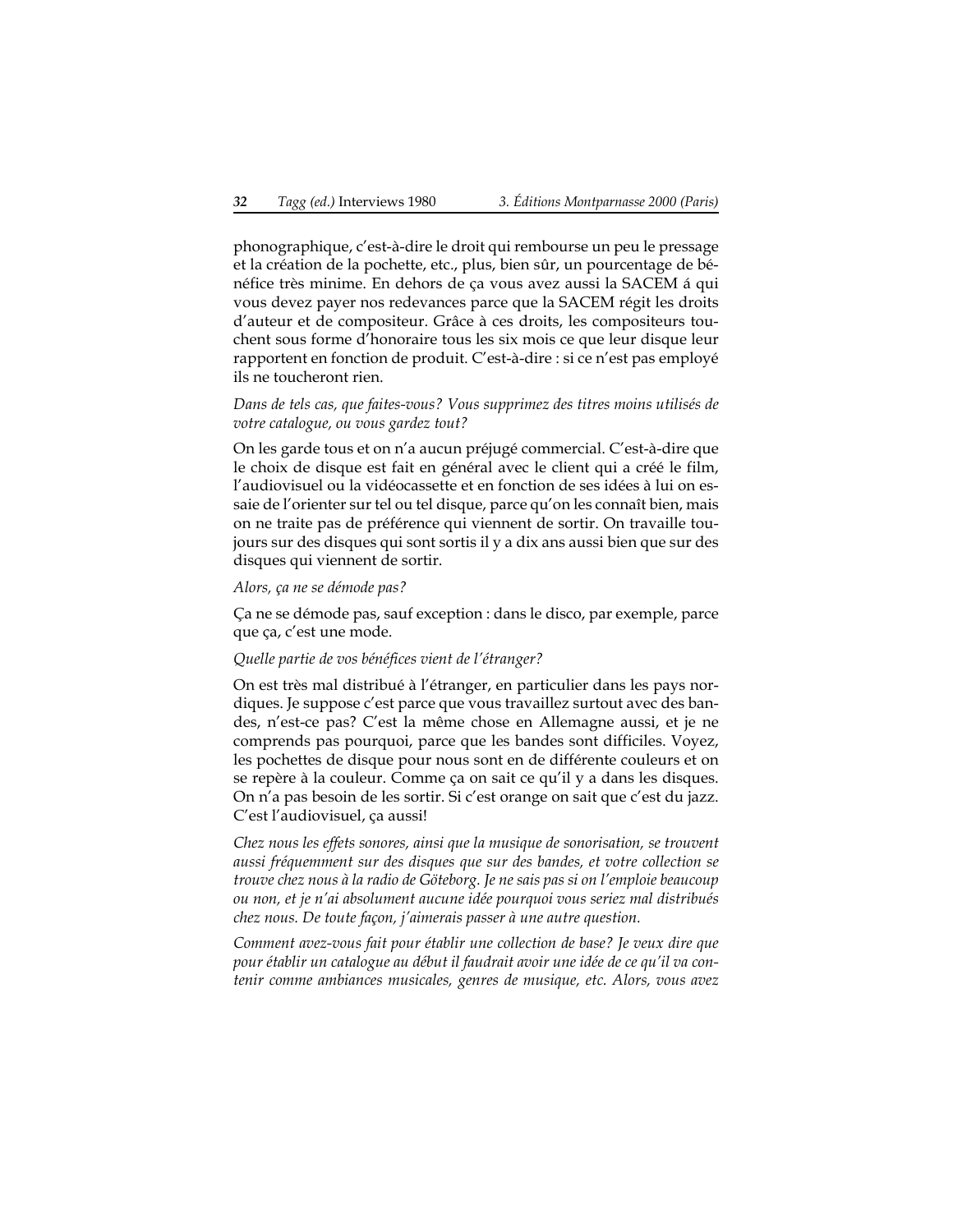phonographique, c'est-à-dire le droit qui rembourse un peu le pressage et la création de la pochette, etc., plus, bien sûr, un pourcentage de bénéfice très minime. En dehors de ça vous avez aussi la SACEM á qui vous devez payer nos redevances parce que la SACEM régit les droits d'auteur et de compositeur. Grâce à ces droits, les compositeurs touchent sous forme d'honoraire tous les six mois ce que leur disque leur rapportent en fonction de produit. C'est-à-dire : si ce n'est pas employé ils ne toucheront rien.

#### *Dans de tels cas, que faites-vous? Vous supprimez des titres moins utilisés de votre catalogue, ou vous gardez tout?*

On les garde tous et on n'a aucun préjugé commercial. C'est-à-dire que le choix de disque est fait en général avec le client qui a créé le film, l'audiovisuel ou la vidéocassette et en fonction de ses idées à lui on essaie de l'orienter sur tel ou tel disque, parce qu'on les connaît bien, mais on ne traite pas de préférence qui viennent de sortir. On travaille toujours sur des disques qui sont sortis il y a dix ans aussi bien que sur des disques qui viennent de sortir.

#### *Alors, ça ne se démode pas?*

Ça ne se démode pas, sauf exception : dans le disco, par exemple, parce que ça, c'est une mode.

#### *Quelle partie de vos bénéfices vient de l'étranger?*

On est très mal distribué à l'étranger, en particulier dans les pays nordiques. Je suppose c'est parce que vous travaillez surtout avec des bandes, n'est-ce pas? C'est la même chose en Allemagne aussi, et je ne comprends pas pourquoi, parce que les bandes sont difficiles. Voyez, les pochettes de disque pour nous sont en de différente couleurs et on se repère à la couleur. Comme ça on sait ce qu'il y a dans les disques. On n'a pas besoin de les sortir. Si c'est orange on sait que c'est du jazz. C'est l'audiovisuel, ça aussi!

*Chez nous les effets sonores, ainsi que la musique de sonorisation, se trouvent aussi fréquemment sur des disques que sur des bandes, et votre collection se trouve chez nous à la radio de Göteborg. Je ne sais pas si on l'emploie beaucoup ou non, et je n'ai absolument aucune idée pourquoi vous seriez mal distribués chez nous. De toute façon, j'aimerais passer à une autre question.*

*Comment avez-vous fait pour établir une collection de base? Je veux dire que pour établir un catalogue au début il faudrait avoir une idée de ce qu'il va contenir comme ambiances musicales, genres de musique, etc. Alors, vous avez*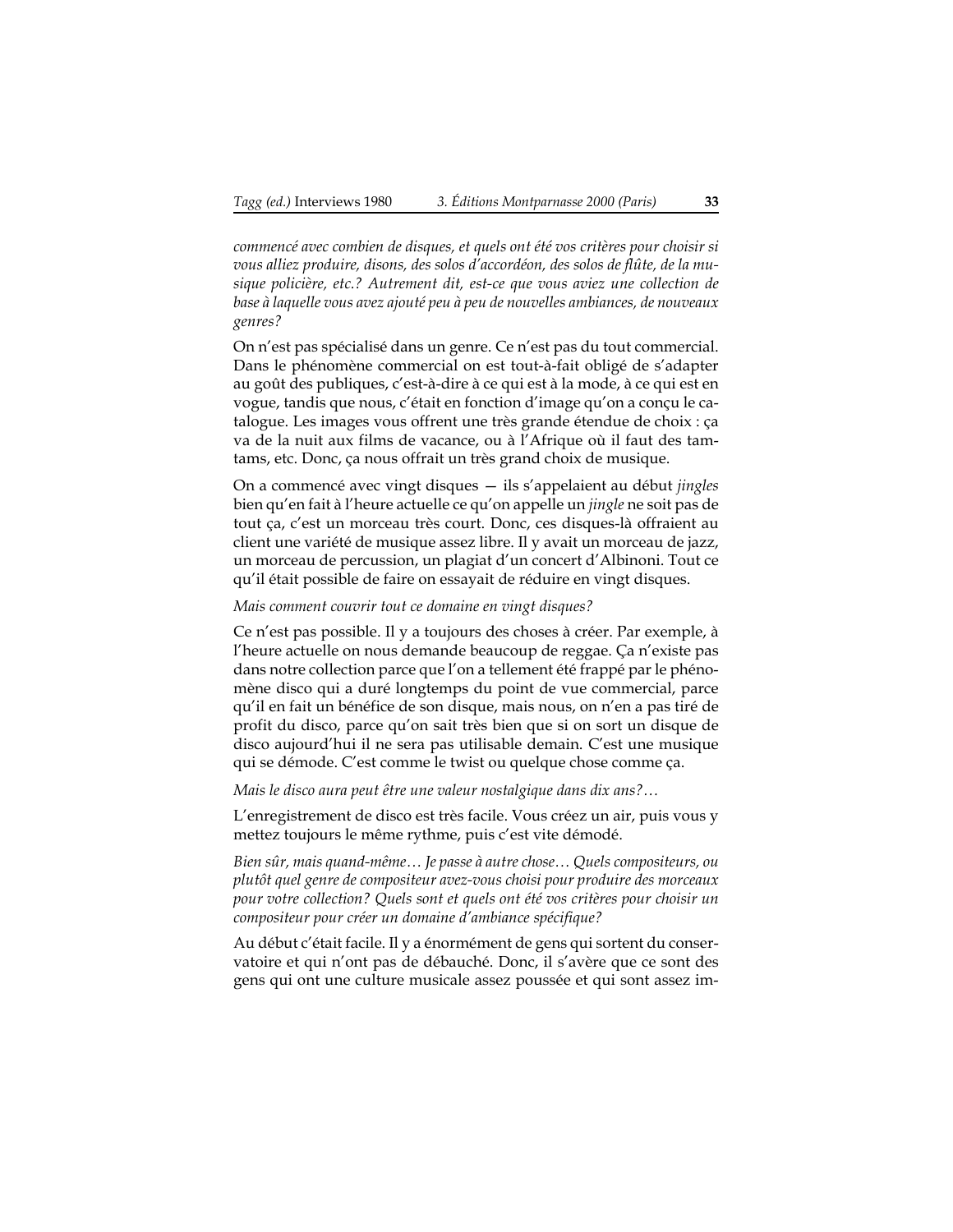*commencé avec combien de disques, et quels ont été vos critères pour choisir si vous alliez produire, disons, des solos d'accordéon, des solos de flûte, de la musique policière, etc.? Autrement dit, est-ce que vous aviez une collection de base à laquelle vous avez ajouté peu à peu de nouvelles ambiances, de nouveaux genres?*

On n'est pas spécialisé dans un genre. Ce n'est pas du tout commercial. Dans le phénomène commercial on est tout-à-fait obligé de s'adapter au goût des publiques, c'est-à-dire à ce qui est à la mode, à ce qui est en vogue, tandis que nous, c'était en fonction d'image qu'on a conçu le catalogue. Les images vous offrent une très grande étendue de choix : ça va de la nuit aux films de vacance, ou à l'Afrique où il faut des tamtams, etc. Donc, ça nous offrait un très grand choix de musique.

On a commencé avec vingt disques — ils s'appelaient au début *jingles* bien qu'en fait à l'heure actuelle ce qu'on appelle un *jingle* ne soit pas de tout ça, c'est un morceau très court. Donc, ces disques-là offraient au client une variété de musique assez libre. Il y avait un morceau de jazz, un morceau de percussion, un plagiat d'un concert d'Albinoni. Tout ce qu'il était possible de faire on essayait de réduire en vingt disques.

#### *Mais comment couvrir tout ce domaine en vingt disques?*

Ce n'est pas possible. Il y a toujours des choses à créer. Par exemple, à l'heure actuelle on nous demande beaucoup de reggae. Ça n'existe pas dans notre collection parce que l'on a tellement été frappé par le phénomène disco qui a duré longtemps du point de vue commercial, parce qu'il en fait un bénéfice de son disque, mais nous, on n'en a pas tiré de profit du disco, parce qu'on sait très bien que si on sort un disque de disco aujourd'hui il ne sera pas utilisable demain. C'est une musique qui se démode. C'est comme le twist ou quelque chose comme ça.

*Mais le disco aura peut être une valeur nostalgique dans dix ans?…*

L'enregistrement de disco est très facile. Vous créez un air, puis vous y mettez toujours le même rythme, puis c'est vite démodé.

*Bien sûr, mais quand-même… Je passe à autre chose… Quels compositeurs, ou plutôt quel genre de compositeur avez-vous choisi pour produire des morceaux pour votre collection? Quels sont et quels ont été vos critères pour choisir un compositeur pour créer un domaine d'ambiance spécifique?*

Au début c'était facile. Il y a énormément de gens qui sortent du conservatoire et qui n'ont pas de débauché. Donc, il s'avère que ce sont des gens qui ont une culture musicale assez poussée et qui sont assez im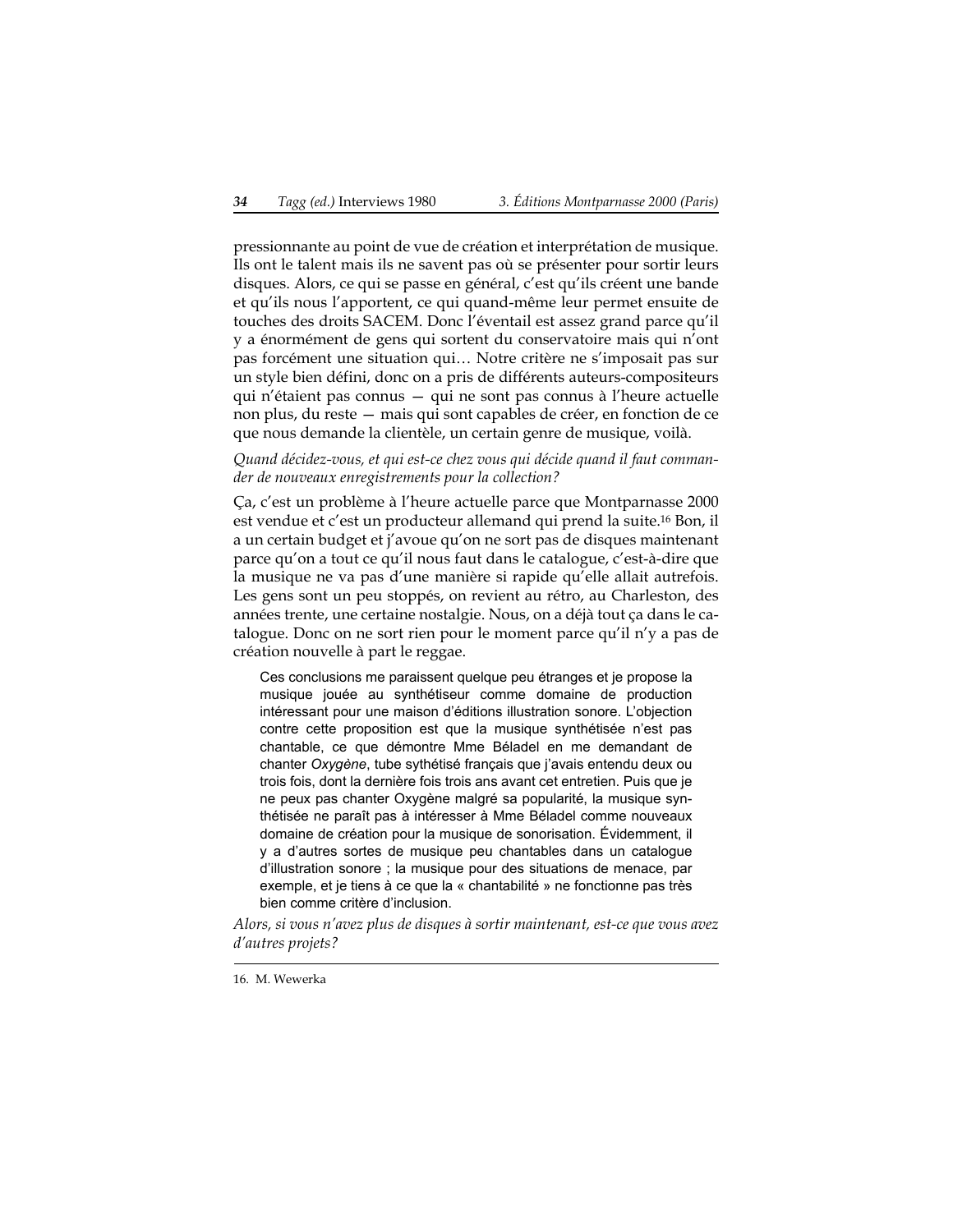pressionnante au point de vue de création et interprétation de musique. Ils ont le talent mais ils ne savent pas où se présenter pour sortir leurs disques. Alors, ce qui se passe en général, c'est qu'ils créent une bande et qu'ils nous l'apportent, ce qui quand-même leur permet ensuite de touches des droits SACEM. Donc l'éventail est assez grand parce qu'il y a énormément de gens qui sortent du conservatoire mais qui n'ont pas forcément une situation qui… Notre critère ne s'imposait pas sur un style bien défini, donc on a pris de différents auteurs-compositeurs qui n'étaient pas connus — qui ne sont pas connus à l'heure actuelle non plus, du reste — mais qui sont capables de créer, en fonction de ce que nous demande la clientèle, un certain genre de musique, voilà.

#### *Quand décidez-vous, et qui est-ce chez vous qui décide quand il faut commander de nouveaux enregistrements pour la collection?*

Ça, c'est un problème à l'heure actuelle parce que Montparnasse 2000 est vendue et c'est un producteur allemand qui prend la suite.16 Bon, il a un certain budget et j'avoue qu'on ne sort pas de disques maintenant parce qu'on a tout ce qu'il nous faut dans le catalogue, c'est-à-dire que la musique ne va pas d'une manière si rapide qu'elle allait autrefois. Les gens sont un peu stoppés, on revient au rétro, au Charleston, des années trente, une certaine nostalgie. Nous, on a déjà tout ça dans le catalogue. Donc on ne sort rien pour le moment parce qu'il n'y a pas de création nouvelle à part le reggae.

Ces conclusions me paraissent quelque peu étranges et je propose la musique jouée au synthétiseur comme domaine de production intéressant pour une maison d'éditions illustration sonore. L'objection contre cette proposition est que la musique synthétisée n'est pas chantable, ce que démontre Mme Béladel en me demandant de chanter *Oxygène*, tube sythétisé français que j'avais entendu deux ou trois fois, dont la dernière fois trois ans avant cet entretien. Puis que je ne peux pas chanter Oxygène malgré sa popularité, la musique synthétisée ne paraît pas à intéresser à Mme Béladel comme nouveaux domaine de création pour la musique de sonorisation. Évidemment, il y a d'autres sortes de musique peu chantables dans un catalogue d'illustration sonore ; la musique pour des situations de menace, par exemple, et je tiens à ce que la « chantabilité » ne fonctionne pas très bien comme critère d'inclusion.

*Alors, si vous n'avez plus de disques à sortir maintenant, est-ce que vous avez d'autres projets?*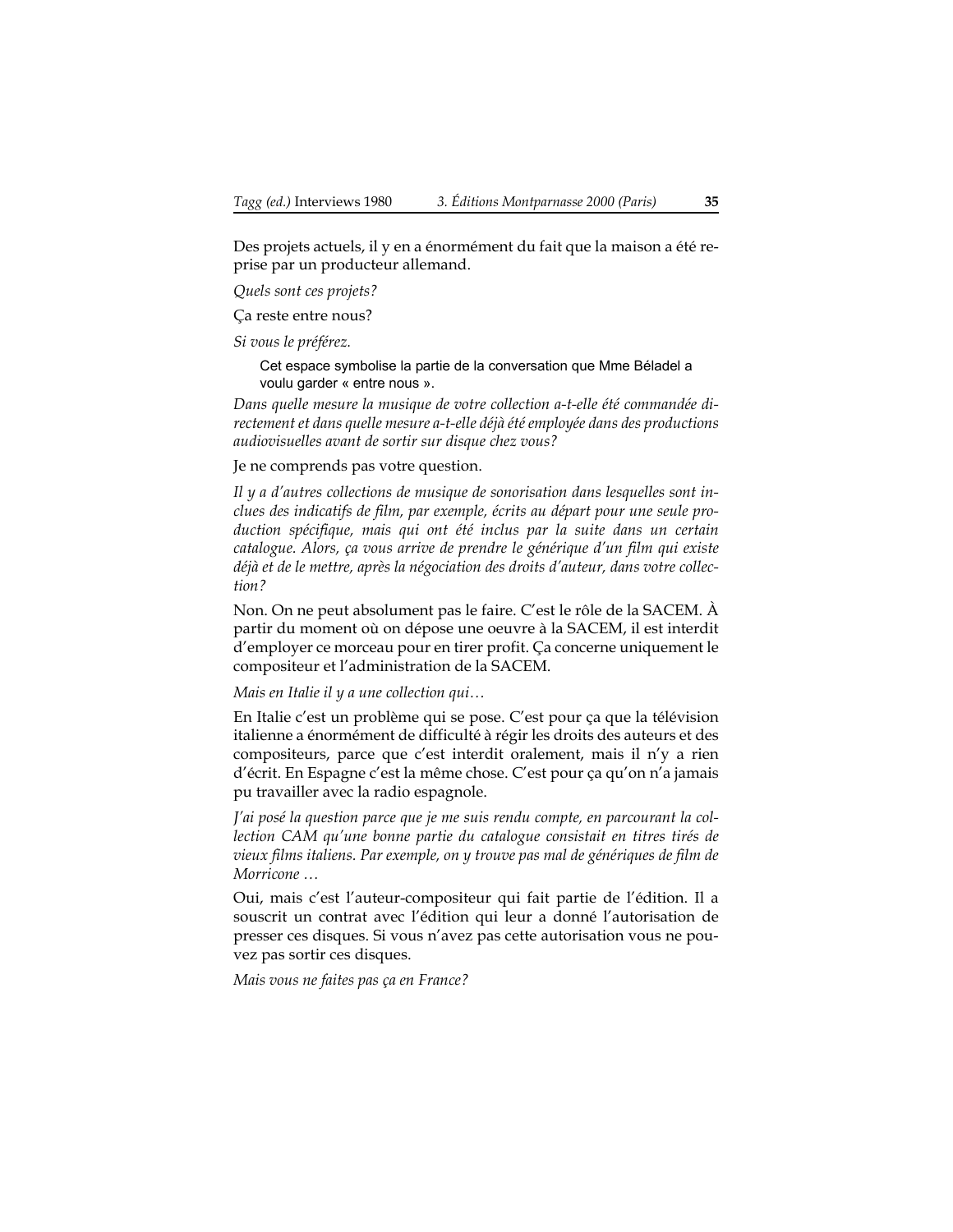Des projets actuels, il y en a énormément du fait que la maison a été reprise par un producteur allemand.

*Quels sont ces projets?*

Ça reste entre nous?

*Si vous le préférez.*

Cet espace symbolise la partie de la conversation que Mme Béladel a voulu garder « entre nous ».

*Dans quelle mesure la musique de votre collection a-t-elle été commandée directement et dans quelle mesure a-t-elle déjà été employée dans des productions audiovisuelles avant de sortir sur disque chez vous?*

Je ne comprends pas votre question.

*Il y a d'autres collections de musique de sonorisation dans lesquelles sont inclues des indicatifs de film, par exemple, écrits au départ pour une seule production spécifique, mais qui ont été inclus par la suite dans un certain catalogue. Alors, ça vous arrive de prendre le générique d'un film qui existe déjà et de le mettre, après la négociation des droits d'auteur, dans votre collection?*

Non. On ne peut absolument pas le faire. C'est le rôle de la SACEM. À partir du moment où on dépose une oeuvre à la SACEM, il est interdit d'employer ce morceau pour en tirer profit. Ça concerne uniquement le compositeur et l'administration de la SACEM.

*Mais en Italie il y a une collection qui…*

En Italie c'est un problème qui se pose. C'est pour ça que la télévision italienne a énormément de difficulté à régir les droits des auteurs et des compositeurs, parce que c'est interdit oralement, mais il n'y a rien d'écrit. En Espagne c'est la même chose. C'est pour ça qu'on n'a jamais pu travailler avec la radio espagnole.

*J'ai posé la question parce que je me suis rendu compte, en parcourant la collection CAM qu'une bonne partie du catalogue consistait en titres tirés de vieux films italiens. Par exemple, on y trouve pas mal de génériques de film de Morricone …*

Oui, mais c'est l'auteur-compositeur qui fait partie de l'édition. Il a souscrit un contrat avec l'édition qui leur a donné l'autorisation de presser ces disques. Si vous n'avez pas cette autorisation vous ne pouvez pas sortir ces disques.

*Mais vous ne faites pas ça en France?*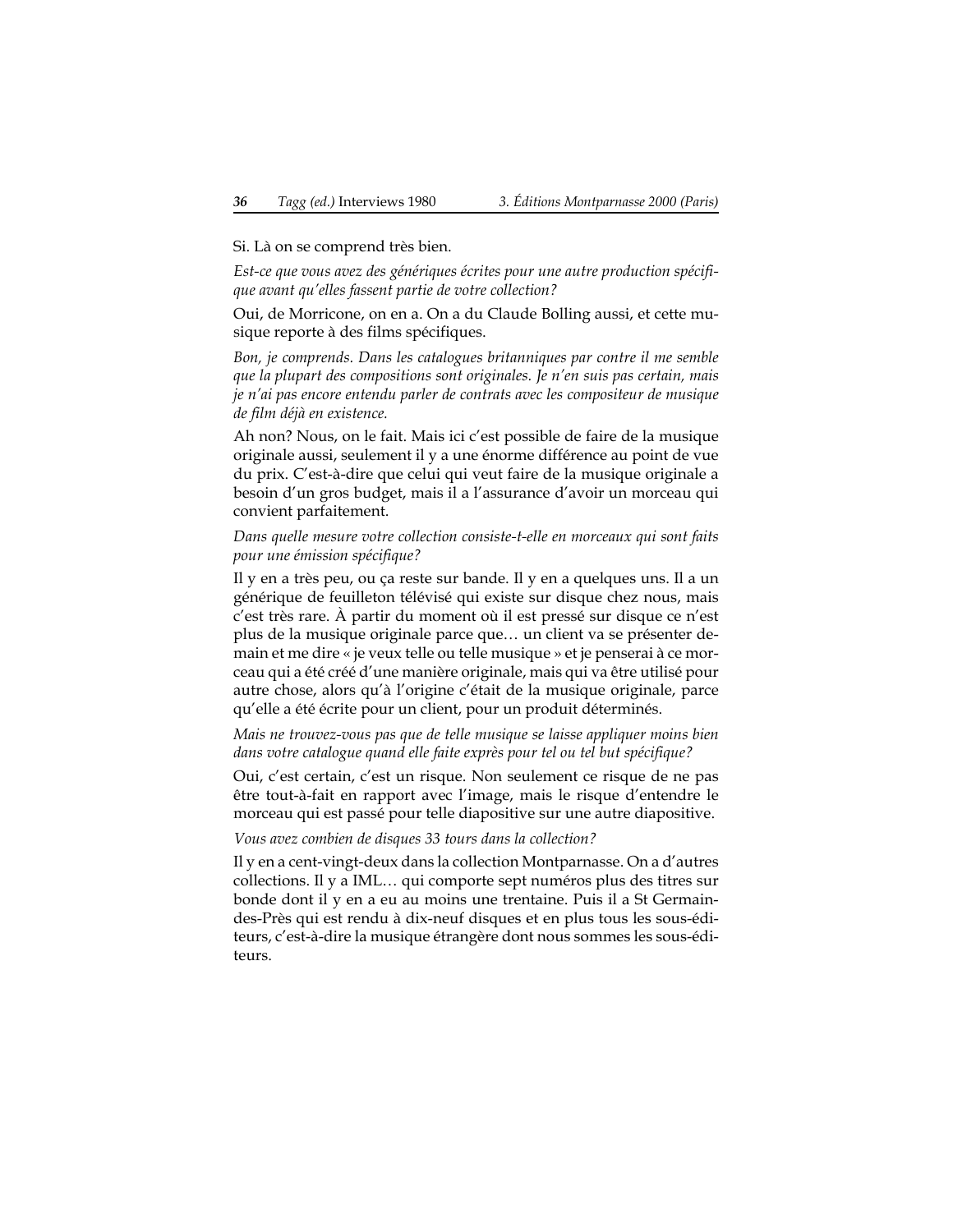#### Si. Là on se comprend très bien.

*Est-ce que vous avez des génériques écrites pour une autre production spécifique avant qu'elles fassent partie de votre collection?*

Oui, de Morricone, on en a. On a du Claude Bolling aussi, et cette musique reporte à des films spécifiques.

*Bon, je comprends. Dans les catalogues britanniques par contre il me semble que la plupart des compositions sont originales. Je n'en suis pas certain, mais je n'ai pas encore entendu parler de contrats avec les compositeur de musique de film déjà en existence.*

Ah non? Nous, on le fait. Mais ici c'est possible de faire de la musique originale aussi, seulement il y a une énorme différence au point de vue du prix. C'est-à-dire que celui qui veut faire de la musique originale a besoin d'un gros budget, mais il a l'assurance d'avoir un morceau qui convient parfaitement.

*Dans quelle mesure votre collection consiste-t-elle en morceaux qui sont faits pour une émission spécifique?*

Il y en a très peu, ou ça reste sur bande. Il y en a quelques uns. Il a un générique de feuilleton télévisé qui existe sur disque chez nous, mais c'est très rare. À partir du moment où il est pressé sur disque ce n'est plus de la musique originale parce que… un client va se présenter demain et me dire « je veux telle ou telle musique » et je penserai à ce morceau qui a été créé d'une manière originale, mais qui va être utilisé pour autre chose, alors qu'à l'origine c'était de la musique originale, parce qu'elle a été écrite pour un client, pour un produit déterminés.

*Mais ne trouvez-vous pas que de telle musique se laisse appliquer moins bien dans votre catalogue quand elle faite exprès pour tel ou tel but spécifique?*

Oui, c'est certain, c'est un risque. Non seulement ce risque de ne pas être tout-à-fait en rapport avec l'image, mais le risque d'entendre le morceau qui est passé pour telle diapositive sur une autre diapositive.

*Vous avez combien de disques 33 tours dans la collection?*

Il y en a cent-vingt-deux dans la collection Montparnasse. On a d'autres collections. Il y a IML… qui comporte sept numéros plus des titres sur bonde dont il y en a eu au moins une trentaine. Puis il a St Germaindes-Près qui est rendu à dix-neuf disques et en plus tous les sous-éditeurs, c'est-à-dire la musique étrangère dont nous sommes les sous-éditeurs.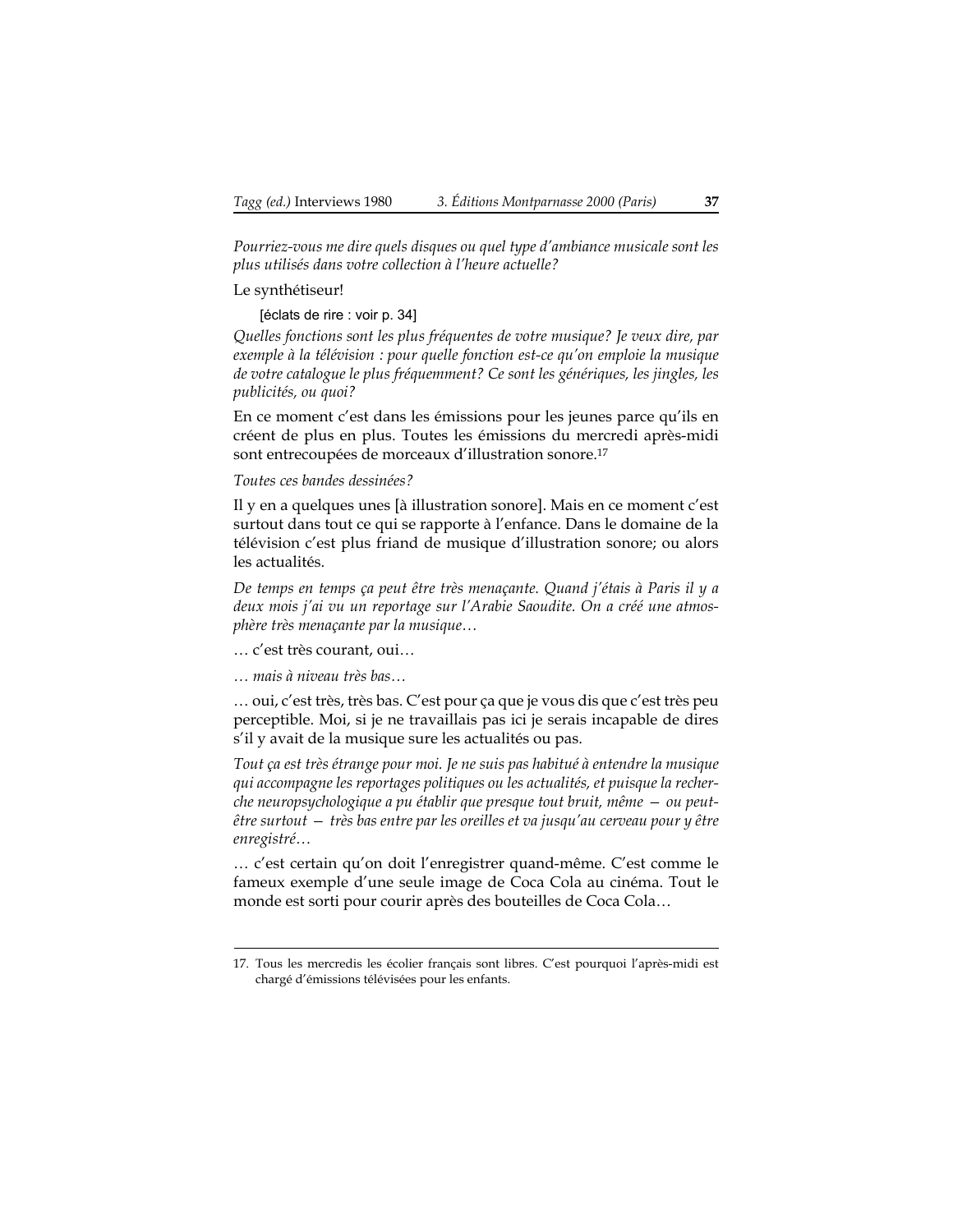*Pourriez-vous me dire quels disques ou quel type d'ambiance musicale sont les plus utilisés dans votre collection à l'heure actuelle?*

Le synthétiseur!

[éclats de rire : voir p. [34](#page-33-0)]

*Quelles fonctions sont les plus fréquentes de votre musique? Je veux dire, par exemple à la télévision : pour quelle fonction est-ce qu'on emploie la musique de votre catalogue le plus fréquemment? Ce sont les génériques, les jingles, les publicités, ou quoi?*

En ce moment c'est dans les émissions pour les jeunes parce qu'ils en créent de plus en plus. Toutes les émissions du mercredi après-midi sont entrecoupées de morceaux d'illustration sonore.17

*Toutes ces bandes dessinées?*

Il y en a quelques unes [à illustration sonore]. Mais en ce moment c'est surtout dans tout ce qui se rapporte à l'enfance. Dans le domaine de la télévision c'est plus friand de musique d'illustration sonore; ou alors les actualités.

*De temps en temps ça peut être très menaçante. Quand j'étais à Paris il y a deux mois j'ai vu un reportage sur l'Arabie Saoudite. On a créé une atmosphère très menaçante par la musique…*

… c'est très courant, oui…

*… mais à niveau très bas…*

… oui, c'est très, très bas. C'est pour ça que je vous dis que c'est très peu perceptible. Moi, si je ne travaillais pas ici je serais incapable de dires s'il y avait de la musique sure les actualités ou pas.

*Tout ça est très étrange pour moi. Je ne suis pas habitué à entendre la musique qui accompagne les reportages politiques ou les actualités, et puisque la recherche neuropsychologique a pu établir que presque tout bruit, même — ou peutêtre surtout — très bas entre par les oreilles et va jusqu'au cerveau pour y être enregistré…*

… c'est certain qu'on doit l'enregistrer quand-même. C'est comme le fameux exemple d'une seule image de Coca Cola au cinéma. Tout le monde est sorti pour courir après des bouteilles de Coca Cola…

<sup>17.</sup> Tous les mercredis les écolier français sont libres. C'est pourquoi l'après-midi est chargé d'émissions télévisées pour les enfants.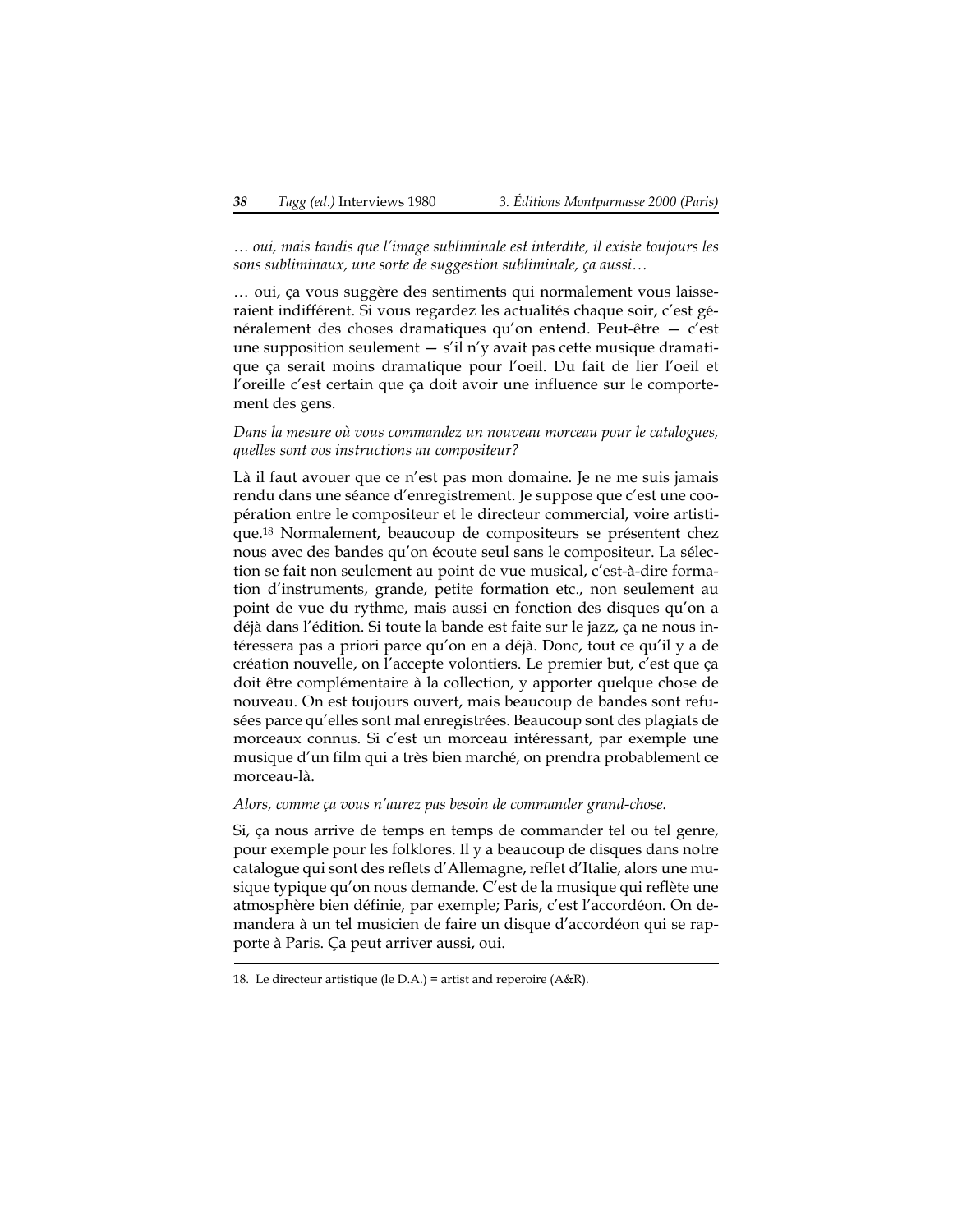*… oui, mais tandis que l'image subliminale est interdite, il existe toujours les sons subliminaux, une sorte de suggestion subliminale, ça aussi…*

… oui, ça vous suggère des sentiments qui normalement vous laisseraient indifférent. Si vous regardez les actualités chaque soir, c'est généralement des choses dramatiques qu'on entend. Peut-être — c'est une supposition seulement  $- s'$ il n'y avait pas cette musique dramatique ça serait moins dramatique pour l'oeil. Du fait de lier l'oeil et l'oreille c'est certain que ça doit avoir une influence sur le comportement des gens.

*Dans la mesure où vous commandez un nouveau morceau pour le catalogues, quelles sont vos instructions au compositeur?*

Là il faut avouer que ce n'est pas mon domaine. Je ne me suis jamais rendu dans une séance d'enregistrement. Je suppose que c'est une coopération entre le compositeur et le directeur commercial, voire artistique.18 Normalement, beaucoup de compositeurs se présentent chez nous avec des bandes qu'on écoute seul sans le compositeur. La sélection se fait non seulement au point de vue musical, c'est-à-dire formation d'instruments, grande, petite formation etc., non seulement au point de vue du rythme, mais aussi en fonction des disques qu'on a déjà dans l'édition. Si toute la bande est faite sur le jazz, ça ne nous intéressera pas a priori parce qu'on en a déjà. Donc, tout ce qu'il y a de création nouvelle, on l'accepte volontiers. Le premier but, c'est que ça doit être complémentaire à la collection, y apporter quelque chose de nouveau. On est toujours ouvert, mais beaucoup de bandes sont refusées parce qu'elles sont mal enregistrées. Beaucoup sont des plagiats de morceaux connus. Si c'est un morceau intéressant, par exemple une musique d'un film qui a très bien marché, on prendra probablement ce morceau-là.

*Alors, comme ça vous n'aurez pas besoin de commander grand-chose.*

Si, ça nous arrive de temps en temps de commander tel ou tel genre, pour exemple pour les folklores. Il y a beaucoup de disques dans notre catalogue qui sont des reflets d'Allemagne, reflet d'Italie, alors une musique typique qu'on nous demande. C'est de la musique qui reflète une atmosphère bien définie, par exemple; Paris, c'est l'accordéon. On demandera à un tel musicien de faire un disque d'accordéon qui se rapporte à Paris. Ça peut arriver aussi, oui.

<sup>18.</sup> Le directeur artistique (le D.A.) = artist and reperoire (A&R).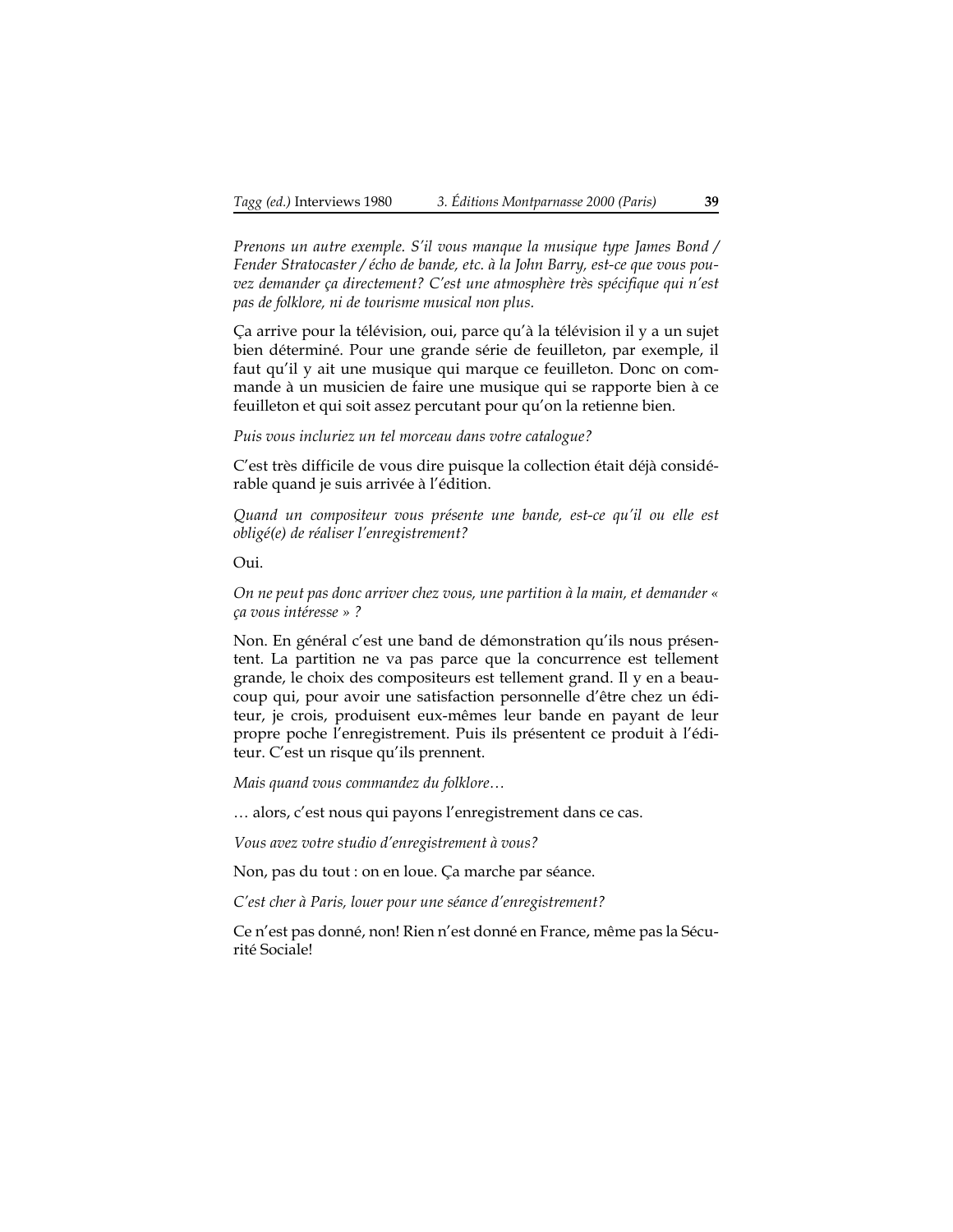*Prenons un autre exemple. S'il vous manque la musique type James Bond / Fender Stratocaster / écho de bande, etc. à la John Barry, est-ce que vous pouvez demander ça directement? C'est une atmosphère très spécifique qui n'est pas de folklore, ni de tourisme musical non plus.*

Ça arrive pour la télévision, oui, parce qu'à la télévision il y a un sujet bien déterminé. Pour une grande série de feuilleton, par exemple, il faut qu'il y ait une musique qui marque ce feuilleton. Donc on commande à un musicien de faire une musique qui se rapporte bien à ce feuilleton et qui soit assez percutant pour qu'on la retienne bien.

*Puis vous incluriez un tel morceau dans votre catalogue?*

C'est très difficile de vous dire puisque la collection était déjà considérable quand je suis arrivée à l'édition.

*Quand un compositeur vous présente une bande, est-ce qu'il ou elle est obligé(e) de réaliser l'enregistrement?*

Oui.

*On ne peut pas donc arriver chez vous, une partition à la main, et demander « ça vous intéresse » ?*

Non. En général c'est une band de démonstration qu'ils nous présentent. La partition ne va pas parce que la concurrence est tellement grande, le choix des compositeurs est tellement grand. Il y en a beaucoup qui, pour avoir une satisfaction personnelle d'être chez un éditeur, je crois, produisent eux-mêmes leur bande en payant de leur propre poche l'enregistrement. Puis ils présentent ce produit à l'éditeur. C'est un risque qu'ils prennent.

*Mais quand vous commandez du folklore…*

… alors, c'est nous qui payons l'enregistrement dans ce cas.

*Vous avez votre studio d'enregistrement à vous?*

Non, pas du tout : on en loue. Ça marche par séance.

*C'est cher à Paris, louer pour une séance d'enregistrement?*

Ce n'est pas donné, non! Rien n'est donné en France, même pas la Sécurité Sociale!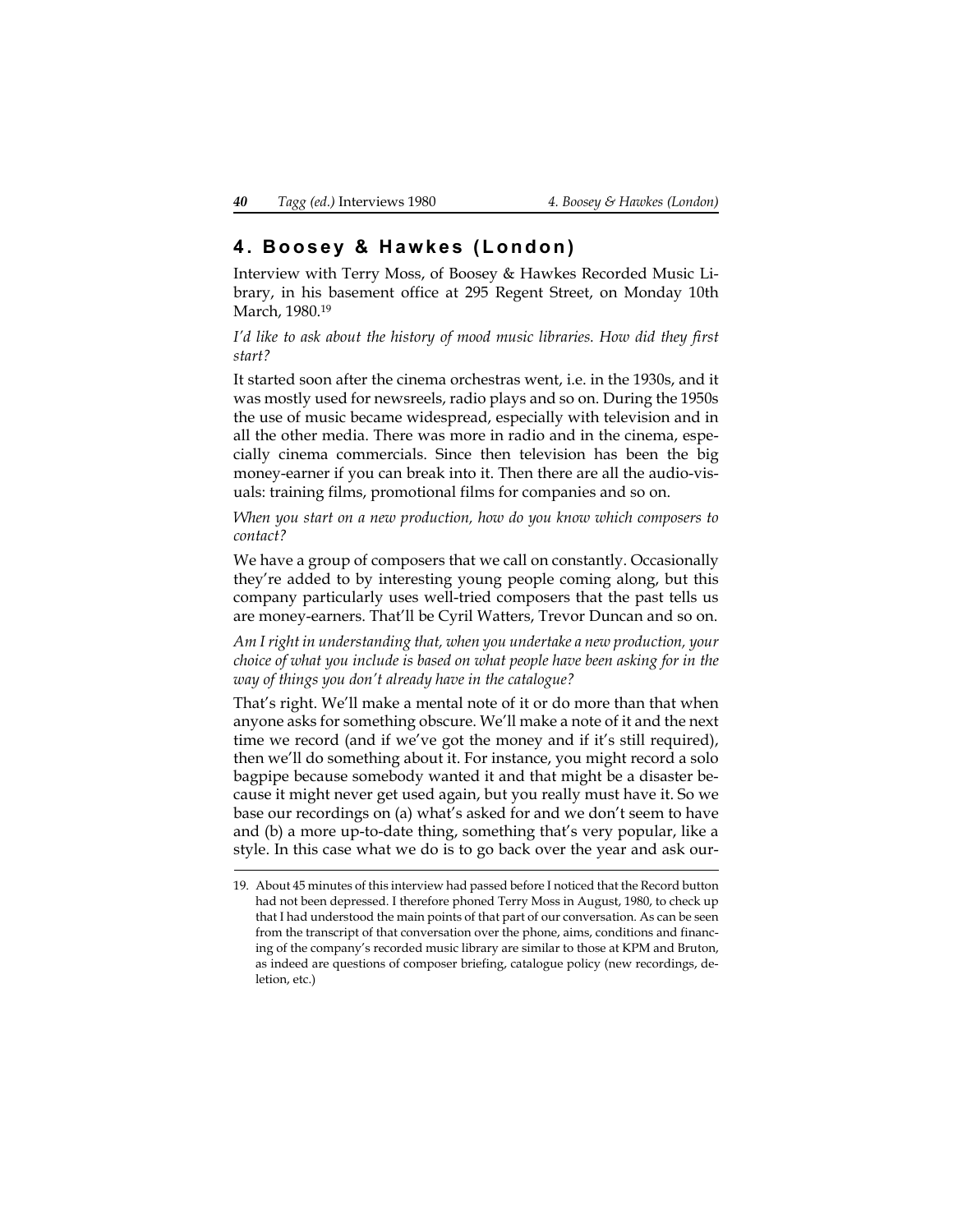# **4. Boosey & Hawkes (London)**

Interview with Terry Moss, of Boosey & Hawkes Recorded Music Library, in his basement office at 295 Regent Street, on Monday 10th March, 1980.19

*I'd like to ask about the history of mood music libraries. How did they first start?*

It started soon after the cinema orchestras went, i.e. in the 1930s, and it was mostly used for newsreels, radio plays and so on. During the 1950s the use of music became widespread, especially with television and in all the other media. There was more in radio and in the cinema, especially cinema commercials. Since then television has been the big money-earner if you can break into it. Then there are all the audio-visuals: training films, promotional films for companies and so on.

*When you start on a new production, how do you know which composers to contact?*

We have a group of composers that we call on constantly. Occasionally they're added to by interesting young people coming along, but this company particularly uses well-tried composers that the past tells us are money-earners. That'll be Cyril Watters, Trevor Duncan and so on.

*Am I right in understanding that, when you undertake a new production, your choice of what you include is based on what people have been asking for in the way of things you don't already have in the catalogue?*

That's right. We'll make a mental note of it or do more than that when anyone asks for something obscure. We'll make a note of it and the next time we record (and if we've got the money and if it's still required), then we'll do something about it. For instance, you might record a solo bagpipe because somebody wanted it and that might be a disaster because it might never get used again, but you really must have it. So we base our recordings on (a) what's asked for and we don't seem to have and (b) a more up-to-date thing, something that's very popular, like a style. In this case what we do is to go back over the year and ask our-

<sup>19.</sup> About 45 minutes of this interview had passed before I noticed that the Record button had not been depressed. I therefore phoned Terry Moss in August, 1980, to check up that I had understood the main points of that part of our conversation. As can be seen from the transcript of that conversation over the phone, aims, conditions and financing of the company's recorded music library are similar to those at KPM and Bruton, as indeed are questions of composer briefing, catalogue policy (new recordings, deletion, etc.)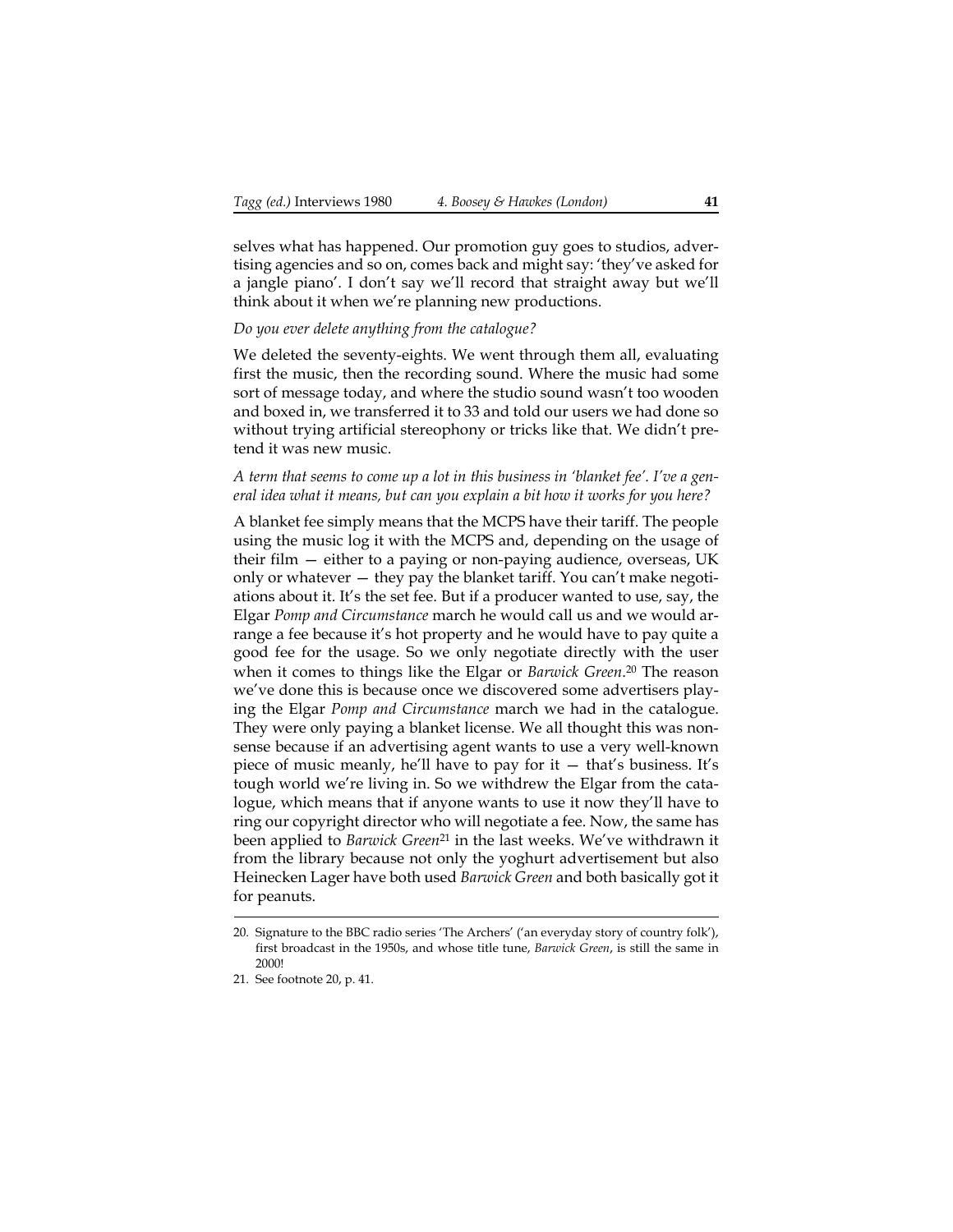selves what has happened. Our promotion guy goes to studios, advertising agencies and so on, comes back and might say: 'they've asked for a jangle piano'. I don't say we'll record that straight away but we'll think about it when we're planning new productions.

## *Do you ever delete anything from the catalogue?*

We deleted the seventy-eights. We went through them all, evaluating first the music, then the recording sound. Where the music had some sort of message today, and where the studio sound wasn't too wooden and boxed in, we transferred it to 33 and told our users we had done so without trying artificial stereophony or tricks like that. We didn't pretend it was new music.

#### *A term that seems to come up a lot in this business in 'blanket fee'. I've a general idea what it means, but can you explain a bit how it works for you here?*

A blanket fee simply means that the MCPS have their tariff. The people using the music log it with the MCPS and, depending on the usage of their film — either to a paying or non-paying audience, overseas, UK only or whatever — they pay the blanket tariff. You can't make negotiations about it. It's the set fee. But if a producer wanted to use, say, the Elgar *Pomp and Circumstance* march he would call us and we would arrange a fee because it's hot property and he would have to pay quite a good fee for the usage. So we only negotiate directly with the user when it comes to things like the Elgar or *Barwick Green*. 20 The reason we've done this is because once we discovered some advertisers playing the Elgar *Pomp and Circumstance* march we had in the catalogue. They were only paying a blanket license. We all thought this was nonsense because if an advertising agent wants to use a very well-known piece of music meanly, he'll have to pay for it — that's business. It's tough world we're living in. So we withdrew the Elgar from the catalogue, which means that if anyone wants to use it now they'll have to ring our copyright director who will negotiate a fee. Now, the same has been applied to *Barwick Green*21 in the last weeks. We've withdrawn it from the library because not only the yoghurt advertisement but also Heinecken Lager have both used *Barwick Green* and both basically got it for peanuts.

<span id="page-40-0"></span><sup>20.</sup> Signature to the BBC radio series 'The Archers' ('an everyday story of country folk'), first broadcast in the 1950s, and whose title tune, *Barwick Green*, is still the same in 2000!

<sup>21.</sup> See footnote [20,](#page-40-0) p. [41](#page-40-0).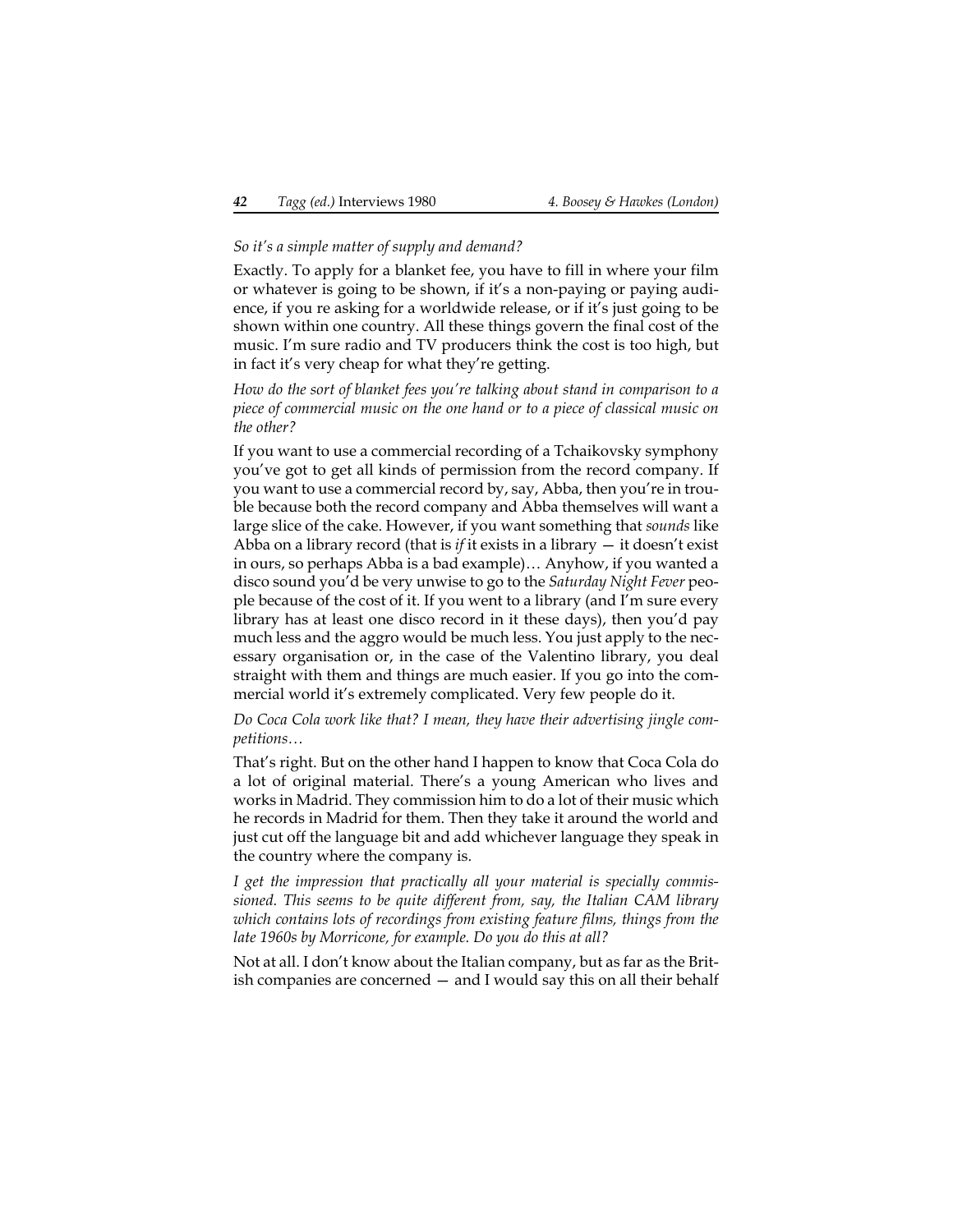#### *So it's a simple matter of supply and demand?*

Exactly. To apply for a blanket fee, you have to fill in where your film or whatever is going to be shown, if it's a non-paying or paying audience, if you re asking for a worldwide release, or if it's just going to be shown within one country. All these things govern the final cost of the music. I'm sure radio and TV producers think the cost is too high, but in fact it's very cheap for what they're getting.

*How do the sort of blanket fees you're talking about stand in comparison to a piece of commercial music on the one hand or to a piece of classical music on the other?*

If you want to use a commercial recording of a Tchaikovsky symphony you've got to get all kinds of permission from the record company. If you want to use a commercial record by, say, Abba, then you're in trouble because both the record company and Abba themselves will want a large slice of the cake. However, if you want something that *sounds* like Abba on a library record (that is *if* it exists in a library  $-$  it doesn't exist in ours, so perhaps Abba is a bad example)… Anyhow, if you wanted a disco sound you'd be very unwise to go to the *Saturday Night Fever* people because of the cost of it. If you went to a library (and I'm sure every library has at least one disco record in it these days), then you'd pay much less and the aggro would be much less. You just apply to the necessary organisation or, in the case of the Valentino library, you deal straight with them and things are much easier. If you go into the commercial world it's extremely complicated. Very few people do it.

#### *Do Coca Cola work like that? I mean, they have their advertising jingle competitions…*

That's right. But on the other hand I happen to know that Coca Cola do a lot of original material. There's a young American who lives and works in Madrid. They commission him to do a lot of their music which he records in Madrid for them. Then they take it around the world and just cut off the language bit and add whichever language they speak in the country where the company is.

*I get the impression that practically all your material is specially commissioned. This seems to be quite different from, say, the Italian CAM library which contains lots of recordings from existing feature films, things from the late 1960s by Morricone, for example. Do you do this at all?*

Not at all. I don't know about the Italian company, but as far as the British companies are concerned — and I would say this on all their behalf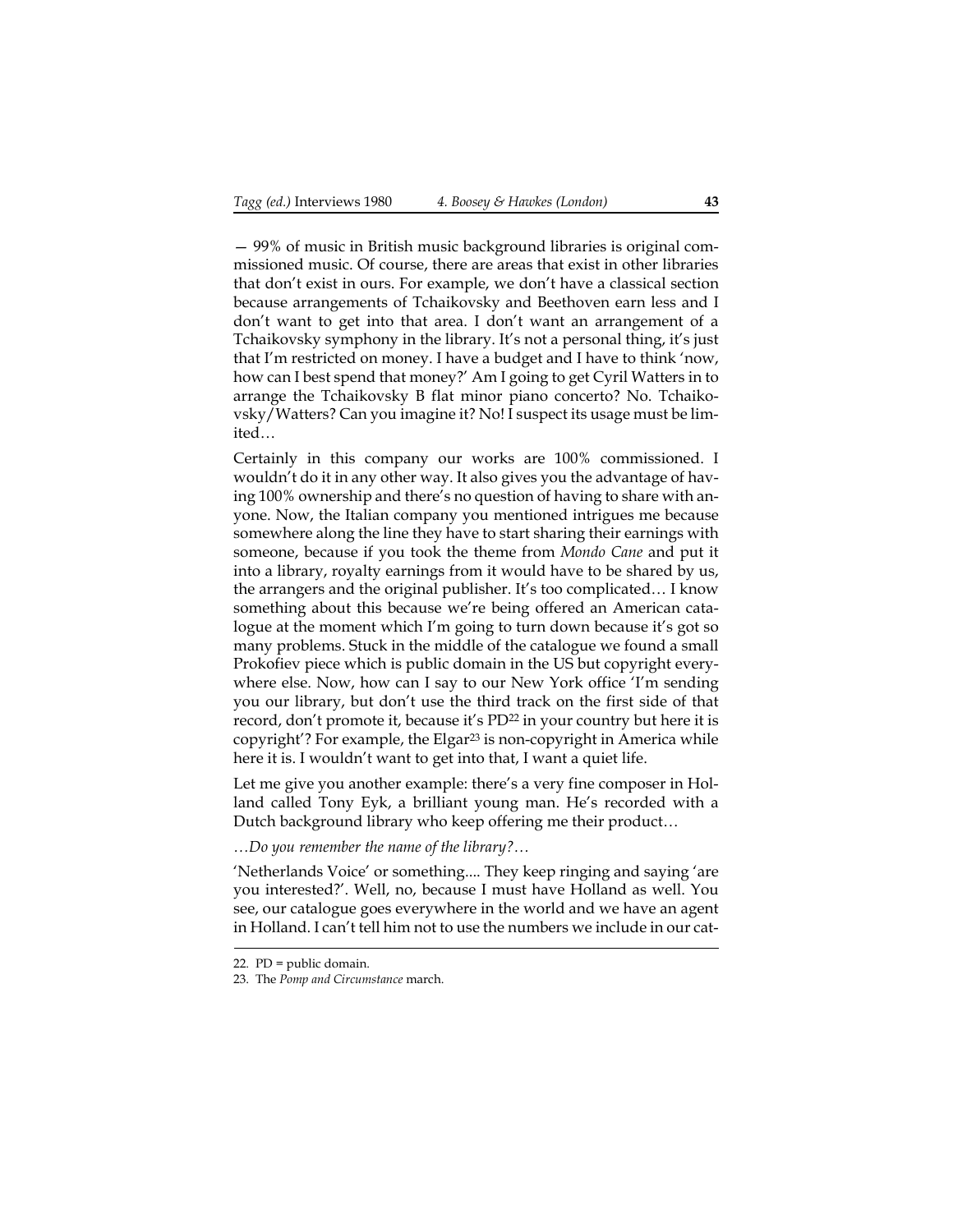— 99% of music in British music background libraries is original commissioned music. Of course, there are areas that exist in other libraries that don't exist in ours. For example, we don't have a classical section because arrangements of Tchaikovsky and Beethoven earn less and I don't want to get into that area. I don't want an arrangement of a Tchaikovsky symphony in the library. It's not a personal thing, it's just that I'm restricted on money. I have a budget and I have to think 'now, how can I best spend that money?' Am I going to get Cyril Watters in to arrange the Tchaikovsky B flat minor piano concerto? No. Tchaikovsky/Watters? Can you imagine it? No! I suspect its usage must be limited…

Certainly in this company our works are 100% commissioned. I wouldn't do it in any other way. It also gives you the advantage of having 100% ownership and there's no question of having to share with anyone. Now, the Italian company you mentioned intrigues me because somewhere along the line they have to start sharing their earnings with someone, because if you took the theme from *Mondo Cane* and put it into a library, royalty earnings from it would have to be shared by us, the arrangers and the original publisher. It's too complicated… I know something about this because we're being offered an American catalogue at the moment which I'm going to turn down because it's got so many problems. Stuck in the middle of the catalogue we found a small Prokofiev piece which is public domain in the US but copyright everywhere else. Now, how can I say to our New York office 'I'm sending you our library, but don't use the third track on the first side of that record, don't promote it, because it's PD<sup>22</sup> in your country but here it is copyright'? For example, the Elgar<sup>23</sup> is non-copyright in America while here it is. I wouldn't want to get into that, I want a quiet life.

Let me give you another example: there's a very fine composer in Holland called Tony Eyk, a brilliant young man. He's recorded with a Dutch background library who keep offering me their product…

*…Do you remember the name of the library?…*

'Netherlands Voice' or something.... They keep ringing and saying 'are you interested?'. Well, no, because I must have Holland as well. You see, our catalogue goes everywhere in the world and we have an agent in Holland. I can't tell him not to use the numbers we include in our cat-

<sup>22.</sup> PD = public domain.

<sup>23.</sup> The *Pomp and Circumstance* march.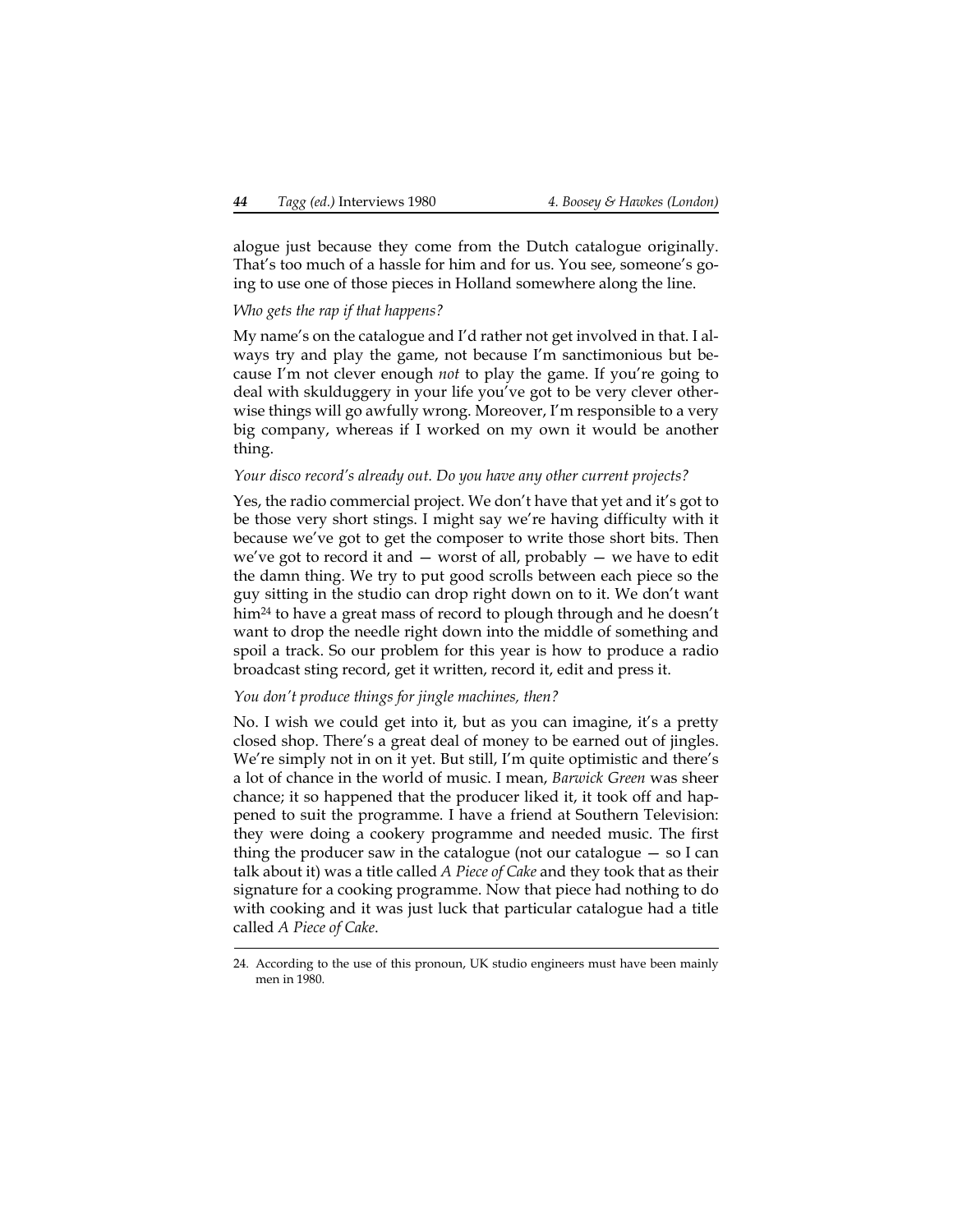alogue just because they come from the Dutch catalogue originally. That's too much of a hassle for him and for us. You see, someone's going to use one of those pieces in Holland somewhere along the line.

## *Who gets the rap if that happens?*

My name's on the catalogue and I'd rather not get involved in that. I always try and play the game, not because I'm sanctimonious but because I'm not clever enough *not* to play the game. If you're going to deal with skulduggery in your life you've got to be very clever otherwise things will go awfully wrong. Moreover, I'm responsible to a very big company, whereas if I worked on my own it would be another thing.

### *Your disco record's already out. Do you have any other current projects?*

Yes, the radio commercial project. We don't have that yet and it's got to be those very short stings. I might say we're having difficulty with it because we've got to get the composer to write those short bits. Then we've got to record it and  $-$  worst of all, probably  $-$  we have to edit the damn thing. We try to put good scrolls between each piece so the guy sitting in the studio can drop right down on to it. We don't want him<sup>24</sup> to have a great mass of record to plough through and he doesn't want to drop the needle right down into the middle of something and spoil a track. So our problem for this year is how to produce a radio broadcast sting record, get it written, record it, edit and press it.

### *You don't produce things for jingle machines, then?*

No. I wish we could get into it, but as you can imagine, it's a pretty closed shop. There's a great deal of money to be earned out of jingles. We're simply not in on it yet. But still, I'm quite optimistic and there's a lot of chance in the world of music. I mean, *Barwick Green* was sheer chance; it so happened that the producer liked it, it took off and happened to suit the programme. I have a friend at Southern Television: they were doing a cookery programme and needed music. The first thing the producer saw in the catalogue (not our catalogue  $-$  so I can talk about it) was a title called *A Piece of Cake* and they took that as their signature for a cooking programme. Now that piece had nothing to do with cooking and it was just luck that particular catalogue had a title called *A Piece of Cake*.

<sup>24.</sup> According to the use of this pronoun, UK studio engineers must have been mainly men in 1980.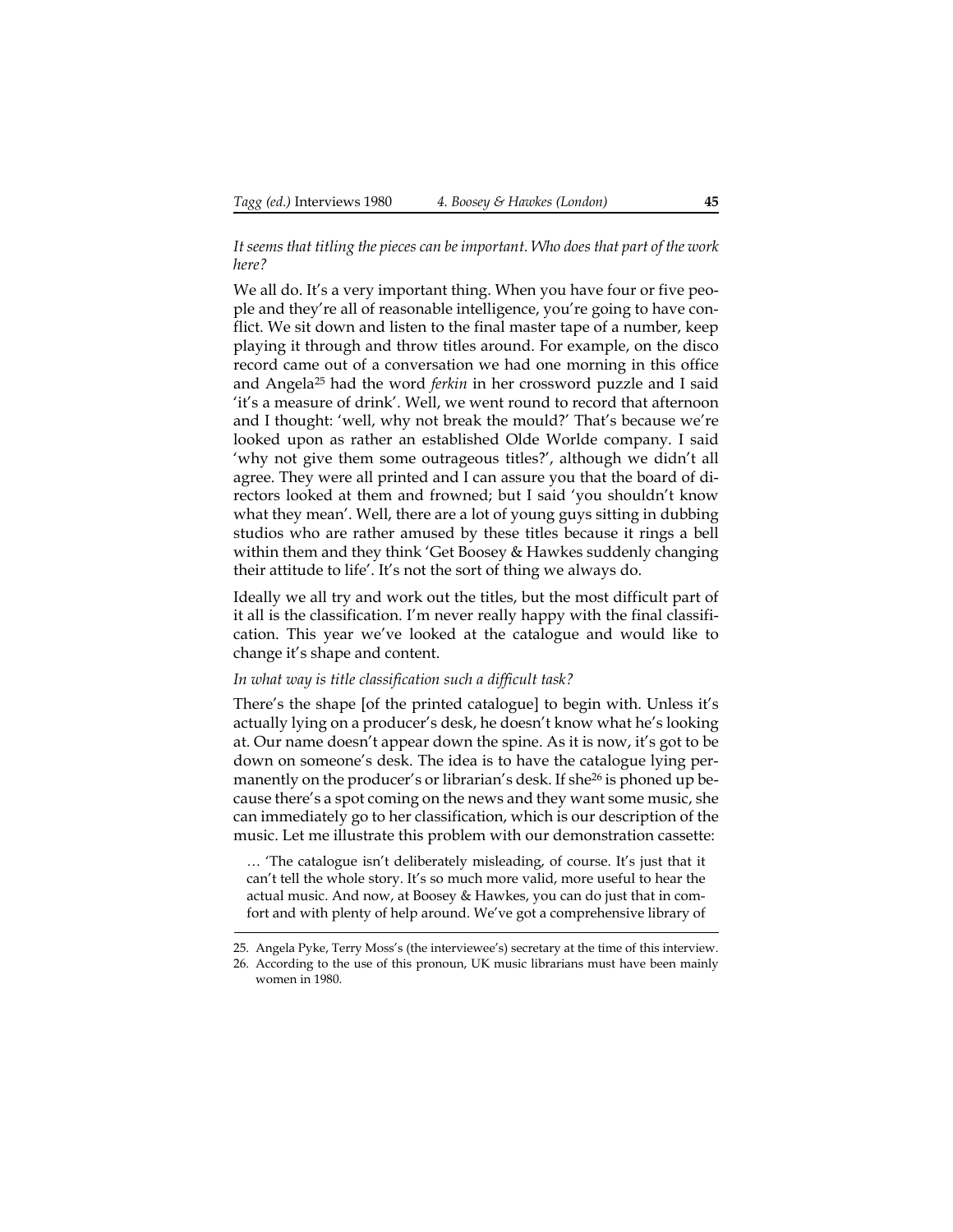## *It seems that titling the pieces can be important. Who does that part of the work here?*

We all do. It's a very important thing. When you have four or five people and they're all of reasonable intelligence, you're going to have conflict. We sit down and listen to the final master tape of a number, keep playing it through and throw titles around. For example, on the disco record came out of a conversation we had one morning in this office and Angela25 had the word *ferkin* in her crossword puzzle and I said 'it's a measure of drink'. Well, we went round to record that afternoon and I thought: 'well, why not break the mould?' That's because we're looked upon as rather an established Olde Worlde company. I said 'why not give them some outrageous titles?', although we didn't all agree. They were all printed and I can assure you that the board of directors looked at them and frowned; but I said 'you shouldn't know what they mean'. Well, there are a lot of young guys sitting in dubbing studios who are rather amused by these titles because it rings a bell within them and they think 'Get Boosey & Hawkes suddenly changing their attitude to life'. It's not the sort of thing we always do.

Ideally we all try and work out the titles, but the most difficult part of it all is the classification. I'm never really happy with the final classification. This year we've looked at the catalogue and would like to change it's shape and content.

### *In what way is title classification such a difficult task?*

There's the shape [of the printed catalogue] to begin with. Unless it's actually lying on a producer's desk, he doesn't know what he's looking at. Our name doesn't appear down the spine. As it is now, it's got to be down on someone's desk. The idea is to have the catalogue lying permanently on the producer's or librarian's desk. If she<sup>26</sup> is phoned up because there's a spot coming on the news and they want some music, she can immediately go to her classification, which is our description of the music. Let me illustrate this problem with our demonstration cassette:

… 'The catalogue isn't deliberately misleading, of course. It's just that it can't tell the whole story. It's so much more valid, more useful to hear the actual music. And now, at Boosey & Hawkes, you can do just that in comfort and with plenty of help around. We've got a comprehensive library of

<sup>25.</sup> Angela Pyke, Terry Moss's (the interviewee's) secretary at the time of this interview.

<sup>26.</sup> According to the use of this pronoun, UK music librarians must have been mainly women in 1980.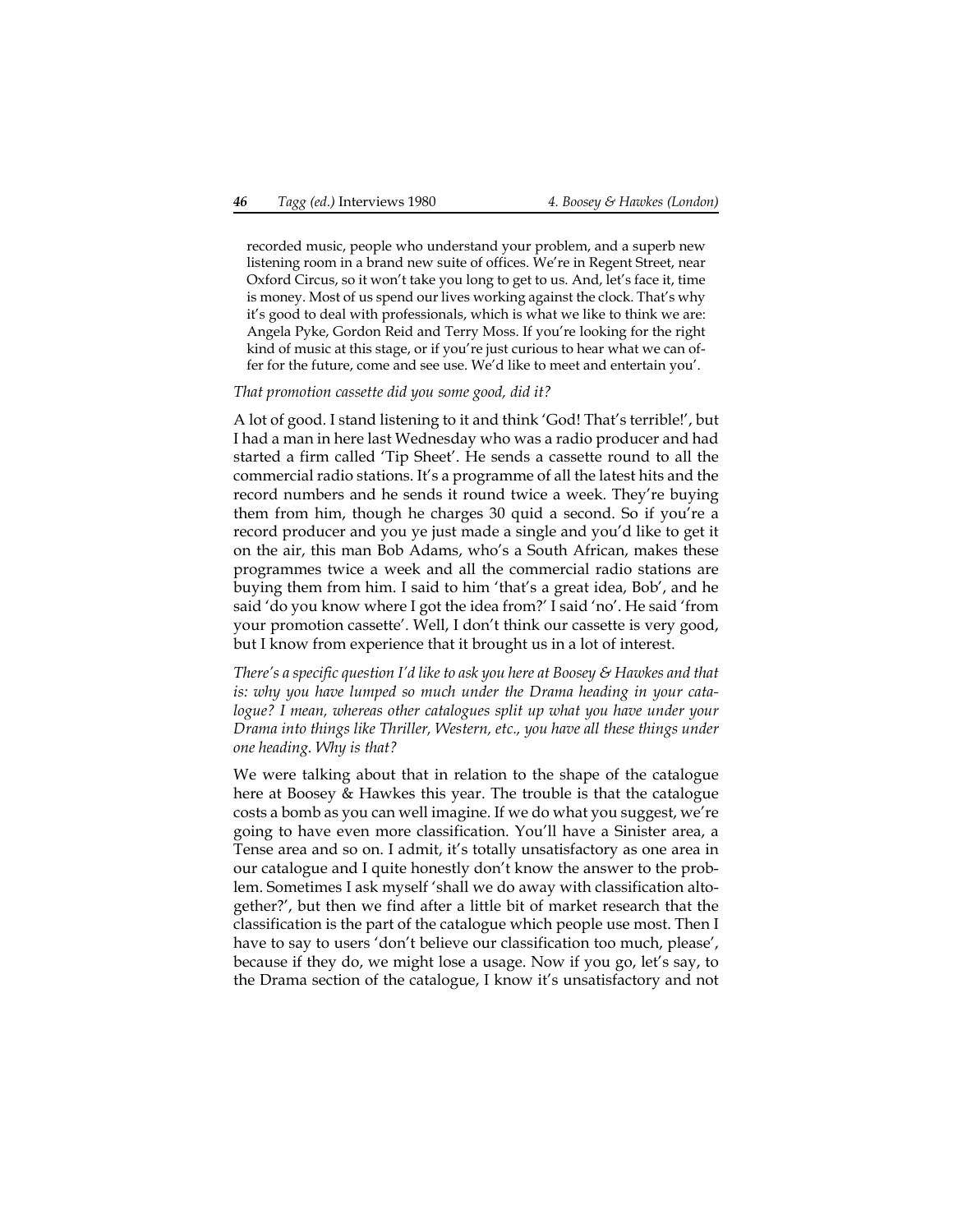recorded music, people who understand your problem, and a superb new listening room in a brand new suite of offices. We're in Regent Street, near Oxford Circus, so it won't take you long to get to us. And, let's face it, time is money. Most of us spend our lives working against the clock. That's why it's good to deal with professionals, which is what we like to think we are: Angela Pyke, Gordon Reid and Terry Moss. If you're looking for the right kind of music at this stage, or if you're just curious to hear what we can offer for the future, come and see use. We'd like to meet and entertain you'.

#### *That promotion cassette did you some good, did it?*

A lot of good. I stand listening to it and think 'God! That's terrible!', but I had a man in here last Wednesday who was a radio producer and had started a firm called 'Tip Sheet'. He sends a cassette round to all the commercial radio stations. It's a programme of all the latest hits and the record numbers and he sends it round twice a week. They're buying them from him, though he charges 30 quid a second. So if you're a record producer and you ye just made a single and you'd like to get it on the air, this man Bob Adams, who's a South African, makes these programmes twice a week and all the commercial radio stations are buying them from him. I said to him 'that's a great idea, Bob', and he said 'do you know where I got the idea from?' I said 'no'. He said 'from your promotion cassette'. Well, I don't think our cassette is very good, but I know from experience that it brought us in a lot of interest.

*There's a specific question I'd like to ask you here at Boosey & Hawkes and that is: why you have lumped so much under the Drama heading in your catalogue? I mean, whereas other catalogues split up what you have under your Drama into things like Thriller, Western, etc., you have all these things under one heading. Why is that?*

We were talking about that in relation to the shape of the catalogue here at Boosey & Hawkes this year. The trouble is that the catalogue costs a bomb as you can well imagine. If we do what you suggest, we're going to have even more classification. You'll have a Sinister area, a Tense area and so on. I admit, it's totally unsatisfactory as one area in our catalogue and I quite honestly don't know the answer to the problem. Sometimes I ask myself 'shall we do away with classification altogether?', but then we find after a little bit of market research that the classification is the part of the catalogue which people use most. Then I have to say to users 'don't believe our classification too much, please', because if they do, we might lose a usage. Now if you go, let's say, to the Drama section of the catalogue, I know it's unsatisfactory and not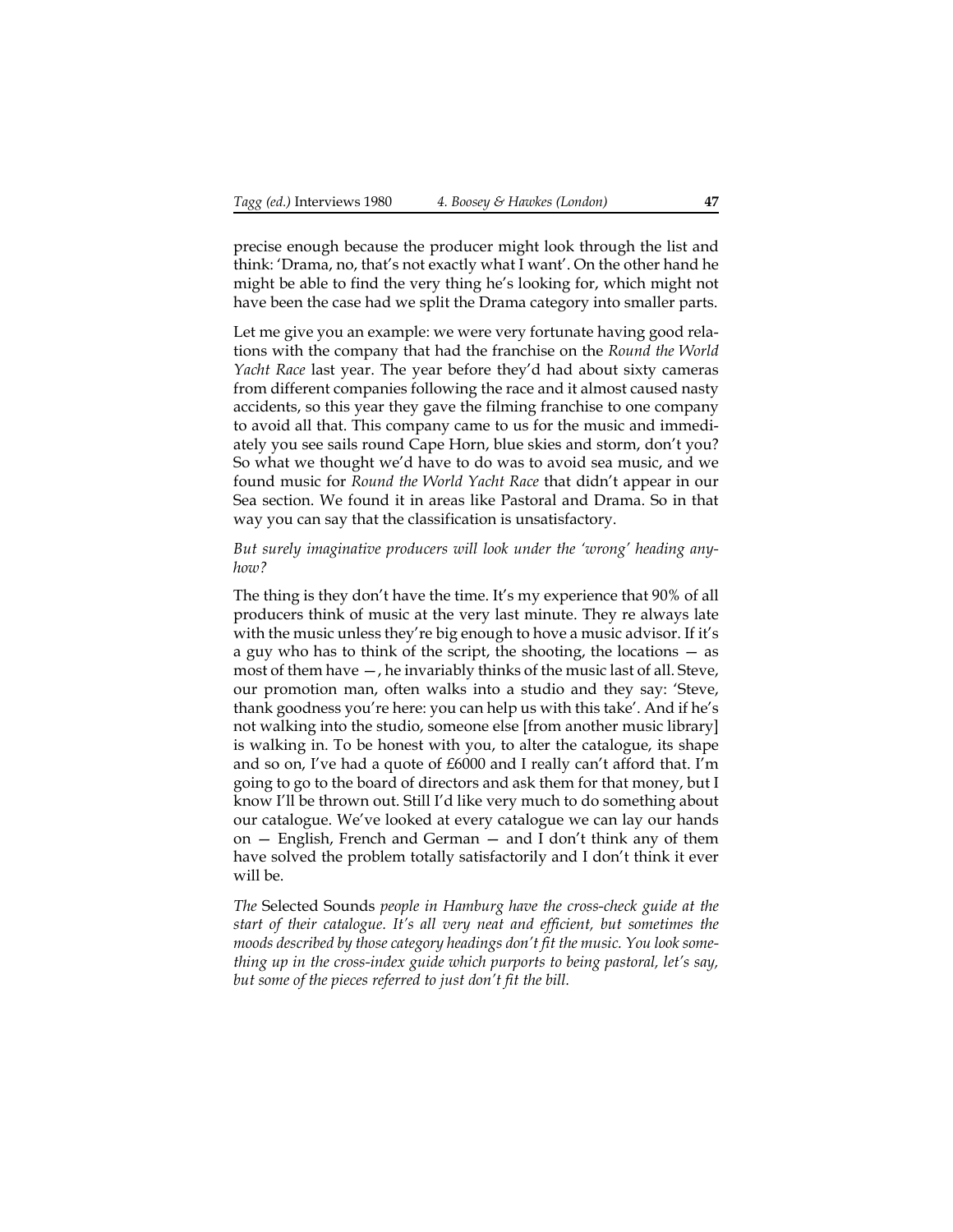precise enough because the producer might look through the list and think: 'Drama, no, that's not exactly what I want'. On the other hand he might be able to find the very thing he's looking for, which might not have been the case had we split the Drama category into smaller parts.

Let me give you an example: we were very fortunate having good relations with the company that had the franchise on the *Round the World Yacht Race* last year. The year before they'd had about sixty cameras from different companies following the race and it almost caused nasty accidents, so this year they gave the filming franchise to one company to avoid all that. This company came to us for the music and immediately you see sails round Cape Horn, blue skies and storm, don't you? So what we thought we'd have to do was to avoid sea music, and we found music for *Round the World Yacht Race* that didn't appear in our Sea section. We found it in areas like Pastoral and Drama. So in that way you can say that the classification is unsatisfactory.

#### *But surely imaginative producers will look under the 'wrong' heading anyhow?*

The thing is they don't have the time. It's my experience that 90% of all producers think of music at the very last minute. They re always late with the music unless they're big enough to hove a music advisor. If it's a guy who has to think of the script, the shooting, the locations — as most of them have —, he invariably thinks of the music last of all. Steve, our promotion man, often walks into a studio and they say: 'Steve, thank goodness you're here: you can help us with this take'. And if he's not walking into the studio, someone else [from another music library] is walking in. To be honest with you, to alter the catalogue, its shape and so on, I've had a quote of £6000 and I really can't afford that. I'm going to go to the board of directors and ask them for that money, but I know I'll be thrown out. Still I'd like very much to do something about our catalogue. We've looked at every catalogue we can lay our hands on — English, French and German — and I don't think any of them have solved the problem totally satisfactorily and I don't think it ever will be.

*The* Selected Sounds *people in Hamburg have the cross-check guide at the start of their catalogue. It's all very neat and efficient, but sometimes the moods described by those category headings don't fit the music. You look something up in the cross-index guide which purports to being pastoral, let's say, but some of the pieces referred to just don't fit the bill.*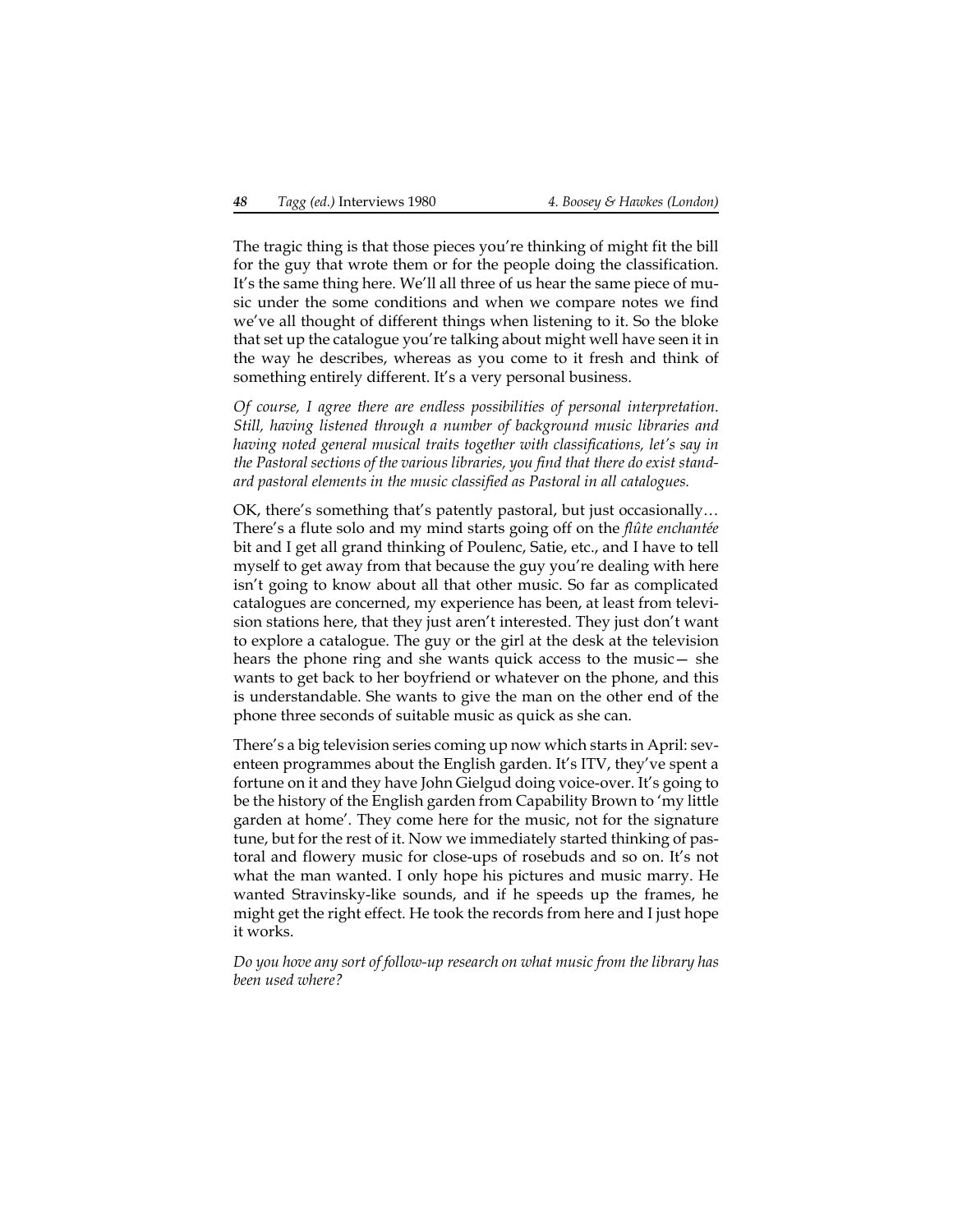The tragic thing is that those pieces you're thinking of might fit the bill for the guy that wrote them or for the people doing the classification. It's the same thing here. We'll all three of us hear the same piece of music under the some conditions and when we compare notes we find we've all thought of different things when listening to it. So the bloke that set up the catalogue you're talking about might well have seen it in the way he describes, whereas as you come to it fresh and think of something entirely different. It's a very personal business.

*Of course, I agree there are endless possibilities of personal interpretation. Still, having listened through a number of background music libraries and having noted general musical traits together with classifications, let's say in the Pastoral sections of the various libraries, you find that there do exist standard pastoral elements in the music classified as Pastoral in all catalogues.*

OK, there's something that's patently pastoral, but just occasionally… There's a flute solo and my mind starts going off on the *flûte enchantée* bit and I get all grand thinking of Poulenc, Satie, etc., and I have to tell myself to get away from that because the guy you're dealing with here isn't going to know about all that other music. So far as complicated catalogues are concerned, my experience has been, at least from television stations here, that they just aren't interested. They just don't want to explore a catalogue. The guy or the girl at the desk at the television hears the phone ring and she wants quick access to the music— she wants to get back to her boyfriend or whatever on the phone, and this is understandable. She wants to give the man on the other end of the phone three seconds of suitable music as quick as she can.

There's a big television series coming up now which starts in April: seventeen programmes about the English garden. It's ITV, they've spent a fortune on it and they have John Gielgud doing voice-over. It's going to be the history of the English garden from Capability Brown to 'my little garden at home'. They come here for the music, not for the signature tune, but for the rest of it. Now we immediately started thinking of pastoral and flowery music for close-ups of rosebuds and so on. It's not what the man wanted. I only hope his pictures and music marry. He wanted Stravinsky-like sounds, and if he speeds up the frames, he might get the right effect. He took the records from here and I just hope it works.

*Do you hove any sort of follow-up research on what music from the library has been used where?*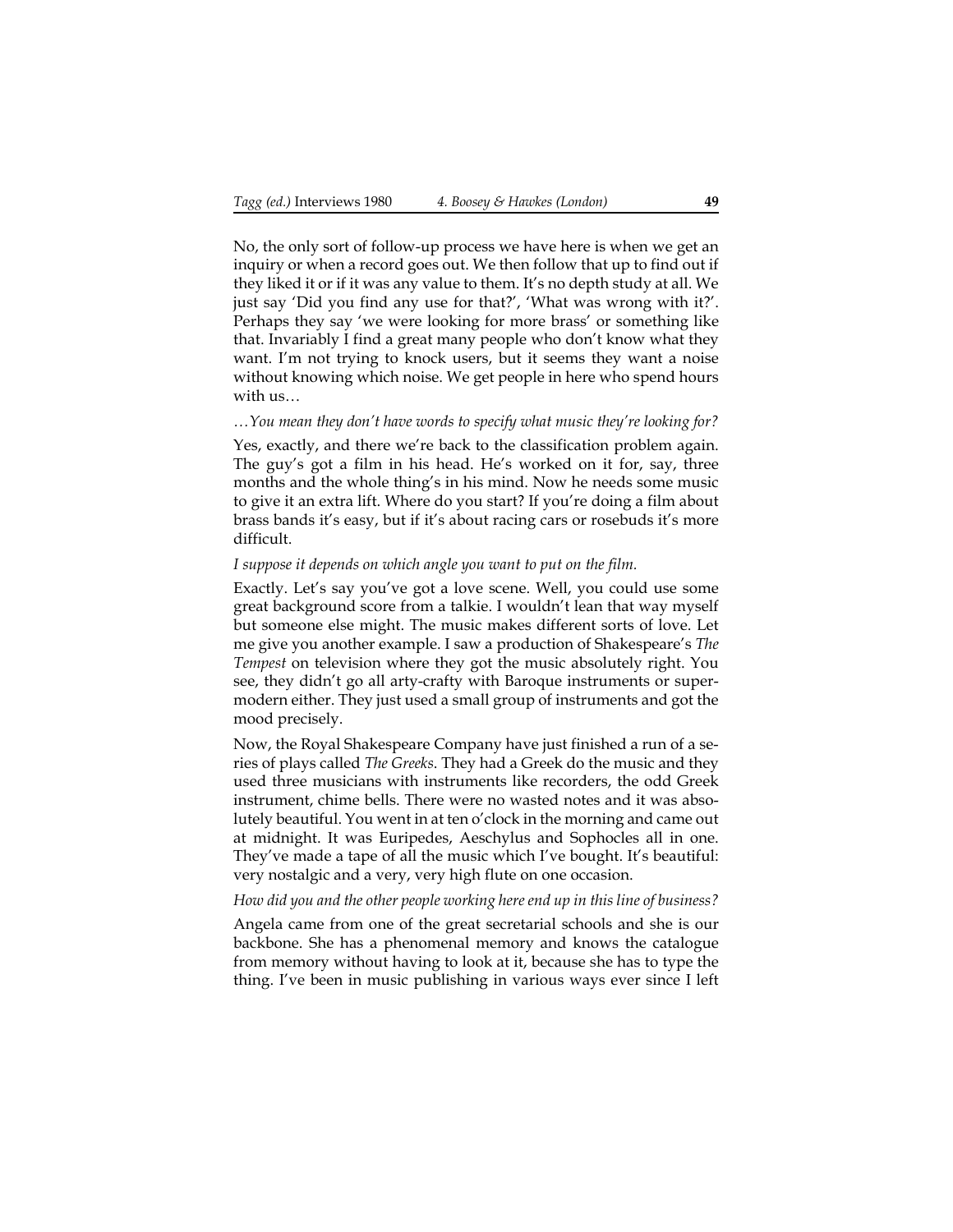No, the only sort of follow-up process we have here is when we get an inquiry or when a record goes out. We then follow that up to find out if they liked it or if it was any value to them. It's no depth study at all. We just say 'Did you find any use for that?', 'What was wrong with it?'. Perhaps they say 'we were looking for more brass' or something like that. Invariably I find a great many people who don't know what they want. I'm not trying to knock users, but it seems they want a noise without knowing which noise. We get people in here who spend hours with us…

#### *…You mean they don't have words to specify what music they're looking for?*

Yes, exactly, and there we're back to the classification problem again. The guy's got a film in his head. He's worked on it for, say, three months and the whole thing's in his mind. Now he needs some music to give it an extra lift. Where do you start? If you're doing a film about brass bands it's easy, but if it's about racing cars or rosebuds it's more difficult.

#### *I suppose it depends on which angle you want to put on the film.*

Exactly. Let's say you've got a love scene. Well, you could use some great background score from a talkie. I wouldn't lean that way myself but someone else might. The music makes different sorts of love. Let me give you another example. I saw a production of Shakespeare's *The Tempest* on television where they got the music absolutely right. You see, they didn't go all arty-crafty with Baroque instruments or supermodern either. They just used a small group of instruments and got the mood precisely.

Now, the Royal Shakespeare Company have just finished a run of a series of plays called *The Greeks*. They had a Greek do the music and they used three musicians with instruments like recorders, the odd Greek instrument, chime bells. There were no wasted notes and it was absolutely beautiful. You went in at ten o'clock in the morning and came out at midnight. It was Euripedes, Aeschylus and Sophocles all in one. They've made a tape of all the music which I've bought. It's beautiful: very nostalgic and a very, very high flute on one occasion.

#### *How did you and the other people working here end up in this line of business?*

Angela came from one of the great secretarial schools and she is our backbone. She has a phenomenal memory and knows the catalogue from memory without having to look at it, because she has to type the thing. I've been in music publishing in various ways ever since I left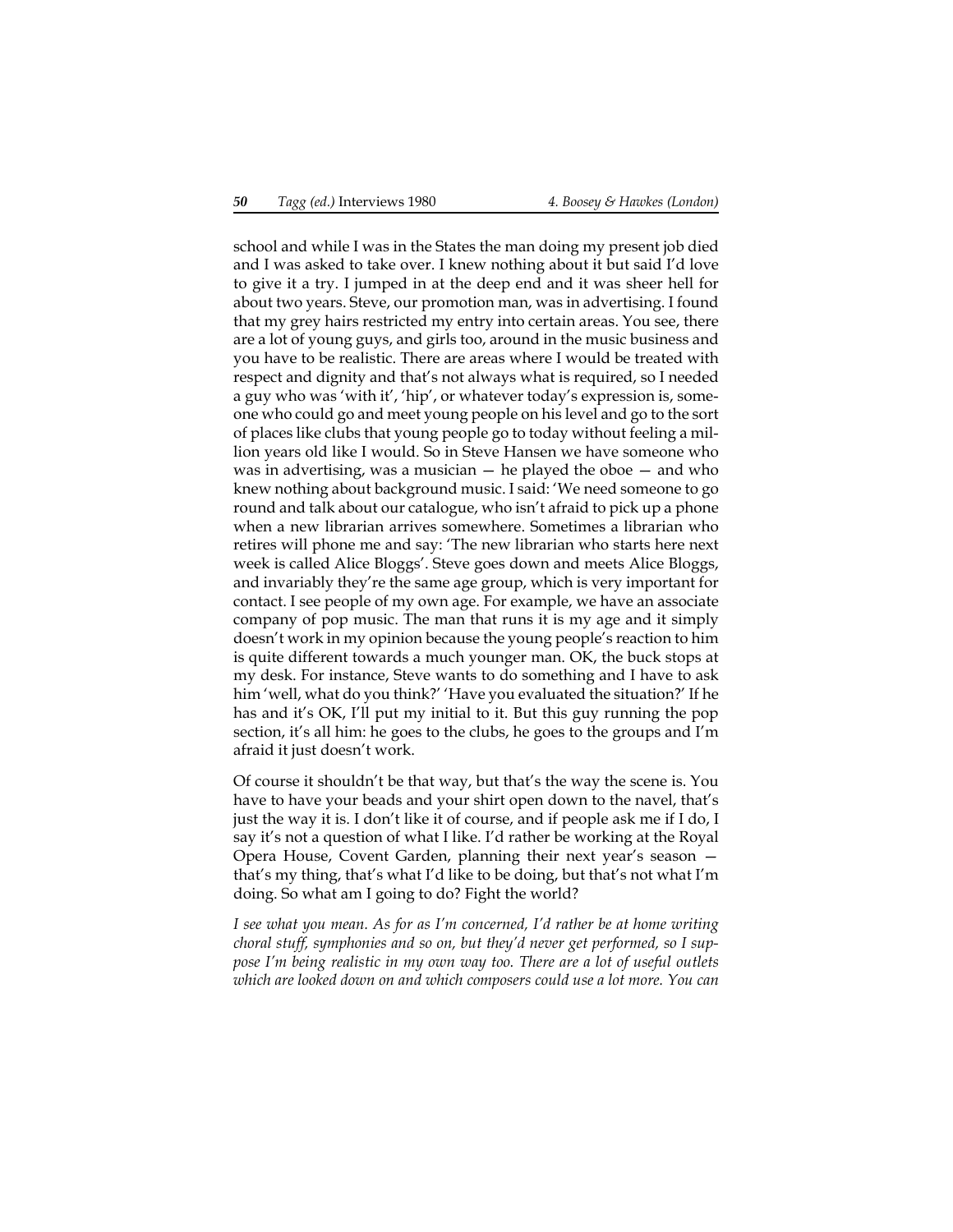school and while I was in the States the man doing my present job died and I was asked to take over. I knew nothing about it but said I'd love to give it a try. I jumped in at the deep end and it was sheer hell for about two years. Steve, our promotion man, was in advertising. I found that my grey hairs restricted my entry into certain areas. You see, there are a lot of young guys, and girls too, around in the music business and you have to be realistic. There are areas where I would be treated with respect and dignity and that's not always what is required, so I needed a guy who was 'with it', 'hip', or whatever today's expression is, someone who could go and meet young people on his level and go to the sort of places like clubs that young people go to today without feeling a million years old like I would. So in Steve Hansen we have someone who was in advertising, was a musician  $-$  he played the oboe  $-$  and who knew nothing about background music. I said: 'We need someone to go round and talk about our catalogue, who isn't afraid to pick up a phone when a new librarian arrives somewhere. Sometimes a librarian who retires will phone me and say: 'The new librarian who starts here next week is called Alice Bloggs'. Steve goes down and meets Alice Bloggs, and invariably they're the same age group, which is very important for contact. I see people of my own age. For example, we have an associate company of pop music. The man that runs it is my age and it simply doesn't work in my opinion because the young people's reaction to him is quite different towards a much younger man. OK, the buck stops at my desk. For instance, Steve wants to do something and I have to ask him 'well, what do you think?' 'Have you evaluated the situation?' If he has and it's OK, I'll put my initial to it. But this guy running the pop section, it's all him: he goes to the clubs, he goes to the groups and I'm afraid it just doesn't work.

Of course it shouldn't be that way, but that's the way the scene is. You have to have your beads and your shirt open down to the navel, that's just the way it is. I don't like it of course, and if people ask me if I do, I say it's not a question of what I like. I'd rather be working at the Royal Opera House, Covent Garden, planning their next year's season that's my thing, that's what I'd like to be doing, but that's not what I'm doing. So what am I going to do? Fight the world?

*I see what you mean. As for as I'm concerned, I'd rather be at home writing choral stuff, symphonies and so on, but they'd never get performed, so I suppose I'm being realistic in my own way too. There are a lot of useful outlets which are looked down on and which composers could use a lot more. You can*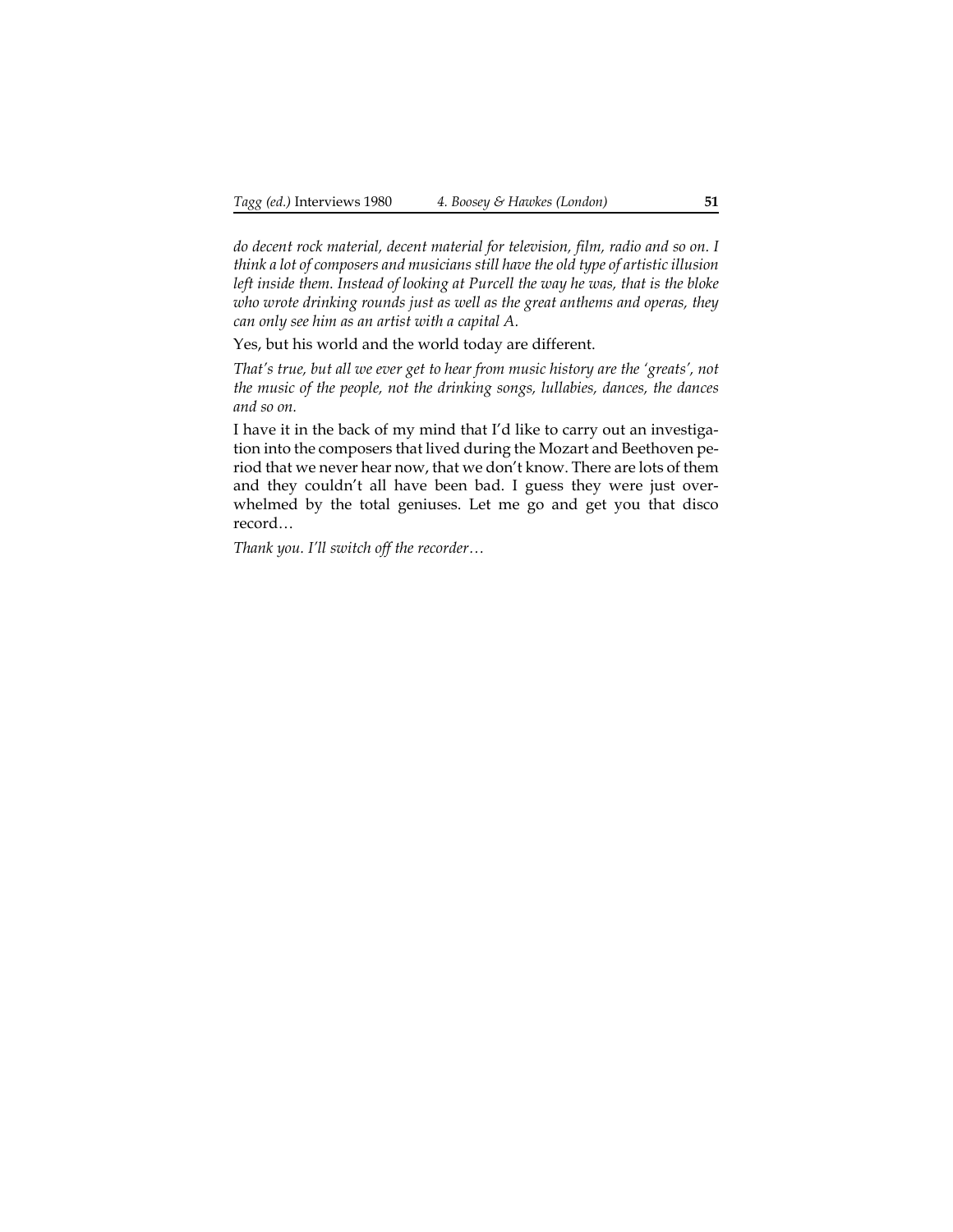*do decent rock material, decent material for television, film, radio and so on. I think a lot of composers and musicians still have the old type of artistic illusion left inside them. Instead of looking at Purcell the way he was, that is the bloke who wrote drinking rounds just as well as the great anthems and operas, they can only see him as an artist with a capital A.*

Yes, but his world and the world today are different.

*That's true, but all we ever get to hear from music history are the 'greats', not the music of the people, not the drinking songs, lullabies, dances, the dances and so on.*

I have it in the back of my mind that I'd like to carry out an investigation into the composers that lived during the Mozart and Beethoven period that we never hear now, that we don't know. There are lots of them and they couldn't all have been bad. I guess they were just overwhelmed by the total geniuses. Let me go and get you that disco record…

*Thank you. I'll switch off the recorder…*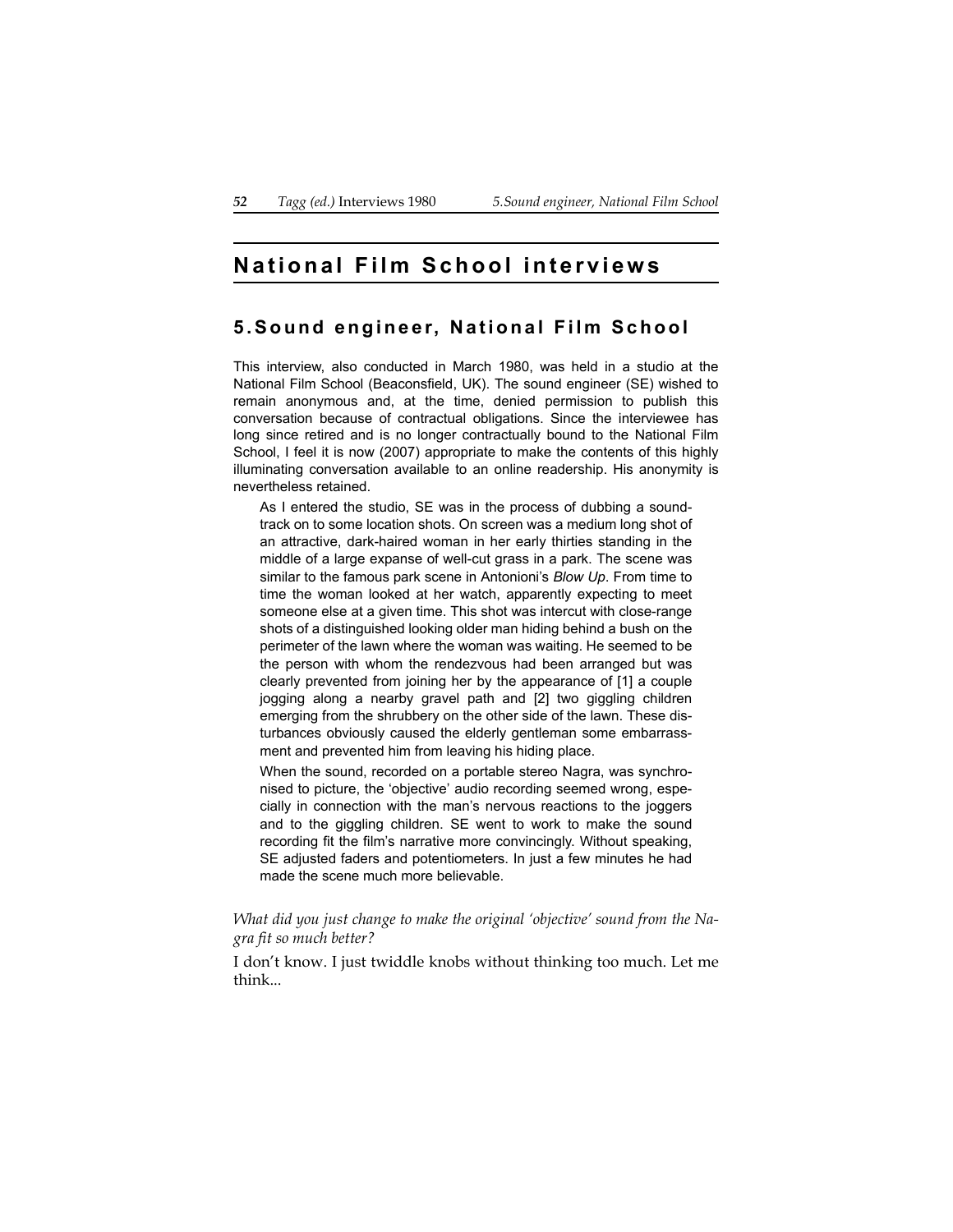# **National Film School interviews**

## **5.Sound engineer, Na tional Film School**

This interview, also conducted in March 1980, was held in a studio at the National Film School (Beaconsfield, UK). The sound engineer (SE) wished to remain anonymous and, at the time, denied permission to publish this conversation because of contractual obligations. Since the interviewee has long since retired and is no longer contractually bound to the National Film School, I feel it is now (2007) appropriate to make the contents of this highly illuminating conversation available to an online readership. His anonymity is nevertheless retained.

As I entered the studio, SE was in the process of dubbing a soundtrack on to some location shots. On screen was a medium long shot of an attractive, dark-haired woman in her early thirties standing in the middle of a large expanse of well-cut grass in a park. The scene was similar to the famous park scene in Antonioni's *Blow Up*. From time to time the woman looked at her watch, apparently expecting to meet someone else at a given time. This shot was intercut with close-range shots of a distinguished looking older man hiding behind a bush on the perimeter of the lawn where the woman was waiting. He seemed to be the person with whom the rendezvous had been arranged but was clearly prevented from joining her by the appearance of [1] a couple jogging along a nearby gravel path and [2] two giggling children emerging from the shrubbery on the other side of the lawn. These disturbances obviously caused the elderly gentleman some embarrassment and prevented him from leaving his hiding place.

When the sound, recorded on a portable stereo Nagra, was synchronised to picture, the 'objective' audio recording seemed wrong, especially in connection with the man's nervous reactions to the joggers and to the giggling children. SE went to work to make the sound recording fit the film's narrative more convincingly. Without speaking, SE adjusted faders and potentiometers. In just a few minutes he had made the scene much more believable.

*What did you just change to make the original 'objective' sound from the Nagra fit so much better?*

I don't know. I just twiddle knobs without thinking too much. Let me think...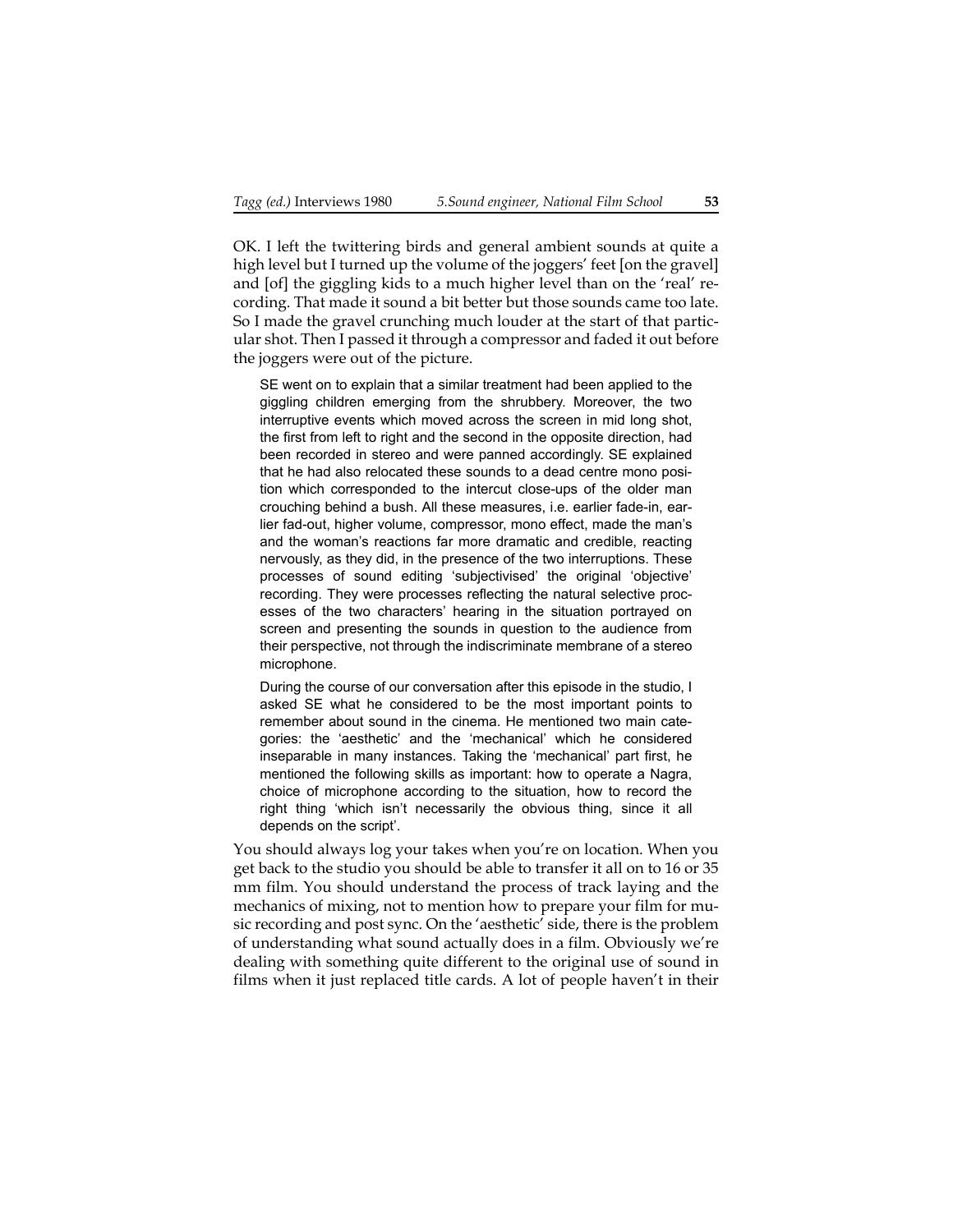OK. I left the twittering birds and general ambient sounds at quite a high level but I turned up the volume of the joggers' feet [on the gravel] and [of] the giggling kids to a much higher level than on the 'real' recording. That made it sound a bit better but those sounds came too late. So I made the gravel crunching much louder at the start of that particular shot. Then I passed it through a compressor and faded it out before the joggers were out of the picture.

SE went on to explain that a similar treatment had been applied to the giggling children emerging from the shrubbery. Moreover, the two interruptive events which moved across the screen in mid long shot, the first from left to right and the second in the opposite direction, had been recorded in stereo and were panned accordingly. SE explained that he had also relocated these sounds to a dead centre mono position which corresponded to the intercut close-ups of the older man crouching behind a bush. All these measures, i.e. earlier fade-in, earlier fad-out, higher volume, compressor, mono effect, made the man's and the woman's reactions far more dramatic and credible, reacting nervously, as they did, in the presence of the two interruptions. These processes of sound editing 'subjectivised' the original 'objective' recording. They were processes reflecting the natural selective processes of the two characters' hearing in the situation portrayed on screen and presenting the sounds in question to the audience from their perspective, not through the indiscriminate membrane of a stereo microphone.

During the course of our conversation after this episode in the studio, I asked SE what he considered to be the most important points to remember about sound in the cinema. He mentioned two main categories: the 'aesthetic' and the 'mechanical' which he considered inseparable in many instances. Taking the 'mechanical' part first, he mentioned the following skills as important: how to operate a Nagra, choice of microphone according to the situation, how to record the right thing 'which isn't necessarily the obvious thing, since it all depends on the script'.

You should always log your takes when you're on location. When you get back to the studio you should be able to transfer it all on to 16 or 35 mm film. You should understand the process of track laying and the mechanics of mixing, not to mention how to prepare your film for music recording and post sync. On the 'aesthetic' side, there is the problem of understanding what sound actually does in a film. Obviously we're dealing with something quite different to the original use of sound in films when it just replaced title cards. A lot of people haven't in their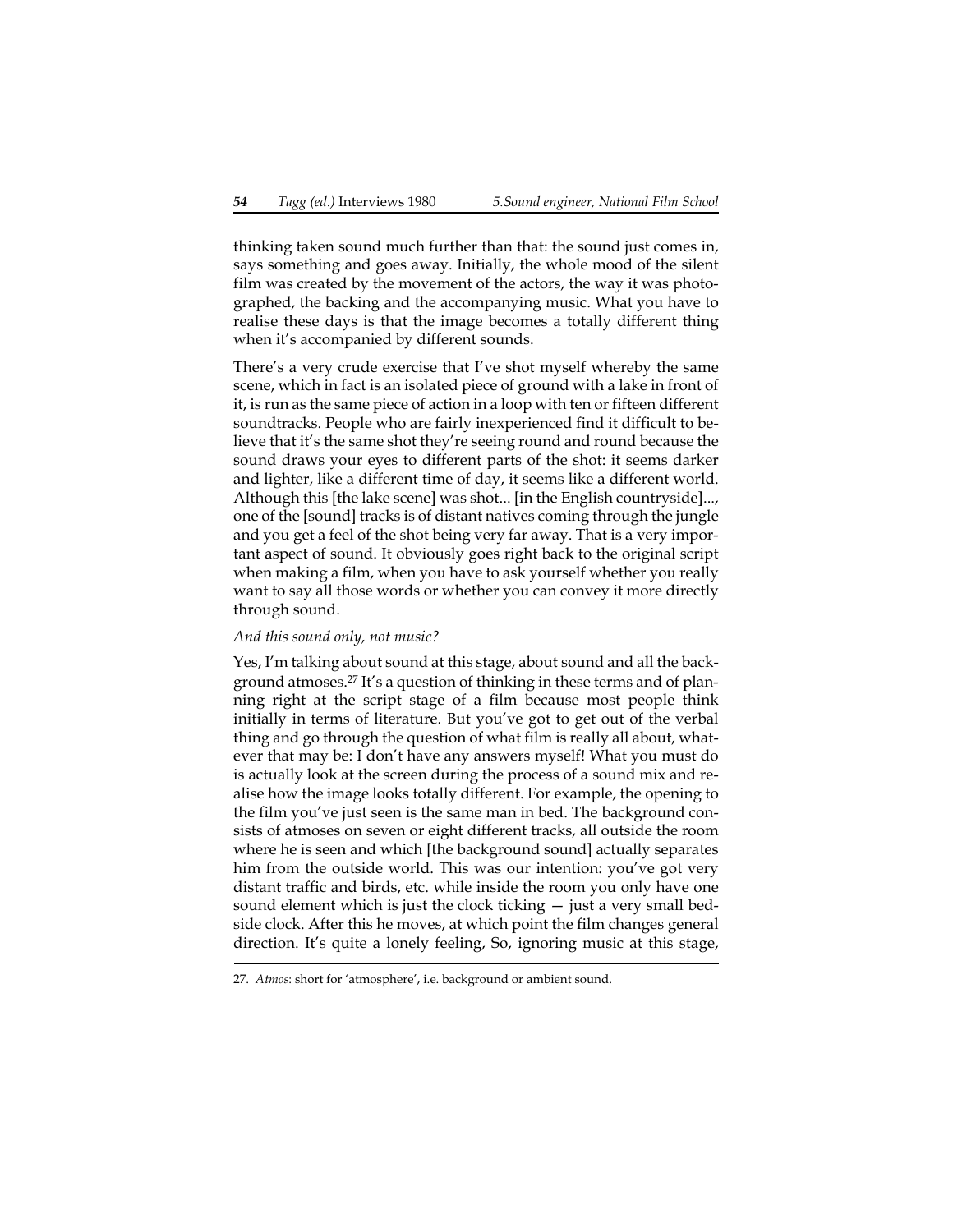thinking taken sound much further than that: the sound just comes in, says something and goes away. Initially, the whole mood of the silent film was created by the movement of the actors, the way it was photographed, the backing and the accompanying music. What you have to realise these days is that the image becomes a totally different thing when it's accompanied by different sounds.

There's a very crude exercise that I've shot myself whereby the same scene, which in fact is an isolated piece of ground with a lake in front of it, is run as the same piece of action in a loop with ten or fifteen different soundtracks. People who are fairly inexperienced find it difficult to believe that it's the same shot they're seeing round and round because the sound draws your eyes to different parts of the shot: it seems darker and lighter, like a different time of day, it seems like a different world. Although this [the lake scene] was shot... [in the English countryside]..., one of the [sound] tracks is of distant natives coming through the jungle and you get a feel of the shot being very far away. That is a very important aspect of sound. It obviously goes right back to the original script when making a film, when you have to ask yourself whether you really want to say all those words or whether you can convey it more directly through sound.

### *And this sound only, not music?*

Yes, I'm talking about sound at this stage, about sound and all the background atmoses.27 It's a question of thinking in these terms and of planning right at the script stage of a film because most people think initially in terms of literature. But you've got to get out of the verbal thing and go through the question of what film is really all about, whatever that may be: I don't have any answers myself! What you must do is actually look at the screen during the process of a sound mix and realise how the image looks totally different. For example, the opening to the film you've just seen is the same man in bed. The background consists of atmoses on seven or eight different tracks, all outside the room where he is seen and which [the background sound] actually separates him from the outside world. This was our intention: you've got very distant traffic and birds, etc. while inside the room you only have one sound element which is just the clock ticking — just a very small bedside clock. After this he moves, at which point the film changes general direction. It's quite a lonely feeling, So, ignoring music at this stage,

<sup>27.</sup> *Atmos*: short for 'atmosphere', i.e. background or ambient sound.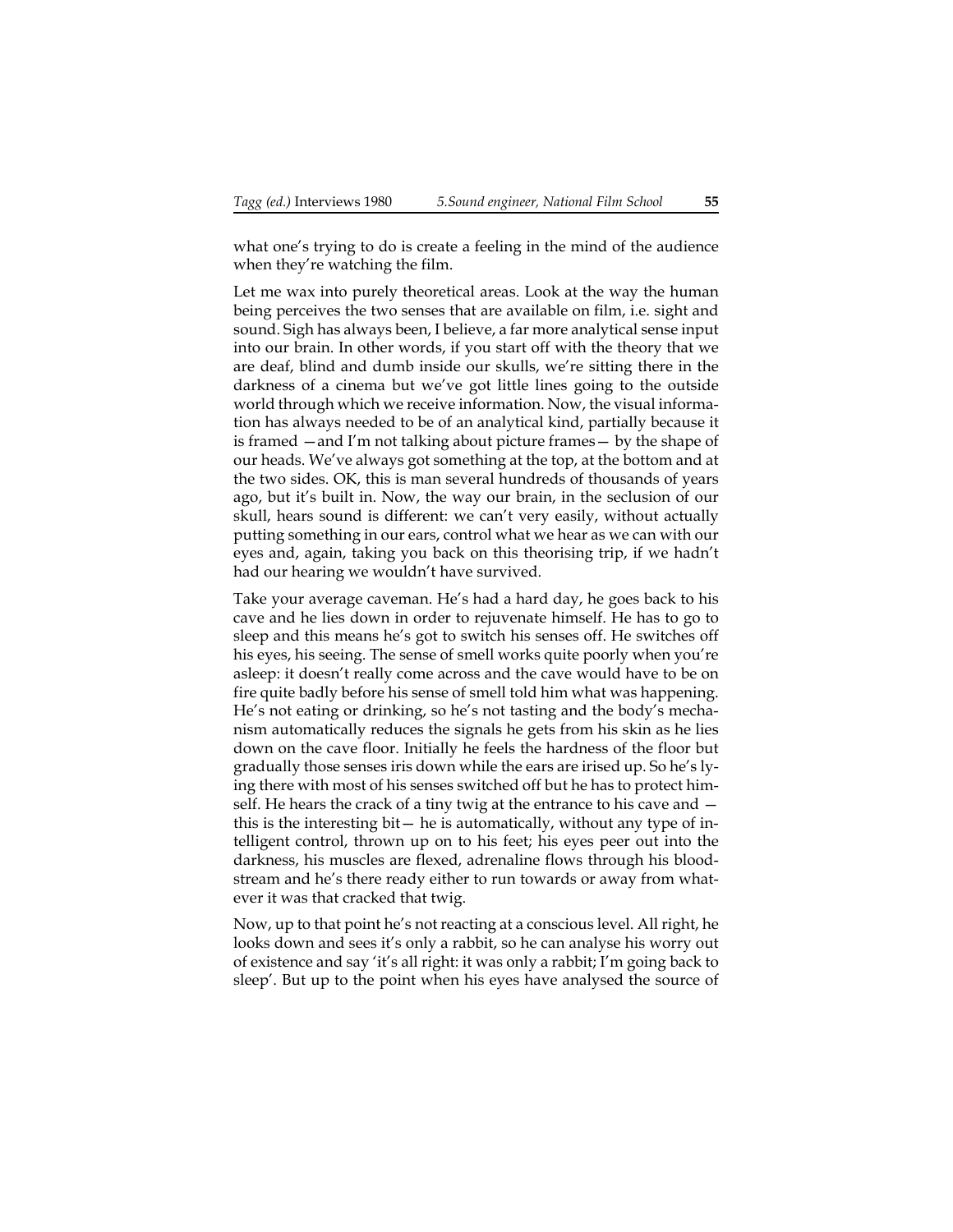what one's trying to do is create a feeling in the mind of the audience when they're watching the film.

Let me wax into purely theoretical areas. Look at the way the human being perceives the two senses that are available on film, i.e. sight and sound. Sigh has always been, I believe, a far more analytical sense input into our brain. In other words, if you start off with the theory that we are deaf, blind and dumb inside our skulls, we're sitting there in the darkness of a cinema but we've got little lines going to the outside world through which we receive information. Now, the visual information has always needed to be of an analytical kind, partially because it is framed —and I'm not talking about picture frames— by the shape of our heads. We've always got something at the top, at the bottom and at the two sides. OK, this is man several hundreds of thousands of years ago, but it's built in. Now, the way our brain, in the seclusion of our skull, hears sound is different: we can't very easily, without actually putting something in our ears, control what we hear as we can with our eyes and, again, taking you back on this theorising trip, if we hadn't had our hearing we wouldn't have survived.

Take your average caveman. He's had a hard day, he goes back to his cave and he lies down in order to rejuvenate himself. He has to go to sleep and this means he's got to switch his senses off. He switches off his eyes, his seeing. The sense of smell works quite poorly when you're asleep: it doesn't really come across and the cave would have to be on fire quite badly before his sense of smell told him what was happening. He's not eating or drinking, so he's not tasting and the body's mechanism automatically reduces the signals he gets from his skin as he lies down on the cave floor. Initially he feels the hardness of the floor but gradually those senses iris down while the ears are irised up. So he's lying there with most of his senses switched off but he has to protect himself. He hears the crack of a tiny twig at the entrance to his cave and this is the interesting bit— he is automatically, without any type of intelligent control, thrown up on to his feet; his eyes peer out into the darkness, his muscles are flexed, adrenaline flows through his bloodstream and he's there ready either to run towards or away from whatever it was that cracked that twig.

Now, up to that point he's not reacting at a conscious level. All right, he looks down and sees it's only a rabbit, so he can analyse his worry out of existence and say 'it's all right: it was only a rabbit; I'm going back to sleep'. But up to the point when his eyes have analysed the source of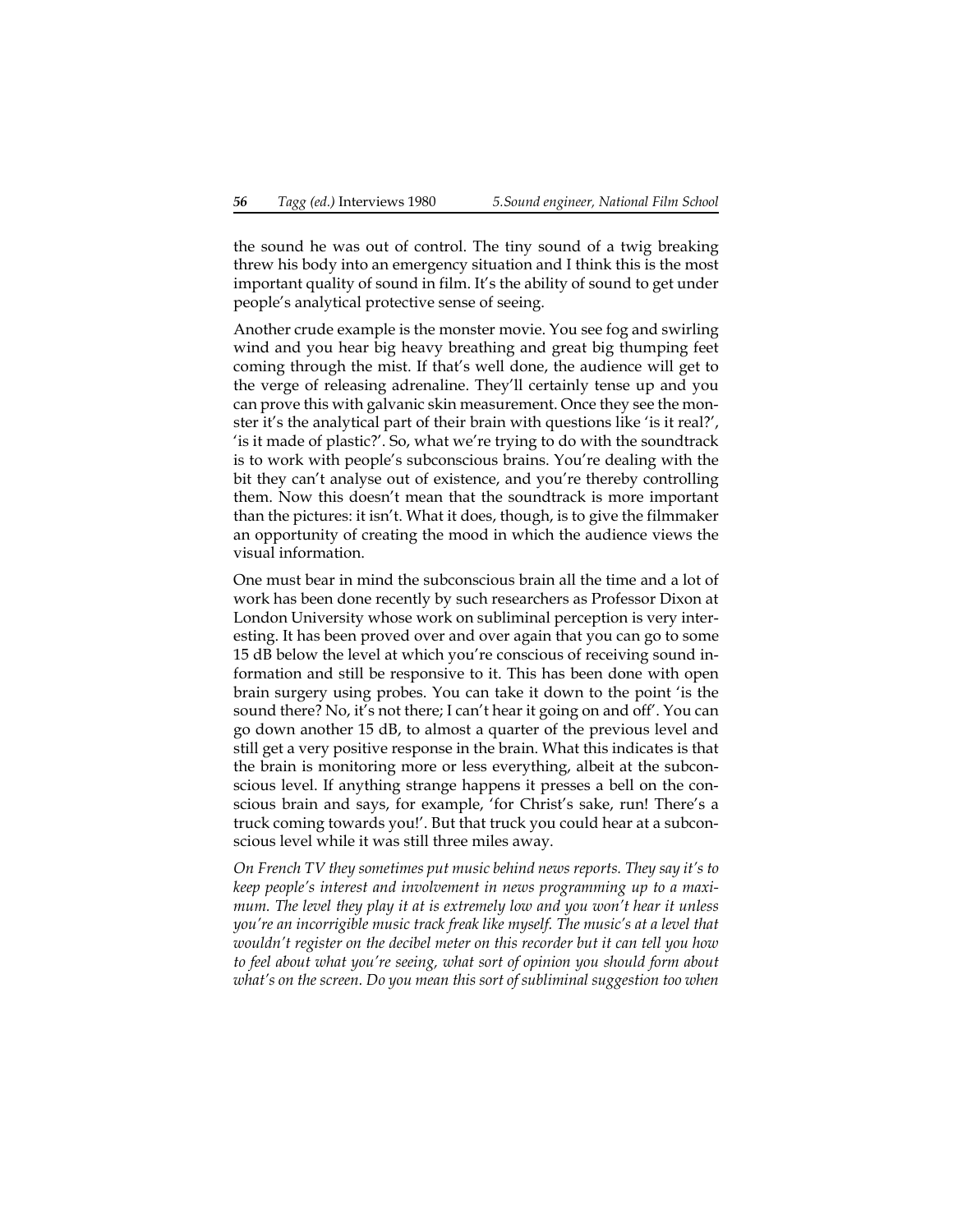the sound he was out of control. The tiny sound of a twig breaking threw his body into an emergency situation and I think this is the most important quality of sound in film. It's the ability of sound to get under people's analytical protective sense of seeing.

Another crude example is the monster movie. You see fog and swirling wind and you hear big heavy breathing and great big thumping feet coming through the mist. If that's well done, the audience will get to the verge of releasing adrenaline. They'll certainly tense up and you can prove this with galvanic skin measurement. Once they see the monster it's the analytical part of their brain with questions like 'is it real?', 'is it made of plastic?'. So, what we're trying to do with the soundtrack is to work with people's subconscious brains. You're dealing with the bit they can't analyse out of existence, and you're thereby controlling them. Now this doesn't mean that the soundtrack is more important than the pictures: it isn't. What it does, though, is to give the filmmaker an opportunity of creating the mood in which the audience views the visual information.

One must bear in mind the subconscious brain all the time and a lot of work has been done recently by such researchers as Professor Dixon at London University whose work on subliminal perception is very interesting. It has been proved over and over again that you can go to some 15 dB below the level at which you're conscious of receiving sound information and still be responsive to it. This has been done with open brain surgery using probes. You can take it down to the point 'is the sound there? No, it's not there; I can't hear it going on and off'. You can go down another 15 dB, to almost a quarter of the previous level and still get a very positive response in the brain. What this indicates is that the brain is monitoring more or less everything, albeit at the subconscious level. If anything strange happens it presses a bell on the conscious brain and says, for example, 'for Christ's sake, run! There's a truck coming towards you!'. But that truck you could hear at a subconscious level while it was still three miles away.

*On French TV they sometimes put music behind news reports. They say it's to keep people's interest and involvement in news programming up to a maximum. The level they play it at is extremely low and you won't hear it unless you're an incorrigible music track freak like myself. The music's at a level that wouldn't register on the decibel meter on this recorder but it can tell you how to feel about what you're seeing, what sort of opinion you should form about what's on the screen. Do you mean this sort of subliminal suggestion too when*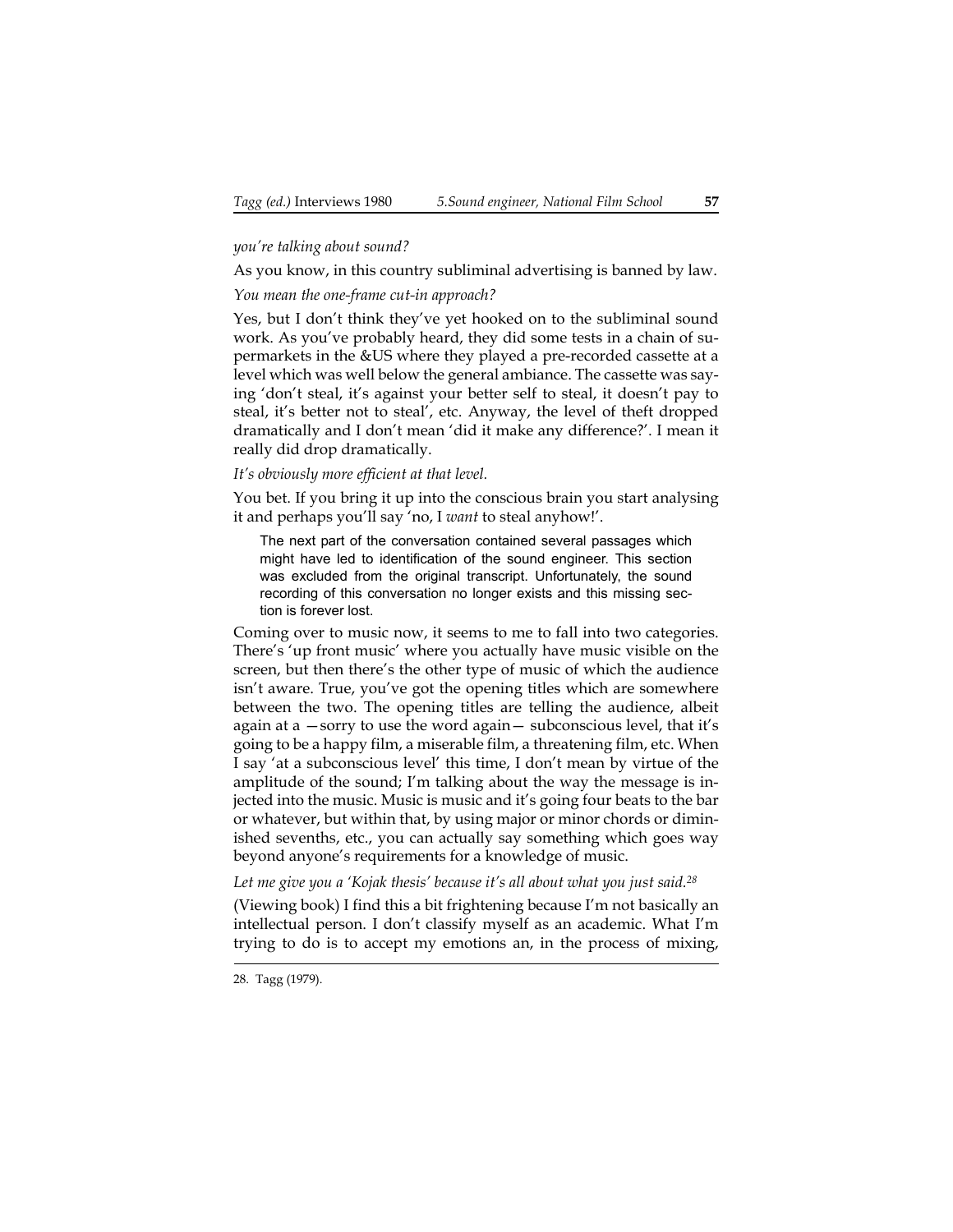## *you're talking about sound?*

As you know, in this country subliminal advertising is banned by law. *You mean the one-frame cut-in approach?*

Yes, but I don't think they've yet hooked on to the subliminal sound work. As you've probably heard, they did some tests in a chain of supermarkets in the &US where they played a pre-recorded cassette at a level which was well below the general ambiance. The cassette was saying 'don't steal, it's against your better self to steal, it doesn't pay to steal, it's better not to steal', etc. Anyway, the level of theft dropped dramatically and I don't mean 'did it make any difference?'. I mean it really did drop dramatically.

*It's obviously more efficient at that level.*

You bet. If you bring it up into the conscious brain you start analysing it and perhaps you'll say 'no, I *want* to steal anyhow!'.

The next part of the conversation contained several passages which might have led to identification of the sound engineer. This section was excluded from the original transcript. Unfortunately, the sound recording of this conversation no longer exists and this missing section is forever lost.

Coming over to music now, it seems to me to fall into two categories. There's 'up front music' where you actually have music visible on the screen, but then there's the other type of music of which the audience isn't aware. True, you've got the opening titles which are somewhere between the two. The opening titles are telling the audience, albeit again at a —sorry to use the word again— subconscious level, that it's going to be a happy film, a miserable film, a threatening film, etc. When I say 'at a subconscious level' this time, I don't mean by virtue of the amplitude of the sound; I'm talking about the way the message is injected into the music. Music is music and it's going four beats to the bar or whatever, but within that, by using major or minor chords or diminished sevenths, etc., you can actually say something which goes way beyond anyone's requirements for a knowledge of music.

*Let me give you a 'Kojak thesis' because it's all about what you just said.28*

(Viewing book) I find this a bit frightening because I'm not basically an intellectual person. I don't classify myself as an academic. What I'm trying to do is to accept my emotions an, in the process of mixing,

<sup>28.</sup> Tagg (1979).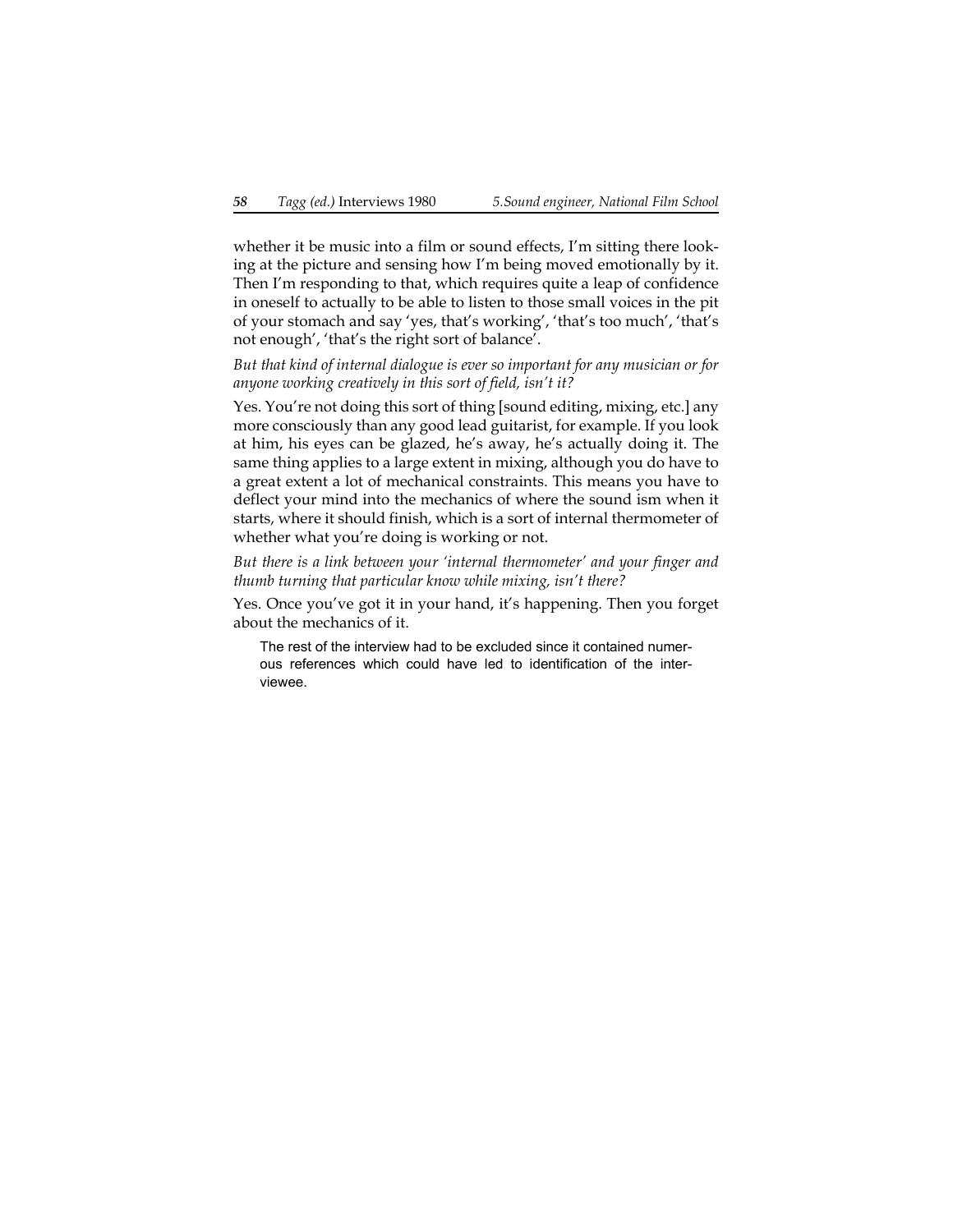whether it be music into a film or sound effects, I'm sitting there looking at the picture and sensing how I'm being moved emotionally by it. Then I'm responding to that, which requires quite a leap of confidence in oneself to actually to be able to listen to those small voices in the pit of your stomach and say 'yes, that's working', 'that's too much', 'that's not enough', 'that's the right sort of balance'.

*But that kind of internal dialogue is ever so important for any musician or for anyone working creatively in this sort of field, isn't it?*

Yes. You're not doing this sort of thing [sound editing, mixing, etc.] any more consciously than any good lead guitarist, for example. If you look at him, his eyes can be glazed, he's away, he's actually doing it. The same thing applies to a large extent in mixing, although you do have to a great extent a lot of mechanical constraints. This means you have to deflect your mind into the mechanics of where the sound ism when it starts, where it should finish, which is a sort of internal thermometer of whether what you're doing is working or not.

*But there is a link between your 'internal thermometer' and your finger and thumb turning that particular know while mixing, isn't there?*

Yes. Once you've got it in your hand, it's happening. Then you forget about the mechanics of it.

The rest of the interview had to be excluded since it contained numerous references which could have led to identification of the interviewee.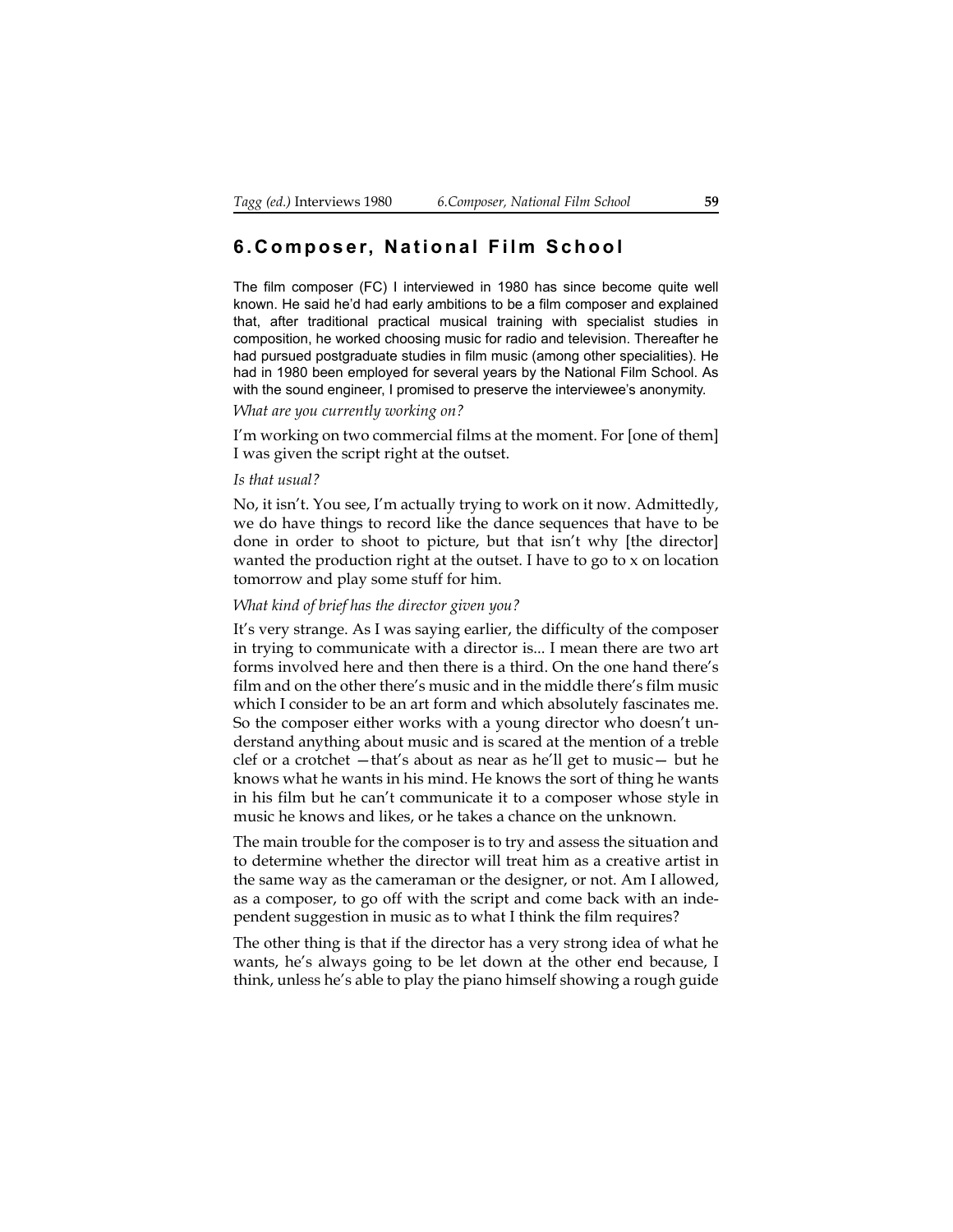## **6.Composer, National Film School**

The film composer (FC) I interviewed in 1980 has since become quite well known. He said he'd had early ambitions to be a film composer and explained that, after traditional practical musical training with specialist studies in composition, he worked choosing music for radio and television. Thereafter he had pursued postgraduate studies in film music (among other specialities). He had in 1980 been employed for several years by the National Film School. As with the sound engineer, I promised to preserve the interviewee's anonymity.

*What are you currently working on?*

I'm working on two commercial films at the moment. For [one of them] I was given the script right at the outset.

### *Is that usual?*

No, it isn't. You see, I'm actually trying to work on it now. Admittedly, we do have things to record like the dance sequences that have to be done in order to shoot to picture, but that isn't why [the director] wanted the production right at the outset. I have to go to x on location tomorrow and play some stuff for him.

### *What kind of brief has the director given you?*

It's very strange. As I was saying earlier, the difficulty of the composer in trying to communicate with a director is... I mean there are two art forms involved here and then there is a third. On the one hand there's film and on the other there's music and in the middle there's film music which I consider to be an art form and which absolutely fascinates me. So the composer either works with a young director who doesn't understand anything about music and is scared at the mention of a treble clef or a crotchet —that's about as near as he'll get to music— but he knows what he wants in his mind. He knows the sort of thing he wants in his film but he can't communicate it to a composer whose style in music he knows and likes, or he takes a chance on the unknown.

The main trouble for the composer is to try and assess the situation and to determine whether the director will treat him as a creative artist in the same way as the cameraman or the designer, or not. Am I allowed, as a composer, to go off with the script and come back with an independent suggestion in music as to what I think the film requires?

The other thing is that if the director has a very strong idea of what he wants, he's always going to be let down at the other end because, I think, unless he's able to play the piano himself showing a rough guide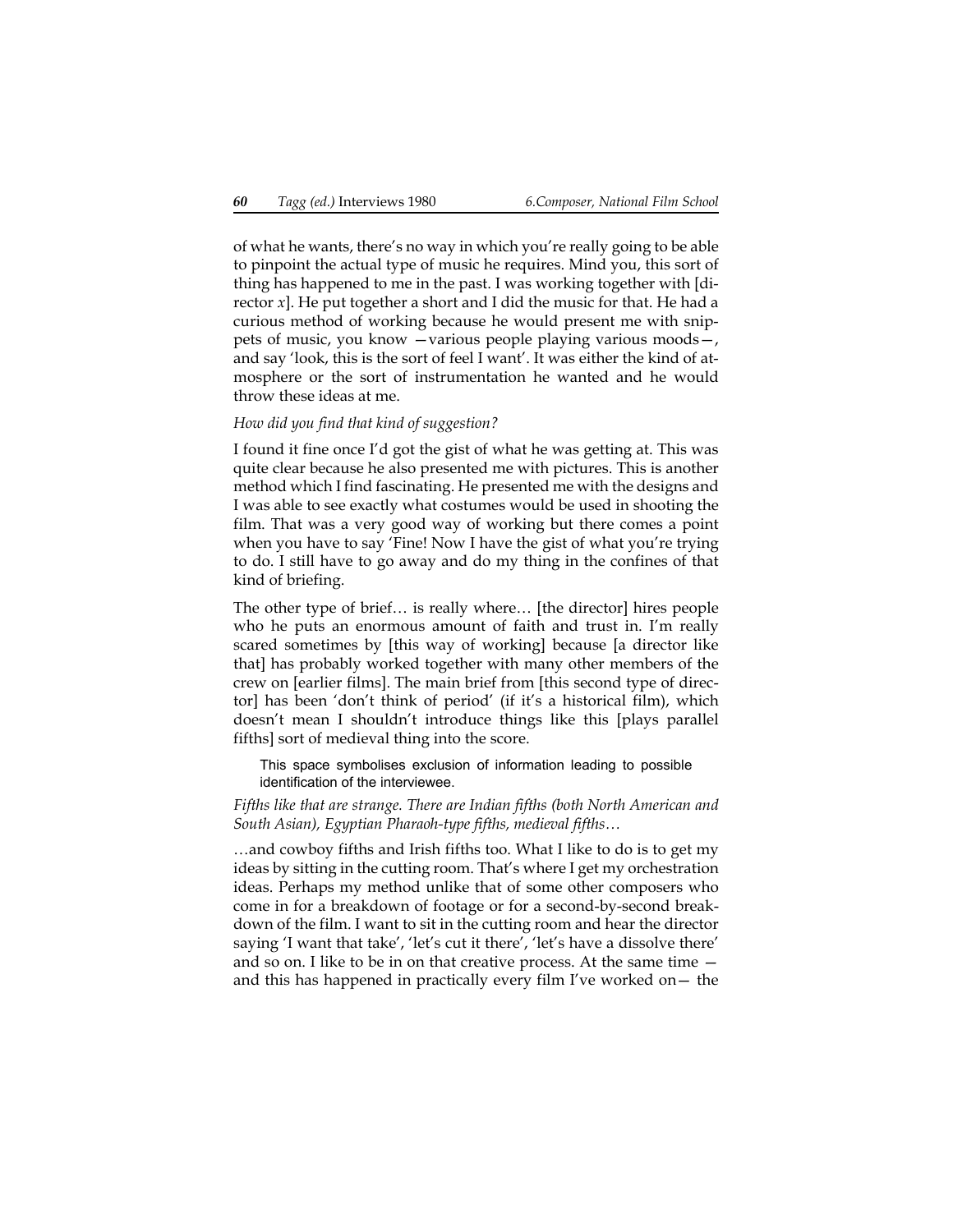of what he wants, there's no way in which you're really going to be able to pinpoint the actual type of music he requires. Mind you, this sort of thing has happened to me in the past. I was working together with [director *x*]. He put together a short and I did the music for that. He had a curious method of working because he would present me with snippets of music, you know —various people playing various moods—, and say 'look, this is the sort of feel I want'. It was either the kind of atmosphere or the sort of instrumentation he wanted and he would throw these ideas at me.

#### *How did you find that kind of suggestion?*

I found it fine once I'd got the gist of what he was getting at. This was quite clear because he also presented me with pictures. This is another method which I find fascinating. He presented me with the designs and I was able to see exactly what costumes would be used in shooting the film. That was a very good way of working but there comes a point when you have to say 'Fine! Now I have the gist of what you're trying to do. I still have to go away and do my thing in the confines of that kind of briefing.

The other type of brief… is really where… [the director] hires people who he puts an enormous amount of faith and trust in. I'm really scared sometimes by [this way of working] because [a director like that] has probably worked together with many other members of the crew on [earlier films]. The main brief from [this second type of director] has been 'don't think of period' (if it's a historical film), which doesn't mean I shouldn't introduce things like this [plays parallel fifths] sort of medieval thing into the score.

This space symbolises exclusion of information leading to possible identification of the interviewee.

*Fifths like that are strange. There are Indian fifths (both North American and South Asian), Egyptian Pharaoh-type fifths, medieval fifths…*

…and cowboy fifths and Irish fifths too. What I like to do is to get my ideas by sitting in the cutting room. That's where I get my orchestration ideas. Perhaps my method unlike that of some other composers who come in for a breakdown of footage or for a second-by-second breakdown of the film. I want to sit in the cutting room and hear the director saying 'I want that take', 'let's cut it there', 'let's have a dissolve there' and so on. I like to be in on that creative process. At the same time and this has happened in practically every film I've worked on— the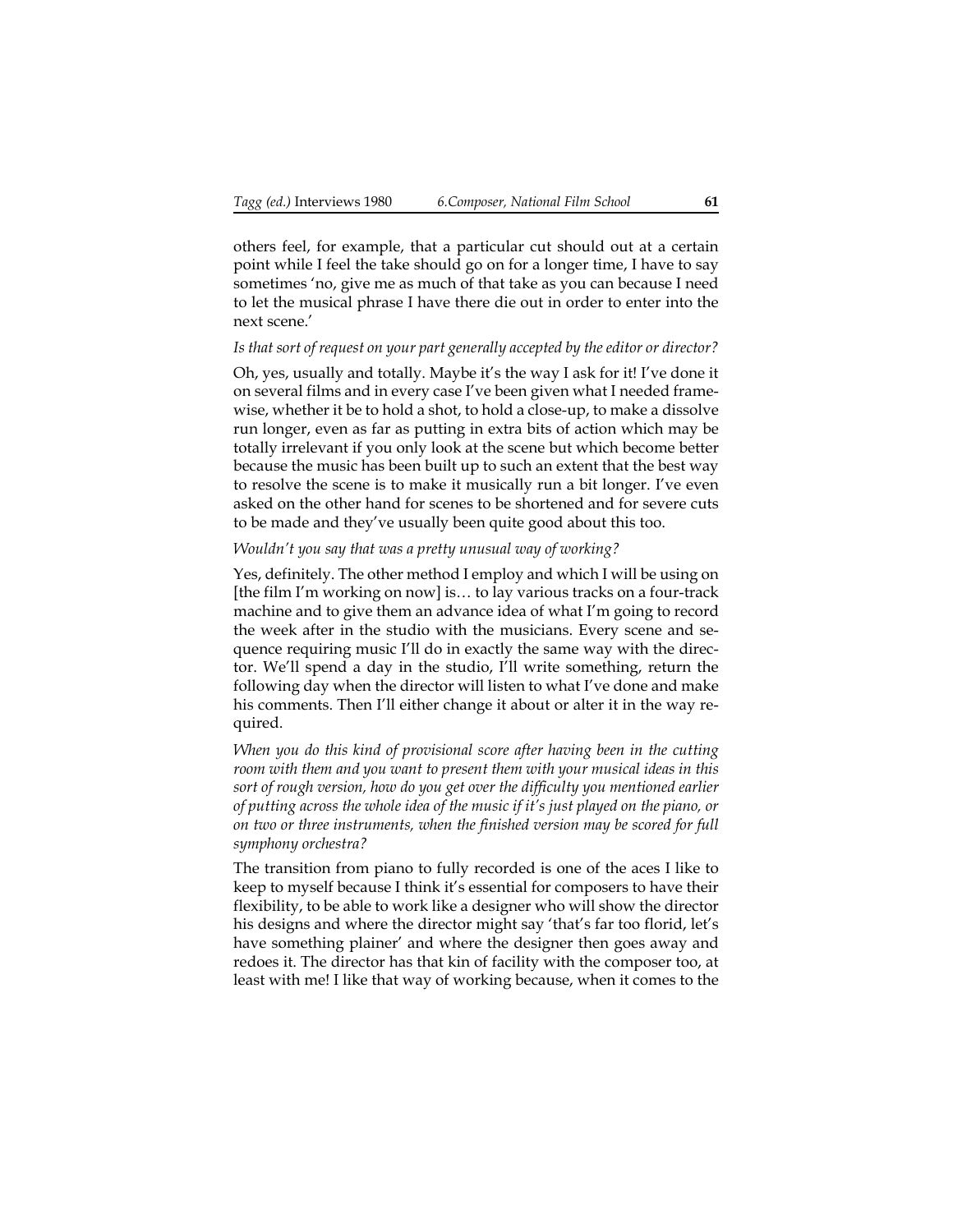others feel, for example, that a particular cut should out at a certain point while I feel the take should go on for a longer time, I have to say sometimes 'no, give me as much of that take as you can because I need to let the musical phrase I have there die out in order to enter into the next scene.'

## *Is that sort of request on your part generally accepted by the editor or director?*

Oh, yes, usually and totally. Maybe it's the way I ask for it! I've done it on several films and in every case I've been given what I needed framewise, whether it be to hold a shot, to hold a close-up, to make a dissolve run longer, even as far as putting in extra bits of action which may be totally irrelevant if you only look at the scene but which become better because the music has been built up to such an extent that the best way to resolve the scene is to make it musically run a bit longer. I've even asked on the other hand for scenes to be shortened and for severe cuts to be made and they've usually been quite good about this too.

### *Wouldn't you say that was a pretty unusual way of working?*

Yes, definitely. The other method I employ and which I will be using on [the film I'm working on now] is… to lay various tracks on a four-track machine and to give them an advance idea of what I'm going to record the week after in the studio with the musicians. Every scene and sequence requiring music I'll do in exactly the same way with the director. We'll spend a day in the studio, I'll write something, return the following day when the director will listen to what I've done and make his comments. Then I'll either change it about or alter it in the way required.

*When you do this kind of provisional score after having been in the cutting room with them and you want to present them with your musical ideas in this sort of rough version, how do you get over the difficulty you mentioned earlier of putting across the whole idea of the music if it's just played on the piano, or on two or three instruments, when the finished version may be scored for full symphony orchestra?*

The transition from piano to fully recorded is one of the aces I like to keep to myself because I think it's essential for composers to have their flexibility, to be able to work like a designer who will show the director his designs and where the director might say 'that's far too florid, let's have something plainer' and where the designer then goes away and redoes it. The director has that kin of facility with the composer too, at least with me! I like that way of working because, when it comes to the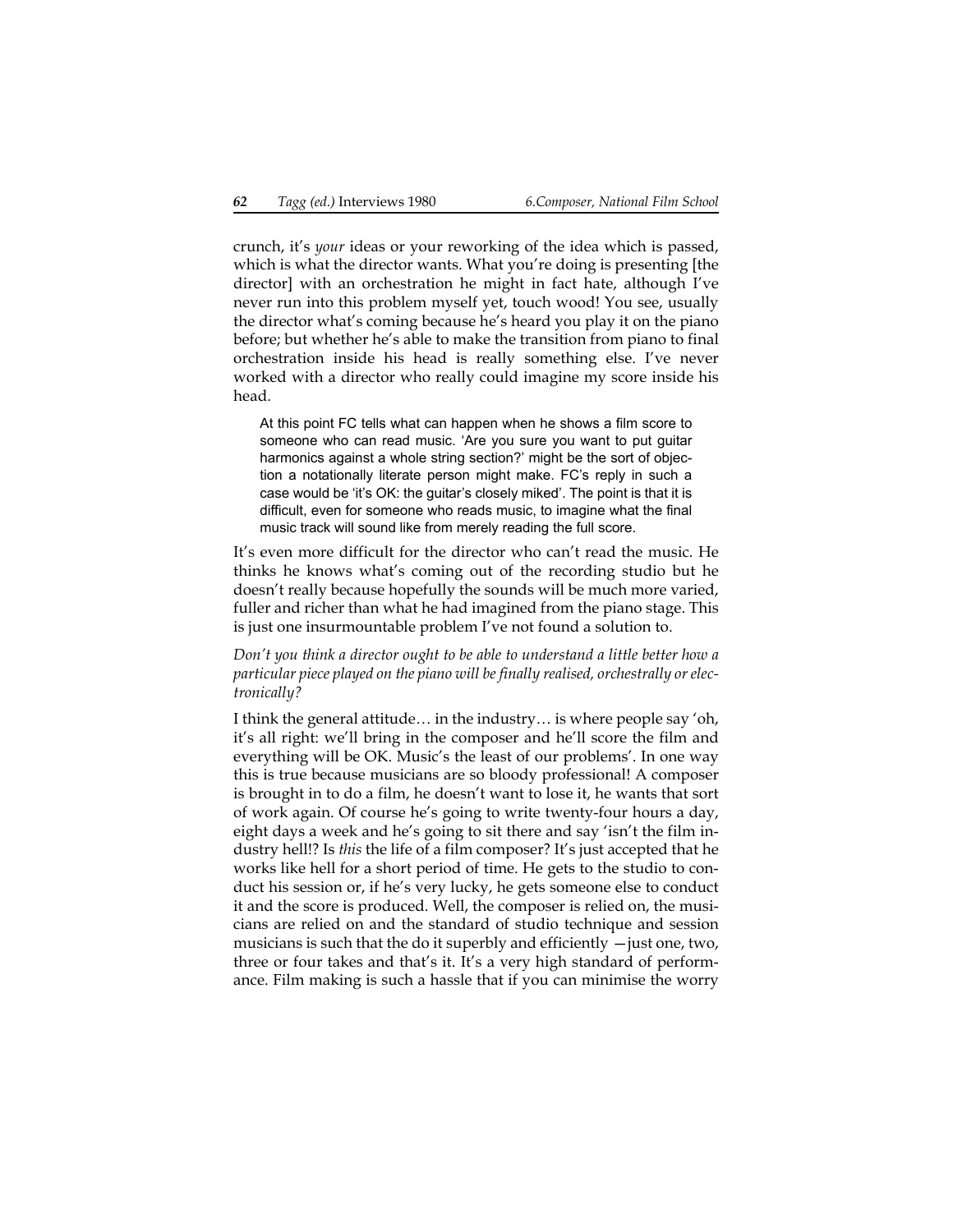crunch, it's *your* ideas or your reworking of the idea which is passed, which is what the director wants. What you're doing is presenting [the director] with an orchestration he might in fact hate, although I've never run into this problem myself yet, touch wood! You see, usually the director what's coming because he's heard you play it on the piano before; but whether he's able to make the transition from piano to final orchestration inside his head is really something else. I've never worked with a director who really could imagine my score inside his head.

At this point FC tells what can happen when he shows a film score to someone who can read music. 'Are you sure you want to put guitar harmonics against a whole string section?' might be the sort of objection a notationally literate person might make. FC's reply in such a case would be 'it's OK: the guitar's closely miked'. The point is that it is difficult, even for someone who reads music, to imagine what the final music track will sound like from merely reading the full score.

It's even more difficult for the director who can't read the music. He thinks he knows what's coming out of the recording studio but he doesn't really because hopefully the sounds will be much more varied, fuller and richer than what he had imagined from the piano stage. This is just one insurmountable problem I've not found a solution to.

*Don't you think a director ought to be able to understand a little better how a particular piece played on the piano will be finally realised, orchestrally or electronically?*

I think the general attitude… in the industry… is where people say 'oh, it's all right: we'll bring in the composer and he'll score the film and everything will be OK. Music's the least of our problems'. In one way this is true because musicians are so bloody professional! A composer is brought in to do a film, he doesn't want to lose it, he wants that sort of work again. Of course he's going to write twenty-four hours a day, eight days a week and he's going to sit there and say 'isn't the film industry hell!? Is *this* the life of a film composer? It's just accepted that he works like hell for a short period of time. He gets to the studio to conduct his session or, if he's very lucky, he gets someone else to conduct it and the score is produced. Well, the composer is relied on, the musicians are relied on and the standard of studio technique and session musicians is such that the do it superbly and efficiently  $-$  just one, two, three or four takes and that's it. It's a very high standard of performance. Film making is such a hassle that if you can minimise the worry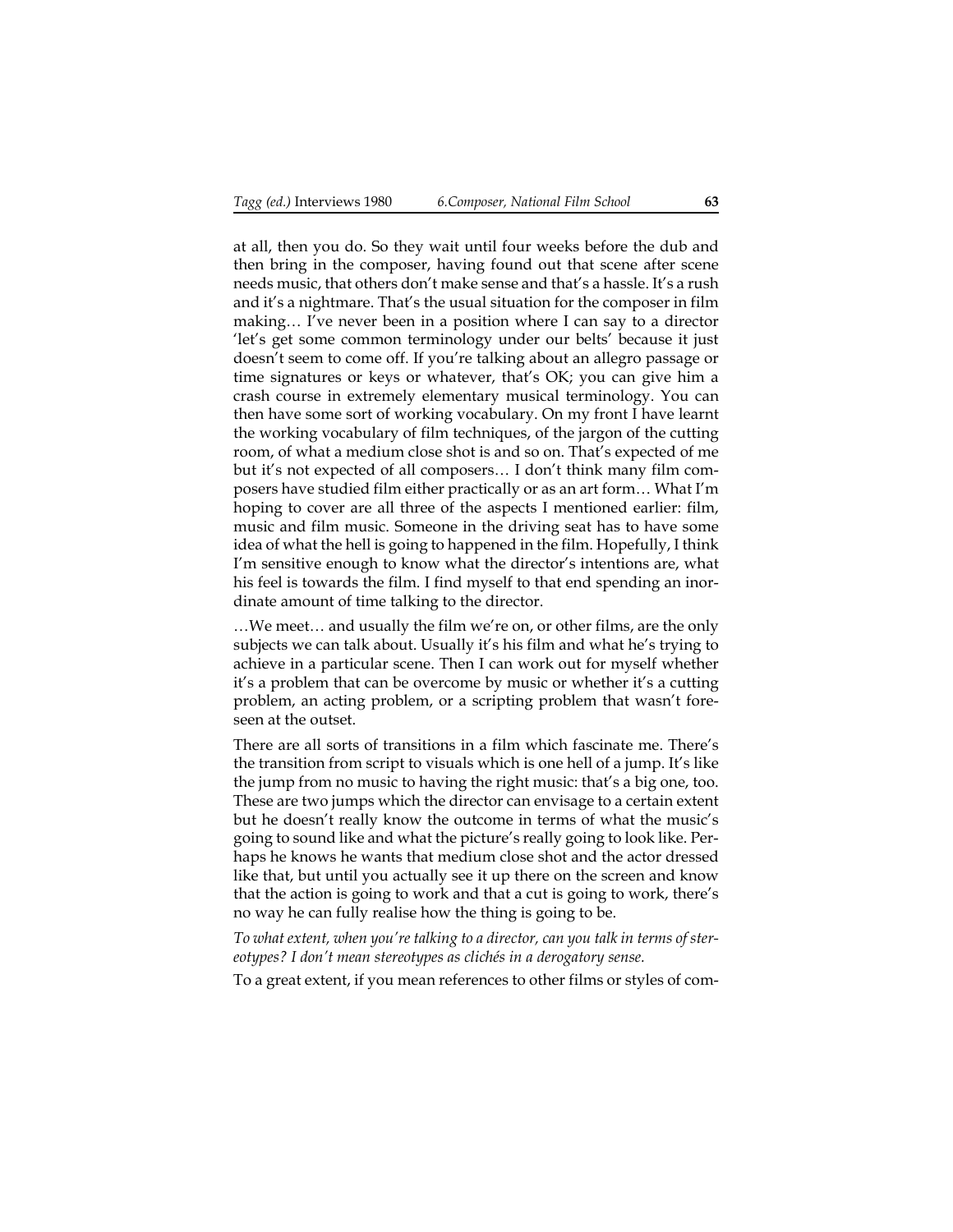at all, then you do. So they wait until four weeks before the dub and then bring in the composer, having found out that scene after scene needs music, that others don't make sense and that's a hassle. It's a rush and it's a nightmare. That's the usual situation for the composer in film making… I've never been in a position where I can say to a director 'let's get some common terminology under our belts' because it just doesn't seem to come off. If you're talking about an allegro passage or time signatures or keys or whatever, that's OK; you can give him a crash course in extremely elementary musical terminology. You can then have some sort of working vocabulary. On my front I have learnt the working vocabulary of film techniques, of the jargon of the cutting room, of what a medium close shot is and so on. That's expected of me but it's not expected of all composers… I don't think many film composers have studied film either practically or as an art form… What I'm hoping to cover are all three of the aspects I mentioned earlier: film, music and film music. Someone in the driving seat has to have some idea of what the hell is going to happened in the film. Hopefully, I think I'm sensitive enough to know what the director's intentions are, what his feel is towards the film. I find myself to that end spending an inordinate amount of time talking to the director.

…We meet… and usually the film we're on, or other films, are the only subjects we can talk about. Usually it's his film and what he's trying to achieve in a particular scene. Then I can work out for myself whether it's a problem that can be overcome by music or whether it's a cutting problem, an acting problem, or a scripting problem that wasn't foreseen at the outset.

There are all sorts of transitions in a film which fascinate me. There's the transition from script to visuals which is one hell of a jump. It's like the jump from no music to having the right music: that's a big one, too. These are two jumps which the director can envisage to a certain extent but he doesn't really know the outcome in terms of what the music's going to sound like and what the picture's really going to look like. Perhaps he knows he wants that medium close shot and the actor dressed like that, but until you actually see it up there on the screen and know that the action is going to work and that a cut is going to work, there's no way he can fully realise how the thing is going to be.

*To what extent, when you're talking to a director, can you talk in terms of stereotypes? I don't mean stereotypes as clichés in a derogatory sense.*

To a great extent, if you mean references to other films or styles of com-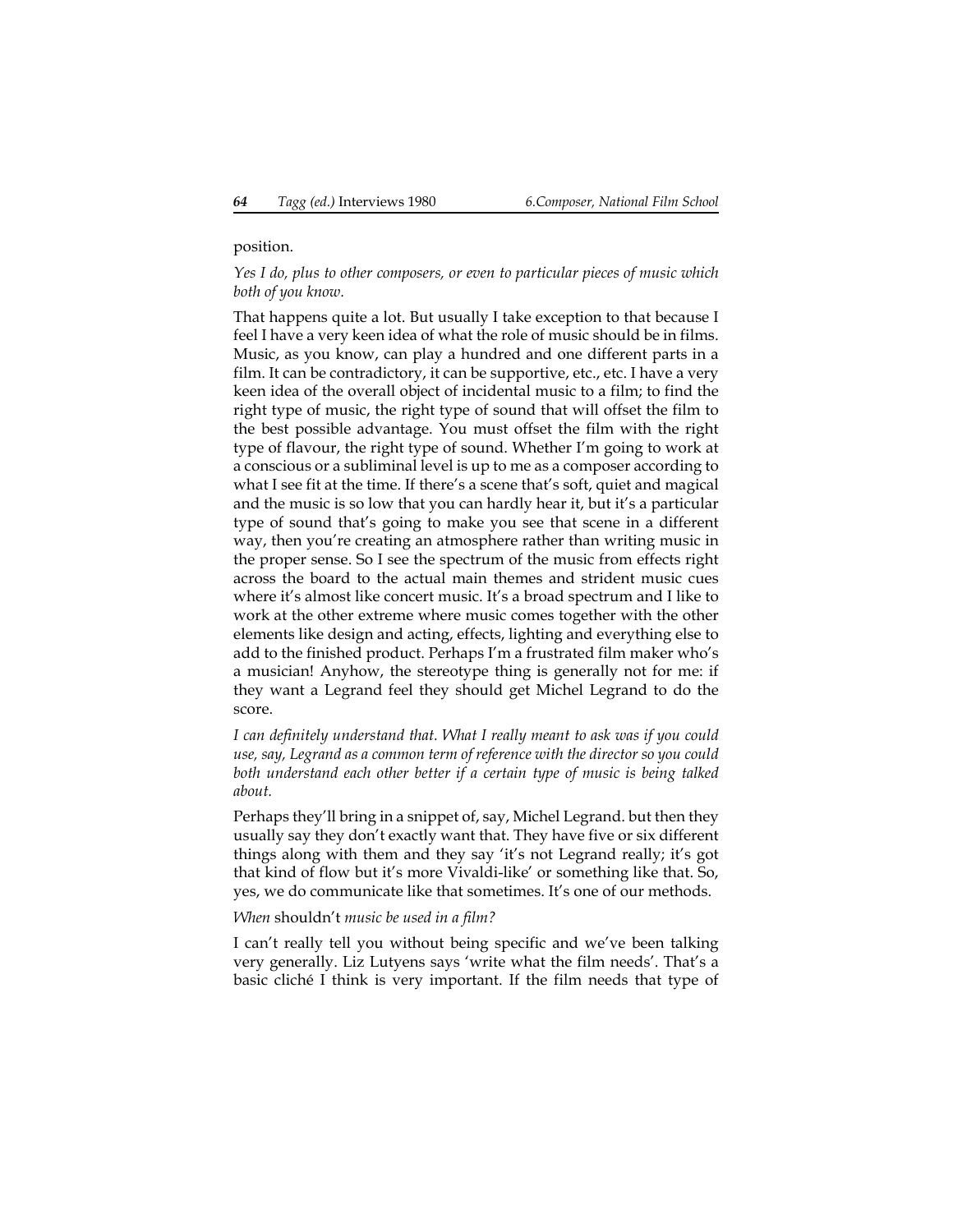#### position.

#### *Yes I do, plus to other composers, or even to particular pieces of music which both of you know.*

That happens quite a lot. But usually I take exception to that because I feel I have a very keen idea of what the role of music should be in films. Music, as you know, can play a hundred and one different parts in a film. It can be contradictory, it can be supportive, etc., etc. I have a very keen idea of the overall object of incidental music to a film; to find the right type of music, the right type of sound that will offset the film to the best possible advantage. You must offset the film with the right type of flavour, the right type of sound. Whether I'm going to work at a conscious or a subliminal level is up to me as a composer according to what I see fit at the time. If there's a scene that's soft, quiet and magical and the music is so low that you can hardly hear it, but it's a particular type of sound that's going to make you see that scene in a different way, then you're creating an atmosphere rather than writing music in the proper sense. So I see the spectrum of the music from effects right across the board to the actual main themes and strident music cues where it's almost like concert music. It's a broad spectrum and I like to work at the other extreme where music comes together with the other elements like design and acting, effects, lighting and everything else to add to the finished product. Perhaps I'm a frustrated film maker who's a musician! Anyhow, the stereotype thing is generally not for me: if they want a Legrand feel they should get Michel Legrand to do the score.

*I can definitely understand that. What I really meant to ask was if you could use, say, Legrand as a common term of reference with the director so you could both understand each other better if a certain type of music is being talked about.*

Perhaps they'll bring in a snippet of, say, Michel Legrand. but then they usually say they don't exactly want that. They have five or six different things along with them and they say 'it's not Legrand really; it's got that kind of flow but it's more Vivaldi-like' or something like that. So, yes, we do communicate like that sometimes. It's one of our methods.

*When* shouldn't *music be used in a film?*

I can't really tell you without being specific and we've been talking very generally. Liz Lutyens says 'write what the film needs'. That's a basic cliché I think is very important. If the film needs that type of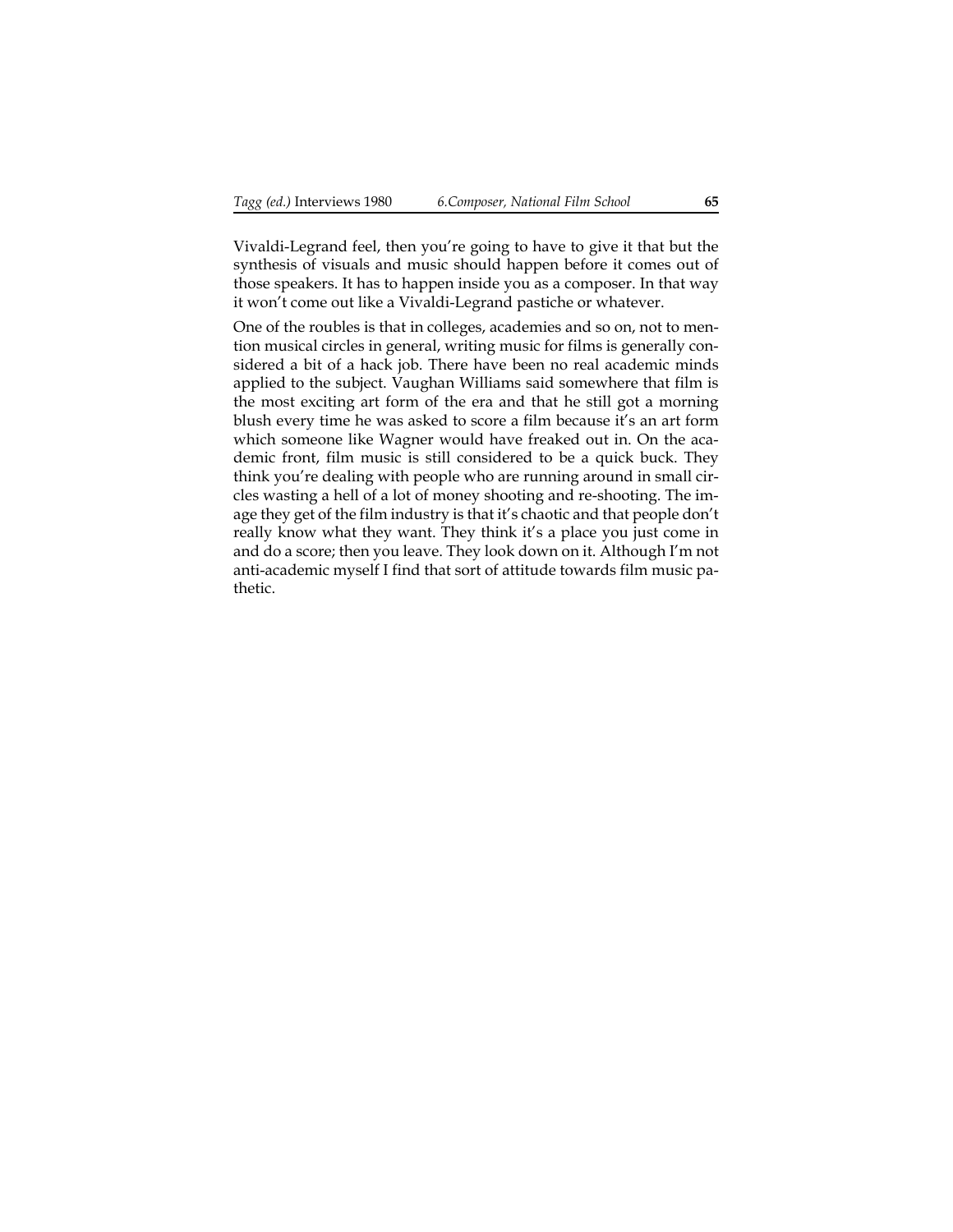Vivaldi-Legrand feel, then you're going to have to give it that but the synthesis of visuals and music should happen before it comes out of those speakers. It has to happen inside you as a composer. In that way it won't come out like a Vivaldi-Legrand pastiche or whatever.

One of the roubles is that in colleges, academies and so on, not to mention musical circles in general, writing music for films is generally considered a bit of a hack job. There have been no real academic minds applied to the subject. Vaughan Williams said somewhere that film is the most exciting art form of the era and that he still got a morning blush every time he was asked to score a film because it's an art form which someone like Wagner would have freaked out in. On the academic front, film music is still considered to be a quick buck. They think you're dealing with people who are running around in small circles wasting a hell of a lot of money shooting and re-shooting. The image they get of the film industry is that it's chaotic and that people don't really know what they want. They think it's a place you just come in and do a score; then you leave. They look down on it. Although I'm not anti-academic myself I find that sort of attitude towards film music pathetic.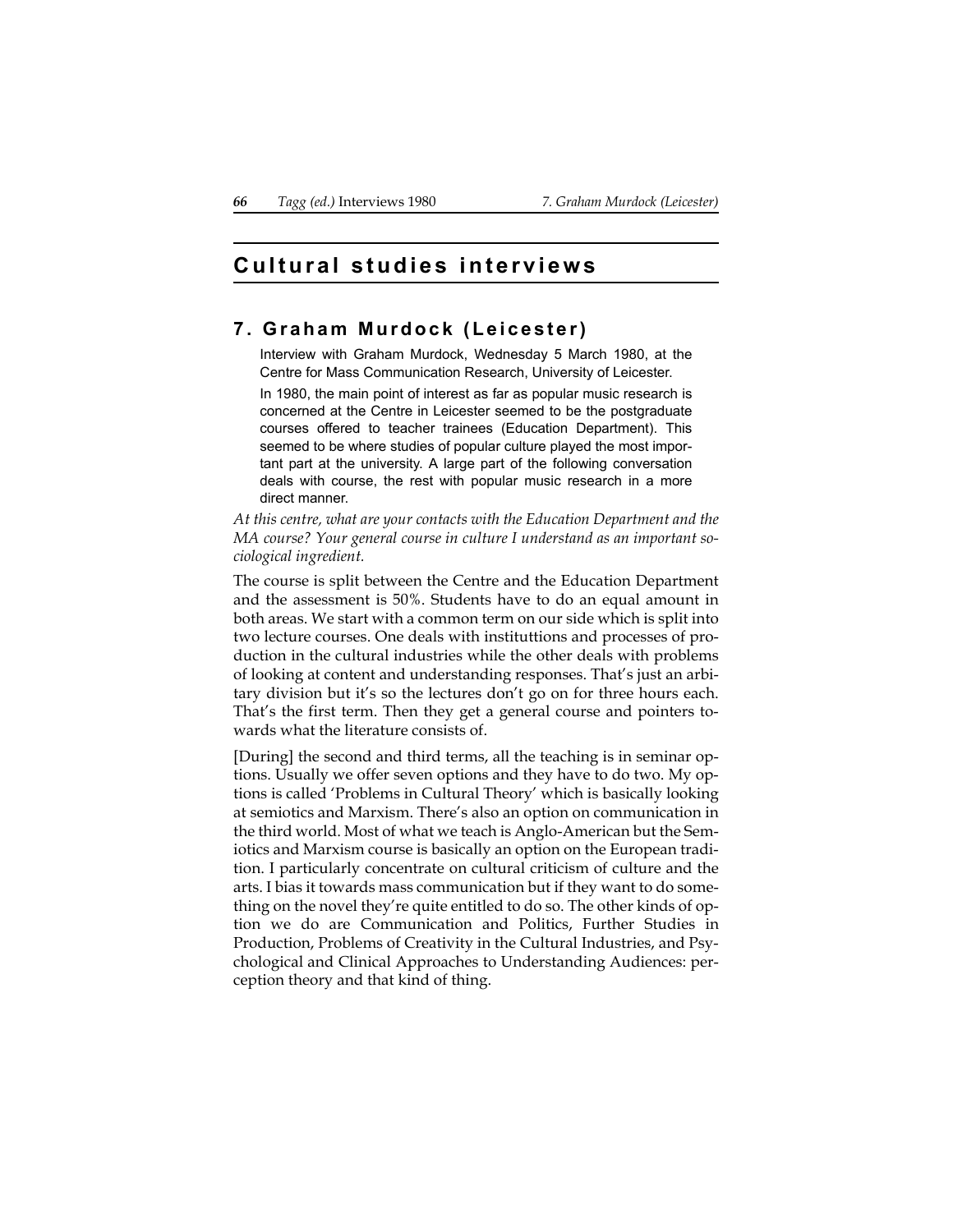# **Cultural studies interviews**

## **7. Graham Murdock (Leicester)**

Interview with Graham Murdock, Wednesday 5 March 1980, at the Centre for Mass Communication Research, University of Leicester.

In 1980, the main point of interest as far as popular music research is concerned at the Centre in Leicester seemed to be the postgraduate courses offered to teacher trainees (Education Department). This seemed to be where studies of popular culture played the most important part at the university. A large part of the following conversation deals with course, the rest with popular music research in a more direct manner.

*At this centre, what are your contacts with the Education Department and the MA course? Your general course in culture I understand as an important sociological ingredient.*

The course is split between the Centre and the Education Department and the assessment is 50%. Students have to do an equal amount in both areas. We start with a common term on our side which is split into two lecture courses. One deals with instituttions and processes of production in the cultural industries while the other deals with problems of looking at content and understanding responses. That's just an arbitary division but it's so the lectures don't go on for three hours each. That's the first term. Then they get a general course and pointers towards what the literature consists of.

[During] the second and third terms, all the teaching is in seminar options. Usually we offer seven options and they have to do two. My options is called 'Problems in Cultural Theory' which is basically looking at semiotics and Marxism. There's also an option on communication in the third world. Most of what we teach is Anglo-American but the Semiotics and Marxism course is basically an option on the European tradition. I particularly concentrate on cultural criticism of culture and the arts. I bias it towards mass communication but if they want to do something on the novel they're quite entitled to do so. The other kinds of option we do are Communication and Politics, Further Studies in Production, Problems of Creativity in the Cultural Industries, and Psychological and Clinical Approaches to Understanding Audiences: perception theory and that kind of thing.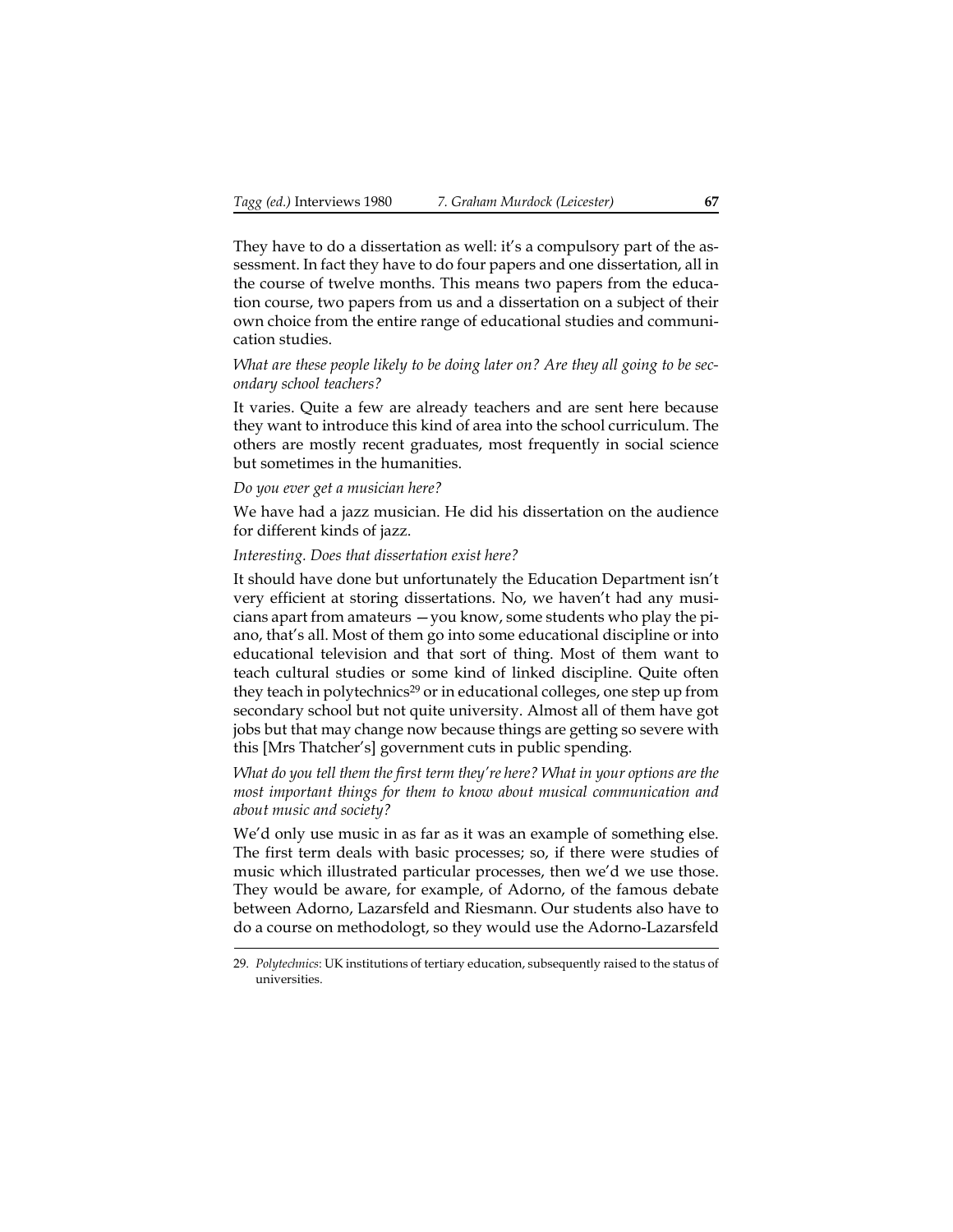They have to do a dissertation as well: it's a compulsory part of the assessment. In fact they have to do four papers and one dissertation, all in the course of twelve months. This means two papers from the education course, two papers from us and a dissertation on a subject of their own choice from the entire range of educational studies and communication studies.

## *What are these people likely to be doing later on? Are they all going to be secondary school teachers?*

It varies. Quite a few are already teachers and are sent here because they want to introduce this kind of area into the school curriculum. The others are mostly recent graduates, most frequently in social science but sometimes in the humanities.

### *Do you ever get a musician here?*

We have had a jazz musician. He did his dissertation on the audience for different kinds of jazz.

### *Interesting. Does that dissertation exist here?*

It should have done but unfortunately the Education Department isn't very efficient at storing dissertations. No, we haven't had any musicians apart from amateurs —you know, some students who play the piano, that's all. Most of them go into some educational discipline or into educational television and that sort of thing. Most of them want to teach cultural studies or some kind of linked discipline. Quite often they teach in polytechnics<sup>29</sup> or in educational colleges, one step up from secondary school but not quite university. Almost all of them have got jobs but that may change now because things are getting so severe with this [Mrs Thatcher's] government cuts in public spending.

*What do you tell them the first term they're here? What in your options are the most important things for them to know about musical communication and about music and society?*

We'd only use music in as far as it was an example of something else. The first term deals with basic processes; so, if there were studies of music which illustrated particular processes, then we'd we use those. They would be aware, for example, of Adorno, of the famous debate between Adorno, Lazarsfeld and Riesmann. Our students also have to do a course on methodologt, so they would use the Adorno-Lazarsfeld

<sup>29.</sup> *Polytechnics*: UK institutions of tertiary education, subsequently raised to the status of universities.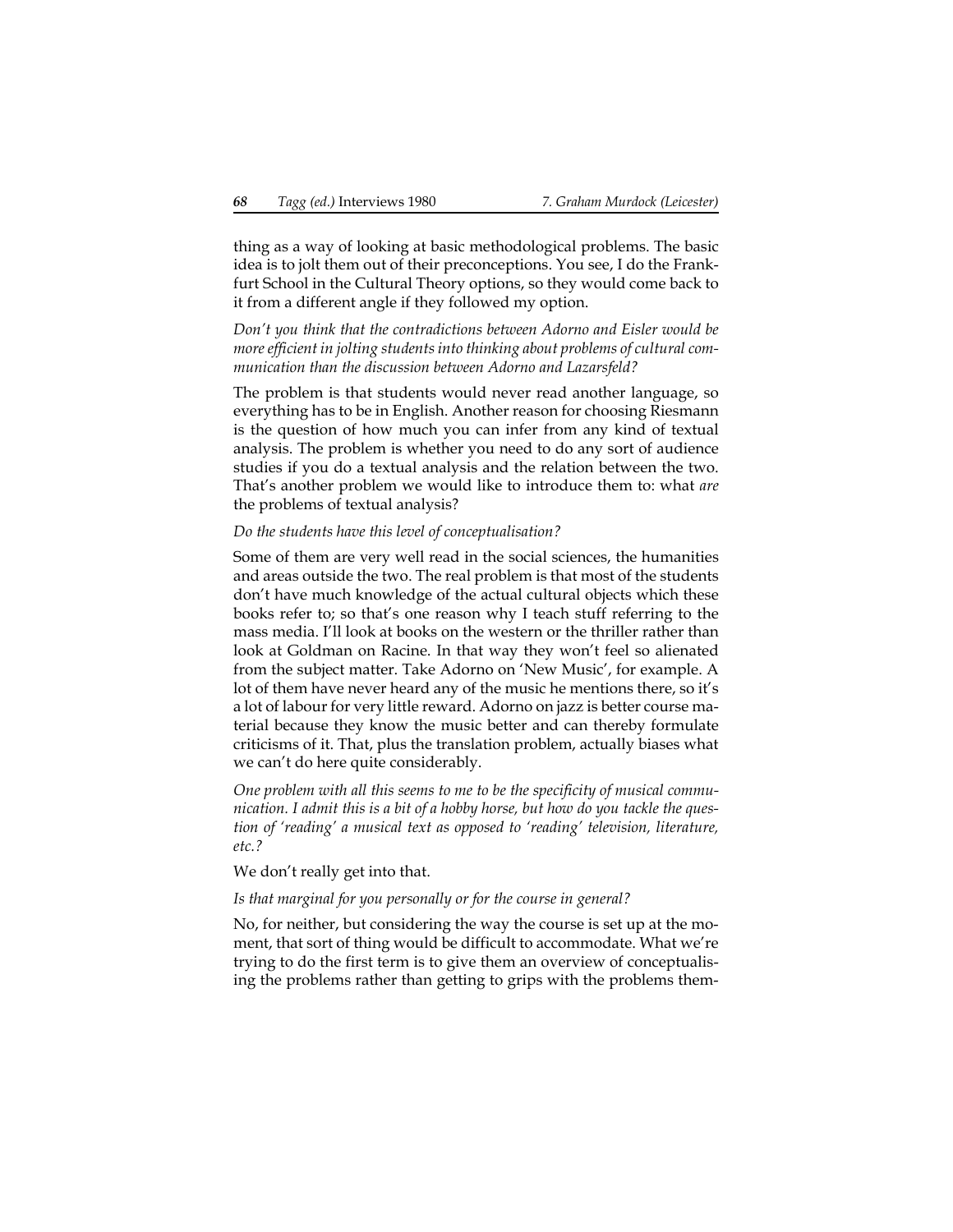thing as a way of looking at basic methodological problems. The basic idea is to jolt them out of their preconceptions. You see, I do the Frankfurt School in the Cultural Theory options, so they would come back to it from a different angle if they followed my option.

*Don't you think that the contradictions between Adorno and Eisler would be more efficient in jolting students into thinking about problems of cultural communication than the discussion between Adorno and Lazarsfeld?*

The problem is that students would never read another language, so everything has to be in English. Another reason for choosing Riesmann is the question of how much you can infer from any kind of textual analysis. The problem is whether you need to do any sort of audience studies if you do a textual analysis and the relation between the two. That's another problem we would like to introduce them to: what *are* the problems of textual analysis?

## *Do the students have this level of conceptualisation?*

Some of them are very well read in the social sciences, the humanities and areas outside the two. The real problem is that most of the students don't have much knowledge of the actual cultural objects which these books refer to; so that's one reason why I teach stuff referring to the mass media. I'll look at books on the western or the thriller rather than look at Goldman on Racine. In that way they won't feel so alienated from the subject matter. Take Adorno on 'New Music', for example. A lot of them have never heard any of the music he mentions there, so it's a lot of labour for very little reward. Adorno on jazz is better course material because they know the music better and can thereby formulate criticisms of it. That, plus the translation problem, actually biases what we can't do here quite considerably.

*One problem with all this seems to me to be the specificity of musical communication. I admit this is a bit of a hobby horse, but how do you tackle the question of 'reading' a musical text as opposed to 'reading' television, literature, etc.?*

We don't really get into that.

## *Is that marginal for you personally or for the course in general?*

No, for neither, but considering the way the course is set up at the moment, that sort of thing would be difficult to accommodate. What we're trying to do the first term is to give them an overview of conceptualising the problems rather than getting to grips with the problems them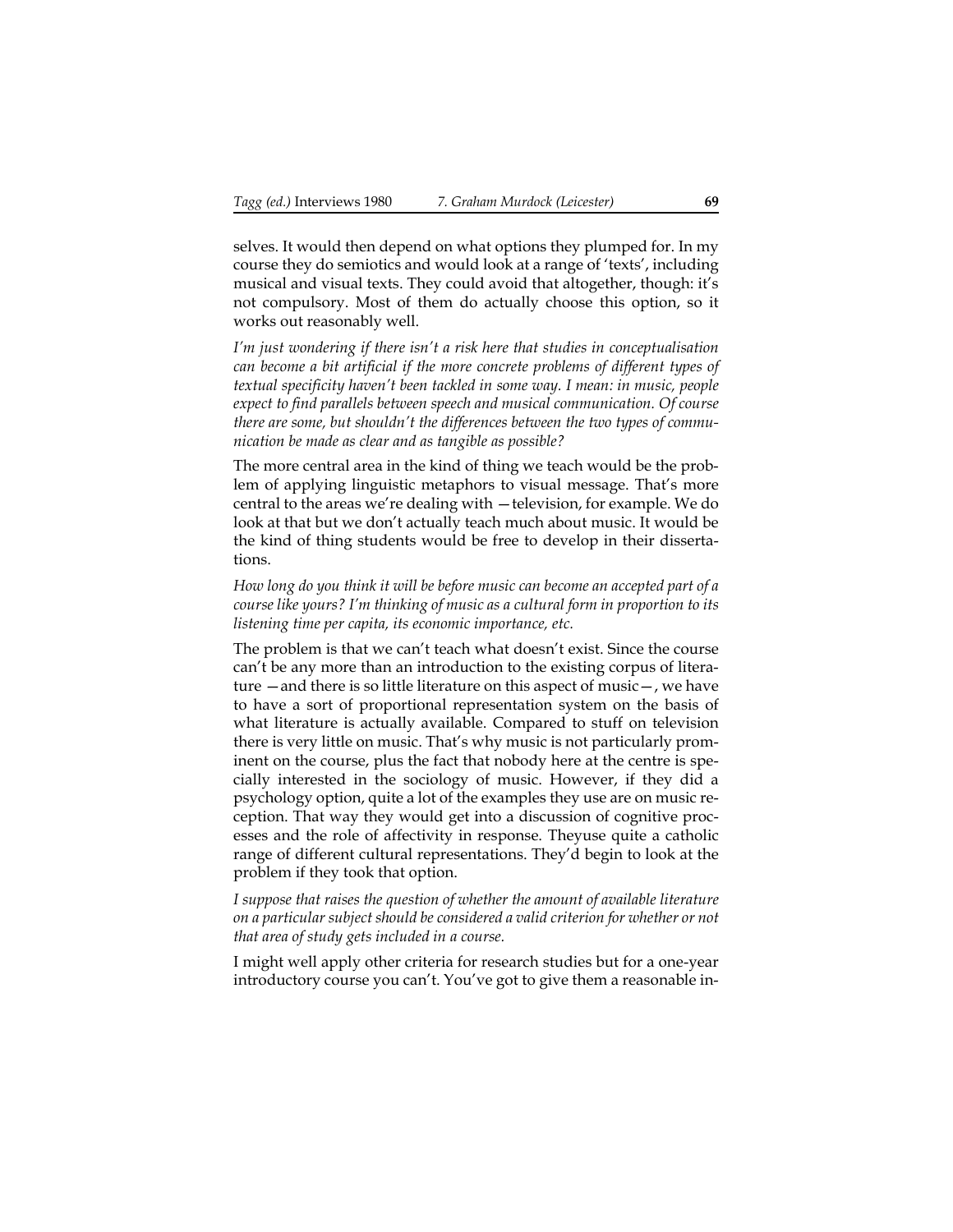selves. It would then depend on what options they plumped for. In my course they do semiotics and would look at a range of 'texts', including musical and visual texts. They could avoid that altogether, though: it's not compulsory. Most of them do actually choose this option, so it works out reasonably well.

*I'm just wondering if there isn't a risk here that studies in conceptualisation can become a bit artificial if the more concrete problems of different types of textual specificity haven't been tackled in some way. I mean: in music, people expect to find parallels between speech and musical communication. Of course there are some, but shouldn't the differences between the two types of communication be made as clear and as tangible as possible?*

The more central area in the kind of thing we teach would be the problem of applying linguistic metaphors to visual message. That's more central to the areas we're dealing with —television, for example. We do look at that but we don't actually teach much about music. It would be the kind of thing students would be free to develop in their dissertations.

*How long do you think it will be before music can become an accepted part of a course like yours? I'm thinking of music as a cultural form in proportion to its listening time per capita, its economic importance, etc.*

The problem is that we can't teach what doesn't exist. Since the course can't be any more than an introduction to the existing corpus of literature —and there is so little literature on this aspect of music—, we have to have a sort of proportional representation system on the basis of what literature is actually available. Compared to stuff on television there is very little on music. That's why music is not particularly prominent on the course, plus the fact that nobody here at the centre is specially interested in the sociology of music. However, if they did a psychology option, quite a lot of the examples they use are on music reception. That way they would get into a discussion of cognitive processes and the role of affectivity in response. Theyuse quite a catholic range of different cultural representations. They'd begin to look at the problem if they took that option.

*I suppose that raises the question of whether the amount of available literature on a particular subject should be considered a valid criterion for whether or not that area of study gets included in a course.*

I might well apply other criteria for research studies but for a one-year introductory course you can't. You've got to give them a reasonable in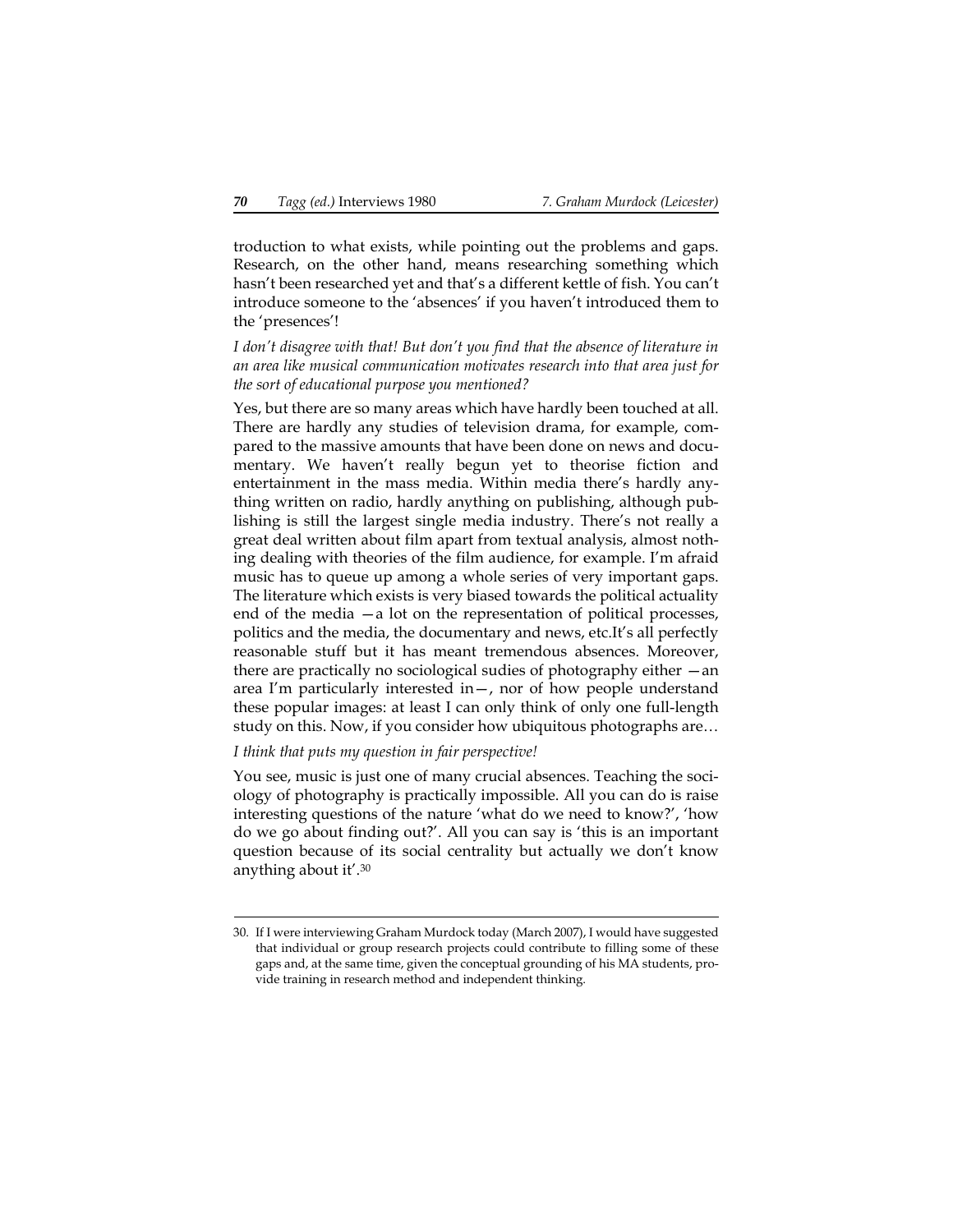troduction to what exists, while pointing out the problems and gaps. Research, on the other hand, means researching something which hasn't been researched yet and that's a different kettle of fish. You can't introduce someone to the 'absences' if you haven't introduced them to the 'presences'!

*I don't disagree with that! But don't you find that the absence of literature in an area like musical communication motivates research into that area just for the sort of educational purpose you mentioned?*

Yes, but there are so many areas which have hardly been touched at all. There are hardly any studies of television drama, for example, compared to the massive amounts that have been done on news and documentary. We haven't really begun yet to theorise fiction and entertainment in the mass media. Within media there's hardly anything written on radio, hardly anything on publishing, although publishing is still the largest single media industry. There's not really a great deal written about film apart from textual analysis, almost nothing dealing with theories of the film audience, for example. I'm afraid music has to queue up among a whole series of very important gaps. The literature which exists is very biased towards the political actuality end of the media —a lot on the representation of political processes, politics and the media, the documentary and news, etc.It's all perfectly reasonable stuff but it has meant tremendous absences. Moreover, there are practically no sociological sudies of photography either —an area I'm particularly interested in—, nor of how people understand these popular images: at least I can only think of only one full-length study on this. Now, if you consider how ubiquitous photographs are…

### *I think that puts my question in fair perspective!*

You see, music is just one of many crucial absences. Teaching the sociology of photography is practically impossible. All you can do is raise interesting questions of the nature 'what do we need to know?', 'how do we go about finding out?'. All you can say is 'this is an important question because of its social centrality but actually we don't know anything about it'.30

<sup>30.</sup> If I were interviewing Graham Murdock today (March 2007), I would have suggested that individual or group research projects could contribute to filling some of these gaps and, at the same time, given the conceptual grounding of his MA students, provide training in research method and independent thinking.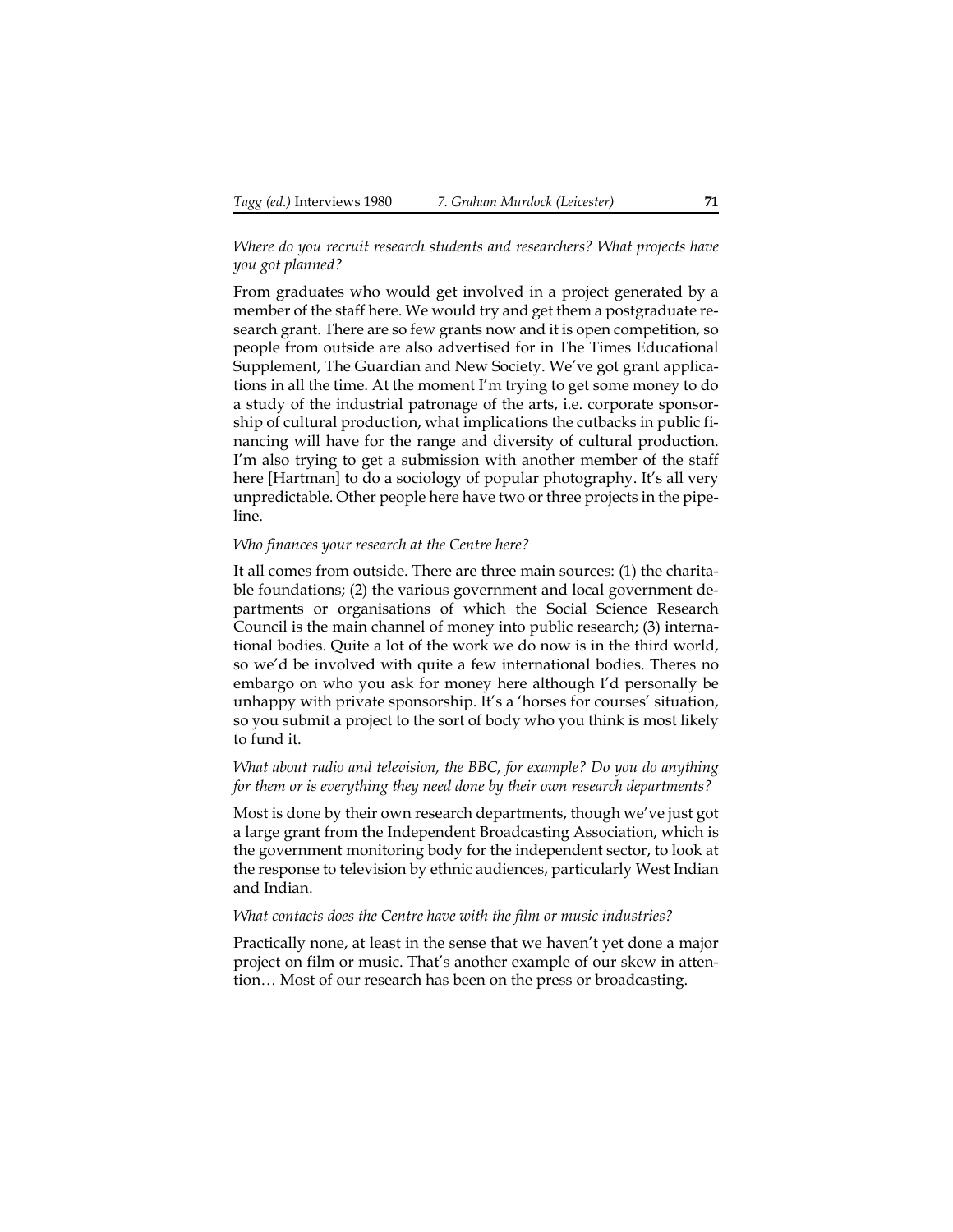## *Where do you recruit research students and researchers? What projects have you got planned?*

From graduates who would get involved in a project generated by a member of the staff here. We would try and get them a postgraduate research grant. There are so few grants now and it is open competition, so people from outside are also advertised for in The Times Educational Supplement, The Guardian and New Society. We've got grant applications in all the time. At the moment I'm trying to get some money to do a study of the industrial patronage of the arts, i.e. corporate sponsorship of cultural production, what implications the cutbacks in public financing will have for the range and diversity of cultural production. I'm also trying to get a submission with another member of the staff here [Hartman] to do a sociology of popular photography. It's all very unpredictable. Other people here have two or three projects in the pipeline.

#### *Who finances your research at the Centre here?*

It all comes from outside. There are three main sources: (1) the charitable foundations; (2) the various government and local government departments or organisations of which the Social Science Research Council is the main channel of money into public research; (3) international bodies. Quite a lot of the work we do now is in the third world, so we'd be involved with quite a few international bodies. Theres no embargo on who you ask for money here although I'd personally be unhappy with private sponsorship. It's a 'horses for courses' situation, so you submit a project to the sort of body who you think is most likely to fund it.

## *What about radio and television, the BBC, for example? Do you do anything for them or is everything they need done by their own research departments?*

Most is done by their own research departments, though we've just got a large grant from the Independent Broadcasting Association, which is the government monitoring body for the independent sector, to look at the response to television by ethnic audiences, particularly West Indian and Indian.

### *What contacts does the Centre have with the film or music industries?*

Practically none, at least in the sense that we haven't yet done a major project on film or music. That's another example of our skew in attention… Most of our research has been on the press or broadcasting.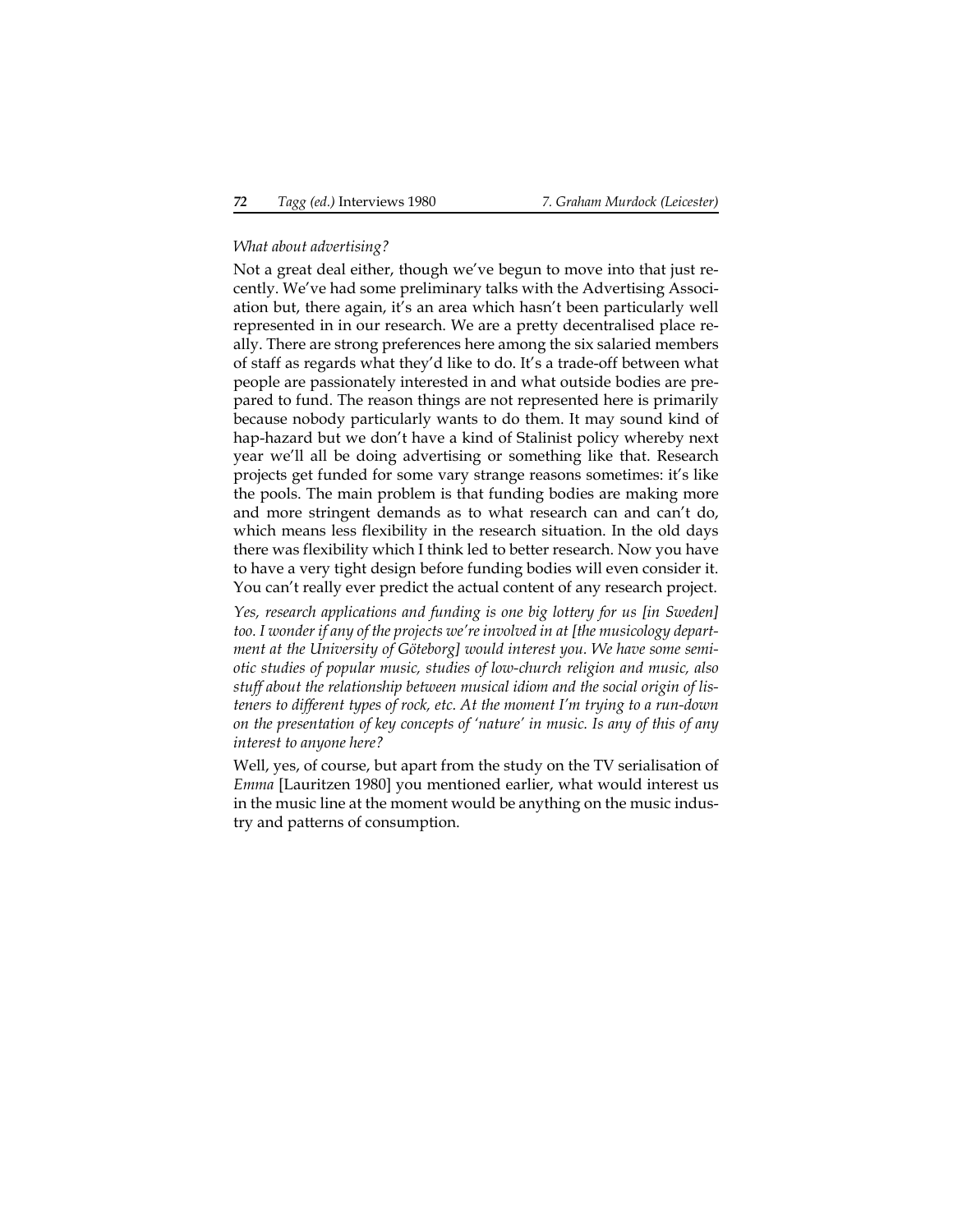## *What about advertising?*

Not a great deal either, though we've begun to move into that just recently. We've had some preliminary talks with the Advertising Association but, there again, it's an area which hasn't been particularly well represented in in our research. We are a pretty decentralised place really. There are strong preferences here among the six salaried members of staff as regards what they'd like to do. It's a trade-off between what people are passionately interested in and what outside bodies are prepared to fund. The reason things are not represented here is primarily because nobody particularly wants to do them. It may sound kind of hap-hazard but we don't have a kind of Stalinist policy whereby next year we'll all be doing advertising or something like that. Research projects get funded for some vary strange reasons sometimes: it's like the pools. The main problem is that funding bodies are making more and more stringent demands as to what research can and can't do, which means less flexibility in the research situation. In the old days there was flexibility which I think led to better research. Now you have to have a very tight design before funding bodies will even consider it. You can't really ever predict the actual content of any research project.

*Yes, research applications and funding is one big lottery for us [in Sweden] too. I wonder if any of the projects we're involved in at [the musicology department at the University of Göteborg] would interest you. We have some semiotic studies of popular music, studies of low-church religion and music, also stuff about the relationship between musical idiom and the social origin of listeners to different types of rock, etc. At the moment I'm trying to a run-down on the presentation of key concepts of 'nature' in music. Is any of this of any interest to anyone here?*

Well, yes, of course, but apart from the study on the TV serialisation of *Emma* [Lauritzen 1980] you mentioned earlier, what would interest us in the music line at the moment would be anything on the music industry and patterns of consumption.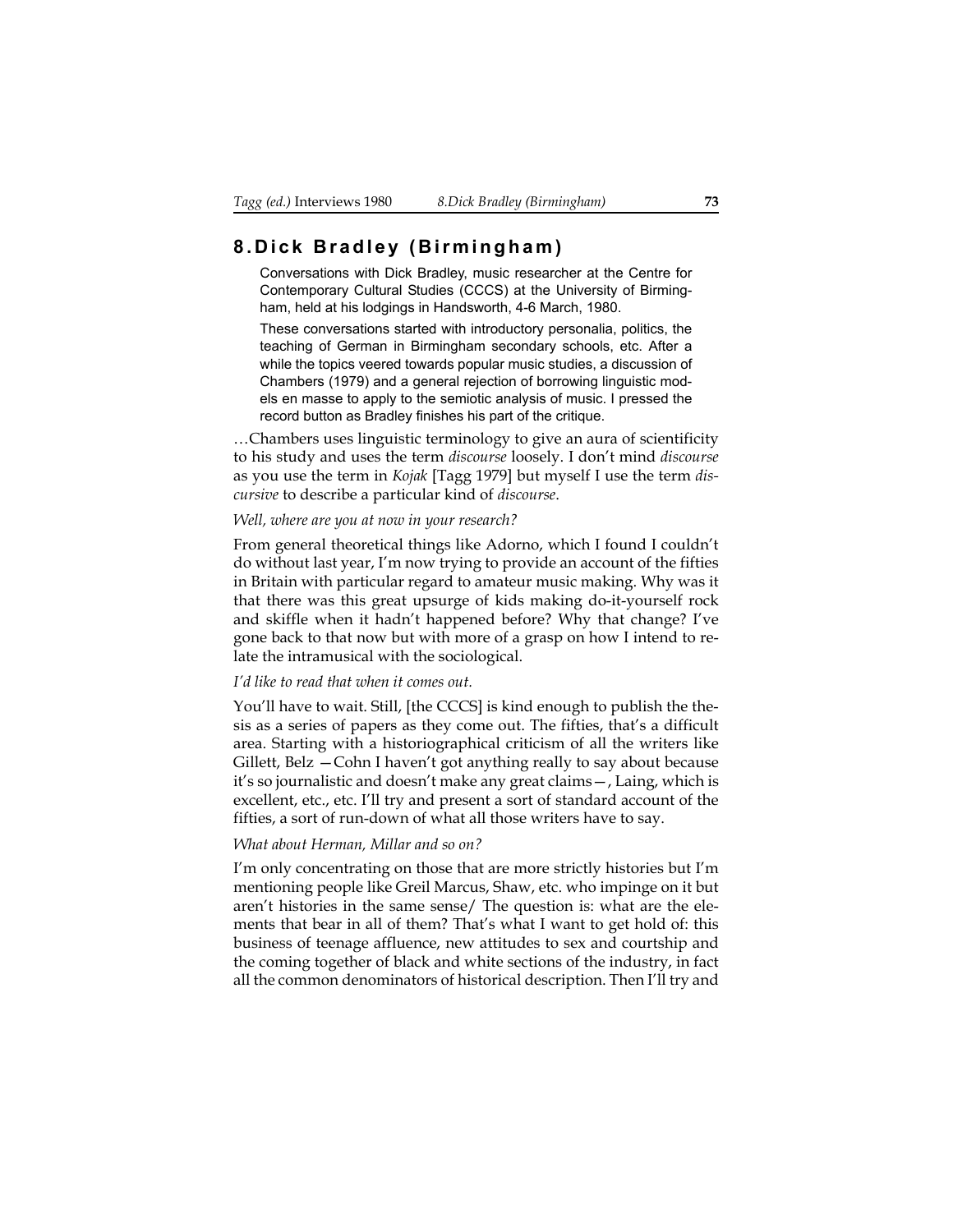# **8.Dick Bradley (Birmingham)**

Conversations with Dick Bradley, music researcher at the Centre for Contemporary Cultural Studies (CCCS) at the University of Birmingham, held at his lodgings in Handsworth, 4-6 March, 1980.

These conversations started with introductory personalia, politics, the teaching of German in Birmingham secondary schools, etc. After a while the topics veered towards popular music studies, a discussion of Chambers (1979) and a general rejection of borrowing linguistic models en masse to apply to the semiotic analysis of music. I pressed the record button as Bradley finishes his part of the critique.

…Chambers uses linguistic terminology to give an aura of scientificity to his study and uses the term *discourse* loosely. I don't mind *discourse* as you use the term in *Kojak* [Tagg 1979] but myself I use the term *discursive* to describe a particular kind of *discourse*.

#### *Well, where are you at now in your research?*

From general theoretical things like Adorno, which I found I couldn't do without last year, I'm now trying to provide an account of the fifties in Britain with particular regard to amateur music making. Why was it that there was this great upsurge of kids making do-it-yourself rock and skiffle when it hadn't happened before? Why that change? I've gone back to that now but with more of a grasp on how I intend to relate the intramusical with the sociological.

#### *I'd like to read that when it comes out.*

You'll have to wait. Still, [the CCCS] is kind enough to publish the thesis as a series of papers as they come out. The fifties, that's a difficult area. Starting with a historiographical criticism of all the writers like Gillett, Belz —Cohn I haven't got anything really to say about because it's so journalistic and doesn't make any great claims—, Laing, which is excellent, etc., etc. I'll try and present a sort of standard account of the fifties, a sort of run-down of what all those writers have to say.

## *What about Herman, Millar and so on?*

I'm only concentrating on those that are more strictly histories but I'm mentioning people like Greil Marcus, Shaw, etc. who impinge on it but aren't histories in the same sense/ The question is: what are the elements that bear in all of them? That's what I want to get hold of: this business of teenage affluence, new attitudes to sex and courtship and the coming together of black and white sections of the industry, in fact all the common denominators of historical description. Then I'll try and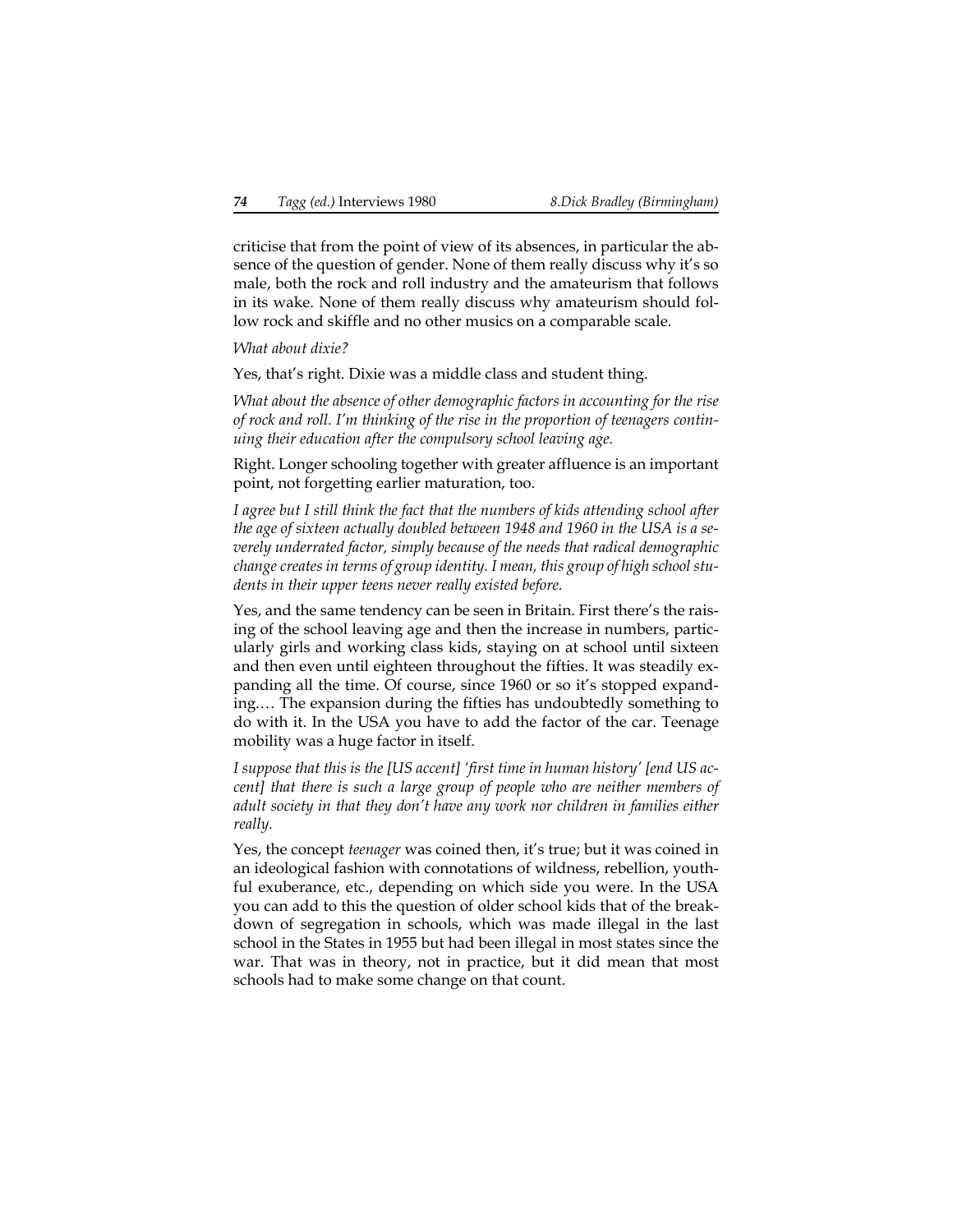criticise that from the point of view of its absences, in particular the absence of the question of gender. None of them really discuss why it's so male, both the rock and roll industry and the amateurism that follows in its wake. None of them really discuss why amateurism should follow rock and skiffle and no other musics on a comparable scale.

## *What about dixie?*

Yes, that's right. Dixie was a middle class and student thing.

*What about the absence of other demographic factors in accounting for the rise of rock and roll. I'm thinking of the rise in the proportion of teenagers continuing their education after the compulsory school leaving age.*

Right. Longer schooling together with greater affluence is an important point, not forgetting earlier maturation, too.

*I agree but I still think the fact that the numbers of kids attending school after the age of sixteen actually doubled between 1948 and 1960 in the USA is a severely underrated factor, simply because of the needs that radical demographic change creates in terms of group identity. I mean, this group of high school students in their upper teens never really existed before.*

Yes, and the same tendency can be seen in Britain. First there's the raising of the school leaving age and then the increase in numbers, particularly girls and working class kids, staying on at school until sixteen and then even until eighteen throughout the fifties. It was steadily expanding all the time. Of course, since 1960 or so it's stopped expanding.… The expansion during the fifties has undoubtedly something to do with it. In the USA you have to add the factor of the car. Teenage mobility was a huge factor in itself.

*I suppose that this is the [US accent] 'first time in human history' [end US accent] that there is such a large group of people who are neither members of adult society in that they don't have any work nor children in families either really.*

Yes, the concept *teenager* was coined then, it's true; but it was coined in an ideological fashion with connotations of wildness, rebellion, youthful exuberance, etc., depending on which side you were. In the USA you can add to this the question of older school kids that of the breakdown of segregation in schools, which was made illegal in the last school in the States in 1955 but had been illegal in most states since the war. That was in theory, not in practice, but it did mean that most schools had to make some change on that count.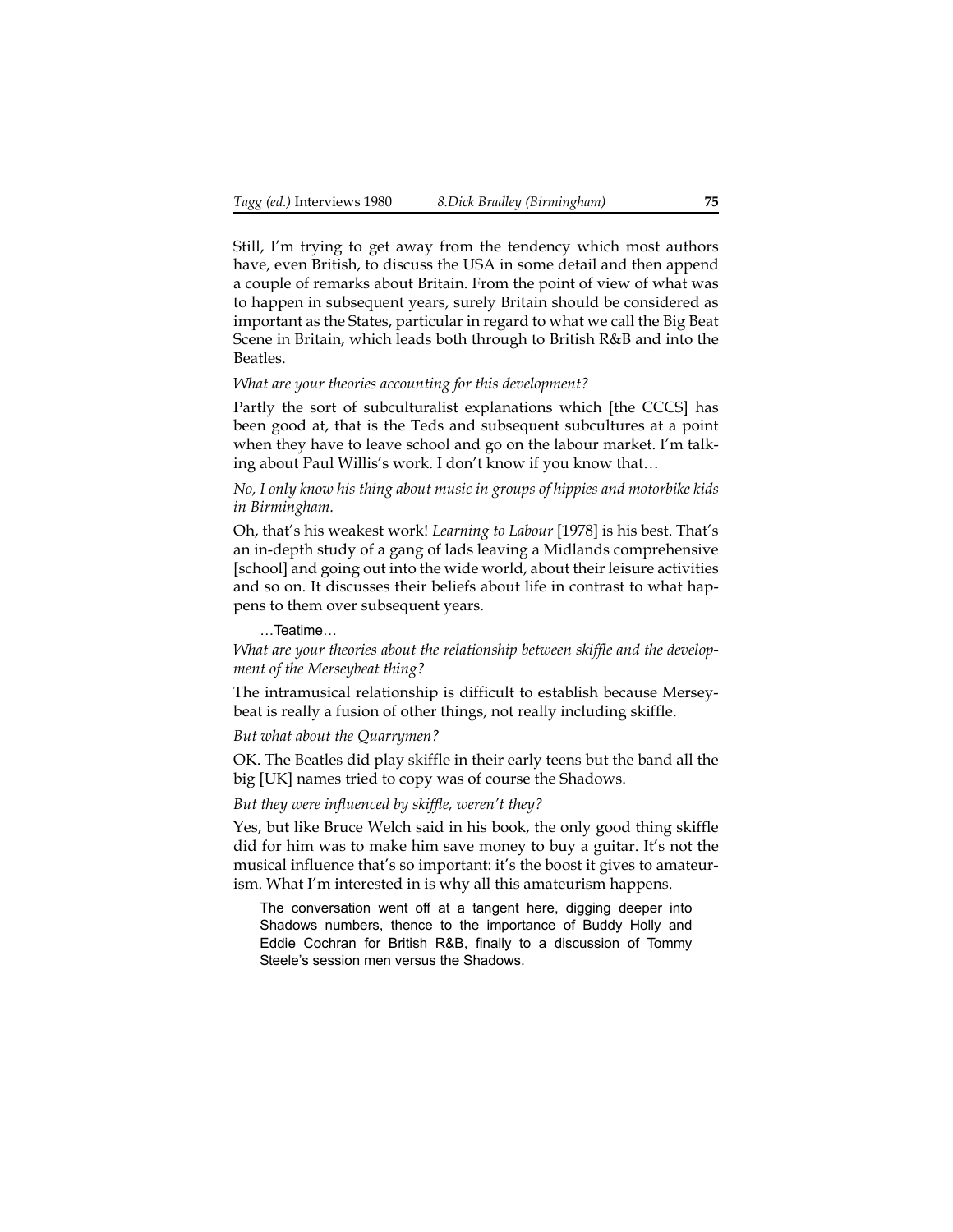Still, I'm trying to get away from the tendency which most authors have, even British, to discuss the USA in some detail and then append a couple of remarks about Britain. From the point of view of what was to happen in subsequent years, surely Britain should be considered as important as the States, particular in regard to what we call the Big Beat Scene in Britain, which leads both through to British R&B and into the Beatles.

## *What are your theories accounting for this development?*

Partly the sort of subculturalist explanations which [the CCCS] has been good at, that is the Teds and subsequent subcultures at a point when they have to leave school and go on the labour market. I'm talking about Paul Willis's work. I don't know if you know that…

*No, I only know his thing about music in groups of hippies and motorbike kids in Birmingham.*

Oh, that's his weakest work! *Learning to Labour* [1978] is his best. That's an in-depth study of a gang of lads leaving a Midlands comprehensive [school] and going out into the wide world, about their leisure activities and so on. It discusses their beliefs about life in contrast to what happens to them over subsequent years.

…Teatime…

*What are your theories about the relationship between skiffle and the development of the Merseybeat thing?*

The intramusical relationship is difficult to establish because Merseybeat is really a fusion of other things, not really including skiffle.

## *But what about the Quarrymen?*

OK. The Beatles did play skiffle in their early teens but the band all the big [UK] names tried to copy was of course the Shadows.

## *But they were influenced by skiffle, weren't they?*

Yes, but like Bruce Welch said in his book, the only good thing skiffle did for him was to make him save money to buy a guitar. It's not the musical influence that's so important: it's the boost it gives to amateurism. What I'm interested in is why all this amateurism happens.

The conversation went off at a tangent here, digging deeper into Shadows numbers, thence to the importance of Buddy Holly and Eddie Cochran for British R&B, finally to a discussion of Tommy Steele's session men versus the Shadows.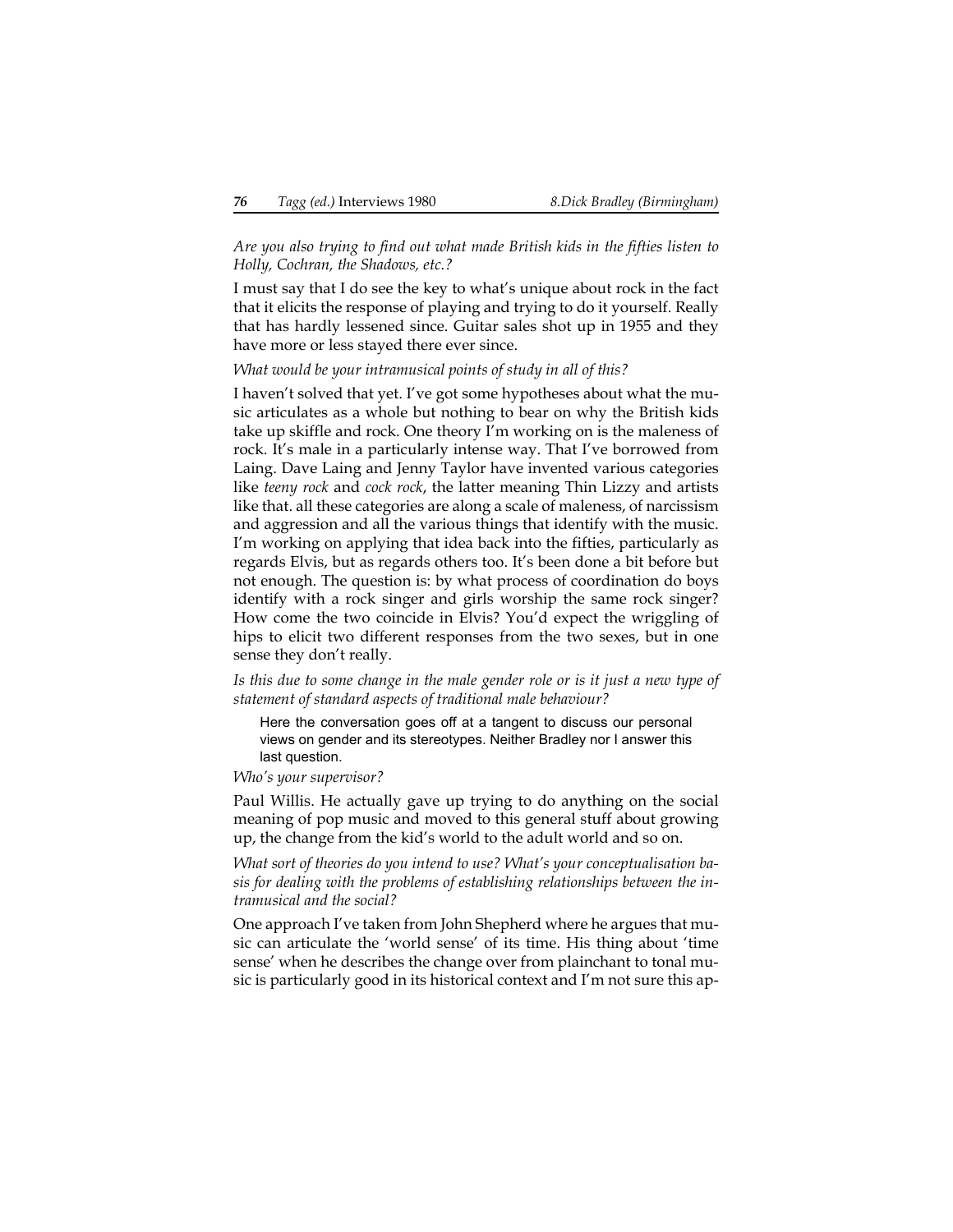*Are you also trying to find out what made British kids in the fifties listen to Holly, Cochran, the Shadows, etc.?*

I must say that I do see the key to what's unique about rock in the fact that it elicits the response of playing and trying to do it yourself. Really that has hardly lessened since. Guitar sales shot up in 1955 and they have more or less stayed there ever since.

*What would be your intramusical points of study in all of this?*

I haven't solved that yet. I've got some hypotheses about what the music articulates as a whole but nothing to bear on why the British kids take up skiffle and rock. One theory I'm working on is the maleness of rock. It's male in a particularly intense way. That I've borrowed from Laing. Dave Laing and Jenny Taylor have invented various categories like *teeny rock* and *cock rock*, the latter meaning Thin Lizzy and artists like that. all these categories are along a scale of maleness, of narcissism and aggression and all the various things that identify with the music. I'm working on applying that idea back into the fifties, particularly as regards Elvis, but as regards others too. It's been done a bit before but not enough. The question is: by what process of coordination do boys identify with a rock singer and girls worship the same rock singer? How come the two coincide in Elvis? You'd expect the wriggling of hips to elicit two different responses from the two sexes, but in one sense they don't really.

*Is this due to some change in the male gender role or is it just a new type of statement of standard aspects of traditional male behaviour?*

Here the conversation goes off at a tangent to discuss our personal views on gender and its stereotypes. Neither Bradley nor I answer this last question.

*Who's your supervisor?*

Paul Willis. He actually gave up trying to do anything on the social meaning of pop music and moved to this general stuff about growing up, the change from the kid's world to the adult world and so on.

*What sort of theories do you intend to use? What's your conceptualisation basis for dealing with the problems of establishing relationships between the intramusical and the social?*

One approach I've taken from John Shepherd where he argues that music can articulate the 'world sense' of its time. His thing about 'time sense' when he describes the change over from plainchant to tonal music is particularly good in its historical context and I'm not sure this ap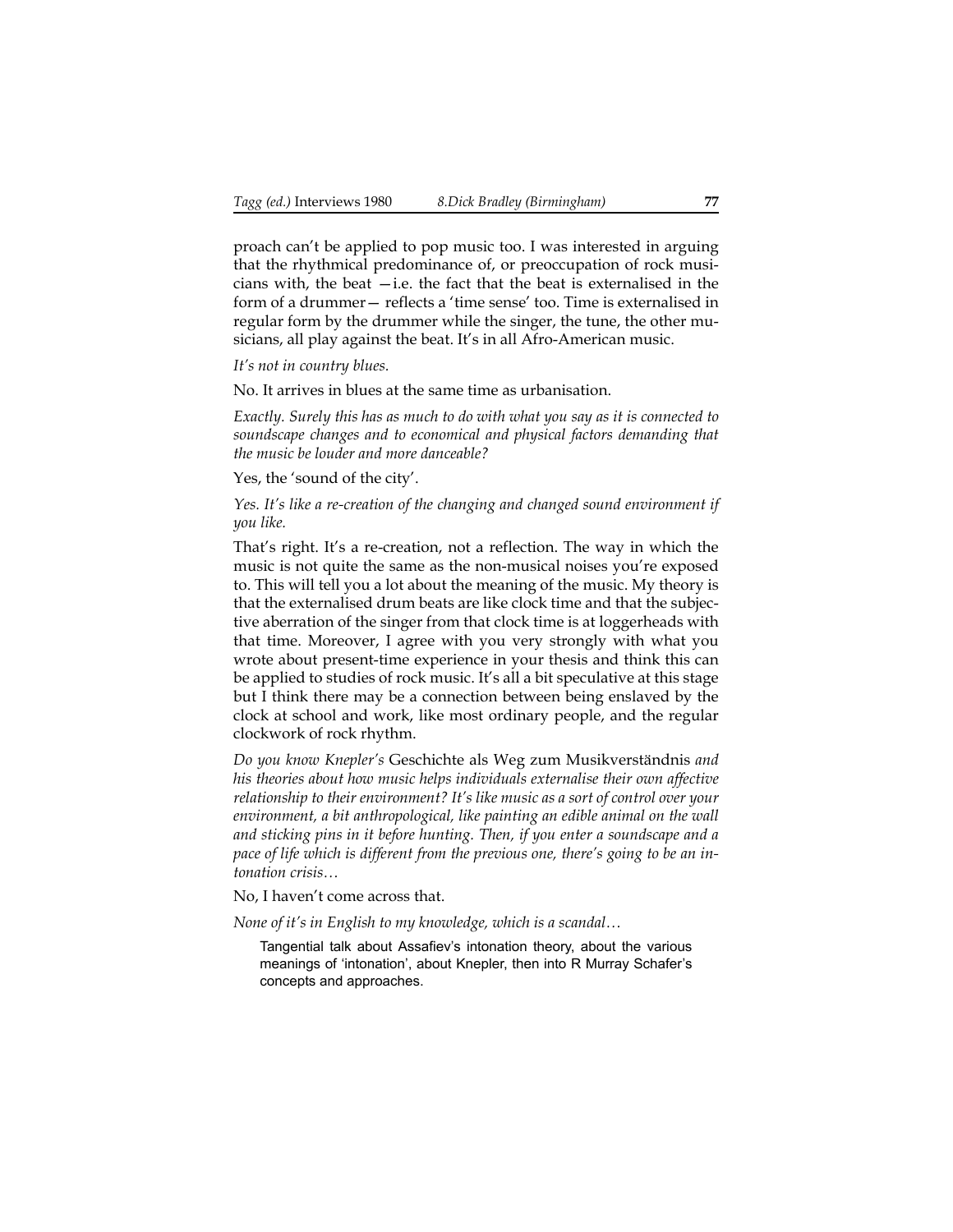proach can't be applied to pop music too. I was interested in arguing that the rhythmical predominance of, or preoccupation of rock musicians with, the beat  $-i.e.$  the fact that the beat is externalised in the form of a drummer— reflects a 'time sense' too. Time is externalised in regular form by the drummer while the singer, the tune, the other musicians, all play against the beat. It's in all Afro-American music.

*It's not in country blues.*

No. It arrives in blues at the same time as urbanisation.

*Exactly. Surely this has as much to do with what you say as it is connected to soundscape changes and to economical and physical factors demanding that the music be louder and more danceable?*

Yes, the 'sound of the city'.

*Yes. It's like a re-creation of the changing and changed sound environment if you like.*

That's right. It's a re-creation, not a reflection. The way in which the music is not quite the same as the non-musical noises you're exposed to. This will tell you a lot about the meaning of the music. My theory is that the externalised drum beats are like clock time and that the subjective aberration of the singer from that clock time is at loggerheads with that time. Moreover, I agree with you very strongly with what you wrote about present-time experience in your thesis and think this can be applied to studies of rock music. It's all a bit speculative at this stage but I think there may be a connection between being enslaved by the clock at school and work, like most ordinary people, and the regular clockwork of rock rhythm.

*Do you know Knepler's* Geschichte als Weg zum Musikverständnis *and his theories about how music helps individuals externalise their own affective relationship to their environment? It's like music as a sort of control over your environment, a bit anthropological, like painting an edible animal on the wall and sticking pins in it before hunting. Then, if you enter a soundscape and a pace of life which is different from the previous one, there's going to be an intonation crisis…*

No, I haven't come across that.

*None of it's in English to my knowledge, which is a scandal…*

Tangential talk about Assafiev's intonation theory, about the various meanings of 'intonation', about Knepler, then into R Murray Schafer's concepts and approaches.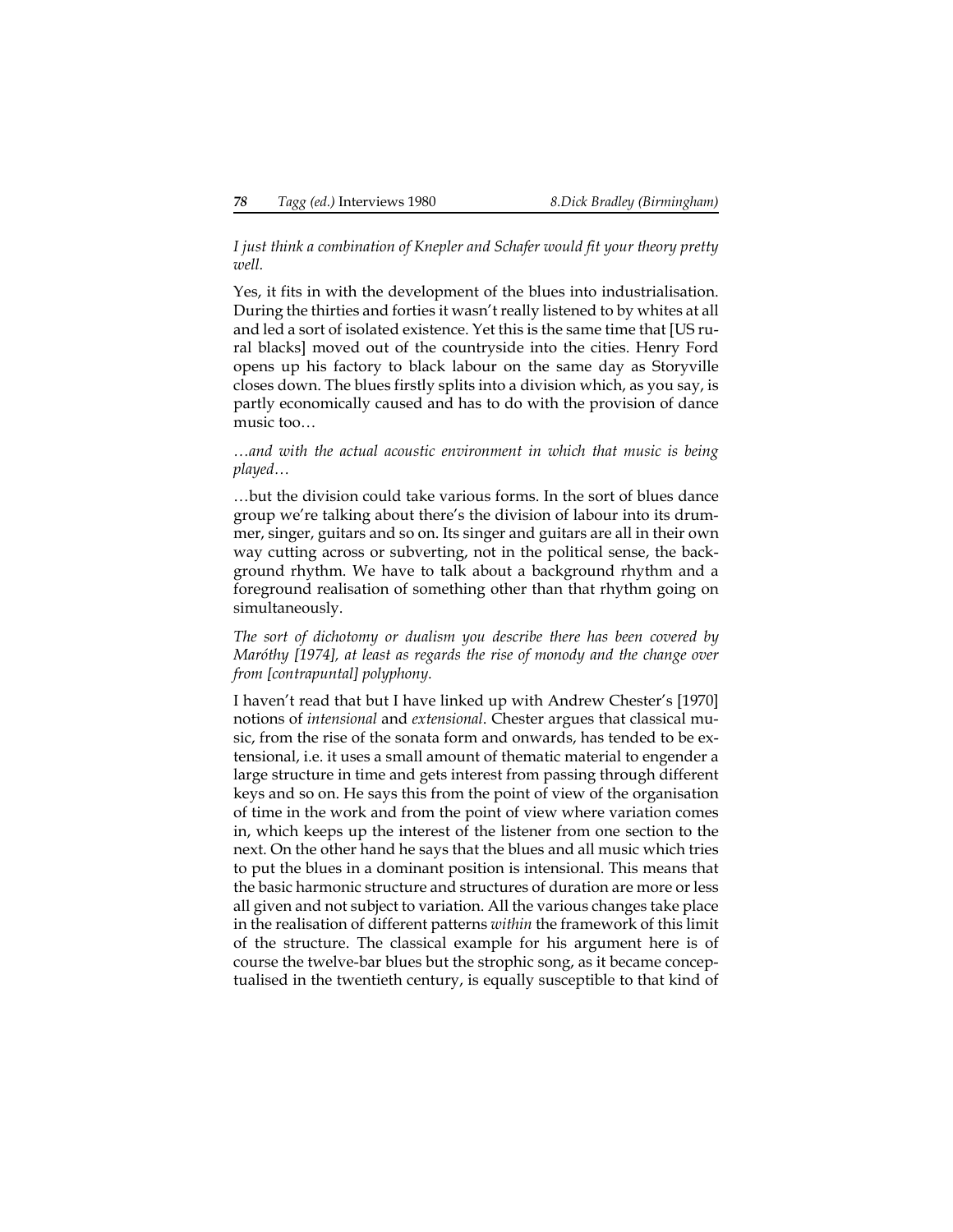## *I just think a combination of Knepler and Schafer would fit your theory pretty well.*

Yes, it fits in with the development of the blues into industrialisation. During the thirties and forties it wasn't really listened to by whites at all and led a sort of isolated existence. Yet this is the same time that [US rural blacks] moved out of the countryside into the cities. Henry Ford opens up his factory to black labour on the same day as Storyville closes down. The blues firstly splits into a division which, as you say, is partly economically caused and has to do with the provision of dance music too…

*…and with the actual acoustic environment in which that music is being played…*

…but the division could take various forms. In the sort of blues dance group we're talking about there's the division of labour into its drummer, singer, guitars and so on. Its singer and guitars are all in their own way cutting across or subverting, not in the political sense, the background rhythm. We have to talk about a background rhythm and a foreground realisation of something other than that rhythm going on simultaneously.

*The sort of dichotomy or dualism you describe there has been covered by Maróthy [1974], at least as regards the rise of monody and the change over from [contrapuntal] polyphony.*

I haven't read that but I have linked up with Andrew Chester's [1970] notions of *intensional* and *extensional*. Chester argues that classical music, from the rise of the sonata form and onwards, has tended to be extensional, i.e. it uses a small amount of thematic material to engender a large structure in time and gets interest from passing through different keys and so on. He says this from the point of view of the organisation of time in the work and from the point of view where variation comes in, which keeps up the interest of the listener from one section to the next. On the other hand he says that the blues and all music which tries to put the blues in a dominant position is intensional. This means that the basic harmonic structure and structures of duration are more or less all given and not subject to variation. All the various changes take place in the realisation of different patterns *within* the framework of this limit of the structure. The classical example for his argument here is of course the twelve-bar blues but the strophic song, as it became conceptualised in the twentieth century, is equally susceptible to that kind of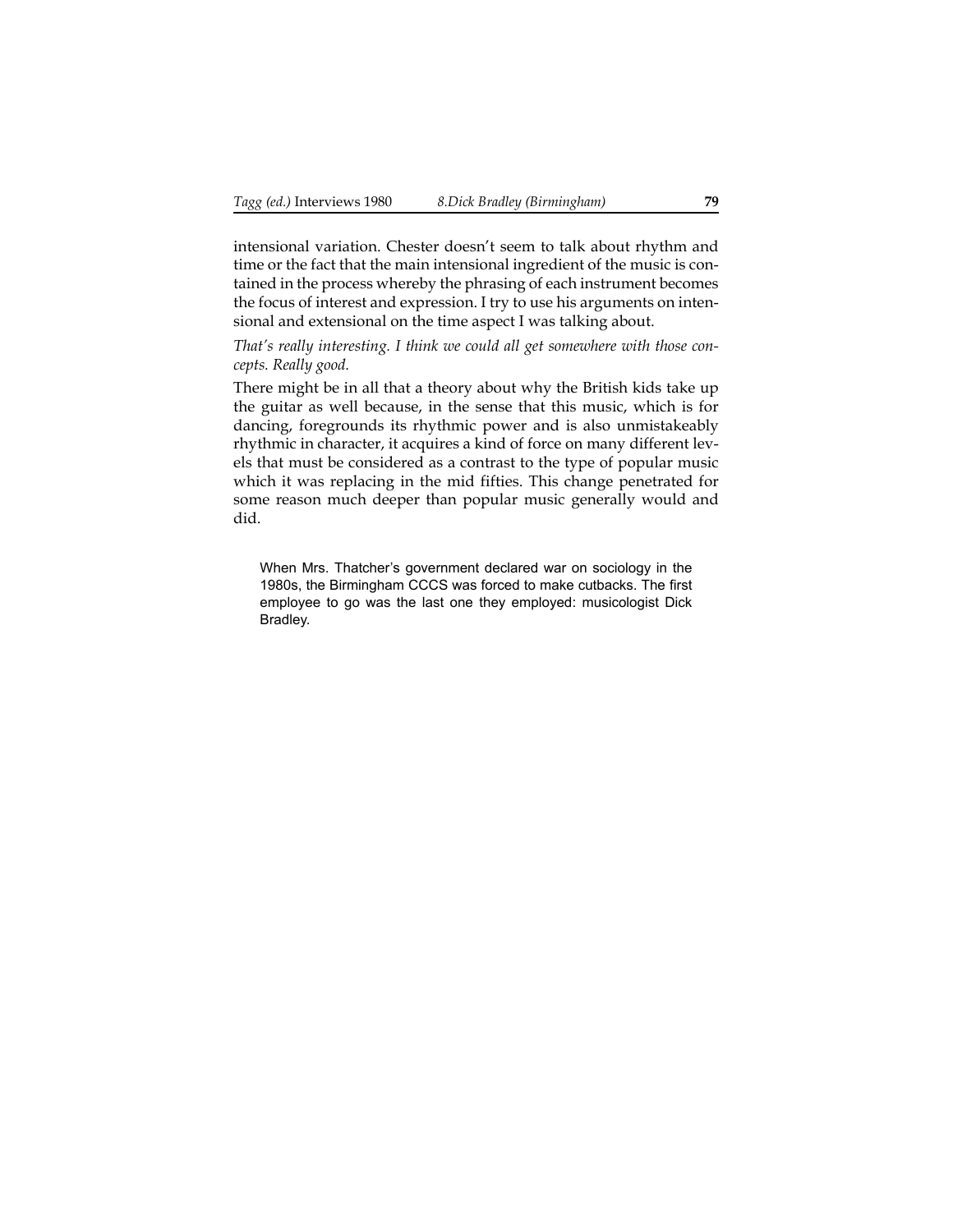intensional variation. Chester doesn't seem to talk about rhythm and time or the fact that the main intensional ingredient of the music is contained in the process whereby the phrasing of each instrument becomes the focus of interest and expression. I try to use his arguments on intensional and extensional on the time aspect I was talking about.

*That's really interesting. I think we could all get somewhere with those concepts. Really good.*

There might be in all that a theory about why the British kids take up the guitar as well because, in the sense that this music, which is for dancing, foregrounds its rhythmic power and is also unmistakeably rhythmic in character, it acquires a kind of force on many different levels that must be considered as a contrast to the type of popular music which it was replacing in the mid fifties. This change penetrated for some reason much deeper than popular music generally would and did.

When Mrs. Thatcher's government declared war on sociology in the 1980s, the Birmingham CCCS was forced to make cutbacks. The first employee to go was the last one they employed: musicologist Dick Bradley.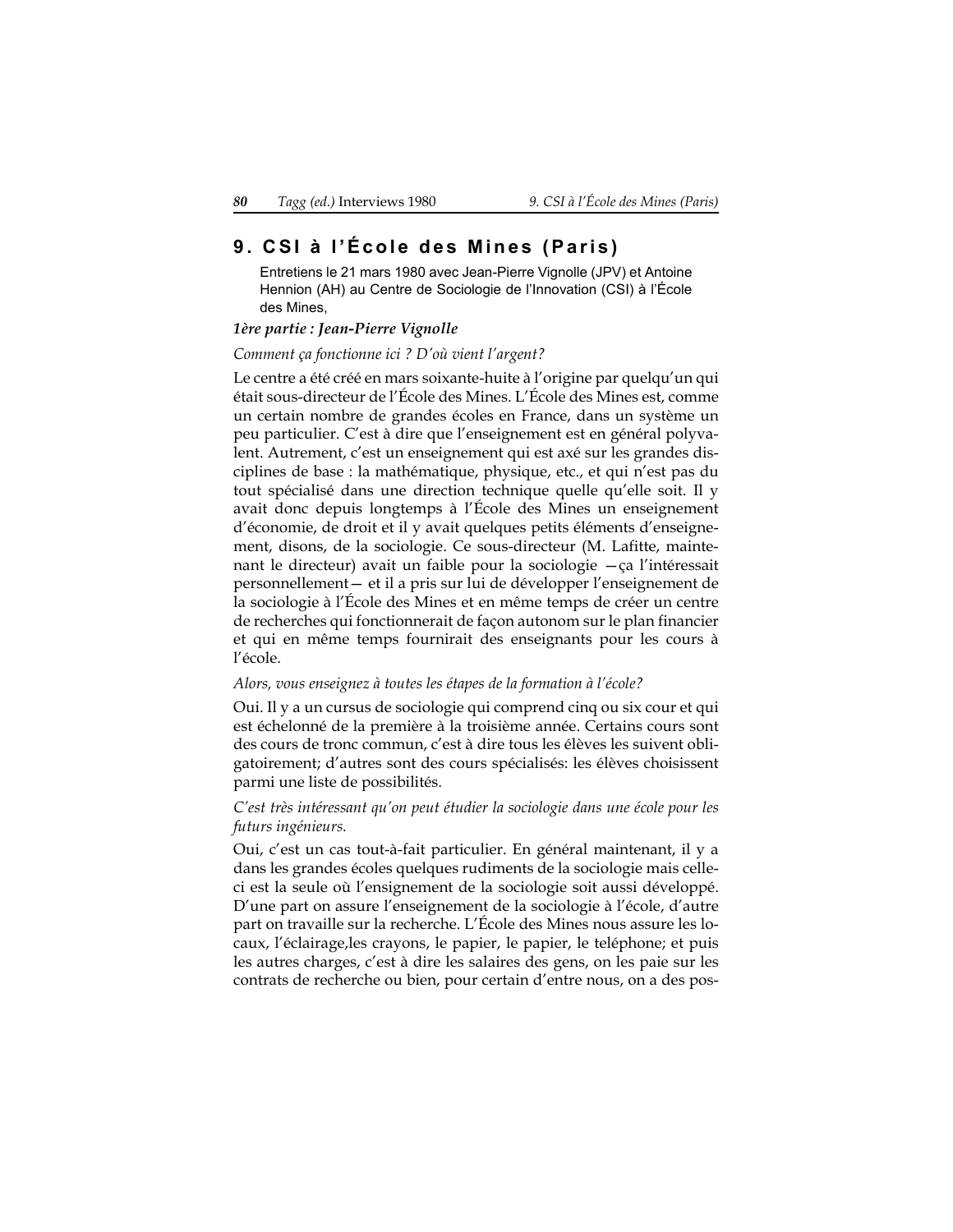# **9. CSI à l'École des Mines (Paris)**

Entretiens le 21 mars 1980 avec Jean-Pierre Vignolle (JPV) et Antoine Hennion (AH) au Centre de Sociologie de l'Innovation (CSI) à l'École des Mines,

### *1ère partie : Jean-Pierre Vignolle*

#### *Comment ça fonctionne ici ? D'où vient l'argent?*

Le centre a été créé en mars soixante-huite à l'origine par quelqu'un qui était sous-directeur de l'École des Mines. L'École des Mines est, comme un certain nombre de grandes écoles en France, dans un système un peu particulier. C'est à dire que l'enseignement est en général polyvalent. Autrement, c'est un enseignement qui est axé sur les grandes disciplines de base : la mathématique, physique, etc., et qui n'est pas du tout spécialisé dans une direction technique quelle qu'elle soit. Il y avait donc depuis longtemps à l'École des Mines un enseignement d'économie, de droit et il y avait quelques petits éléments d'enseignement, disons, de la sociologie. Ce sous-directeur (M. Lafitte, maintenant le directeur) avait un faible pour la sociologie —ça l'intéressait personnellement— et il a pris sur lui de développer l'enseignement de la sociologie à l'École des Mines et en même temps de créer un centre de recherches qui fonctionnerait de façon autonom sur le plan financier et qui en même temps fournirait des enseignants pour les cours à l'école.

#### *Alors, vous enseignez à toutes les étapes de la formation à l'école?*

Oui. Il y a un cursus de sociologie qui comprend cinq ou six cour et qui est échelonné de la première à la troisième année. Certains cours sont des cours de tronc commun, c'est à dire tous les élèves les suivent obligatoirement; d'autres sont des cours spécialisés: les élèves choisissent parmi une liste de possibilités.

#### *C'est très intéressant qu'on peut étudier la sociologie dans une école pour les futurs ingénieurs.*

Oui, c'est un cas tout-à-fait particulier. En général maintenant, il y a dans les grandes écoles quelques rudiments de la sociologie mais celleci est la seule où l'ensignement de la sociologie soit aussi développé. D'une part on assure l'enseignement de la sociologie à l'école, d'autre part on travaille sur la recherche. L'École des Mines nous assure les locaux, l'éclairage,les crayons, le papier, le papier, le teléphone; et puis les autres charges, c'est à dire les salaires des gens, on les paie sur les contrats de recherche ou bien, pour certain d'entre nous, on a des pos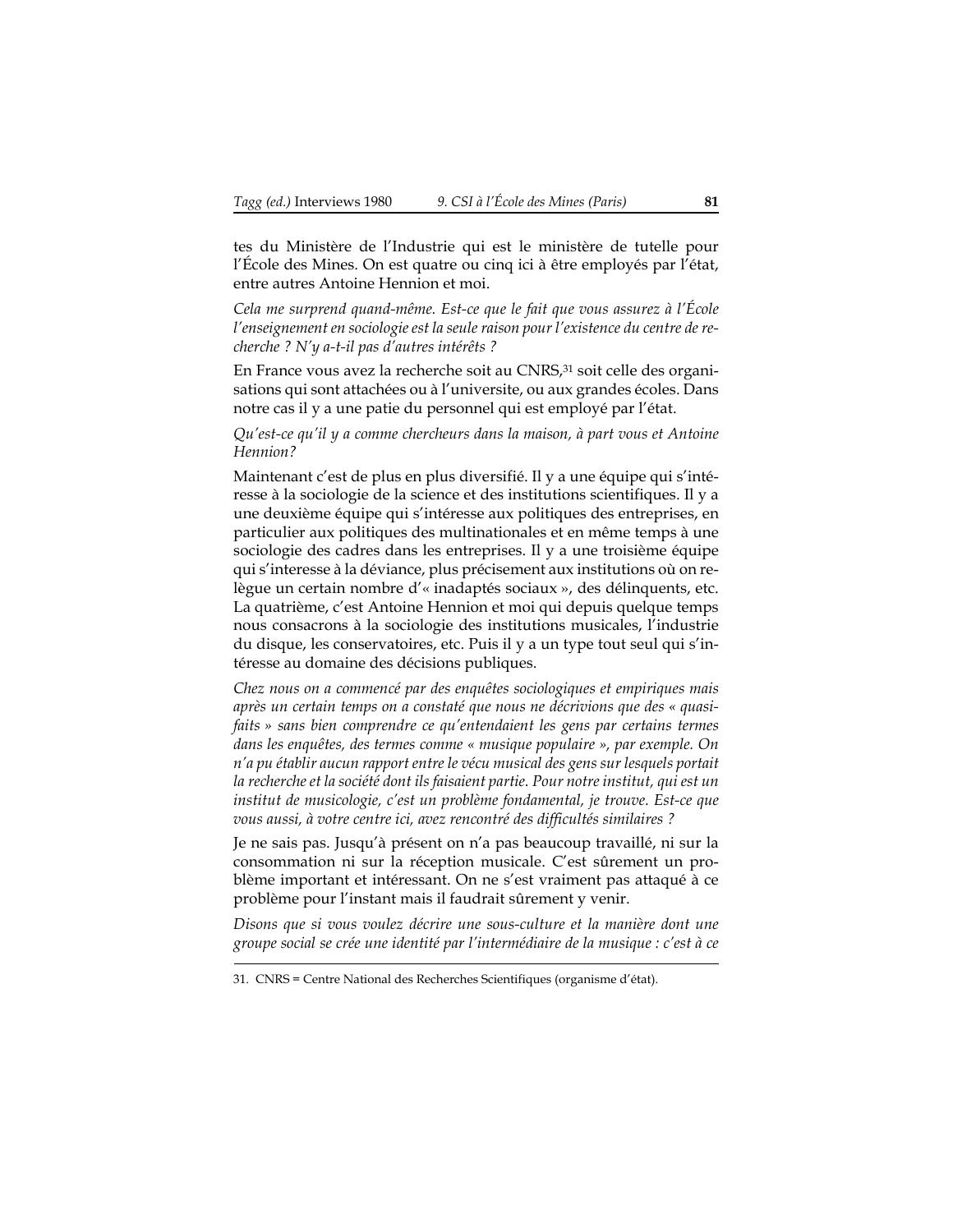tes du Ministère de l'Industrie qui est le ministère de tutelle pour l'École des Mines. On est quatre ou cinq ici à être employés par l'état, entre autres Antoine Hennion et moi.

*Cela me surprend quand-même. Est-ce que le fait que vous assurez à l'École l'enseignement en sociologie est la seule raison pour l'existence du centre de recherche ? N'y a-t-il pas d'autres intérêts ?*

En France vous avez la recherche soit au CNRS,<sup>31</sup> soit celle des organisations qui sont attachées ou à l'universite, ou aux grandes écoles. Dans notre cas il y a une patie du personnel qui est employé par l'état.

*Qu'est-ce qu'il y a comme chercheurs dans la maison, à part vous et Antoine Hennion?*

Maintenant c'est de plus en plus diversifié. Il y a une équipe qui s'intéresse à la sociologie de la science et des institutions scientifiques. Il y a une deuxième équipe qui s'intéresse aux politiques des entreprises, en particulier aux politiques des multinationales et en même temps à une sociologie des cadres dans les entreprises. Il y a une troisième équipe qui s'interesse à la déviance, plus précisement aux institutions où on relègue un certain nombre d'« inadaptés sociaux », des délinquents, etc. La quatrième, c'est Antoine Hennion et moi qui depuis quelque temps nous consacrons à la sociologie des institutions musicales, l'industrie du disque, les conservatoires, etc. Puis il y a un type tout seul qui s'intéresse au domaine des décisions publiques.

*Chez nous on a commencé par des enquêtes sociologiques et empiriques mais après un certain temps on a constaté que nous ne décrivions que des « quasifaits » sans bien comprendre ce qu'entendaient les gens par certains termes dans les enquêtes, des termes comme « musique populaire », par exemple. On n'a pu établir aucun rapport entre le vécu musical des gens sur lesquels portait la recherche et la société dont ils faisaient partie. Pour notre institut, qui est un institut de musicologie, c'est un problème fondamental, je trouve. Est-ce que vous aussi, à votre centre ici, avez rencontré des difficultés similaires ?*

Je ne sais pas. Jusqu'à présent on n'a pas beaucoup travaillé, ni sur la consommation ni sur la réception musicale. C'est sûrement un problème important et intéressant. On ne s'est vraiment pas attaqué à ce problème pour l'instant mais il faudrait sûrement y venir.

*Disons que si vous voulez décrire une sous-culture et la manière dont une groupe social se crée une identité par l'intermédiaire de la musique : c'est à ce*

<sup>31.</sup> CNRS = Centre National des Recherches Scientifiques (organisme d'état).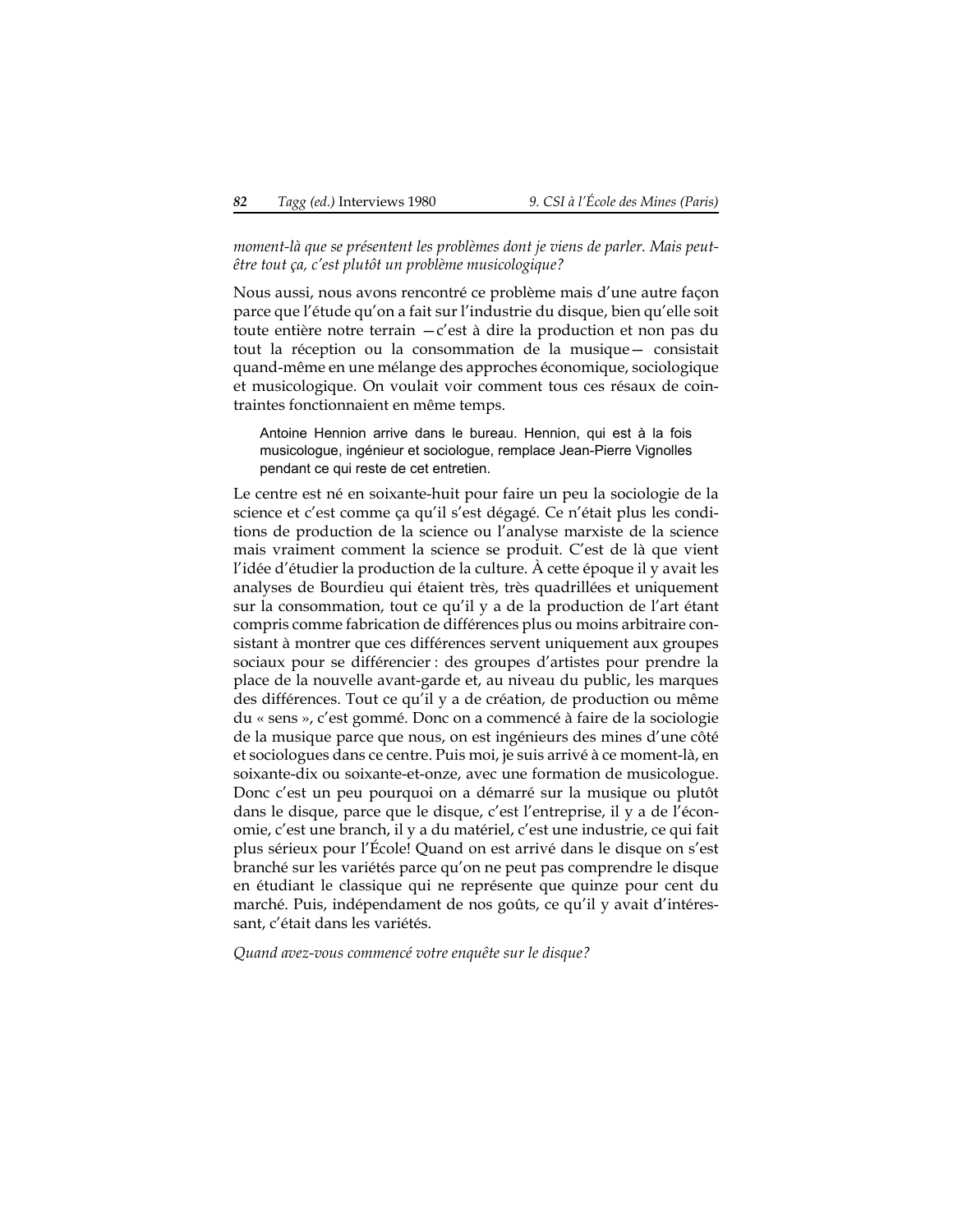*moment-là que se présentent les problèmes dont je viens de parler. Mais peutêtre tout ça, c'est plutôt un problème musicologique?*

Nous aussi, nous avons rencontré ce problème mais d'une autre façon parce que l'étude qu'on a fait sur l'industrie du disque, bien qu'elle soit toute entière notre terrain —c'est à dire la production et non pas du tout la réception ou la consommation de la musique— consistait quand-même en une mélange des approches économique, sociologique et musicologique. On voulait voir comment tous ces résaux de cointraintes fonctionnaient en même temps.

Antoine Hennion arrive dans le bureau. Hennion, qui est à la fois musicologue, ingénieur et sociologue, remplace Jean-Pierre Vignolles pendant ce qui reste de cet entretien.

Le centre est né en soixante-huit pour faire un peu la sociologie de la science et c'est comme ça qu'il s'est dégagé. Ce n'était plus les conditions de production de la science ou l'analyse marxiste de la science mais vraiment comment la science se produit. C'est de là que vient l'idée d'étudier la production de la culture. À cette époque il y avait les analyses de Bourdieu qui étaient très, très quadrillées et uniquement sur la consommation, tout ce qu'il y a de la production de l'art étant compris comme fabrication de différences plus ou moins arbitraire consistant à montrer que ces différences servent uniquement aux groupes sociaux pour se différencier : des groupes d'artistes pour prendre la place de la nouvelle avant-garde et, au niveau du public, les marques des différences. Tout ce qu'il y a de création, de production ou même du « sens », c'est gommé. Donc on a commencé à faire de la sociologie de la musique parce que nous, on est ingénieurs des mines d'une côté et sociologues dans ce centre. Puis moi, je suis arrivé à ce moment-là, en soixante-dix ou soixante-et-onze, avec une formation de musicologue. Donc c'est un peu pourquoi on a démarré sur la musique ou plutôt dans le disque, parce que le disque, c'est l'entreprise, il y a de l'économie, c'est une branch, il y a du matériel, c'est une industrie, ce qui fait plus sérieux pour l'École! Quand on est arrivé dans le disque on s'est branché sur les variétés parce qu'on ne peut pas comprendre le disque en étudiant le classique qui ne représente que quinze pour cent du marché. Puis, indépendament de nos goûts, ce qu'il y avait d'intéressant, c'était dans les variétés.

*Quand avez-vous commencé votre enquête sur le disque?*